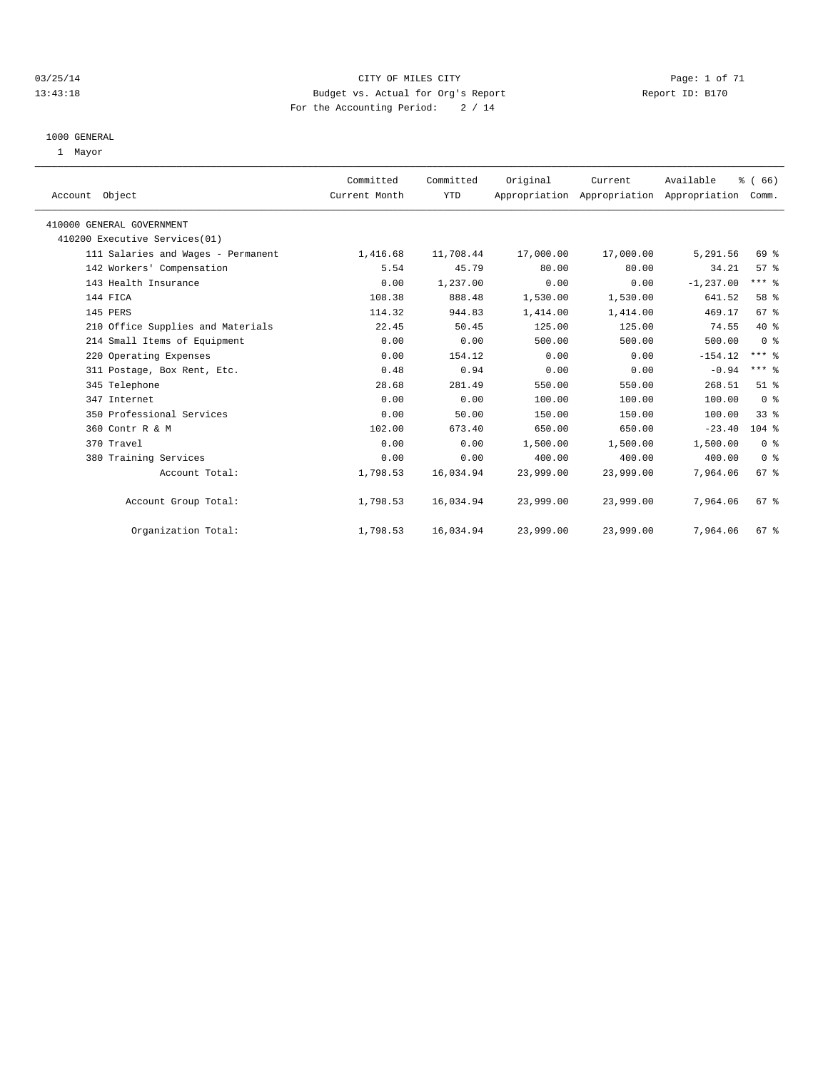#### 03/25/14 Page: 1 of 71 13:43:18 Budget vs. Actual for Org's Report Report ID: B170 For the Accounting Period: 2 / 14

#### 1000 GENERAL

1 Mayor

| Account Object                     | Committed<br>Current Month | Committed<br>YTD | Original  | Current<br>Appropriation Appropriation Appropriation | Available    | % (66)<br>Comm. |  |
|------------------------------------|----------------------------|------------------|-----------|------------------------------------------------------|--------------|-----------------|--|
| 410000 GENERAL GOVERNMENT          |                            |                  |           |                                                      |              |                 |  |
| 410200 Executive Services(01)      |                            |                  |           |                                                      |              |                 |  |
| 111 Salaries and Wages - Permanent | 1,416.68                   | 11,708.44        | 17,000.00 | 17,000.00                                            | 5,291.56     | 69 %            |  |
| 142 Workers' Compensation          | 5.54                       | 45.79            | 80.00     | 80.00                                                | 34.21        | 57%             |  |
| 143 Health Insurance               | 0.00                       | 1,237.00         | 0.00      | 0.00                                                 | $-1, 237.00$ | $***$ $%$       |  |
| 144 FICA                           | 108.38                     | 888.48           | 1,530.00  | 1,530.00                                             | 641.52       | 58 %            |  |
| 145 PERS                           | 114.32                     | 944.83           | 1,414.00  | 1,414.00                                             | 469.17       | 67 <sup>8</sup> |  |
| 210 Office Supplies and Materials  | 22.45                      | 50.45            | 125.00    | 125.00                                               | 74.55        | $40*$           |  |
| 214 Small Items of Equipment       | 0.00                       | 0.00             | 500.00    | 500.00                                               | 500.00       | 0 <sup>8</sup>  |  |
| 220 Operating Expenses             | 0.00                       | 154.12           | 0.00      | 0.00                                                 | $-154.12$    | $***$ $-$       |  |
| 311 Postage, Box Rent, Etc.        | 0.48                       | 0.94             | 0.00      | 0.00                                                 | $-0.94$      | $***$ $%$       |  |
| 345 Telephone                      | 28.68                      | 281.49           | 550.00    | 550.00                                               | 268.51       | $51$ %          |  |
| 347 Internet                       | 0.00                       | 0.00             | 100.00    | 100.00                                               | 100.00       | 0 <sup>8</sup>  |  |
| 350 Professional Services          | 0.00                       | 50.00            | 150.00    | 150.00                                               | 100.00       | 33%             |  |
| 360 Contr R & M                    | 102.00                     | 673.40           | 650.00    | 650.00                                               | $-23.40$     | $104$ %         |  |
| 370 Travel                         | 0.00                       | 0.00             | 1,500.00  | 1,500.00                                             | 1,500.00     | 0 <sup>8</sup>  |  |
| 380 Training Services              | 0.00                       | 0.00             | 400.00    | 400.00                                               | 400.00       | 0 <sup>8</sup>  |  |
| Account Total:                     | 1,798.53                   | 16,034.94        | 23,999.00 | 23,999.00                                            | 7,964.06     | $67*$           |  |
| Account Group Total:               | 1,798.53                   | 16,034.94        | 23,999.00 | 23,999.00                                            | 7,964.06     | 67 <sup>8</sup> |  |
| Organization Total:                | 1,798.53                   | 16,034.94        | 23,999.00 | 23,999.00                                            | 7,964.06     | 67 %            |  |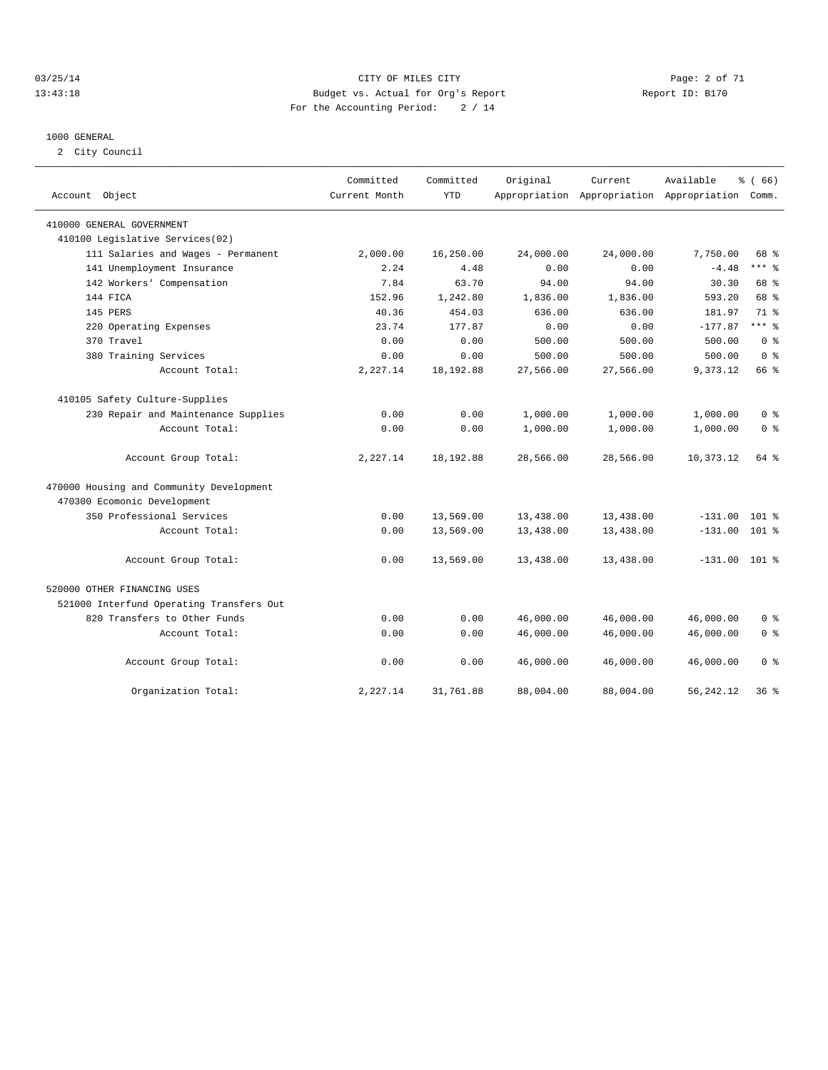#### 03/25/14 Page: 2 of 71 13:43:18 Budget vs. Actual for Org's Report Report ID: B170 For the Accounting Period: 2 / 14

#### 1000 GENERAL

2 City Council

| Account Object                           | Committed<br>Current Month | Committed<br><b>YTD</b> | Original  | Current   | Available<br>Appropriation Appropriation Appropriation | % (66)<br>Comm. |
|------------------------------------------|----------------------------|-------------------------|-----------|-----------|--------------------------------------------------------|-----------------|
| 410000 GENERAL GOVERNMENT                |                            |                         |           |           |                                                        |                 |
| 410100 Legislative Services(02)          |                            |                         |           |           |                                                        |                 |
| 111 Salaries and Wages - Permanent       | 2,000.00                   | 16,250.00               | 24,000.00 | 24,000.00 | 7,750.00                                               | 68 %            |
| 141 Unemployment Insurance               | 2.24                       | 4.48                    | 0.00      | 0.00      | $-4.48$                                                | $***$ $-$       |
| 142 Workers' Compensation                | 7.84                       | 63.70                   | 94.00     | 94.00     | 30.30                                                  | 68 %            |
| 144 FICA                                 | 152.96                     | 1,242.80                | 1,836.00  | 1,836.00  | 593.20                                                 | 68 %            |
| 145 PERS                                 | 40.36                      | 454.03                  | 636.00    | 636.00    | 181.97                                                 | 71 %            |
| 220 Operating Expenses                   | 23.74                      | 177.87                  | 0.00      | 0.00      | $-177.87$                                              | $***$ 8         |
| 370 Travel                               | 0.00                       | 0.00                    | 500.00    | 500.00    | 500.00                                                 | 0 <sup>8</sup>  |
| 380 Training Services                    | 0.00                       | 0.00                    | 500.00    | 500.00    | 500.00                                                 | 0 <sup>8</sup>  |
| Account Total:                           | 2,227.14                   | 18, 192.88              | 27,566.00 | 27,566.00 | 9,373.12                                               | 66 %            |
| 410105 Safety Culture-Supplies           |                            |                         |           |           |                                                        |                 |
| 230 Repair and Maintenance Supplies      | 0.00                       | 0.00                    | 1,000.00  | 1,000.00  | 1,000.00                                               | $0 \approx$     |
| Account Total:                           | 0.00                       | 0.00                    | 1,000.00  | 1,000.00  | 1,000.00                                               | 0 <sup>8</sup>  |
| Account Group Total:                     | 2,227.14                   | 18, 192.88              | 28,566.00 | 28,566.00 | 10,373.12                                              | 64 %            |
| 470000 Housing and Community Development |                            |                         |           |           |                                                        |                 |
| 470300 Ecomonic Development              |                            |                         |           |           |                                                        |                 |
| 350 Professional Services                | 0.00                       | 13,569.00               | 13,438.00 | 13,438.00 | $-131.00$                                              | $101$ %         |
| Account Total:                           | 0.00                       | 13,569.00               | 13,438.00 | 13,438.00 | $-131.00$                                              | 101 %           |
| Account Group Total:                     | 0.00                       | 13,569.00               | 13,438.00 | 13,438.00 | $-131.00$ 101 %                                        |                 |
| 520000 OTHER FINANCING USES              |                            |                         |           |           |                                                        |                 |
| 521000 Interfund Operating Transfers Out |                            |                         |           |           |                                                        |                 |
| 820 Transfers to Other Funds             | 0.00                       | 0.00                    | 46,000.00 | 46,000.00 | 46,000.00                                              | 0 <sup>8</sup>  |
| Account Total:                           | 0.00                       | 0.00                    | 46,000.00 | 46,000.00 | 46,000.00                                              | 0 <sup>8</sup>  |
| Account Group Total:                     | 0.00                       | 0.00                    | 46,000.00 | 46,000.00 | 46,000.00                                              | 0 <sup>8</sup>  |
| Organization Total:                      | 2,227.14                   | 31,761.88               | 88,004.00 | 88,004.00 | 56,242.12                                              | 36%             |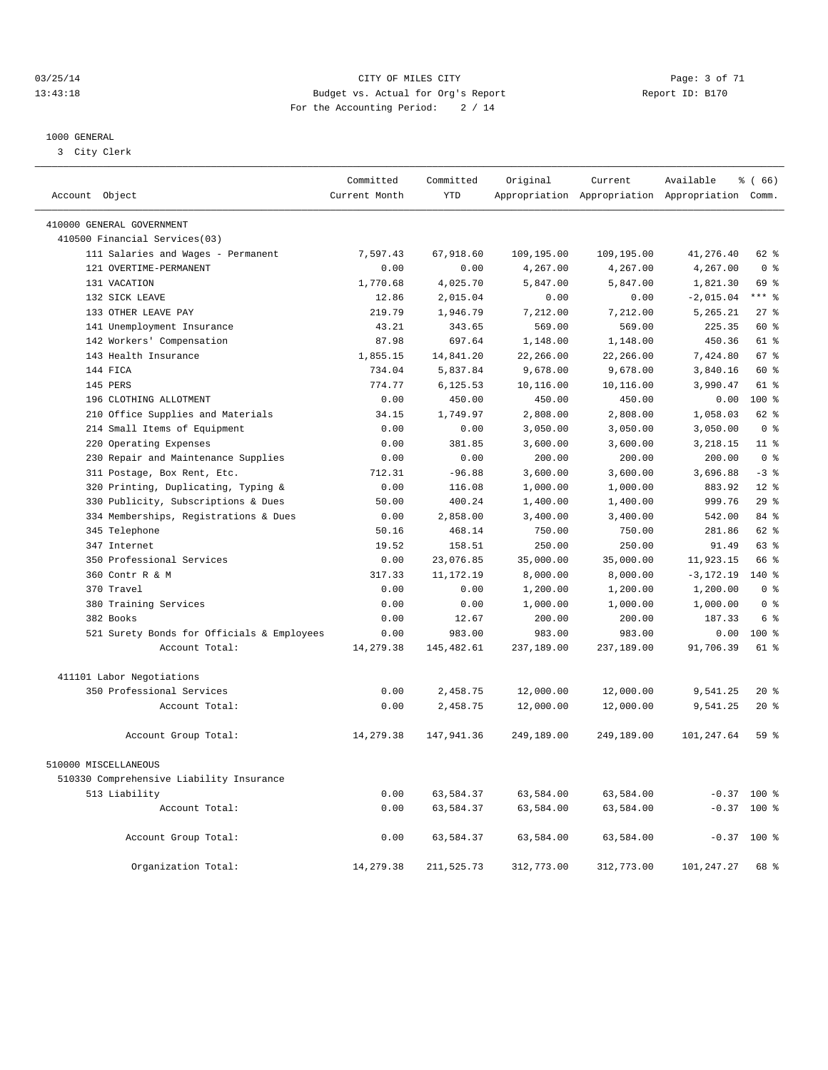#### 03/25/14 Page: 3 of 71 13:43:18 Budget vs. Actual for Org's Report Report ID: B170 For the Accounting Period: 2 / 14

————————————————————————————————————————————————————————————————————————————————————————————————————————————————————————————————————

#### 1000 GENERAL

3 City Clerk

|                                            | Committed     | Committed    | Original   | Current    | Available                                       | % (66)                  |
|--------------------------------------------|---------------|--------------|------------|------------|-------------------------------------------------|-------------------------|
| Account Object                             | Current Month | <b>YTD</b>   |            |            | Appropriation Appropriation Appropriation Comm. |                         |
| 410000 GENERAL GOVERNMENT                  |               |              |            |            |                                                 |                         |
| 410500 Financial Services(03)              |               |              |            |            |                                                 |                         |
| 111 Salaries and Wages - Permanent         | 7,597.43      | 67,918.60    | 109,195.00 | 109,195.00 | 41,276.40                                       | 62 %                    |
| 121 OVERTIME-PERMANENT                     | 0.00          | 0.00         | 4,267.00   | 4,267.00   | 4,267.00                                        | 0 <sup>8</sup>          |
| 131 VACATION                               | 1,770.68      | 4,025.70     | 5,847.00   | 5,847.00   | 1,821.30                                        | 69 %                    |
| 132 SICK LEAVE                             | 12.86         | 2,015.04     | 0.00       | 0.00       | $-2,015.04$                                     | $***$ $%$               |
| 133 OTHER LEAVE PAY                        | 219.79        | 1,946.79     | 7,212.00   | 7,212.00   | 5,265.21                                        | 27%                     |
| 141 Unemployment Insurance                 | 43.21         | 343.65       | 569.00     | 569.00     | 225.35                                          | 60 %                    |
| 142 Workers' Compensation                  | 87.98         | 697.64       | 1,148.00   | 1,148.00   | 450.36                                          | 61 %                    |
| 143 Health Insurance                       | 1,855.15      | 14,841.20    | 22,266.00  | 22,266.00  | 7,424.80                                        | 67 %                    |
| 144 FICA                                   | 734.04        | 5,837.84     | 9,678.00   | 9,678.00   | 3,840.16                                        | 60 %                    |
| 145 PERS                                   | 774.77        | 6,125.53     | 10,116.00  | 10,116.00  | 3,990.47                                        | 61 %                    |
| 196 CLOTHING ALLOTMENT                     | 0.00          | 450.00       | 450.00     | 450.00     | 0.00                                            | $100*$                  |
| 210 Office Supplies and Materials          | 34.15         | 1,749.97     | 2,808.00   | 2,808.00   | 1,058.03                                        | 62 %                    |
| 214 Small Items of Equipment               | 0.00          | 0.00         | 3,050.00   | 3,050.00   | 3,050.00                                        | 0 <sup>8</sup>          |
| 220 Operating Expenses                     | 0.00          | 381.85       | 3,600.00   | 3,600.00   | 3,218.15                                        | 11 <sup>°</sup>         |
| 230 Repair and Maintenance Supplies        | 0.00          | 0.00         | 200.00     | 200.00     | 200.00                                          | 0 <sup>8</sup>          |
| 311 Postage, Box Rent, Etc.                | 712.31        | $-96.88$     | 3,600.00   | 3,600.00   | 3,696.88                                        | $-3$ $%$                |
| 320 Printing, Duplicating, Typing &        | 0.00          | 116.08       | 1,000.00   | 1,000.00   | 883.92                                          | $12*$                   |
| 330 Publicity, Subscriptions & Dues        | 50.00         | 400.24       | 1,400.00   | 1,400.00   | 999.76                                          | 29%                     |
| 334 Memberships, Registrations & Dues      | 0.00          | 2,858.00     | 3,400.00   | 3,400.00   | 542.00                                          | 84 %                    |
| 345 Telephone                              | 50.16         | 468.14       | 750.00     | 750.00     | 281.86                                          | $62$ $%$                |
| 347 Internet                               | 19.52         | 158.51       | 250.00     | 250.00     | 91.49                                           | $63$ $%$                |
| 350 Professional Services                  | 0.00          | 23,076.85    | 35,000.00  | 35,000.00  | 11,923.15                                       | 66 %                    |
| 360 Contr R & M                            | 317.33        | 11, 172. 19  | 8,000.00   | 8,000.00   | $-3, 172.19$                                    | $140*$                  |
| 370 Travel                                 | 0.00          | 0.00         | 1,200.00   | 1,200.00   | 1,200.00                                        | $0 \text{ }$ $\text{*}$ |
| 380 Training Services                      | 0.00          | 0.00         | 1,000.00   | 1,000.00   | 1,000.00                                        | 0 <sup>8</sup>          |
| 382 Books                                  | 0.00          | 12.67        | 200.00     | 200.00     | 187.33                                          | 6 <sup>°</sup>          |
| 521 Surety Bonds for Officials & Employees | 0.00          | 983.00       | 983.00     | 983.00     | 0.00                                            | $100*$                  |
| Account Total:                             | 14,279.38     | 145,482.61   | 237,189.00 | 237,189.00 | 91,706.39                                       | 61 %                    |
|                                            |               |              |            |            |                                                 |                         |
| 411101 Labor Negotiations                  |               |              |            |            |                                                 |                         |
| 350 Professional Services                  | 0.00          | 2,458.75     | 12,000.00  | 12,000.00  | 9,541.25                                        | $20*$                   |
| Account Total:                             | 0.00          | 2,458.75     | 12,000.00  | 12,000.00  | 9,541.25                                        | $20*$                   |
| Account Group Total:                       | 14,279.38     | 147,941.36   | 249,189.00 | 249,189.00 | 101,247.64                                      | 59 %                    |
| 510000 MISCELLANEOUS                       |               |              |            |            |                                                 |                         |
| 510330 Comprehensive Liability Insurance   |               |              |            |            |                                                 |                         |
| 513 Liability                              | 0.00          | 63,584.37    | 63,584.00  | 63,584.00  |                                                 | $-0.37$ 100 %           |
| Account Total:                             | 0.00          | 63,584.37    | 63,584.00  | 63,584.00  | $-0.37$                                         | 100 %                   |
|                                            |               |              |            |            |                                                 |                         |
| Account Group Total:                       | 0.00          | 63,584.37    | 63,584.00  | 63,584.00  |                                                 | $-0.37$ 100 %           |
| Organization Total:                        | 14,279.38     | 211, 525. 73 | 312,773.00 | 312,773.00 | 101,247.27                                      | 68 %                    |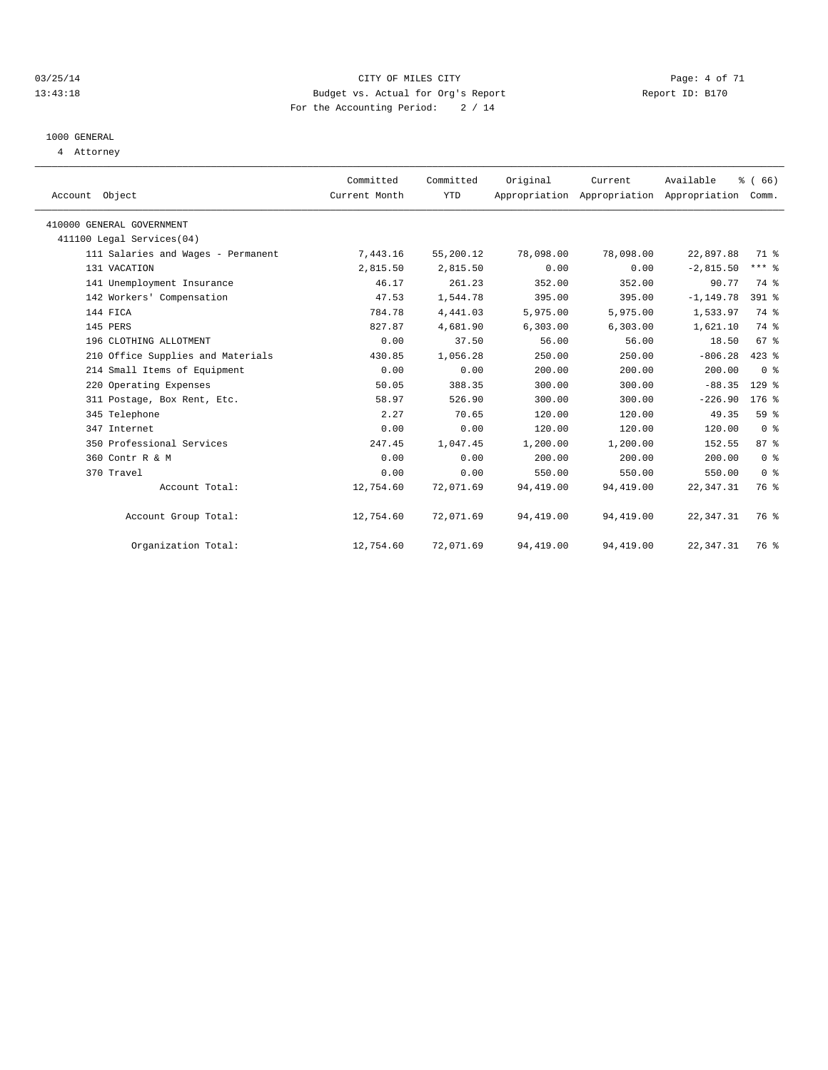#### 03/25/14 Page: 4 of 71 13:43:18 Budget vs. Actual for Org's Report Report ID: B170 For the Accounting Period: 2 / 14

# 1000 GENERAL

4 Attorney

| Account Object                     | Committed<br>Current Month | Committed<br><b>YTD</b> | Original  | Current<br>Appropriation Appropriation Appropriation Comm. | Available    | % (66)              |  |
|------------------------------------|----------------------------|-------------------------|-----------|------------------------------------------------------------|--------------|---------------------|--|
| 410000 GENERAL GOVERNMENT          |                            |                         |           |                                                            |              |                     |  |
| 411100 Legal Services(04)          |                            |                         |           |                                                            |              |                     |  |
| 111 Salaries and Wages - Permanent | 7,443.16                   | 55,200.12               | 78,098.00 | 78,098.00                                                  | 22,897.88    | 71 %                |  |
| 131 VACATION                       | 2,815.50                   | 2,815.50                | 0.00      | 0.00                                                       | $-2,815.50$  | $***$ $-$           |  |
| 141 Unemployment Insurance         | 46.17                      | 261.23                  | 352.00    | 352.00                                                     | 90.77        | 74 %                |  |
| 142 Workers' Compensation          | 47.53                      | 1,544.78                | 395.00    | 395.00                                                     | $-1, 149.78$ | 391 %               |  |
| 144 FICA                           | 784.78                     | 4,441.03                | 5,975.00  | 5,975.00                                                   | 1,533.97     | 74 %                |  |
| 145 PERS                           | 827.87                     | 4,681.90                | 6,303.00  | 6,303.00                                                   | 1,621.10     | 74 %                |  |
| 196 CLOTHING ALLOTMENT             | 0.00                       | 37.50                   | 56.00     | 56.00                                                      | 18.50        | 67 <sup>8</sup>     |  |
| 210 Office Supplies and Materials  | 430.85                     | 1,056.28                | 250.00    | 250.00                                                     | $-806.28$    | $423$ $%$           |  |
| 214 Small Items of Equipment       | 0.00                       | 0.00                    | 200.00    | 200.00                                                     | 200.00       | 0 <sup>8</sup>      |  |
| 220 Operating Expenses             | 50.05                      | 388.35                  | 300.00    | 300.00                                                     | $-88.35$     | $129$ %             |  |
| 311 Postage, Box Rent, Etc.        | 58.97                      | 526.90                  | 300.00    | 300.00                                                     | $-226.90$    | $176$ $\frac{6}{3}$ |  |
| 345 Telephone                      | 2.27                       | 70.65                   | 120.00    | 120.00                                                     | 49.35        | 59 %                |  |
| 347 Internet                       | 0.00                       | 0.00                    | 120.00    | 120.00                                                     | 120.00       | 0 <sup>8</sup>      |  |
| 350 Professional Services          | 247.45                     | 1,047.45                | 1,200.00  | 1,200.00                                                   | 152.55       | 87%                 |  |
| 360 Contr R & M                    | 0.00                       | 0.00                    | 200.00    | 200.00                                                     | 200.00       | 0 <sup>8</sup>      |  |
| 370 Travel                         | 0.00                       | 0.00                    | 550.00    | 550.00                                                     | 550.00       | 0 <sup>8</sup>      |  |
| Account Total:                     | 12,754.60                  | 72,071.69               | 94,419.00 | 94,419.00                                                  | 22,347.31    | 76 %                |  |
| Account Group Total:               | 12,754.60                  | 72,071.69               | 94,419.00 | 94,419.00                                                  | 22,347.31    | 76 %                |  |
| Organization Total:                | 12,754.60                  | 72,071.69               | 94,419.00 | 94,419.00                                                  | 22,347.31    | 76 %                |  |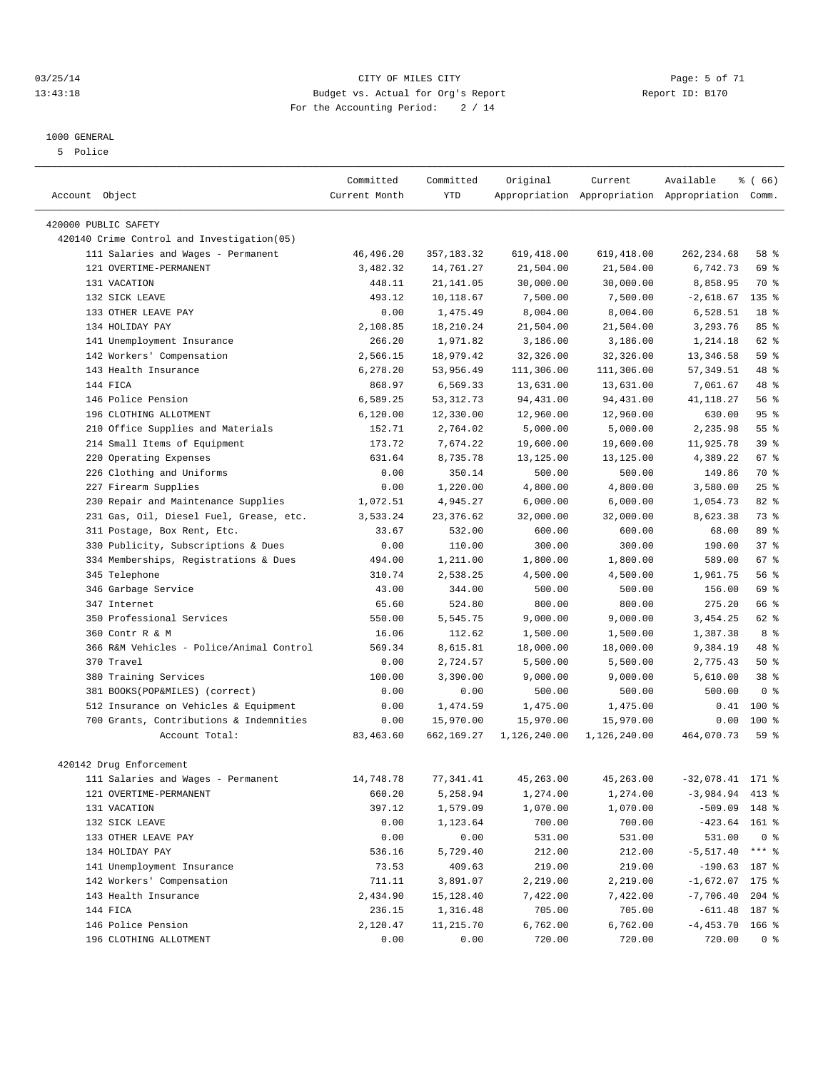#### 03/25/14 Page: 5 of 71 13:43:18 Budget vs. Actual for Org's Report Report ID: B170 For the Accounting Period: 2 / 14

#### 1000 GENERAL

5 Police

|                                             | Committed      | Committed            | Original           | Current            | Available                                       | % (66)           |  |
|---------------------------------------------|----------------|----------------------|--------------------|--------------------|-------------------------------------------------|------------------|--|
| Account Object                              | Current Month  | <b>YTD</b>           |                    |                    | Appropriation Appropriation Appropriation Comm. |                  |  |
|                                             |                |                      |                    |                    |                                                 |                  |  |
| 420000 PUBLIC SAFETY                        |                |                      |                    |                    |                                                 |                  |  |
| 420140 Crime Control and Investigation (05) |                |                      |                    |                    |                                                 |                  |  |
| 111 Salaries and Wages - Permanent          | 46,496.20      | 357, 183.32          | 619,418.00         | 619,418.00         | 262, 234.68                                     | 58 %             |  |
| 121 OVERTIME-PERMANENT                      | 3,482.32       | 14,761.27            | 21,504.00          | 21,504.00          | 6,742.73                                        | 69 %             |  |
| 131 VACATION                                | 448.11         | 21,141.05            | 30,000.00          | 30,000.00          | 8,858.95                                        | 70 %             |  |
| 132 SICK LEAVE                              | 493.12         | 10,118.67            | 7,500.00           | 7,500.00           | $-2,618.67$                                     | 135 <sub>8</sub> |  |
| 133 OTHER LEAVE PAY                         | 0.00           | 1,475.49             | 8,004.00           | 8,004.00           | 6,528.51                                        | 18 <sup>8</sup>  |  |
| 134 HOLIDAY PAY                             | 2,108.85       | 18,210.24            | 21,504.00          | 21,504.00          | 3,293.76                                        | 85%              |  |
| 141 Unemployment Insurance                  | 266.20         | 1,971.82             | 3,186.00           | 3,186.00           | 1,214.18                                        | $62$ $%$         |  |
| 142 Workers' Compensation                   | 2,566.15       | 18,979.42            | 32,326.00          | 32,326.00          | 13,346.58                                       | 59 %             |  |
| 143 Health Insurance                        | 6,278.20       | 53,956.49            | 111,306.00         | 111,306.00         | 57, 349.51                                      | 48 %             |  |
| 144 FICA                                    | 868.97         | 6,569.33             | 13,631.00          | 13,631.00          | 7,061.67                                        | 48 %             |  |
| 146 Police Pension                          | 6,589.25       | 53, 312.73           | 94,431.00          | 94,431.00          | 41, 118.27                                      | 56%              |  |
| 196 CLOTHING ALLOTMENT                      | 6,120.00       | 12,330.00            | 12,960.00          | 12,960.00          | 630.00                                          | 95%              |  |
| Office Supplies and Materials<br>210        | 152.71         | 2,764.02             | 5,000.00           | 5,000.00           | 2,235.98                                        | 55%              |  |
| 214 Small Items of Equipment                | 173.72         | 7,674.22             | 19,600.00          | 19,600.00          | 11,925.78                                       | 39 <sup>8</sup>  |  |
| 220 Operating Expenses                      | 631.64         | 8,735.78             | 13,125.00          | 13,125.00          | 4,389.22                                        | 67 %             |  |
| 226 Clothing and Uniforms                   | 0.00           | 350.14               | 500.00             | 500.00             | 149.86                                          | 70 %             |  |
| 227 Firearm Supplies                        | 0.00           | 1,220.00             | 4,800.00           | 4,800.00           | 3,580.00                                        | 25%              |  |
| Repair and Maintenance Supplies<br>230      | 1,072.51       | 4,945.27             | 6,000.00           | 6,000.00           | 1,054.73                                        | $82$ $%$         |  |
| 231 Gas, Oil, Diesel Fuel, Grease, etc.     | 3,533.24       | 23, 376.62           | 32,000.00          | 32,000.00          | 8,623.38                                        | 73.8             |  |
| 311 Postage, Box Rent, Etc.                 | 33.67          | 532.00               | 600.00             | 600.00             | 68.00                                           | 89 %             |  |
| 330 Publicity, Subscriptions & Dues         | 0.00           | 110.00               | 300.00             | 300.00             | 190.00                                          | 37%              |  |
| 334 Memberships, Registrations & Dues       | 494.00         | 1,211.00             | 1,800.00           | 1,800.00           | 589.00                                          | 67 %             |  |
| 345 Telephone                               | 310.74         | 2,538.25             | 4,500.00           | 4,500.00           | 1,961.75                                        | 56 %             |  |
| 346 Garbage Service                         | 43.00          | 344.00               | 500.00             | 500.00             | 156.00                                          | 69 %             |  |
| 347 Internet                                | 65.60          | 524.80               | 800.00             | 800.00             | 275.20                                          | 66 %             |  |
| 350 Professional Services                   | 550.00         | 5,545.75             | 9,000.00           | 9,000.00           | 3,454.25                                        | 62 %             |  |
| 360 Contr R & M                             | 16.06          | 112.62               | 1,500.00           | 1,500.00           | 1,387.38                                        | 8 %              |  |
| 366 R&M Vehicles - Police/Animal Control    | 569.34         | 8,615.81             | 18,000.00          | 18,000.00          | 9,384.19                                        | 48 %             |  |
| 370 Travel                                  |                |                      | 5,500.00           |                    |                                                 | $50*$            |  |
| 380 Training Services                       | 0.00<br>100.00 | 2,724.57<br>3,390.00 |                    | 5,500.00           | 2,775.43                                        | 38 <sup>8</sup>  |  |
| 381 BOOKS(POP&MILES) (correct)              | 0.00           | 0.00                 | 9,000.00<br>500.00 | 9,000.00<br>500.00 | 5,610.00<br>500.00                              | 0 <sup>8</sup>   |  |
|                                             |                |                      |                    |                    |                                                 |                  |  |
| 512 Insurance on Vehicles & Equipment       | 0.00           | 1,474.59             | 1,475.00           | 1,475.00           | 0.41                                            | $100*$           |  |
| 700 Grants, Contributions & Indemnities     | 0.00           | 15,970.00            | 15,970.00          | 15,970.00          | 0.00                                            | 100 %            |  |
| Account Total:                              | 83,463.60      | 662,169.27           | 1,126,240.00       | 1,126,240.00       | 464,070.73                                      | 59 %             |  |
| 420142 Drug Enforcement                     |                |                      |                    |                    |                                                 |                  |  |
|                                             |                |                      |                    |                    |                                                 |                  |  |
| 111 Salaries and Wages - Permanent          | 14,748.78      | 77,341.41            | 45,263.00          | 45,263.00          | $-32,078.41$ 171 %                              |                  |  |
| 121 OVERTIME-PERMANENT                      | 660.20         | 5,258.94             | 1,274.00           | 1,274.00           | $-3,984.94$ 413 %                               |                  |  |
| 131 VACATION                                | 397.12         | 1,579.09             | 1,070.00           | 1,070.00           | $-509.09$ 148 %                                 |                  |  |
| 132 SICK LEAVE                              | 0.00           | 1,123.64             | 700.00             | 700.00             | $-423.64$ 161 %                                 |                  |  |
| 133 OTHER LEAVE PAY                         | 0.00           | 0.00                 | 531.00             | 531.00             | 531.00                                          | 0 <sup>8</sup>   |  |
| 134 HOLIDAY PAY                             | 536.16         | 5,729.40             | 212.00             | 212.00             | $-5, 517.40$                                    | *** 응            |  |
| 141 Unemployment Insurance                  | 73.53          | 409.63               | 219.00             | 219.00             | $-190.63$ 187 %                                 |                  |  |
| 142 Workers' Compensation                   | 711.11         | 3,891.07             | 2,219.00           | 2,219.00           | $-1,672.07$ 175 %                               |                  |  |
| 143 Health Insurance                        | 2,434.90       | 15,128.40            | 7,422.00           | 7,422.00           | $-7,706.40$ 204 %                               |                  |  |
| 144 FICA                                    | 236.15         | 1,316.48             | 705.00             | 705.00             | $-611.48$ 187 %                                 |                  |  |
| 146 Police Pension                          | 2,120.47       | 11,215.70            | 6,762.00           | 6,762.00           | $-4,453.70$ 166 %                               |                  |  |
| 196 CLOTHING ALLOTMENT                      | 0.00           | 0.00                 | 720.00             | 720.00             | 720.00                                          | $0$ %            |  |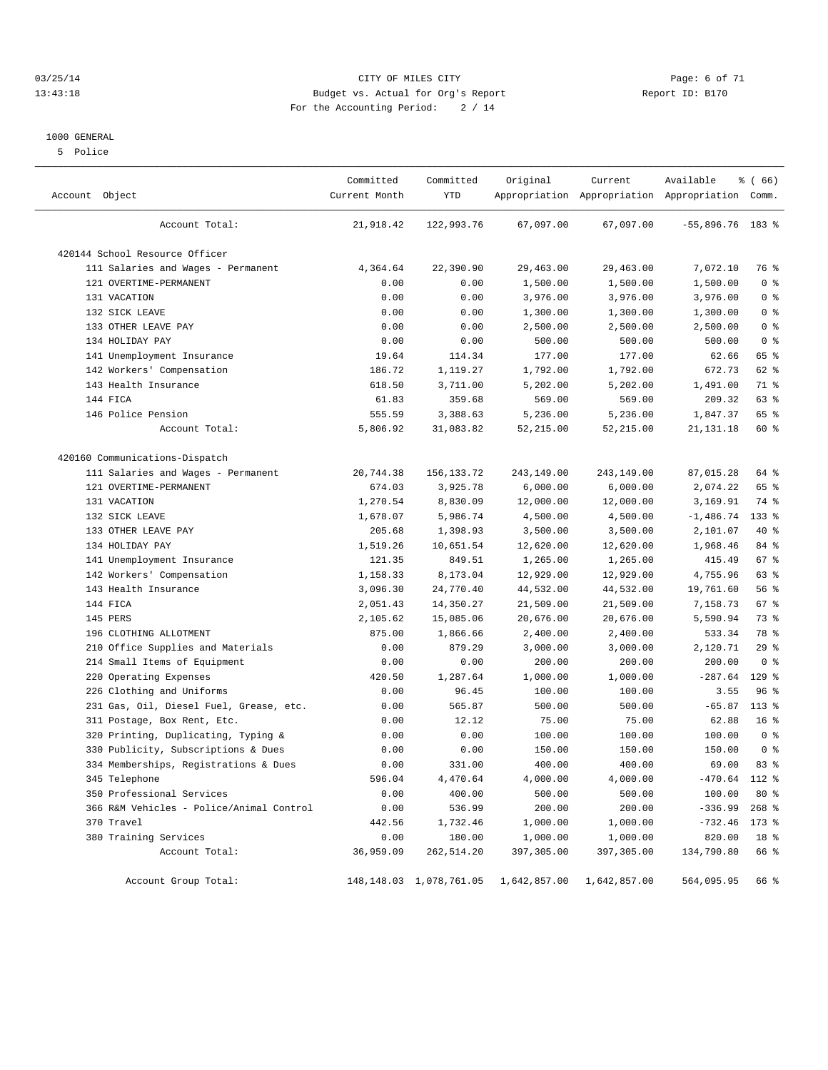#### 03/25/14 Page: 6 of 71 13:43:18 Budget vs. Actual for Org's Report Report ID: B170 For the Accounting Period: 2 / 14

#### 1000 GENERAL

5 Police

| Account Object                           | Committed<br>Current Month | Committed<br>YTD           | Original     | Current      | Available<br>Appropriation Appropriation Appropriation Comm. | % (66)          |
|------------------------------------------|----------------------------|----------------------------|--------------|--------------|--------------------------------------------------------------|-----------------|
| Account Total:                           | 21,918.42                  | 122,993.76                 | 67,097.00    | 67,097.00    | $-55,896.76$ 183 %                                           |                 |
| 420144 School Resource Officer           |                            |                            |              |              |                                                              |                 |
| 111 Salaries and Wages - Permanent       | 4,364.64                   | 22,390.90                  | 29,463.00    | 29,463.00    | 7,072.10                                                     | 76 %            |
| 121 OVERTIME-PERMANENT                   | 0.00                       | 0.00                       | 1,500.00     | 1,500.00     | 1,500.00                                                     | 0 <sup>8</sup>  |
| 131 VACATION                             | 0.00                       | 0.00                       | 3,976.00     | 3,976.00     | 3,976.00                                                     | 0 <sup>8</sup>  |
| 132 SICK LEAVE                           | 0.00                       | 0.00                       | 1,300.00     | 1,300.00     | 1,300.00                                                     | 0 <sup>8</sup>  |
| 133 OTHER LEAVE PAY                      | 0.00                       | 0.00                       | 2,500.00     | 2,500.00     | 2,500.00                                                     | 0 <sup>8</sup>  |
| 134 HOLIDAY PAY                          | 0.00                       | 0.00                       | 500.00       | 500.00       | 500.00                                                       | 0 <sup>8</sup>  |
| 141 Unemployment Insurance               | 19.64                      | 114.34                     | 177.00       | 177.00       | 62.66                                                        | 65 %            |
| 142 Workers' Compensation                | 186.72                     | 1,119.27                   | 1,792.00     | 1,792.00     | 672.73                                                       | 62 %            |
| 143 Health Insurance                     | 618.50                     | 3,711.00                   | 5,202.00     | 5,202.00     | 1,491.00                                                     | 71 %            |
| 144 FICA                                 | 61.83                      | 359.68                     | 569.00       | 569.00       | 209.32                                                       | 63 %            |
| 146 Police Pension                       | 555.59                     | 3,388.63                   | 5,236.00     | 5,236.00     | 1,847.37                                                     | 65 %            |
| Account Total:                           | 5,806.92                   | 31,083.82                  | 52,215.00    | 52, 215.00   | 21, 131. 18                                                  | 60 %            |
| 420160 Communications-Dispatch           |                            |                            |              |              |                                                              |                 |
| 111 Salaries and Wages - Permanent       | 20,744.38                  | 156, 133. 72               | 243,149.00   | 243,149.00   | 87,015.28                                                    | 64 %            |
| 121 OVERTIME-PERMANENT                   | 674.03                     | 3,925.78                   | 6,000.00     | 6,000.00     | 2,074.22                                                     | 65 %            |
| 131 VACATION                             | 1,270.54                   | 8,830.09                   | 12,000.00    | 12,000.00    | 3,169.91                                                     | 74 %            |
| 132 SICK LEAVE                           | 1,678.07                   | 5,986.74                   | 4,500.00     | 4,500.00     | $-1,486.74$                                                  | $133$ %         |
| 133 OTHER LEAVE PAY                      | 205.68                     | 1,398.93                   | 3,500.00     | 3,500.00     | 2,101.07                                                     | 40 %            |
| 134 HOLIDAY PAY                          | 1,519.26                   | 10,651.54                  | 12,620.00    | 12,620.00    | 1,968.46                                                     | 84 %            |
| 141 Unemployment Insurance               | 121.35                     | 849.51                     | 1,265.00     | 1,265.00     | 415.49                                                       | 67 %            |
| 142 Workers' Compensation                | 1,158.33                   | 8,173.04                   | 12,929.00    | 12,929.00    | 4,755.96                                                     | 63 %            |
| 143 Health Insurance                     | 3,096.30                   | 24,770.40                  | 44,532.00    | 44,532.00    | 19,761.60                                                    | 56 %            |
| 144 FICA                                 | 2,051.43                   | 14,350.27                  | 21,509.00    | 21,509.00    | 7,158.73                                                     | 67 %            |
| 145 PERS                                 | 2,105.62                   | 15,085.06                  | 20,676.00    | 20,676.00    | 5,590.94                                                     | 73 %            |
| 196 CLOTHING ALLOTMENT                   | 875.00                     | 1,866.66                   | 2,400.00     | 2,400.00     | 533.34                                                       | 78 %            |
| Office Supplies and Materials<br>210     | 0.00                       | 879.29                     | 3,000.00     | 3,000.00     | 2,120.71                                                     | 29%             |
| 214 Small Items of Equipment             | 0.00                       | 0.00                       | 200.00       | 200.00       | 200.00                                                       | 0 <sup>8</sup>  |
| 220 Operating Expenses                   | 420.50                     | 1,287.64                   | 1,000.00     | 1,000.00     | $-287.64$                                                    | $129$ %         |
| 226 Clothing and Uniforms                | 0.00                       | 96.45                      | 100.00       | 100.00       | 3.55                                                         | 96%             |
| 231 Gas, Oil, Diesel Fuel, Grease, etc.  | 0.00                       | 565.87                     | 500.00       | 500.00       | $-65.87$                                                     | $113$ %         |
| 311 Postage, Box Rent, Etc.              | 0.00                       | 12.12                      | 75.00        | 75.00        | 62.88                                                        | 16 <sup>°</sup> |
| 320 Printing, Duplicating, Typing &      | 0.00                       | 0.00                       | 100.00       | 100.00       | 100.00                                                       | 0 <sup>8</sup>  |
| 330 Publicity, Subscriptions & Dues      | 0.00                       | 0.00                       | 150.00       | 150.00       | 150.00                                                       | 0 <sup>8</sup>  |
| 334 Memberships, Registrations & Dues    | 0.00                       | 331.00                     | 400.00       | 400.00       | 69.00                                                        | 83%             |
| 345 Telephone                            | 596.04                     | 4,470.64                   | 4,000.00     | 4,000.00     | $-470.64$ 112 %                                              |                 |
| 350 Professional Services                | 0.00                       | 400.00                     | 500.00       | 500.00       | 100.00                                                       | $80*$           |
| 366 R&M Vehicles - Police/Animal Control | 0.00                       | 536.99                     | 200.00       | 200.00       | $-336.99$                                                    | $268$ %         |
| 370 Travel                               | 442.56                     | 1,732.46                   | 1,000.00     | 1,000.00     | $-732.46$                                                    | 173 %           |
| 380 Training Services                    | 0.00                       | 180.00                     | 1,000.00     | 1,000.00     | 820.00                                                       | 18 %            |
| Account Total:                           | 36,959.09                  | 262,514.20                 | 397,305.00   | 397,305.00   | 134,790.80                                                   | 66 %            |
| Account Group Total:                     |                            | 148, 148.03 1, 078, 761.05 | 1,642,857.00 | 1,642,857.00 | 564,095.95                                                   | 66 %            |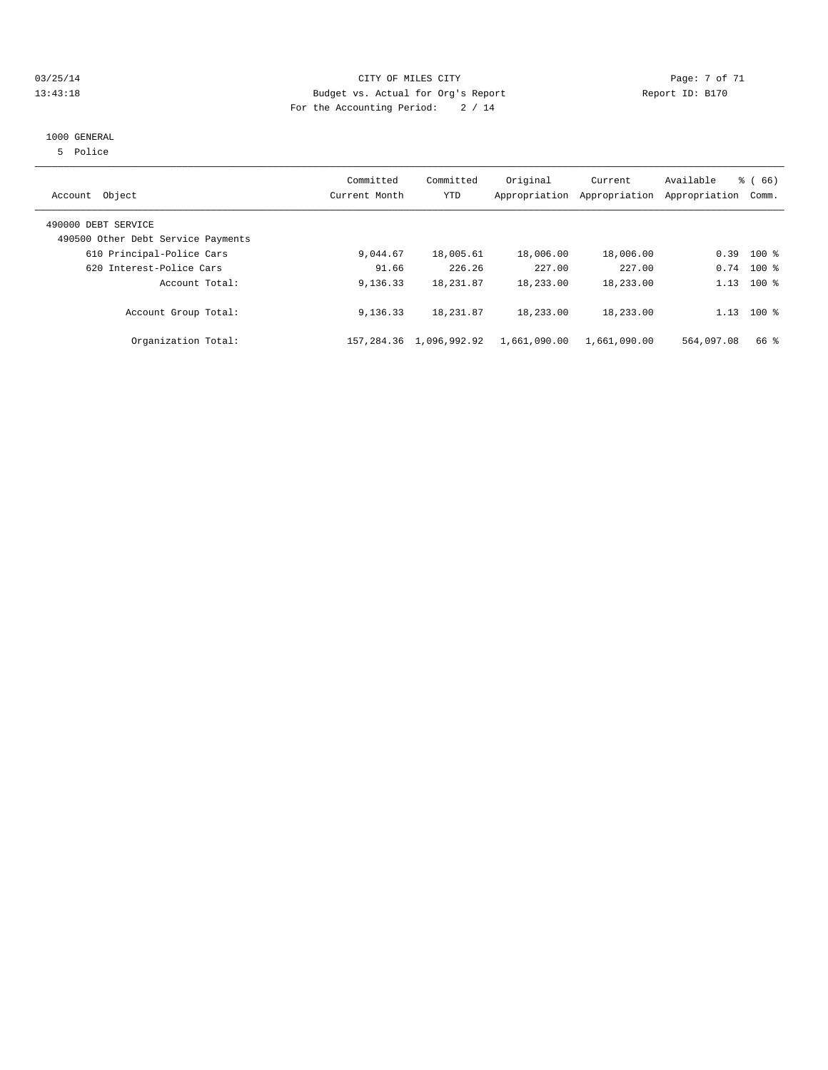#### 03/25/14 Page: 7 of 71 13:43:18 Budget vs. Actual for Org's Report Report ID: B170 For the Accounting Period: 2 / 14

### 1000 GENERAL

5 Police

| Object<br>Account                                         | Committed<br>Current Month | Committed<br><b>YTD</b> | Original<br>Appropriation | Current<br>Appropriation | Available<br>Appropriation | $\frac{3}{6}$ (66)<br>Comm. |
|-----------------------------------------------------------|----------------------------|-------------------------|---------------------------|--------------------------|----------------------------|-----------------------------|
| 490000 DEBT SERVICE<br>490500 Other Debt Service Payments |                            |                         |                           |                          |                            |                             |
| 610 Principal-Police Cars                                 | 9,044.67                   | 18,005.61               | 18,006.00                 | 18,006.00                | 0.39                       | $100*$                      |
| 620 Interest-Police Cars                                  | 91.66                      | 226.26                  | 227.00                    | 227.00                   | 0.74                       | $100*$                      |
| Account Total:                                            | 9,136.33                   | 18, 231.87              | 18,233.00                 | 18,233.00                | 1.13                       | $100*$                      |
| Account Group Total:                                      | 9,136.33                   | 18, 231.87              | 18,233.00                 | 18,233.00                | 1.13                       | $100*$                      |
| Organization Total:                                       | 157,284.36                 | 1,096,992.92            | 1,661,090.00              | 1,661,090.00             | 564,097.08                 | 66 %                        |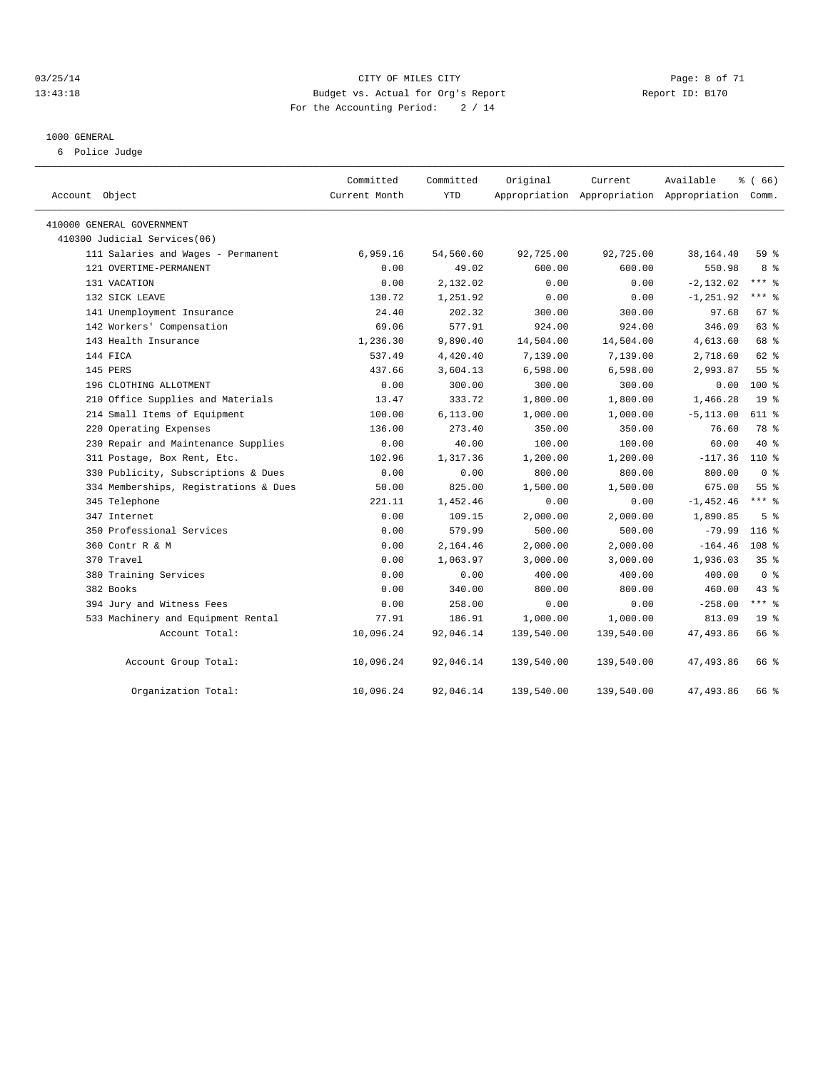#### 03/25/14 Page: 8 of 71 13:43:18 Budget vs. Actual for Org's Report Report ID: B170 For the Accounting Period: 2 / 14

#### 1000 GENERAL

6 Police Judge

| Account Object                        | Committed<br>Current Month | Committed<br><b>YTD</b> | Original   | Current<br>Appropriation Appropriation Appropriation Comm. | Available    | % (66)           |
|---------------------------------------|----------------------------|-------------------------|------------|------------------------------------------------------------|--------------|------------------|
| 410000 GENERAL GOVERNMENT             |                            |                         |            |                                                            |              |                  |
| 410300 Judicial Services(06)          |                            |                         |            |                                                            |              |                  |
| 111 Salaries and Wages - Permanent    | 6,959.16                   | 54,560.60               | 92,725.00  | 92,725.00                                                  | 38,164.40    | 59 %             |
| 121 OVERTIME-PERMANENT                | 0.00                       | 49.02                   | 600.00     | 600.00                                                     | 550.98       | 8 %              |
| 131 VACATION                          | 0.00                       | 2,132.02                | 0.00       | 0.00                                                       | $-2, 132.02$ | $***$ $-$        |
| 132 SICK LEAVE                        | 130.72                     | 1,251.92                | 0.00       | 0.00                                                       | $-1, 251.92$ | $***$ $=$        |
| 141 Unemployment Insurance            | 24.40                      | 202.32                  | 300.00     | 300.00                                                     | 97.68        | 67 <sup>8</sup>  |
| 142 Workers' Compensation             | 69.06                      | 577.91                  | 924.00     | 924.00                                                     | 346.09       | 63 %             |
| 143 Health Insurance                  | 1,236.30                   | 9,890.40                | 14,504.00  | 14,504.00                                                  | 4,613.60     | 68 %             |
| 144 FICA                              | 537.49                     | 4,420.40                | 7,139.00   | 7,139.00                                                   | 2,718.60     | 62 %             |
| 145 PERS                              | 437.66                     | 3,604.13                | 6,598.00   | 6,598.00                                                   | 2,993.87     | 55%              |
| 196 CLOTHING ALLOTMENT                | 0.00                       | 300.00                  | 300.00     | 300.00                                                     | 0.00         | $100*$           |
| 210 Office Supplies and Materials     | 13.47                      | 333.72                  | 1,800.00   | 1,800.00                                                   | 1,466.28     | 19 <sup>°</sup>  |
| 214 Small Items of Equipment          | 100.00                     | 6, 113.00               | 1,000.00   | 1,000.00                                                   | $-5, 113.00$ | 611 %            |
| 220 Operating Expenses                | 136.00                     | 273.40                  | 350.00     | 350.00                                                     | 76.60        | 78 %             |
| 230 Repair and Maintenance Supplies   | 0.00                       | 40.00                   | 100.00     | 100.00                                                     | 60.00        | $40*$            |
| 311 Postage, Box Rent, Etc.           | 102.96                     | 1,317.36                | 1,200.00   | 1,200.00                                                   | $-117.36$    | $110*$           |
| 330 Publicity, Subscriptions & Dues   | 0.00                       | 0.00                    | 800.00     | 800.00                                                     | 800.00       | 0 <sup>8</sup>   |
| 334 Memberships, Registrations & Dues | 50.00                      | 825.00                  | 1,500.00   | 1,500.00                                                   | 675.00       | 55 <sup>8</sup>  |
| 345 Telephone                         | 221.11                     | 1,452.46                | 0.00       | 0.00                                                       | $-1,452.46$  | $***$ $=$        |
| 347 Internet                          | 0.00                       | 109.15                  | 2,000.00   | 2,000.00                                                   | 1,890.85     | 5 <sup>8</sup>   |
| 350 Professional Services             | 0.00                       | 579.99                  | 500.00     | 500.00                                                     | $-79.99$     | $116$ %          |
| 360 Contr R & M                       | 0.00                       | 2,164.46                | 2,000.00   | 2,000.00                                                   | $-164.46$    | 108 <sup>8</sup> |
| 370 Travel                            | 0.00                       | 1,063.97                | 3,000.00   | 3,000.00                                                   | 1,936.03     | 35 <sup>8</sup>  |
| 380 Training Services                 | 0.00                       | 0.00                    | 400.00     | 400.00                                                     | 400.00       | 0 <sup>8</sup>   |
| 382 Books                             | 0.00                       | 340.00                  | 800.00     | 800.00                                                     | 460.00       | $43$ $%$         |
| 394 Jury and Witness Fees             | 0.00                       | 258.00                  | 0.00       | 0.00                                                       | $-258.00$    | *** %            |
| 533 Machinery and Equipment Rental    | 77.91                      | 186.91                  | 1,000.00   | 1,000.00                                                   | 813.09       | 19 <sup>°</sup>  |
| Account Total:                        | 10,096.24                  | 92,046.14               | 139,540.00 | 139,540.00                                                 | 47, 493.86   | 66 %             |
| Account Group Total:                  | 10,096.24                  | 92,046.14               | 139,540.00 | 139,540.00                                                 | 47,493.86    | 66 %             |
| Organization Total:                   | 10,096.24                  | 92,046.14               | 139,540.00 | 139,540.00                                                 | 47, 493.86   | 66 %             |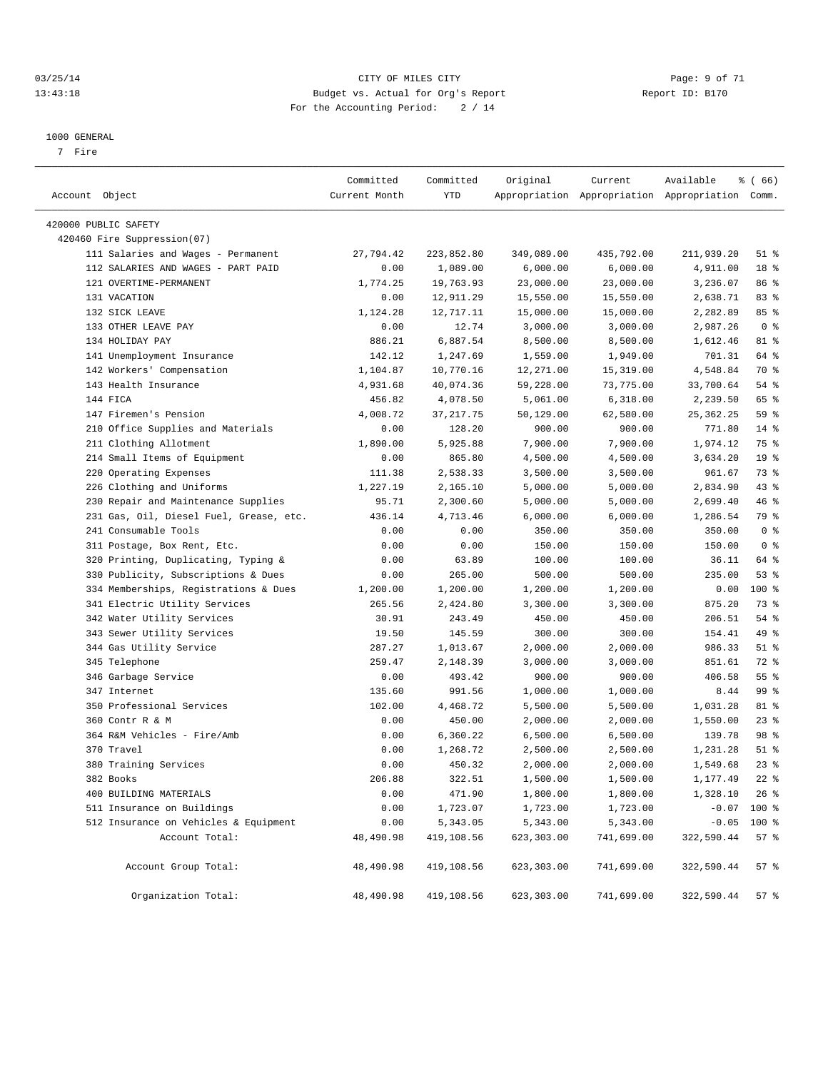#### 03/25/14 Page: 9 of 71 13:43:18 Budget vs. Actual for Org's Report Report ID: B170 For the Accounting Period: 2 / 14

————————————————————————————————————————————————————————————————————————————————————————————————————————————————————————————————————

#### 1000 GENERAL

7 Fire

|                                         | Committed     | Committed  | Original   | Current                                         | Available   | <sub>है</sub> (66) |
|-----------------------------------------|---------------|------------|------------|-------------------------------------------------|-------------|--------------------|
| Account Object                          | Current Month | YTD        |            | Appropriation Appropriation Appropriation Comm. |             |                    |
| 420000 PUBLIC SAFETY                    |               |            |            |                                                 |             |                    |
| 420460 Fire Suppression(07)             |               |            |            |                                                 |             |                    |
| 111 Salaries and Wages - Permanent      | 27,794.42     | 223,852.80 | 349,089.00 | 435,792.00                                      | 211,939.20  | $51$ %             |
| 112 SALARIES AND WAGES - PART PAID      | 0.00          | 1,089.00   | 6,000.00   | 6,000.00                                        | 4,911.00    | 18 %               |
| 121 OVERTIME-PERMANENT                  | 1,774.25      | 19,763.93  | 23,000.00  | 23,000.00                                       | 3,236.07    | 86 %               |
| 131 VACATION                            | 0.00          | 12,911.29  | 15,550.00  | 15,550.00                                       | 2,638.71    | 83%                |
| 132 SICK LEAVE                          | 1,124.28      | 12,717.11  | 15,000.00  | 15,000.00                                       | 2,282.89    | 85%                |
| 133 OTHER LEAVE PAY                     | 0.00          | 12.74      | 3,000.00   | 3,000.00                                        | 2,987.26    | 0 <sup>8</sup>     |
| 134 HOLIDAY PAY                         | 886.21        | 6,887.54   | 8,500.00   | 8,500.00                                        | 1,612.46    | 81 %               |
| 141 Unemployment Insurance              | 142.12        | 1,247.69   | 1,559.00   | 1,949.00                                        | 701.31      | 64 %               |
| 142 Workers' Compensation               | 1,104.87      | 10,770.16  | 12,271.00  | 15,319.00                                       | 4,548.84    | 70 %               |
| 143 Health Insurance                    | 4,931.68      | 40,074.36  | 59,228.00  | 73,775.00                                       | 33,700.64   | 54 %               |
| 144 FICA                                | 456.82        | 4,078.50   | 5,061.00   | 6,318.00                                        | 2,239.50    | 65 %               |
| 147 Firemen's Pension                   | 4,008.72      | 37, 217.75 | 50,129.00  | 62,580.00                                       | 25, 362. 25 | 59 %               |
| 210 Office Supplies and Materials       | 0.00          | 128.20     | 900.00     | 900.00                                          | 771.80      | $14$ %             |
| 211 Clothing Allotment                  | 1,890.00      | 5,925.88   | 7,900.00   | 7,900.00                                        | 1,974.12    | 75 %               |
| 214 Small Items of Equipment            | 0.00          | 865.80     | 4,500.00   | 4,500.00                                        | 3,634.20    | 19 <sup>°</sup>    |
| 220 Operating Expenses                  | 111.38        | 2,538.33   | 3,500.00   | 3,500.00                                        | 961.67      | 73 %               |
| 226 Clothing and Uniforms               | 1,227.19      | 2,165.10   | 5,000.00   | 5,000.00                                        | 2,834.90    | 43 %               |
| 230 Repair and Maintenance Supplies     | 95.71         | 2,300.60   | 5,000.00   | 5,000.00                                        | 2,699.40    | 46 %               |
| 231 Gas, Oil, Diesel Fuel, Grease, etc. | 436.14        | 4,713.46   | 6,000.00   | 6,000.00                                        | 1,286.54    | 79 %               |
| 241 Consumable Tools                    | 0.00          | 0.00       | 350.00     | 350.00                                          | 350.00      | 0 <sup>8</sup>     |
| 311 Postage, Box Rent, Etc.             | 0.00          | 0.00       | 150.00     | 150.00                                          | 150.00      | 0 <sup>8</sup>     |
| 320 Printing, Duplicating, Typing &     | 0.00          | 63.89      | 100.00     | 100.00                                          | 36.11       | 64 %               |
| 330 Publicity, Subscriptions & Dues     | 0.00          | 265.00     | 500.00     | 500.00                                          | 235.00      | 53%                |
| 334 Memberships, Registrations & Dues   | 1,200.00      | 1,200.00   | 1,200.00   | 1,200.00                                        | 0.00        | 100 %              |
| 341 Electric Utility Services           | 265.56        | 2,424.80   | 3,300.00   | 3,300.00                                        | 875.20      | 73 %               |
| 342 Water Utility Services              | 30.91         | 243.49     | 450.00     | 450.00                                          | 206.51      | 54 %               |
| 343 Sewer Utility Services              | 19.50         | 145.59     | 300.00     | 300.00                                          | 154.41      | 49 %               |
| 344 Gas Utility Service                 | 287.27        | 1,013.67   | 2,000.00   | 2,000.00                                        | 986.33      | $51$ %             |
| 345 Telephone                           | 259.47        | 2,148.39   | 3,000.00   | 3,000.00                                        | 851.61      | 72 %               |
| 346 Garbage Service                     | 0.00          | 493.42     | 900.00     | 900.00                                          | 406.58      | 55%                |
| 347 Internet                            | 135.60        | 991.56     | 1,000.00   | 1,000.00                                        | 8.44        | 99 %               |
| 350 Professional Services               | 102.00        | 4,468.72   | 5,500.00   | 5,500.00                                        | 1,031.28    | 81 %               |
| 360 Contr R & M                         | 0.00          | 450.00     | 2,000.00   | 2,000.00                                        | 1,550.00    | $23$ $%$           |
| 364 R&M Vehicles - Fire/Amb             | 0.00          | 6,360.22   | 6,500.00   | 6,500.00                                        | 139.78      | 98 %               |
| 370 Travel                              | 0.00          | 1,268.72   | 2,500.00   | 2,500.00                                        | 1,231.28    | $51$ %             |
| 380 Training Services                   | 0.00          | 450.32     | 2,000.00   | 2,000.00                                        | 1,549.68    | $23$ $%$           |
| 382 Books                               | 206.88        | 322.51     | 1,500.00   | 1,500.00                                        | 1,177.49    | $22$ $%$           |
| 400 BUILDING MATERIALS                  | 0.00          | 471.90     | 1,800.00   | 1,800.00                                        | 1,328.10    | $26$ %             |
| 511 Insurance on Buildings              | 0.00          | 1,723.07   | 1,723.00   | 1,723.00                                        |             | $-0.07$ 100 %      |
| 512 Insurance on Vehicles & Equipment   | 0.00          | 5,343.05   | 5,343.00   | 5,343.00                                        |             | $-0.05$ 100 %      |
| Account Total:                          | 48,490.98     | 419,108.56 | 623,303.00 | 741,699.00                                      | 322,590.44  | 57%                |
| Account Group Total:                    | 48,490.98     | 419,108.56 | 623,303.00 | 741,699.00                                      | 322,590.44  | 57%                |
| Organization Total:                     | 48,490.98     | 419,108.56 | 623,303.00 | 741,699.00                                      | 322,590.44  | 57 %               |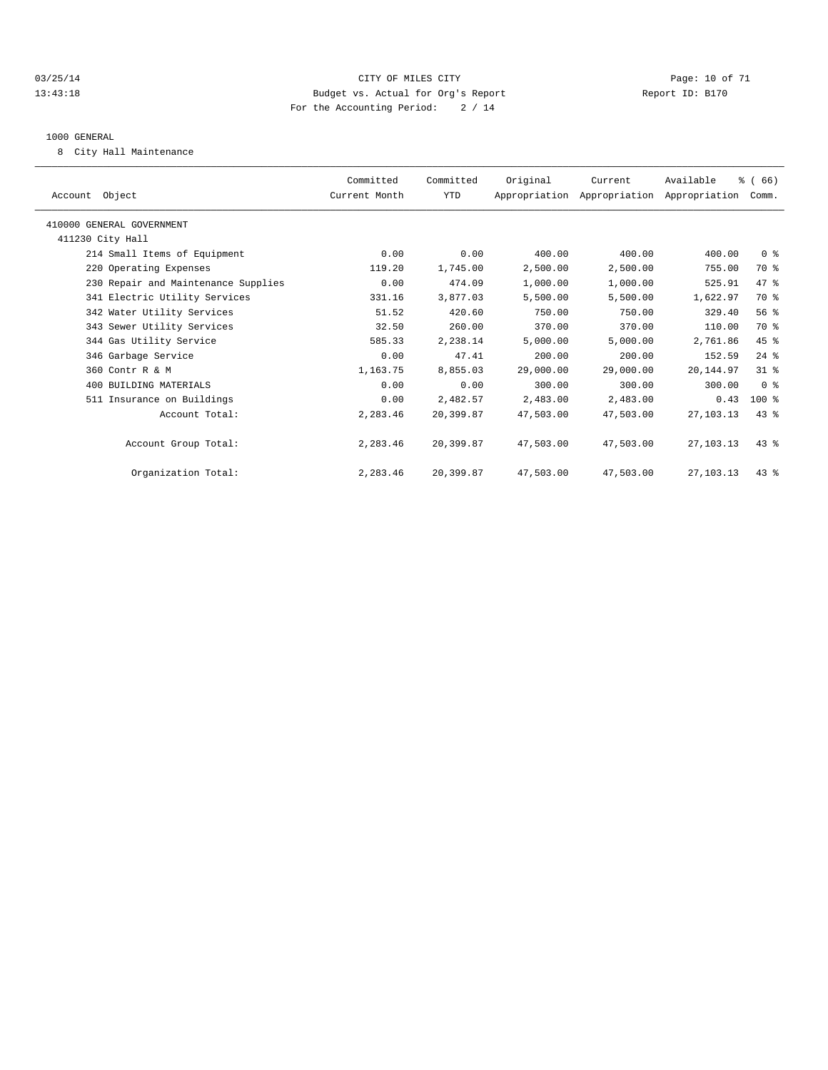#### 03/25/14 Page: 10 of 71 13:43:18 Budget vs. Actual for Org's Report Report ID: B170 For the Accounting Period: 2 / 14

#### 1000 GENERAL

8 City Hall Maintenance

| Account Object                      | Committed<br>Current Month | Committed<br><b>YTD</b> | Original  | Current<br>Appropriation Appropriation Appropriation Comm. | Available   | % (66)         |  |
|-------------------------------------|----------------------------|-------------------------|-----------|------------------------------------------------------------|-------------|----------------|--|
| 410000 GENERAL GOVERNMENT           |                            |                         |           |                                                            |             |                |  |
| 411230 City Hall                    |                            |                         |           |                                                            |             |                |  |
| 214 Small Items of Equipment        | 0.00                       | 0.00                    | 400.00    | 400.00                                                     | 400.00      | 0 <sup>8</sup> |  |
| 220 Operating Expenses              | 119.20                     | 1,745.00                | 2,500.00  | 2,500.00                                                   | 755.00      | 70 %           |  |
| 230 Repair and Maintenance Supplies | 0.00                       | 474.09                  | 1,000.00  | 1,000.00                                                   | 525.91      | 47 %           |  |
| 341 Electric Utility Services       | 331.16                     | 3,877.03                | 5,500.00  | 5,500.00                                                   | 1,622.97    | 70 %           |  |
| 342 Water Utility Services          | 51.52                      | 420.60                  | 750.00    | 750.00                                                     | 329.40      | $56*$          |  |
| 343 Sewer Utility Services          | 32.50                      | 260.00                  | 370.00    | 370.00                                                     | 110.00      | 70 %           |  |
| 344 Gas Utility Service             | 585.33                     | 2,238.14                | 5,000.00  | 5,000.00                                                   | 2,761.86    | 45 %           |  |
| 346 Garbage Service                 | 0.00                       | 47.41                   | 200.00    | 200.00                                                     | 152.59      | $24$ $%$       |  |
| 360 Contr R & M                     | 1,163.75                   | 8,855.03                | 29,000.00 | 29,000.00                                                  | 20,144.97   | 31.8           |  |
| 400 BUILDING MATERIALS              | 0.00                       | 0.00                    | 300.00    | 300.00                                                     | 300.00      | 0 <sup>8</sup> |  |
| 511 Insurance on Buildings          | 0.00                       | 2,482.57                | 2,483.00  | 2,483.00                                                   | 0.43        | $100$ %        |  |
| Account Total:                      | 2,283.46                   | 20,399.87               | 47,503.00 | 47,503.00                                                  | 27, 103. 13 | 43 %           |  |
| Account Group Total:                | 2,283.46                   | 20,399.87               | 47,503.00 | 47,503.00                                                  | 27, 103. 13 | $43*$          |  |
| Organization Total:                 | 2,283.46                   | 20,399.87               | 47,503.00 | 47,503.00                                                  | 27, 103. 13 | 43 %           |  |
|                                     |                            |                         |           |                                                            |             |                |  |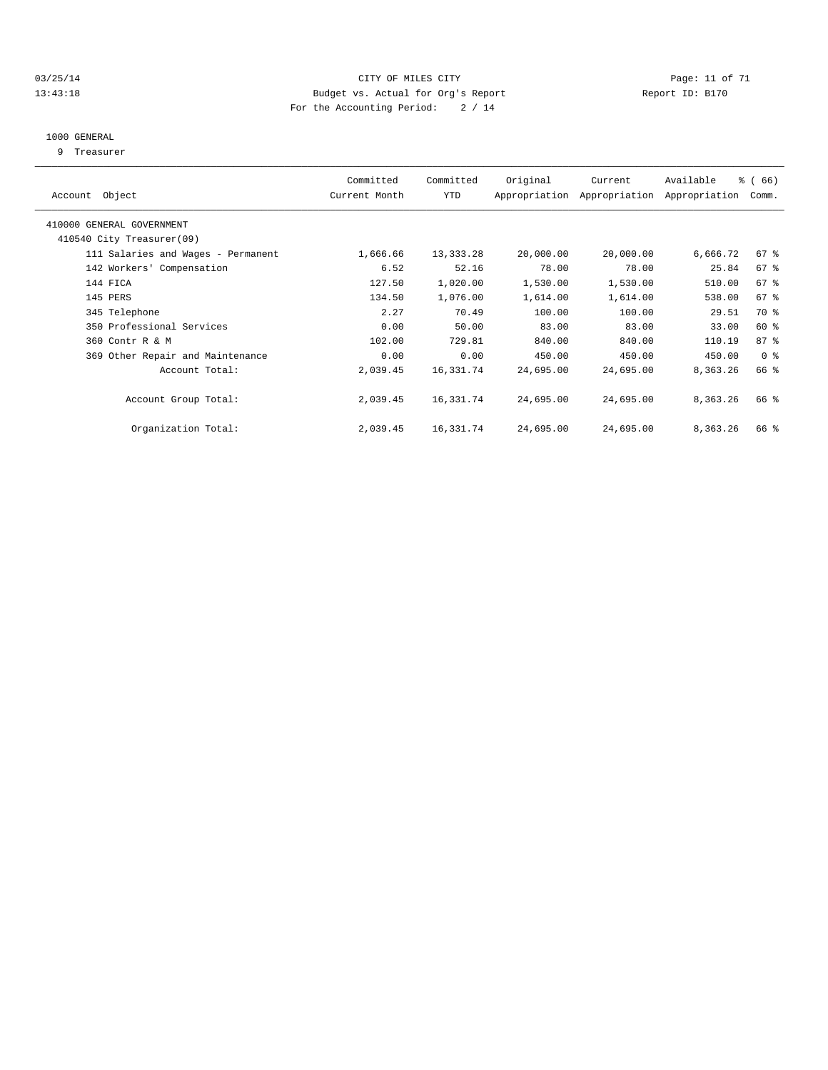#### 03/25/14 Page: 11 of 71 13:43:18 Budget vs. Actual for Org's Report Report ID: B170 For the Accounting Period: 2 / 14

#### 1000 GENERAL

9 Treasurer

|                                    | Committed     | Committed   | Original  | Current                     | Available     | % (66)          |  |
|------------------------------------|---------------|-------------|-----------|-----------------------------|---------------|-----------------|--|
| Account Object                     | Current Month | YTD         |           | Appropriation Appropriation | Appropriation | Comm.           |  |
| 410000 GENERAL GOVERNMENT          |               |             |           |                             |               |                 |  |
| 410540 City Treasurer(09)          |               |             |           |                             |               |                 |  |
| 111 Salaries and Wages - Permanent | 1,666.66      | 13, 333. 28 | 20,000.00 | 20,000.00                   | 6,666.72      | 67 %            |  |
| 142 Workers' Compensation          | 6.52          | 52.16       | 78.00     | 78.00                       | 25.84         | 67 %            |  |
| 144 FICA                           | 127.50        | 1,020.00    | 1,530.00  | 1,530.00                    | 510.00        | 67 <sup>8</sup> |  |
| 145 PERS                           | 134.50        | 1,076.00    | 1,614.00  | 1,614.00                    | 538.00        | $67$ $%$        |  |
| 345 Telephone                      | 2.27          | 70.49       | 100.00    | 100.00                      | 29.51         | 70 %            |  |
| 350 Professional Services          | 0.00          | 50.00       | 83.00     | 83.00                       | 33.00         | 60 %            |  |
| 360 Contr R & M                    | 102.00        | 729.81      | 840.00    | 840.00                      | 110.19        | $87 - 8$        |  |
| 369 Other Repair and Maintenance   | 0.00          | 0.00        | 450.00    | 450.00                      | 450.00        | 0 <sup>8</sup>  |  |
| Account Total:                     | 2,039.45      | 16,331.74   | 24,695.00 | 24,695.00                   | 8,363.26      | 66 %            |  |
| Account Group Total:               | 2,039.45      | 16,331.74   | 24,695.00 | 24,695.00                   | 8,363.26      | 66 %            |  |
| Organization Total:                | 2,039.45      | 16,331.74   | 24,695.00 | 24,695.00                   | 8,363.26      | 66 %            |  |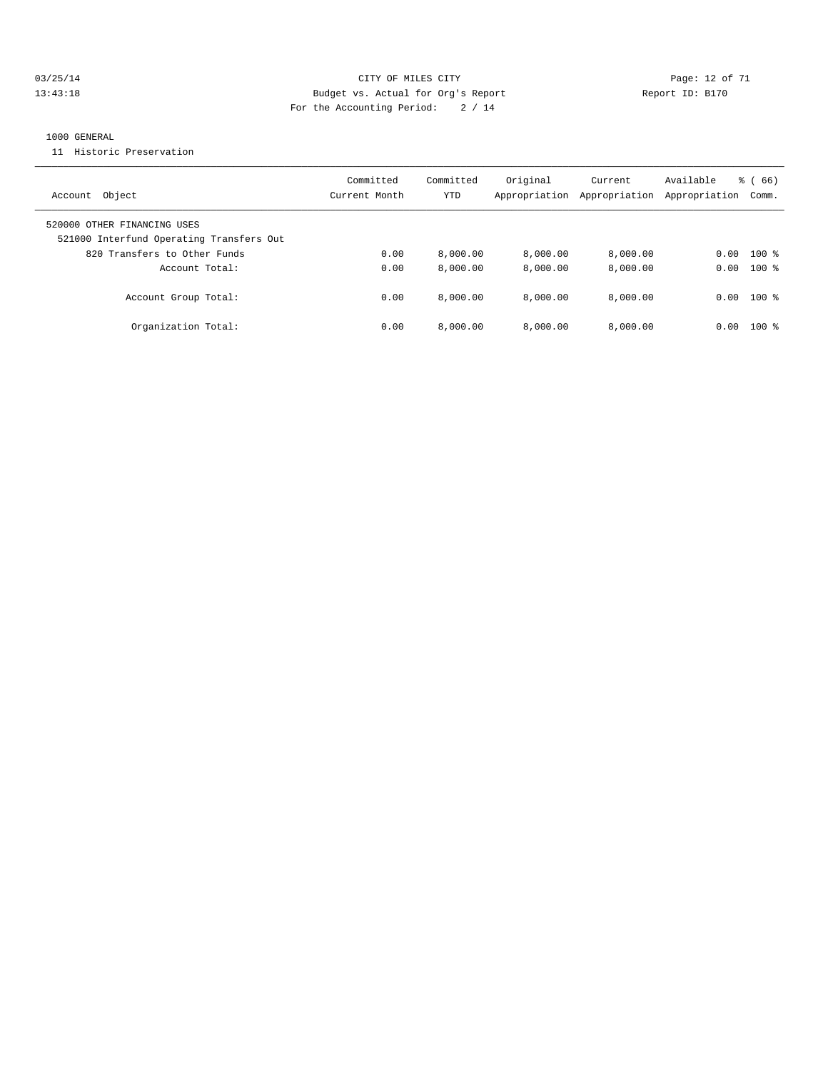#### 03/25/14 Page: 12 of 71 13:43:18 Budget vs. Actual for Org's Report Report ID: B170 For the Accounting Period: 2 / 14

#### 1000 GENERAL

11 Historic Preservation

| Object<br>Account                                                                                       | Committed<br>Current Month | Committed<br>YTD | Original<br>Appropriation | Current<br>Appropriation | Available<br>Appropriation | $\frac{6}{6}$ (66)<br>Comm. |
|---------------------------------------------------------------------------------------------------------|----------------------------|------------------|---------------------------|--------------------------|----------------------------|-----------------------------|
| 520000 OTHER FINANCING USES<br>521000 Interfund Operating Transfers Out<br>820 Transfers to Other Funds | 0.00                       | 8.000.00         | 8.000.00                  | 8,000.00                 | 0.00                       | $100*$                      |
| Account Total:                                                                                          | 0.00                       | 8,000.00         | 8,000.00                  | 8,000.00                 | 0.00                       | $100*$                      |
| Account Group Total:                                                                                    | 0.00                       | 8.000.00         | 8.000.00                  | 8,000.00                 |                            | $0.00$ 100 %                |
| Organization Total:                                                                                     | 0.00                       | 8,000.00         | 8.000.00                  | 8.000.00                 | 0.00                       | $100*$                      |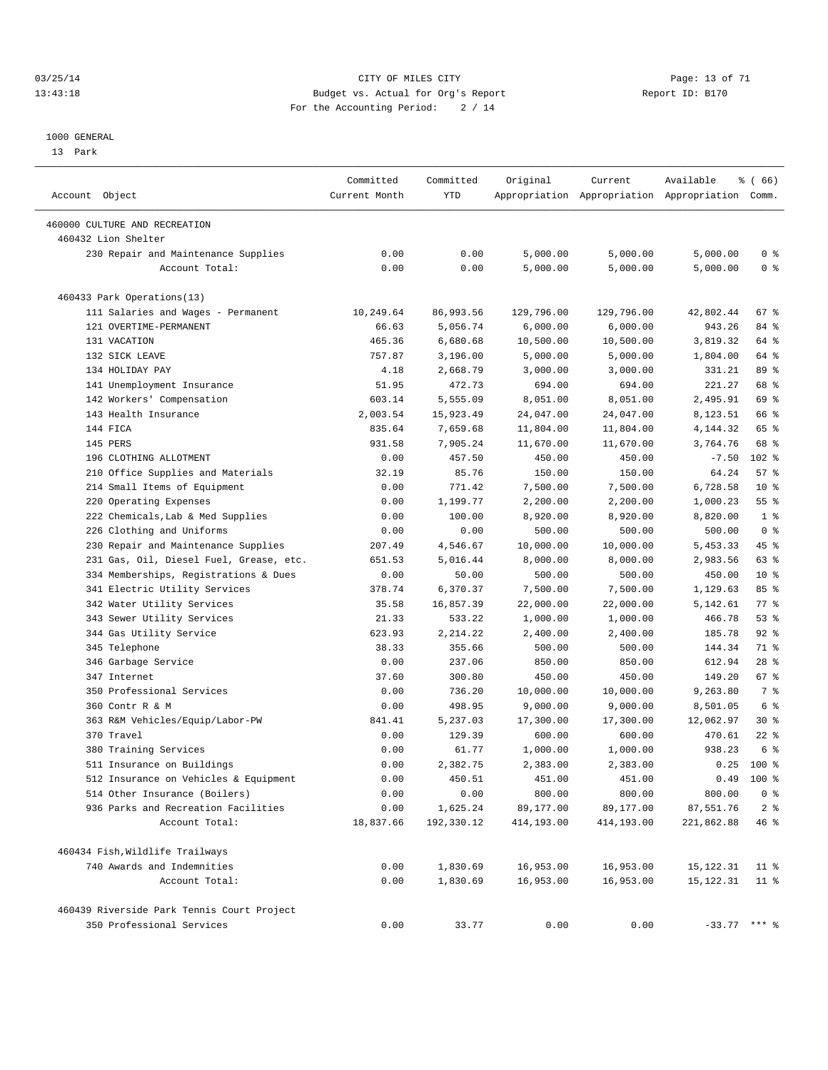#### 03/25/14 Page: 13 of 71 13:43:18 Budget vs. Actual for Org's Report Report ID: B170 For the Accounting Period: 2 / 14

————————————————————————————————————————————————————————————————————————————————————————————————————————————————————————————————————

#### 1000 GENERAL

13 Park

| Account Object                             | Committed<br>Current Month | Committed<br>YTD | Original   | Current    | Available<br>Appropriation Appropriation Appropriation Comm. | % ( 66)        |
|--------------------------------------------|----------------------------|------------------|------------|------------|--------------------------------------------------------------|----------------|
| 460000 CULTURE AND RECREATION              |                            |                  |            |            |                                                              |                |
| 460432 Lion Shelter                        |                            |                  |            |            |                                                              |                |
| 230 Repair and Maintenance Supplies        | 0.00                       | 0.00             | 5,000.00   | 5,000.00   | 5,000.00                                                     | 0 <sup>8</sup> |
| Account Total:                             | 0.00                       | 0.00             | 5,000.00   | 5,000.00   | 5,000.00                                                     | 0 <sup>8</sup> |
| 460433 Park Operations(13)                 |                            |                  |            |            |                                                              |                |
| 111 Salaries and Wages - Permanent         | 10,249.64                  | 86,993.56        | 129,796.00 | 129,796.00 | 42,802.44                                                    | 67 %           |
| 121 OVERTIME-PERMANENT                     | 66.63                      | 5,056.74         | 6,000.00   | 6,000.00   | 943.26                                                       | 84 %           |
| 131 VACATION                               | 465.36                     | 6,680.68         | 10,500.00  | 10,500.00  | 3,819.32                                                     | 64 %           |
| 132 SICK LEAVE                             | 757.87                     | 3,196.00         | 5,000.00   | 5,000.00   | 1,804.00                                                     | 64 %           |
| 134 HOLIDAY PAY                            | 4.18                       | 2,668.79         | 3,000.00   | 3,000.00   | 331.21                                                       | 89 %           |
| 141 Unemployment Insurance                 | 51.95                      | 472.73           | 694.00     | 694.00     | 221.27                                                       | 68 %           |
| 142 Workers' Compensation                  | 603.14                     | 5,555.09         | 8,051.00   | 8,051.00   | 2,495.91                                                     | 69 %           |
| 143 Health Insurance                       | 2,003.54                   | 15,923.49        | 24,047.00  | 24,047.00  | 8,123.51                                                     | 66 %           |
| 144 FICA                                   | 835.64                     | 7,659.68         | 11,804.00  | 11,804.00  | 4,144.32                                                     | 65 %           |
| 145 PERS                                   | 931.58                     | 7,905.24         | 11,670.00  | 11,670.00  | 3,764.76                                                     | 68 %           |
| 196 CLOTHING ALLOTMENT                     | 0.00                       | 457.50           | 450.00     | 450.00     | $-7.50$                                                      | $102$ %        |
| 210 Office Supplies and Materials          | 32.19                      | 85.76            | 150.00     | 150.00     | 64.24                                                        | 57%            |
| 214 Small Items of Equipment               | 0.00                       | 771.42           | 7,500.00   | 7,500.00   | 6,728.58                                                     | $10*$          |
| 220 Operating Expenses                     | 0.00                       | 1,199.77         | 2,200.00   | 2,200.00   | 1,000.23                                                     | 55%            |
| 222 Chemicals, Lab & Med Supplies          | 0.00                       | 100.00           | 8,920.00   | 8,920.00   | 8,820.00                                                     | 1 <sup>8</sup> |
| 226 Clothing and Uniforms                  | 0.00                       | 0.00             | 500.00     | 500.00     | 500.00                                                       | 0 <sup>8</sup> |
| 230 Repair and Maintenance Supplies        | 207.49                     | 4,546.67         | 10,000.00  | 10,000.00  | 5,453.33                                                     | 45 %           |
| 231 Gas, Oil, Diesel Fuel, Grease, etc.    | 651.53                     | 5,016.44         | 8,000.00   | 8,000.00   | 2,983.56                                                     | 63 %           |
| 334 Memberships, Registrations & Dues      | 0.00                       | 50.00            | 500.00     | 500.00     | 450.00                                                       | $10*$          |
| 341 Electric Utility Services              | 378.74                     | 6,370.37         | 7,500.00   | 7,500.00   | 1,129.63                                                     | 85%            |
| 342 Water Utility Services                 | 35.58                      | 16,857.39        | 22,000.00  | 22,000.00  | 5,142.61                                                     | $77$ $%$       |
| 343 Sewer Utility Services                 | 21.33                      | 533.22           | 1,000.00   | 1,000.00   | 466.78                                                       | $53$ $%$       |
| 344 Gas Utility Service                    | 623.93                     | 2, 214.22        | 2,400.00   | 2,400.00   | 185.78                                                       | $92$ $%$       |
| 345 Telephone                              | 38.33                      | 355.66           | 500.00     | 500.00     | 144.34                                                       | 71 %           |
| 346 Garbage Service                        | 0.00                       | 237.06           | 850.00     | 850.00     | 612.94                                                       | $28$ %         |
| 347 Internet                               | 37.60                      | 300.80           | 450.00     | 450.00     | 149.20                                                       | 67 %           |
| 350 Professional Services                  | 0.00                       | 736.20           | 10,000.00  | 10,000.00  | 9,263.80                                                     | 7 %            |
| 360 Contr R & M                            | 0.00                       | 498.95           | 9,000.00   | 9,000.00   | 8,501.05                                                     | 6 %            |
| 363 R&M Vehicles/Equip/Labor-PW            | 841.41                     | 5,237.03         | 17,300.00  | 17,300.00  | 12,062.97                                                    | $30*$          |
| 370 Travel                                 | 0.00                       | 129.39           | 600.00     | 600.00     | 470.61                                                       | $22$ %         |
| 380 Training Services                      | 0.00                       | 61.77            | 1,000.00   | 1,000.00   | 938.23                                                       | 6 <sup>°</sup> |
| 511 Insurance on Buildings                 | 0.00                       | 2,382.75         | 2,383.00   | 2,383.00   | 0.25                                                         | $100*$         |
| 512 Insurance on Vehicles & Equipment      | 0.00                       | 450.51           | 451.00     | 451.00     | 0.49                                                         | $100*$         |
| 514 Other Insurance (Boilers)              | 0.00                       | 0.00             | 800.00     | 800.00     | 800.00                                                       | 0 <sup>8</sup> |
| 936 Parks and Recreation Facilities        | 0.00                       | 1,625.24         | 89,177.00  | 89,177.00  | 87,551.76                                                    | 2 <sup>8</sup> |
| Account Total:                             | 18,837.66                  | 192,330.12       | 414,193.00 | 414,193.00 | 221,862.88                                                   | 46 %           |
| 460434 Fish, Wildlife Trailways            |                            |                  |            |            |                                                              |                |
| 740 Awards and Indemnities                 | 0.00                       | 1,830.69         | 16,953.00  | 16,953.00  | 15,122.31                                                    | $11$ %         |
| Account Total:                             | 0.00                       | 1,830.69         | 16,953.00  | 16,953.00  | 15, 122.31                                                   | $11$ %         |
| 460439 Riverside Park Tennis Court Project |                            |                  |            |            |                                                              |                |
| 350 Professional Services                  | 0.00                       | 33.77            | 0.00       | 0.00       | $-33.77$ *** %                                               |                |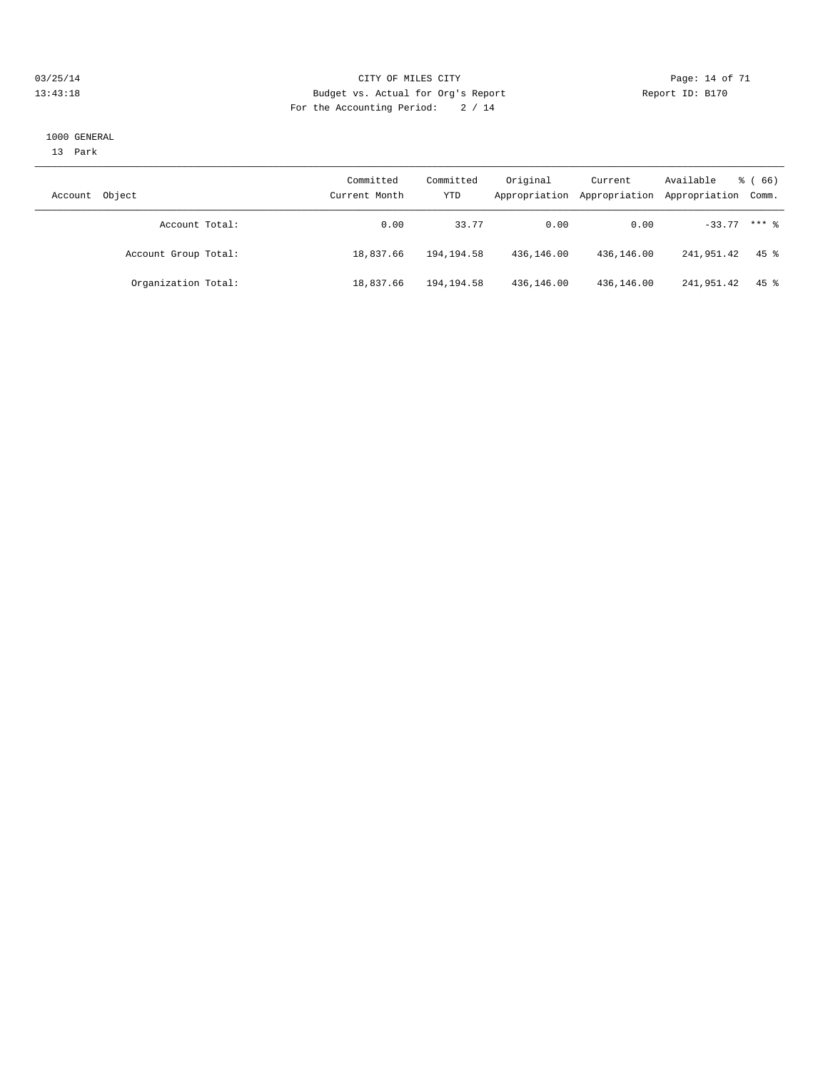#### 03/25/14 Page: 14 of 71 13:43:18 Budget vs. Actual for Org's Report Report ID: B170 For the Accounting Period: 2 / 14

#### 1000 GENERAL

13 Park

| Object<br>Account    | Committed<br>Current Month | Committed<br>YTD | Original   | Current<br>Appropriation Appropriation | Available<br>Appropriation Comm. | $\frac{3}{6}$ (66) |
|----------------------|----------------------------|------------------|------------|----------------------------------------|----------------------------------|--------------------|
| Account Total:       | 0.00                       | 33.77            | 0.00       | 0.00                                   | $-33.77$ *** $%$                 |                    |
| Account Group Total: | 18,837.66                  | 194, 194. 58     | 436,146.00 | 436,146.00                             | 241,951.42                       | $45$ %             |
| Organization Total:  | 18,837.66                  | 194,194.58       | 436,146.00 | 436,146.00                             | 241,951.42                       | 45 %               |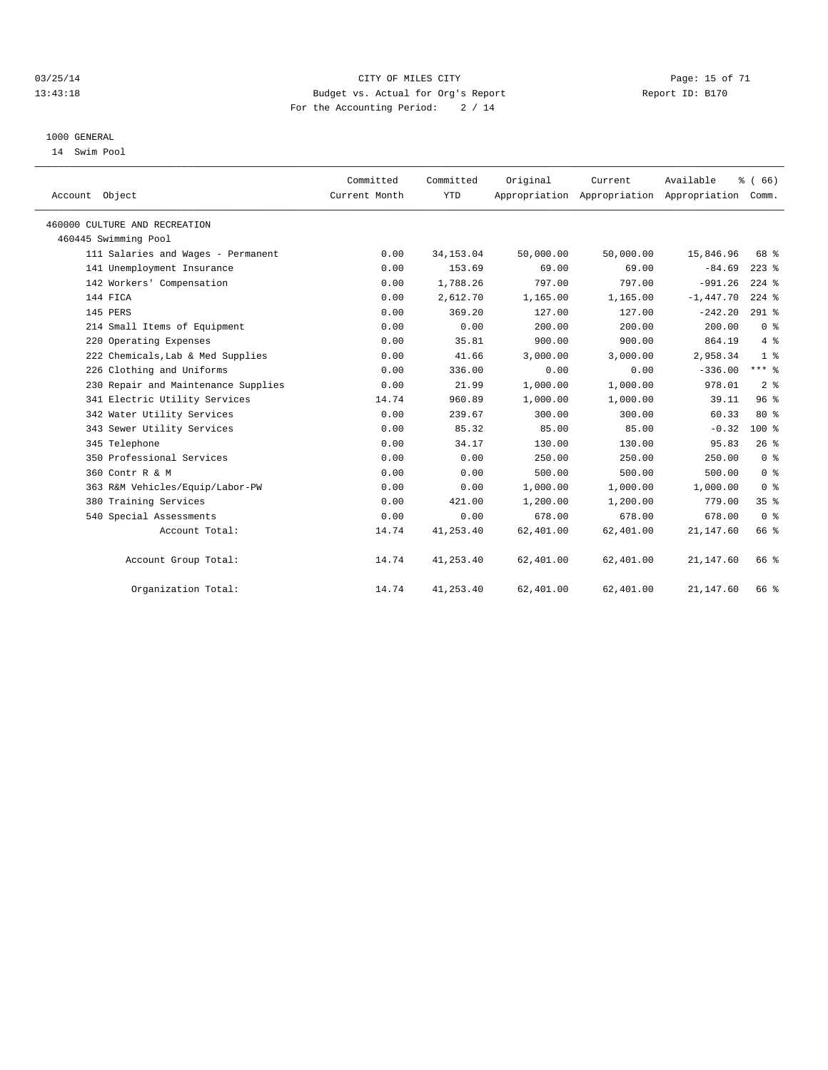#### 03/25/14 Page: 15 of 71 13:43:18 Budget vs. Actual for Org's Report Report ID: B170 For the Accounting Period: 2 / 14

#### 1000 GENERAL

14 Swim Pool

| Account Object                      | Committed<br>Current Month | Committed<br><b>YTD</b> | Original  | Current<br>Appropriation Appropriation Appropriation Comm. | Available   | % (66)          |  |
|-------------------------------------|----------------------------|-------------------------|-----------|------------------------------------------------------------|-------------|-----------------|--|
| 460000 CULTURE AND RECREATION       |                            |                         |           |                                                            |             |                 |  |
| 460445 Swimming Pool                |                            |                         |           |                                                            |             |                 |  |
| 111 Salaries and Wages - Permanent  | 0.00                       | 34, 153.04              | 50,000.00 | 50,000.00                                                  | 15,846.96   | 68 %            |  |
| 141 Unemployment Insurance          | 0.00                       | 153.69                  | 69.00     | 69.00                                                      | $-84.69$    | $223$ %         |  |
| 142 Workers' Compensation           | 0.00                       | 1,788.26                | 797.00    | 797.00                                                     | $-991.26$   | $224$ $%$       |  |
| 144 FICA                            | 0.00                       | 2,612.70                | 1,165.00  | 1,165.00                                                   | $-1,447.70$ | $224$ %         |  |
| 145 PERS                            | 0.00                       | 369.20                  | 127.00    | 127.00                                                     | $-242.20$   | $291$ %         |  |
| 214 Small Items of Equipment        | 0.00                       | 0.00                    | 200.00    | 200.00                                                     | 200.00      | 0 <sup>8</sup>  |  |
| 220 Operating Expenses              | 0.00                       | 35.81                   | 900.00    | 900.00                                                     | 864.19      | $4\degree$      |  |
| 222 Chemicals, Lab & Med Supplies   | 0.00                       | 41.66                   | 3,000.00  | 3,000.00                                                   | 2,958.34    | 1 <sup>8</sup>  |  |
| 226 Clothing and Uniforms           | 0.00                       | 336.00                  | 0.00      | 0.00                                                       | $-336.00$   | $***$ $_{8}$    |  |
| 230 Repair and Maintenance Supplies | 0.00                       | 21.99                   | 1,000.00  | 1,000.00                                                   | 978.01      | 2 <sup>8</sup>  |  |
| 341 Electric Utility Services       | 14.74                      | 960.89                  | 1,000.00  | 1,000.00                                                   | 39.11       | 96 <sup>8</sup> |  |
| 342 Water Utility Services          | 0.00                       | 239.67                  | 300.00    | 300.00                                                     | 60.33       | $80*$           |  |
| 343 Sewer Utility Services          | 0.00                       | 85.32                   | 85.00     | 85.00                                                      | $-0.32$     | $100$ %         |  |
| 345 Telephone                       | 0.00                       | 34.17                   | 130.00    | 130.00                                                     | 95.83       | 26%             |  |
| 350 Professional Services           | 0.00                       | 0.00                    | 250.00    | 250.00                                                     | 250.00      | 0 <sup>8</sup>  |  |
| 360 Contr R & M                     | 0.00                       | 0.00                    | 500.00    | 500.00                                                     | 500.00      | 0 <sup>8</sup>  |  |
| 363 R&M Vehicles/Equip/Labor-PW     | 0.00                       | 0.00                    | 1,000.00  | 1,000.00                                                   | 1,000.00    | 0 <sup>8</sup>  |  |
| 380 Training Services               | 0.00                       | 421.00                  | 1,200.00  | 1,200.00                                                   | 779.00      | 35%             |  |
| 540 Special Assessments             | 0.00                       | 0.00                    | 678.00    | 678.00                                                     | 678.00      | 0 <sup>8</sup>  |  |
| Account Total:                      | 14.74                      | 41,253.40               | 62,401.00 | 62,401.00                                                  | 21, 147.60  | 66 %            |  |
| Account Group Total:                | 14.74                      | 41, 253.40              | 62,401.00 | 62,401.00                                                  | 21,147.60   | 66 %            |  |
| Organization Total:                 | 14.74                      | 41, 253.40              | 62,401.00 | 62,401.00                                                  | 21, 147.60  | 66 %            |  |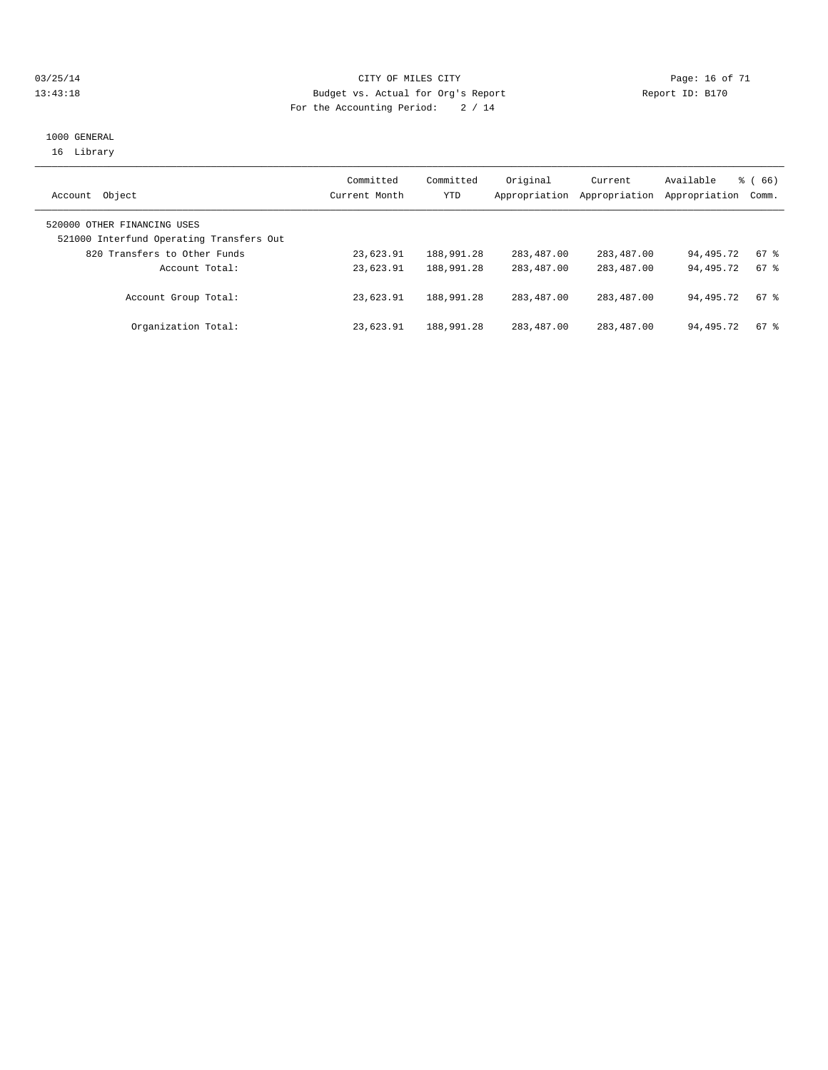#### 03/25/14 Page: 16 of 71 13:43:18 Budget vs. Actual for Org's Report Report ID: B170 For the Accounting Period: 2 / 14

#### 1000 GENERAL 16 Library

|                                          | Committed<br>Current Month | Committed  | Original      | Current       | Available<br>Appropriation | $\frac{3}{6}$ (66) |
|------------------------------------------|----------------------------|------------|---------------|---------------|----------------------------|--------------------|
| Object<br>Account                        |                            | YTD        | Appropriation | Appropriation |                            | Comm.              |
| 520000 OTHER FINANCING USES              |                            |            |               |               |                            |                    |
| 521000 Interfund Operating Transfers Out |                            |            |               |               |                            |                    |
| 820 Transfers to Other Funds             | 23,623.91                  | 188,991.28 | 283,487.00    | 283, 487, 00  | 94,495.72                  | 67 %               |
| Account Total:                           | 23,623.91                  | 188,991.28 | 283, 487, 00  | 283,487.00    | 94,495.72                  | $67$ $%$           |
| Account Group Total:                     | 23,623.91                  | 188,991.28 | 283, 487, 00  | 283,487.00    | 94,495.72                  | $67$ $%$           |
| Organization Total:                      | 23,623.91                  | 188,991.28 | 283,487.00    | 283,487.00    | 94,495.72                  | $67$ $%$           |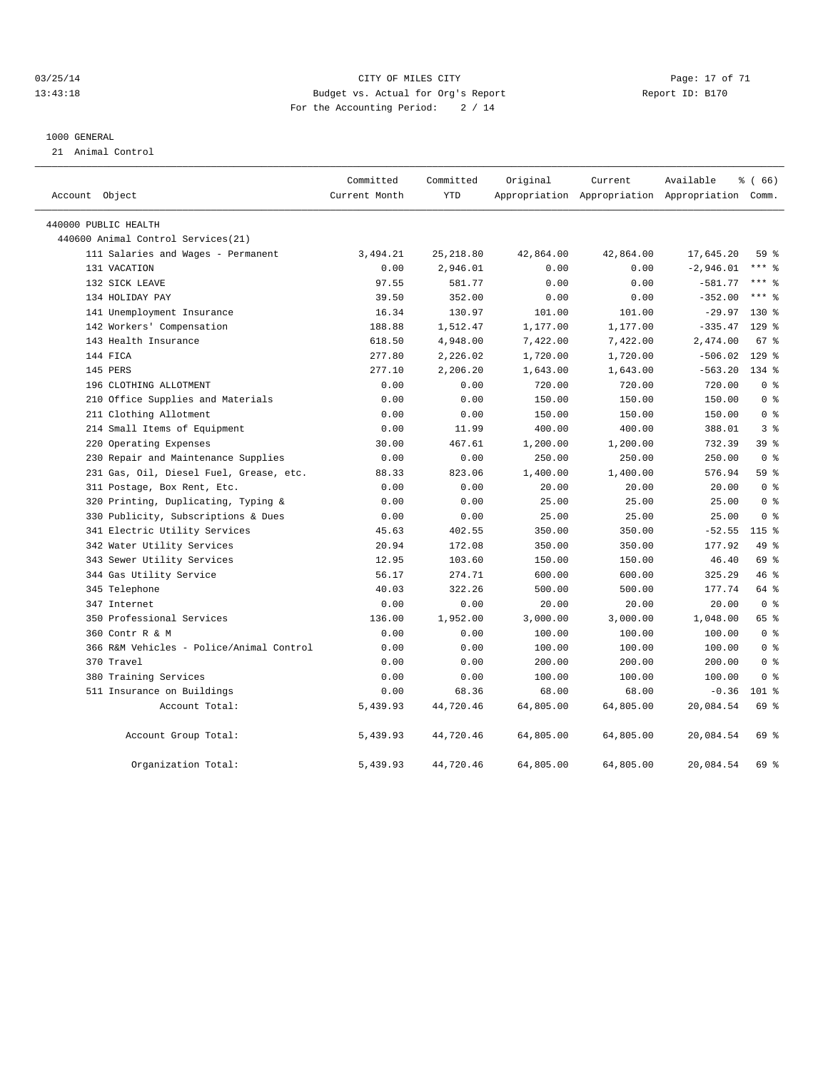#### 03/25/14 Page: 17 of 71 CITY OF MILES CITY CONTROL PAGE: 17 of 71 13:43:18 Budget vs. Actual for Org's Report Report ID: B170 For the Accounting Period: 2 / 14

#### 1000 GENERAL

21 Animal Control

| Account Object                           | Committed<br>Current Month | Committed<br><b>YTD</b> | Original  | Current   | Available<br>Appropriation Appropriation Appropriation Comm. | % (66)          |  |
|------------------------------------------|----------------------------|-------------------------|-----------|-----------|--------------------------------------------------------------|-----------------|--|
| 440000 PUBLIC HEALTH                     |                            |                         |           |           |                                                              |                 |  |
| 440600 Animal Control Services (21)      |                            |                         |           |           |                                                              |                 |  |
| 111 Salaries and Wages - Permanent       | 3,494.21                   | 25, 218.80              | 42,864.00 | 42,864.00 | 17,645.20                                                    | 59%             |  |
| 131 VACATION                             | 0.00                       | 2,946.01                | 0.00      | 0.00      | $-2,946.01$                                                  | $***$ $%$       |  |
| 132 SICK LEAVE                           | 97.55                      | 581.77                  | 0.00      | 0.00      | $-581.77$                                                    | $***$ $%$       |  |
| 134 HOLIDAY PAY                          | 39.50                      | 352.00                  | 0.00      | 0.00      | $-352.00$                                                    | $***$ $_{8}$    |  |
| 141 Unemployment Insurance               | 16.34                      | 130.97                  | 101.00    | 101.00    | $-29.97$                                                     | 130 %           |  |
| 142 Workers' Compensation                | 188.88                     | 1,512.47                | 1,177.00  | 1,177.00  | $-335.47$                                                    | $129$ %         |  |
| 143 Health Insurance                     | 618.50                     | 4,948.00                | 7,422.00  | 7,422.00  | 2,474.00                                                     | 67 %            |  |
| 144 FICA                                 | 277.80                     | 2,226.02                | 1,720.00  | 1,720.00  | $-506.02$                                                    | $129$ %         |  |
| 145 PERS                                 | 277.10                     | 2,206.20                | 1,643.00  | 1,643.00  | $-563.20$                                                    | 134 %           |  |
| 196 CLOTHING ALLOTMENT                   | 0.00                       | 0.00                    | 720.00    | 720.00    | 720.00                                                       | 0 <sup>8</sup>  |  |
| 210 Office Supplies and Materials        | 0.00                       | 0.00                    | 150.00    | 150.00    | 150.00                                                       | 0 <sup>8</sup>  |  |
| 211 Clothing Allotment                   | 0.00                       | 0.00                    | 150.00    | 150.00    | 150.00                                                       | 0 <sup>8</sup>  |  |
| 214 Small Items of Equipment             | 0.00                       | 11.99                   | 400.00    | 400.00    | 388.01                                                       | 3 <sup>8</sup>  |  |
| 220 Operating Expenses                   | 30.00                      | 467.61                  | 1,200.00  | 1,200.00  | 732.39                                                       | 39 <sup>8</sup> |  |
| 230 Repair and Maintenance Supplies      | 0.00                       | 0.00                    | 250.00    | 250.00    | 250.00                                                       | 0 <sup>8</sup>  |  |
| 231 Gas, Oil, Diesel Fuel, Grease, etc.  | 88.33                      | 823.06                  | 1,400.00  | 1,400.00  | 576.94                                                       | 59 %            |  |
| 311 Postage, Box Rent, Etc.              | 0.00                       | 0.00                    | 20.00     | 20.00     | 20.00                                                        | 0 <sup>8</sup>  |  |
| 320 Printing, Duplicating, Typing &      | 0.00                       | 0.00                    | 25.00     | 25.00     | 25.00                                                        | 0 <sup>8</sup>  |  |
| 330 Publicity, Subscriptions & Dues      | 0.00                       | 0.00                    | 25.00     | 25.00     | 25.00                                                        | 0 <sup>8</sup>  |  |
| 341 Electric Utility Services            | 45.63                      | 402.55                  | 350.00    | 350.00    | $-52.55$                                                     | 115 %           |  |
| 342 Water Utility Services               | 20.94                      | 172.08                  | 350.00    | 350.00    | 177.92                                                       | 49 %            |  |
| 343 Sewer Utility Services               | 12.95                      | 103.60                  | 150.00    | 150.00    | 46.40                                                        | 69 %            |  |
| 344 Gas Utility Service                  | 56.17                      | 274.71                  | 600.00    | 600.00    | 325.29                                                       | 46%             |  |
| 345 Telephone                            | 40.03                      | 322.26                  | 500.00    | 500.00    | 177.74                                                       | 64 %            |  |
| 347 Internet                             | 0.00                       | 0.00                    | 20.00     | 20.00     | 20.00                                                        | 0 <sup>8</sup>  |  |
| 350 Professional Services                | 136.00                     | 1,952.00                | 3,000.00  | 3,000.00  | 1,048.00                                                     | 65 %            |  |
| 360 Contr R & M                          | 0.00                       | 0.00                    | 100.00    | 100.00    | 100.00                                                       | 0 <sup>8</sup>  |  |
| 366 R&M Vehicles - Police/Animal Control | 0.00                       | 0.00                    | 100.00    | 100.00    | 100.00                                                       | 0 <sup>8</sup>  |  |
| 370 Travel                               | 0.00                       | 0.00                    | 200.00    | 200.00    | 200.00                                                       | 0 <sup>8</sup>  |  |
| 380 Training Services                    | 0.00                       | 0.00                    | 100.00    | 100.00    | 100.00                                                       | 0 <sup>8</sup>  |  |
| 511 Insurance on Buildings               | 0.00                       | 68.36                   | 68.00     | 68.00     | $-0.36$                                                      | $101$ %         |  |
| Account Total:                           | 5,439.93                   | 44,720.46               | 64,805.00 | 64,805.00 | 20,084.54                                                    | 69 %            |  |
| Account Group Total:                     | 5,439.93                   | 44,720.46               | 64,805.00 | 64,805.00 | 20,084.54                                                    | 69 %            |  |
| Organization Total:                      | 5,439.93                   | 44,720.46               | 64,805.00 | 64,805.00 | 20,084.54                                                    | 69 %            |  |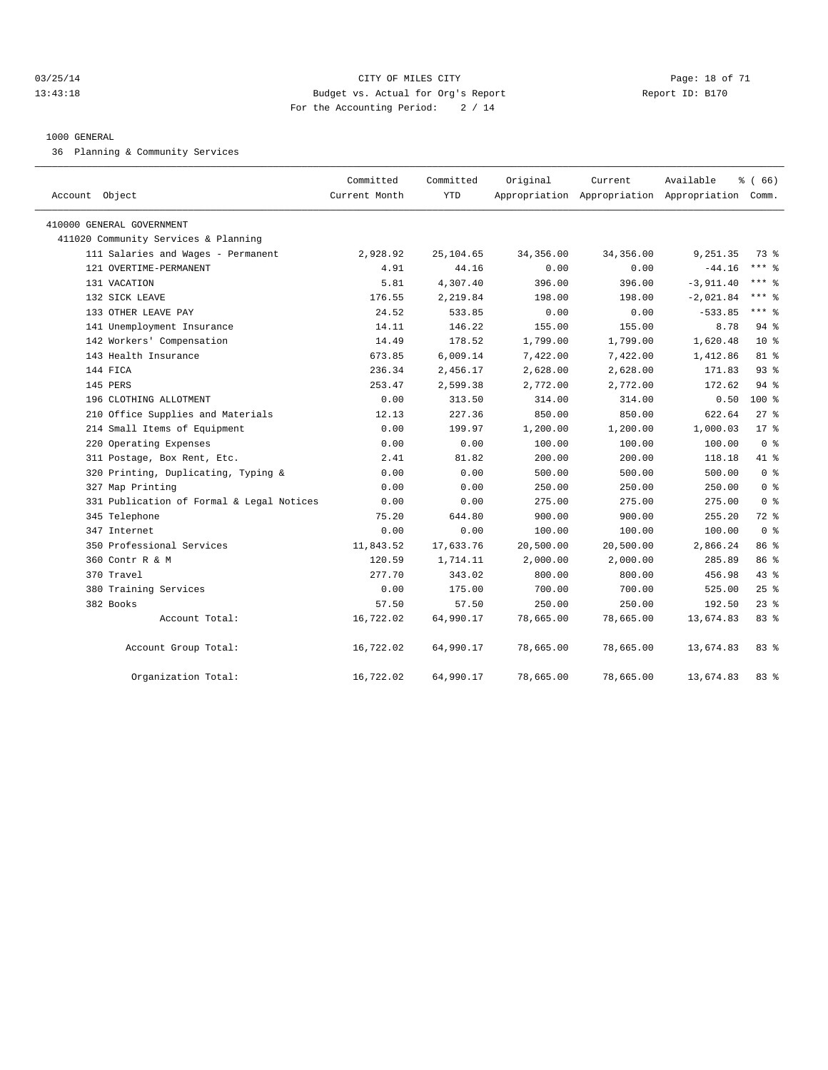#### 03/25/14 Page: 18 of 71 13:43:18 Budget vs. Actual for Org's Report Report ID: B170 For the Accounting Period: 2 / 14

#### 1000 GENERAL

36 Planning & Community Services

| Account Object                            | Committed<br>Current Month | Committed<br><b>YTD</b> | Original  | Current   | Available<br>Appropriation Appropriation Appropriation Comm. | % (66)         |  |
|-------------------------------------------|----------------------------|-------------------------|-----------|-----------|--------------------------------------------------------------|----------------|--|
|                                           |                            |                         |           |           |                                                              |                |  |
| 410000 GENERAL GOVERNMENT                 |                            |                         |           |           |                                                              |                |  |
| 411020 Community Services & Planning      |                            |                         |           |           |                                                              |                |  |
| 111 Salaries and Wages - Permanent        | 2,928.92                   | 25,104.65               | 34,356.00 | 34,356.00 | 9,251.35                                                     | 73 %           |  |
| 121 OVERTIME-PERMANENT                    | 4.91                       | 44.16                   | 0.00      | 0.00      | $-44.16$                                                     | $***$ $%$      |  |
| 131 VACATION                              | 5.81                       | 4,307.40                | 396.00    | 396.00    | $-3,911.40$                                                  | $***$ $%$      |  |
| 132 SICK LEAVE                            | 176.55                     | 2,219.84                | 198.00    | 198.00    | $-2,021.84$                                                  | $***$ $%$      |  |
| 133 OTHER LEAVE PAY                       | 24.52                      | 533.85                  | 0.00      | 0.00      | $-533.85$                                                    | *** 응          |  |
| 141 Unemployment Insurance                | 14.11                      | 146.22                  | 155.00    | 155.00    | 8.78                                                         | 94 %           |  |
| 142 Workers' Compensation                 | 14.49                      | 178.52                  | 1,799.00  | 1,799.00  | 1,620.48                                                     | $10*$          |  |
| 143 Health Insurance                      | 673.85                     | 6,009.14                | 7,422.00  | 7,422.00  | 1,412.86                                                     | 81 %           |  |
| 144 FICA                                  | 236.34                     | 2,456.17                | 2,628.00  | 2,628.00  | 171.83                                                       | 93%            |  |
| 145 PERS                                  | 253.47                     | 2,599.38                | 2,772.00  | 2,772.00  | 172.62                                                       | 94 %           |  |
| 196 CLOTHING ALLOTMENT                    | 0.00                       | 313.50                  | 314.00    | 314.00    | 0.50                                                         | 100 %          |  |
| 210 Office Supplies and Materials         | 12.13                      | 227.36                  | 850.00    | 850.00    | 622.64                                                       | $27$ %         |  |
| 214 Small Items of Equipment              | 0.00                       | 199.97                  | 1,200.00  | 1,200.00  | 1,000.03                                                     | 17.8           |  |
| 220 Operating Expenses                    | 0.00                       | 0.00                    | 100.00    | 100.00    | 100.00                                                       | 0 <sup>8</sup> |  |
| 311 Postage, Box Rent, Etc.               | 2.41                       | 81.82                   | 200.00    | 200.00    | 118.18                                                       | 41 %           |  |
| 320 Printing, Duplicating, Typing &       | 0.00                       | 0.00                    | 500.00    | 500.00    | 500.00                                                       | 0 <sup>8</sup> |  |
| 327 Map Printing                          | 0.00                       | 0.00                    | 250.00    | 250.00    | 250.00                                                       | 0 <sup>8</sup> |  |
| 331 Publication of Formal & Legal Notices | 0.00                       | 0.00                    | 275.00    | 275.00    | 275.00                                                       | 0 <sup>8</sup> |  |
| 345 Telephone                             | 75.20                      | 644.80                  | 900.00    | 900.00    | 255.20                                                       | 72 %           |  |
| 347 Internet                              | 0.00                       | 0.00                    | 100.00    | 100.00    | 100.00                                                       | 0 <sup>8</sup> |  |
| 350 Professional Services                 | 11,843.52                  | 17,633.76               | 20,500.00 | 20,500.00 | 2,866.24                                                     | 86 %           |  |
| 360 Contr R & M                           | 120.59                     | 1,714.11                | 2,000.00  | 2,000.00  | 285.89                                                       | 86 %           |  |
| 370 Travel                                | 277.70                     | 343.02                  | 800.00    | 800.00    | 456.98                                                       | 43.8           |  |
| 380 Training Services                     | 0.00                       | 175.00                  | 700.00    | 700.00    | 525.00                                                       | 25%            |  |
| 382 Books                                 | 57.50                      | 57.50                   | 250.00    | 250.00    | 192.50                                                       | $23$ $%$       |  |
| Account Total:                            | 16,722.02                  | 64,990.17               | 78,665.00 | 78,665.00 | 13,674.83                                                    | 83%            |  |
| Account Group Total:                      | 16,722.02                  | 64,990.17               | 78,665.00 | 78,665.00 | 13,674.83                                                    | 83%            |  |
| Organization Total:                       | 16,722.02                  | 64,990.17               | 78,665.00 | 78,665.00 | 13,674.83                                                    | $83*$          |  |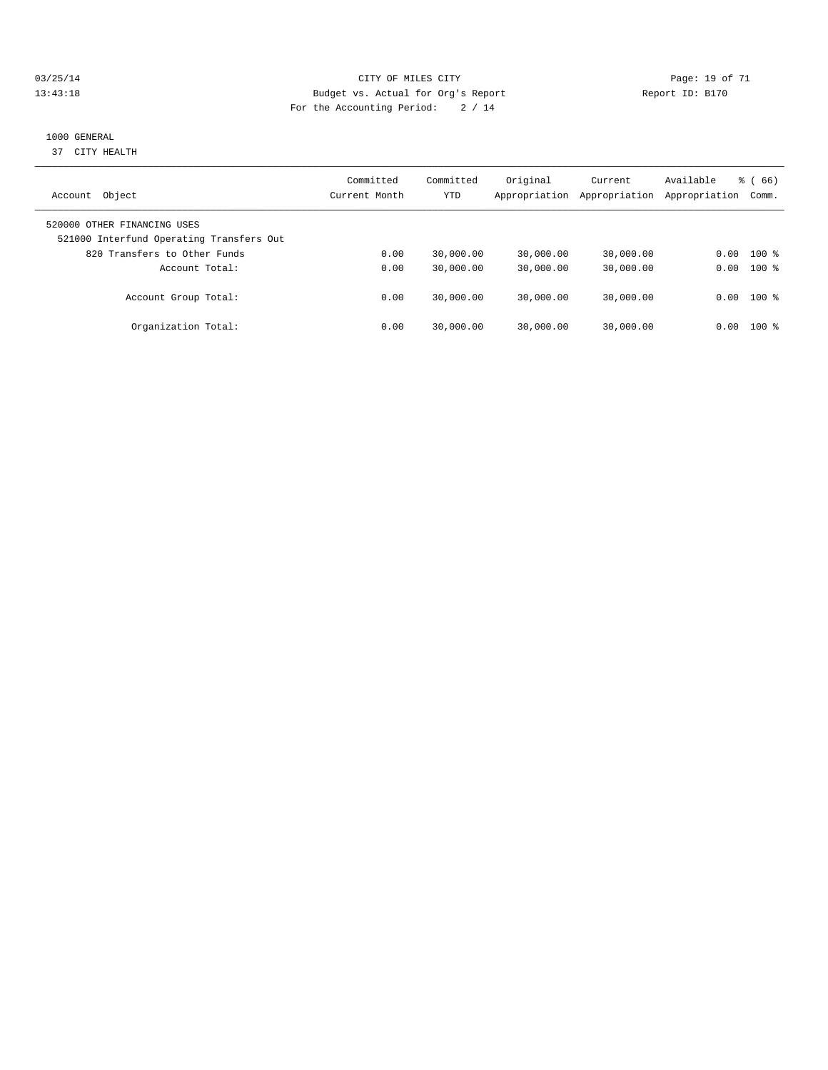#### 03/25/14 Page: 19 of 71 13:43:18 Budget vs. Actual for Org's Report Report ID: B170 For the Accounting Period: 2 / 14

#### 1000 GENERAL

37 CITY HEALTH

| Object<br>Account                                                       | Committed<br>Current Month | Committed<br><b>YTD</b> | Original<br>Appropriation | Current<br>Appropriation | Available<br>Appropriation | 66)<br>ී (<br>Comm. |
|-------------------------------------------------------------------------|----------------------------|-------------------------|---------------------------|--------------------------|----------------------------|---------------------|
| 520000 OTHER FINANCING USES<br>521000 Interfund Operating Transfers Out |                            |                         |                           |                          |                            |                     |
| 820 Transfers to Other Funds                                            | 0.00                       | 30,000.00               | 30,000.00                 | 30,000.00                | 0.00                       | $100*$              |
| Account Total:                                                          | 0.00                       | 30,000.00               | 30,000.00                 | 30,000.00                | 0.00                       | $100*$              |
| Account Group Total:                                                    | 0.00                       | 30,000.00               | 30,000.00                 | 30,000.00                |                            | $0.00$ 100 %        |
| Organization Total:                                                     | 0.00                       | 30,000.00               | 30,000.00                 | 30,000.00                | 0.00                       | $100*$              |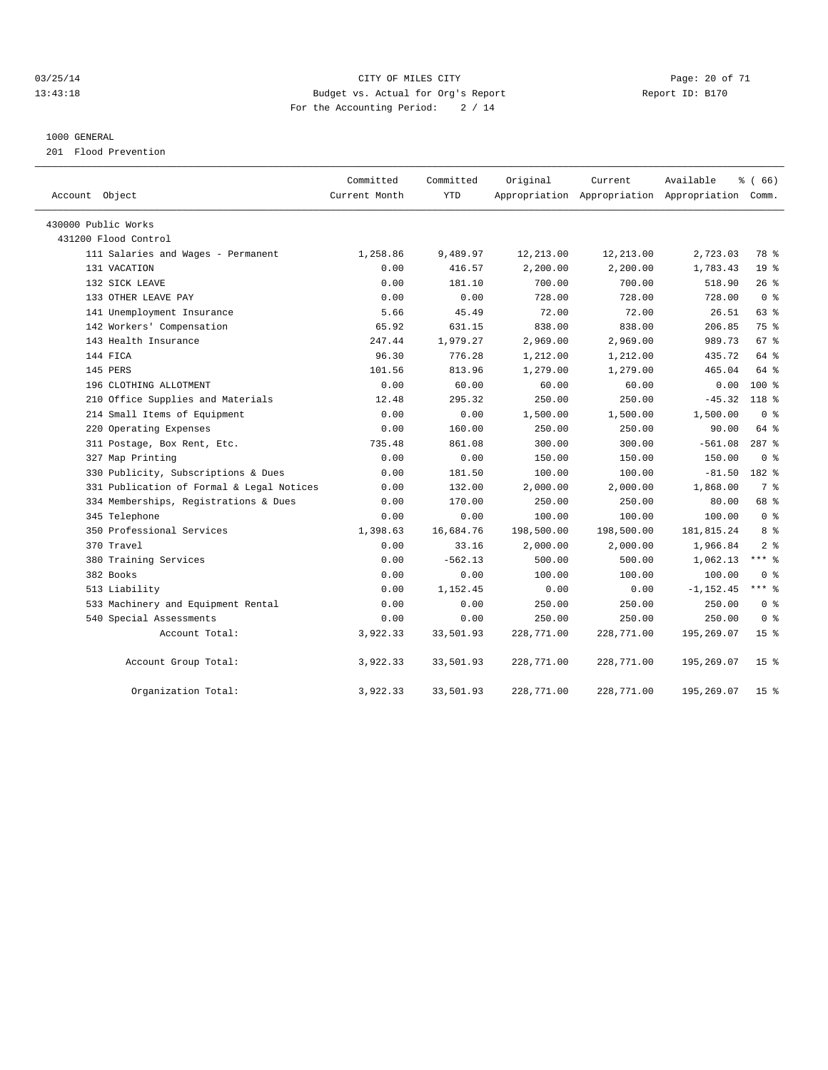#### 03/25/14 Page: 20 of 71 13:43:18 Budget vs. Actual for Org's Report Report ID: B170 For the Accounting Period: 2 / 14

#### 1000 GENERAL

201 Flood Prevention

| Account Object                            | Committed<br>Current Month | Committed<br><b>YTD</b> | Original   | Current    | Available<br>Appropriation Appropriation Appropriation Comm. | % (66)          |
|-------------------------------------------|----------------------------|-------------------------|------------|------------|--------------------------------------------------------------|-----------------|
| 430000 Public Works                       |                            |                         |            |            |                                                              |                 |
| 431200 Flood Control                      |                            |                         |            |            |                                                              |                 |
| 111 Salaries and Wages - Permanent        | 1,258.86                   | 9,489.97                | 12,213.00  | 12,213.00  | 2,723.03                                                     | 78 %            |
| 131 VACATION                              | 0.00                       | 416.57                  | 2,200.00   | 2,200.00   | 1,783.43                                                     | 19 <sup>°</sup> |
| 132 SICK LEAVE                            | 0.00                       | 181.10                  | 700.00     | 700.00     | 518.90                                                       | 26%             |
| 133 OTHER LEAVE PAY                       | 0.00                       | 0.00                    | 728.00     | 728.00     | 728.00                                                       | 0 <sup>8</sup>  |
| 141 Unemployment Insurance                | 5.66                       | 45.49                   | 72.00      | 72.00      | 26.51                                                        | 63 %            |
| 142 Workers' Compensation                 | 65.92                      | 631.15                  | 838.00     | 838.00     | 206.85                                                       | 75 %            |
| 143 Health Insurance                      | 247.44                     | 1,979.27                | 2,969.00   | 2,969.00   | 989.73                                                       | 67 %            |
| 144 FICA                                  | 96.30                      | 776.28                  | 1,212.00   | 1,212.00   | 435.72                                                       | 64 %            |
| 145 PERS                                  | 101.56                     | 813.96                  | 1,279.00   | 1,279.00   | 465.04                                                       | 64 %            |
| 196 CLOTHING ALLOTMENT                    | 0.00                       | 60.00                   | 60.00      | 60.00      | 0.00                                                         | $100*$          |
| 210 Office Supplies and Materials         | 12.48                      | 295.32                  | 250.00     | 250.00     | $-45.32$                                                     | 118 %           |
| 214 Small Items of Equipment              | 0.00                       | 0.00                    | 1,500.00   | 1,500.00   | 1,500.00                                                     | 0 <sup>8</sup>  |
| 220 Operating Expenses                    | 0.00                       | 160.00                  | 250.00     | 250.00     | 90.00                                                        | 64 %            |
| 311 Postage, Box Rent, Etc.               | 735.48                     | 861.08                  | 300.00     | 300.00     | $-561.08$                                                    | $287$ $%$       |
| 327 Map Printing                          | 0.00                       | 0.00                    | 150.00     | 150.00     | 150.00                                                       | 0 <sup>8</sup>  |
| 330 Publicity, Subscriptions & Dues       | 0.00                       | 181.50                  | 100.00     | 100.00     | $-81.50$                                                     | 182 %           |
| 331 Publication of Formal & Legal Notices | 0.00                       | 132.00                  | 2,000.00   | 2,000.00   | 1,868.00                                                     | 7 %             |
| 334 Memberships, Registrations & Dues     | 0.00                       | 170.00                  | 250.00     | 250.00     | 80.00                                                        | 68 %            |
| 345 Telephone                             | 0.00                       | 0.00                    | 100.00     | 100.00     | 100.00                                                       | 0 <sup>8</sup>  |
| 350 Professional Services                 | 1,398.63                   | 16,684.76               | 198,500.00 | 198,500.00 | 181,815.24                                                   | 8 %             |
| 370 Travel                                | 0.00                       | 33.16                   | 2,000.00   | 2,000.00   | 1,966.84                                                     | 2 <sup>8</sup>  |
| 380 Training Services                     | 0.00                       | $-562.13$               | 500.00     | 500.00     | 1,062.13                                                     | $***$ 8         |
| 382 Books                                 | 0.00                       | 0.00                    | 100.00     | 100.00     | 100.00                                                       | 0 <sup>8</sup>  |
| 513 Liability                             | 0.00                       | 1,152.45                | 0.00       | 0.00       | $-1, 152.45$                                                 | $***$ 8         |
| 533 Machinery and Equipment Rental        | 0.00                       | 0.00                    | 250.00     | 250.00     | 250.00                                                       | 0 <sup>8</sup>  |
| 540 Special Assessments                   | 0.00                       | 0.00                    | 250.00     | 250.00     | 250.00                                                       | 0 <sup>8</sup>  |
| Account Total:                            | 3,922.33                   | 33,501.93               | 228,771.00 | 228,771.00 | 195,269.07                                                   | 15 <sup>8</sup> |
| Account Group Total:                      | 3,922.33                   | 33,501.93               | 228,771.00 | 228,771.00 | 195,269.07                                                   | 15 <sup>8</sup> |
| Organization Total:                       | 3,922.33                   | 33,501.93               | 228,771.00 | 228,771.00 | 195,269.07                                                   | 15 <sub>8</sub> |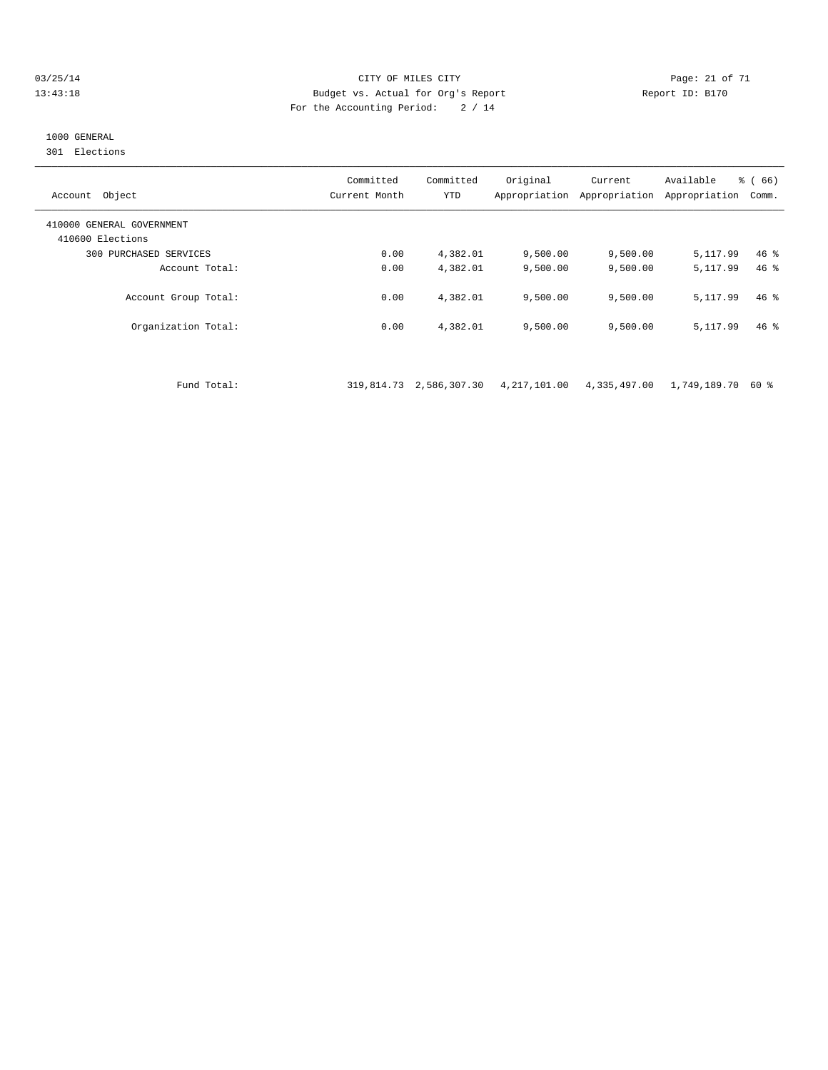#### 03/25/14 Page: 21 of 71 13:43:18 Budget vs. Actual for Org's Report Report ID: B170 For the Accounting Period: 2 / 14

## 1000 GENERAL

301 Elections

| Object<br>Account                             | Committed<br>Current Month | Committed<br><b>YTD</b> | Original<br>Appropriation | Current<br>Appropriation | Available<br>Appropriation | % (66)<br>Comm. |
|-----------------------------------------------|----------------------------|-------------------------|---------------------------|--------------------------|----------------------------|-----------------|
| 410000 GENERAL GOVERNMENT<br>410600 Elections |                            |                         |                           |                          |                            |                 |
| 300 PURCHASED SERVICES                        | 0.00                       | 4,382.01                | 9,500.00                  | 9,500.00                 | 5,117.99                   | $46*$           |
| Account Total:                                | 0.00                       | 4,382.01                | 9,500.00                  | 9,500.00                 | 5, 117, 99                 | $46*$           |
| Account Group Total:                          | 0.00                       | 4,382.01                | 9,500.00                  | 9,500.00                 | 5, 117, 99                 | $46*$           |
| Organization Total:                           | 0.00                       | 4,382.01                | 9,500.00                  | 9,500.00                 | 5,117.99                   | $46*$           |

Fund Total: 319,814.73 2,586,307.30 4,217,101.00 4,335,497.00 1,749,189.70 60 %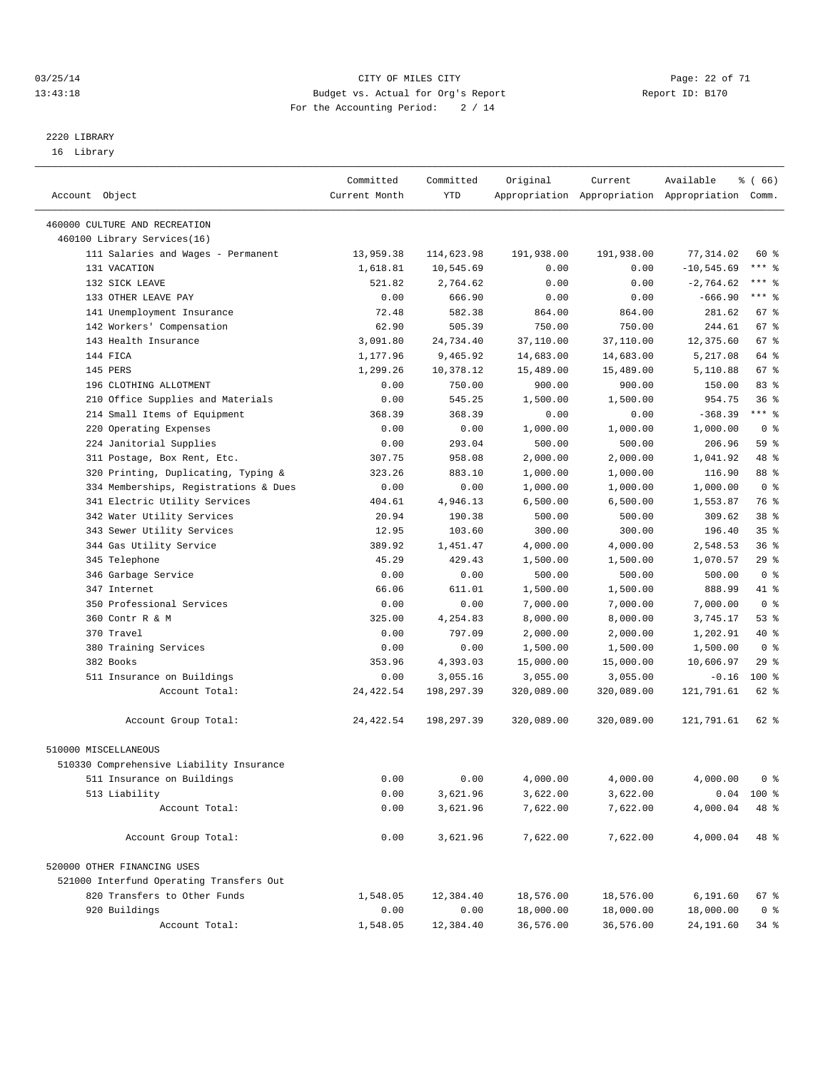#### 03/25/14 Page: 22 of 71 13:43:18 Budget vs. Actual for Org's Report Report ID: B170 For the Accounting Period: 2 / 14

————————————————————————————————————————————————————————————————————————————————————————————————————————————————————————————————————

# 2220 LIBRARY

16 Library

|                                                              | Committed     | Committed  | Original   | Current    | Available                                       | ៖ ( 66)         |
|--------------------------------------------------------------|---------------|------------|------------|------------|-------------------------------------------------|-----------------|
| Account Object                                               | Current Month | YTD        |            |            | Appropriation Appropriation Appropriation Comm. |                 |
|                                                              |               |            |            |            |                                                 |                 |
| 460000 CULTURE AND RECREATION<br>460100 Library Services(16) |               |            |            |            |                                                 |                 |
| 111 Salaries and Wages - Permanent                           | 13,959.38     | 114,623.98 | 191,938.00 | 191,938.00 | 77,314.02                                       | 60 %            |
| 131 VACATION                                                 | 1,618.81      | 10,545.69  | 0.00       | 0.00       | $-10, 545.69$                                   | $***$ $_{8}$    |
| 132 SICK LEAVE                                               | 521.82        | 2,764.62   | 0.00       | 0.00       | $-2,764.62$                                     | $***$ $-$       |
| 133 OTHER LEAVE PAY                                          | 0.00          | 666.90     | 0.00       | 0.00       | $-666.90$                                       | $***$ $%$       |
| 141 Unemployment Insurance                                   | 72.48         | 582.38     | 864.00     | 864.00     | 281.62                                          | $67$ %          |
| 142 Workers' Compensation                                    | 62.90         | 505.39     | 750.00     | 750.00     | 244.61                                          | 67 %            |
| 143 Health Insurance                                         | 3,091.80      | 24,734.40  | 37,110.00  | 37,110.00  | 12,375.60                                       | 67 %            |
| 144 FICA                                                     | 1,177.96      | 9,465.92   | 14,683.00  | 14,683.00  | 5,217.08                                        | 64 %            |
| 145 PERS                                                     | 1,299.26      | 10,378.12  | 15,489.00  | 15,489.00  | 5,110.88                                        | 67 %            |
| 196 CLOTHING ALLOTMENT                                       | 0.00          | 750.00     | 900.00     | 900.00     | 150.00                                          | 83%             |
| 210 Office Supplies and Materials                            | 0.00          | 545.25     | 1,500.00   | 1,500.00   | 954.75                                          | 36 <sup>8</sup> |
| 214 Small Items of Equipment                                 | 368.39        | 368.39     | 0.00       | 0.00       | $-368.39$                                       | $***$ $-$       |
| 220 Operating Expenses                                       | 0.00          | 0.00       | 1,000.00   | 1,000.00   | 1,000.00                                        | 0 <sup>8</sup>  |
| 224 Janitorial Supplies                                      | 0.00          | 293.04     | 500.00     | 500.00     | 206.96                                          | 59 %            |
| 311 Postage, Box Rent, Etc.                                  | 307.75        | 958.08     | 2,000.00   | 2,000.00   | 1,041.92                                        | 48 %            |
| 320 Printing, Duplicating, Typing &                          | 323.26        | 883.10     | 1,000.00   | 1,000.00   | 116.90                                          | 88 %            |
| 334 Memberships, Registrations & Dues                        | 0.00          | 0.00       | 1,000.00   | 1,000.00   | 1,000.00                                        | 0 <sup>8</sup>  |
| 341 Electric Utility Services                                | 404.61        | 4,946.13   | 6,500.00   | 6,500.00   | 1,553.87                                        | 76 %            |
| 342 Water Utility Services                                   | 20.94         | 190.38     | 500.00     | 500.00     | 309.62                                          | 38 %            |
| 343 Sewer Utility Services                                   | 12.95         | 103.60     | 300.00     | 300.00     | 196.40                                          | 35 <sup>8</sup> |
| 344 Gas Utility Service                                      | 389.92        | 1,451.47   | 4,000.00   | 4,000.00   | 2,548.53                                        | 36%             |
| 345 Telephone                                                | 45.29         | 429.43     | 1,500.00   | 1,500.00   | 1,070.57                                        | 29%             |
| 346 Garbage Service                                          | 0.00          | 0.00       | 500.00     | 500.00     | 500.00                                          | 0 <sup>8</sup>  |
| 347 Internet                                                 | 66.06         | 611.01     | 1,500.00   | 1,500.00   | 888.99                                          | 41 %            |
| 350 Professional Services                                    | 0.00          | 0.00       | 7,000.00   | 7,000.00   | 7,000.00                                        | 0 <sup>8</sup>  |
| 360 Contr R & M                                              | 325.00        | 4,254.83   | 8,000.00   | 8,000.00   | 3,745.17                                        | 53%             |
| 370 Travel                                                   | 0.00          | 797.09     | 2,000.00   | 2,000.00   | 1,202.91                                        | 40 %            |
| 380 Training Services                                        | 0.00          | 0.00       | 1,500.00   | 1,500.00   | 1,500.00                                        | 0 <sup>8</sup>  |
| 382 Books                                                    | 353.96        | 4,393.03   | 15,000.00  | 15,000.00  | 10,606.97                                       | $29$ %          |
| 511 Insurance on Buildings                                   | 0.00          | 3,055.16   | 3,055.00   | 3,055.00   | $-0.16$                                         | $100$ %         |
| Account Total:                                               | 24, 422.54    | 198,297.39 | 320,089.00 | 320,089.00 | 121,791.61                                      | 62 %            |
|                                                              |               |            |            |            |                                                 |                 |
| Account Group Total:                                         | 24, 422.54    | 198,297.39 | 320,089.00 | 320,089.00 | 121,791.61                                      | 62 %            |
| 510000 MISCELLANEOUS                                         |               |            |            |            |                                                 |                 |
| 510330 Comprehensive Liability Insurance                     |               |            |            |            |                                                 |                 |
| 511 Insurance on Buildings                                   | 0.00          | 0.00       | 4,000.00   | 4,000.00   | 4,000.00                                        | 0 <sup>8</sup>  |
| 513 Liability                                                | 0.00          | 3,621.96   | 3,622.00   | 3,622.00   |                                                 | $0.04$ 100 %    |
| Account Total:                                               | 0.00          | 3,621.96   | 7,622.00   | 7,622.00   | 4,000.04                                        | 48 %            |
| Account Group Total:                                         | 0.00          | 3,621.96   | 7,622.00   | 7,622.00   | 4,000.04                                        | 48 %            |
|                                                              |               |            |            |            |                                                 |                 |
| 520000 OTHER FINANCING USES                                  |               |            |            |            |                                                 |                 |
| 521000 Interfund Operating Transfers Out                     |               |            |            |            |                                                 |                 |
| 820 Transfers to Other Funds                                 | 1,548.05      | 12,384.40  | 18,576.00  | 18,576.00  | 6,191.60                                        | 67 %            |
| 920 Buildings                                                | 0.00          | 0.00       | 18,000.00  | 18,000.00  | 18,000.00                                       | 0 <sup>8</sup>  |
| Account Total:                                               | 1,548.05      | 12,384.40  | 36,576.00  | 36,576.00  | 24,191.60                                       | $34*$           |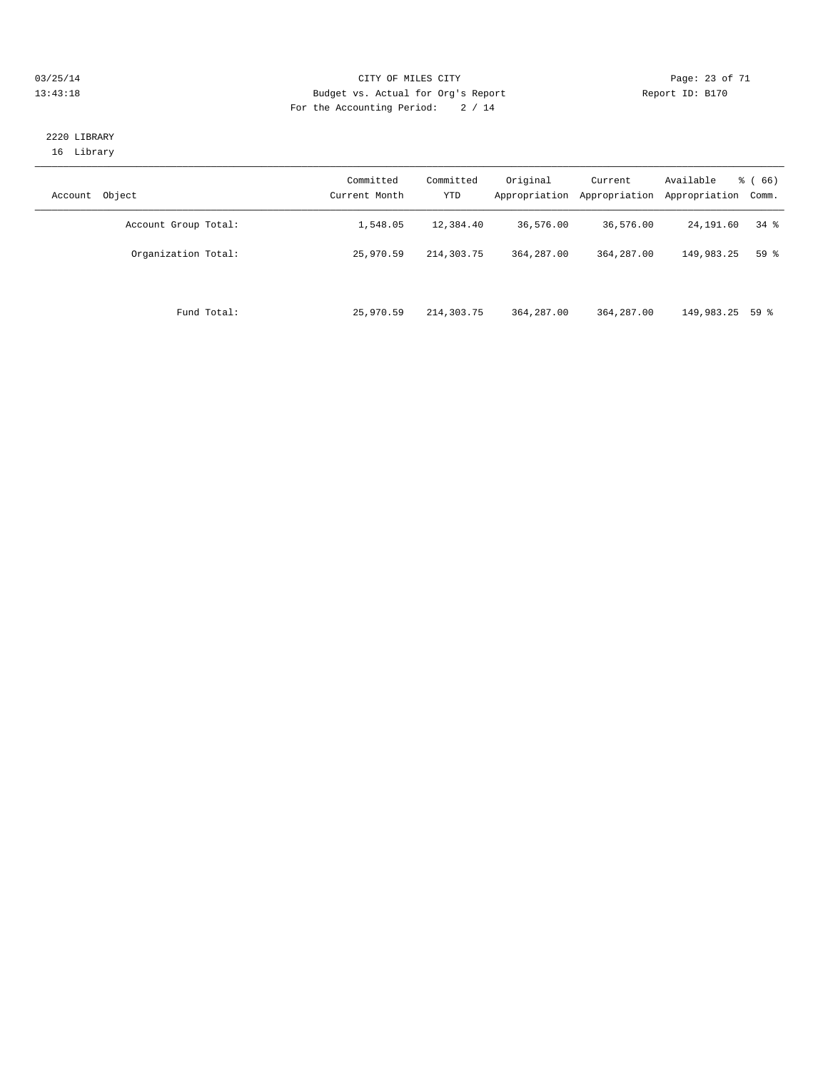#### 03/25/14 Page: 23 of 71 13:43:18 Budget vs. Actual for Org's Report Report ID: B170 For the Accounting Period: 2 / 14

## 2220 LIBRARY 16 Library

| Object<br>Account    | Committed<br>Current Month | Committed<br>YTD | Original<br>Appropriation | Current<br>Appropriation | Available<br>Appropriation | $\frac{6}{6}$ (66)<br>Comm. |
|----------------------|----------------------------|------------------|---------------------------|--------------------------|----------------------------|-----------------------------|
| Account Group Total: | 1,548.05                   | 12,384.40        | 36,576.00                 | 36,576.00                | 24,191.60                  | $34$ $%$                    |
| Organization Total:  | 25,970.59                  | 214, 303. 75     | 364, 287, 00              | 364,287.00               | 149,983.25                 | 59 <sub>8</sub>             |
| Fund Total:          | 25,970.59                  | 214,303.75       | 364, 287, 00              | 364,287.00               | 149,983.25 59 %            |                             |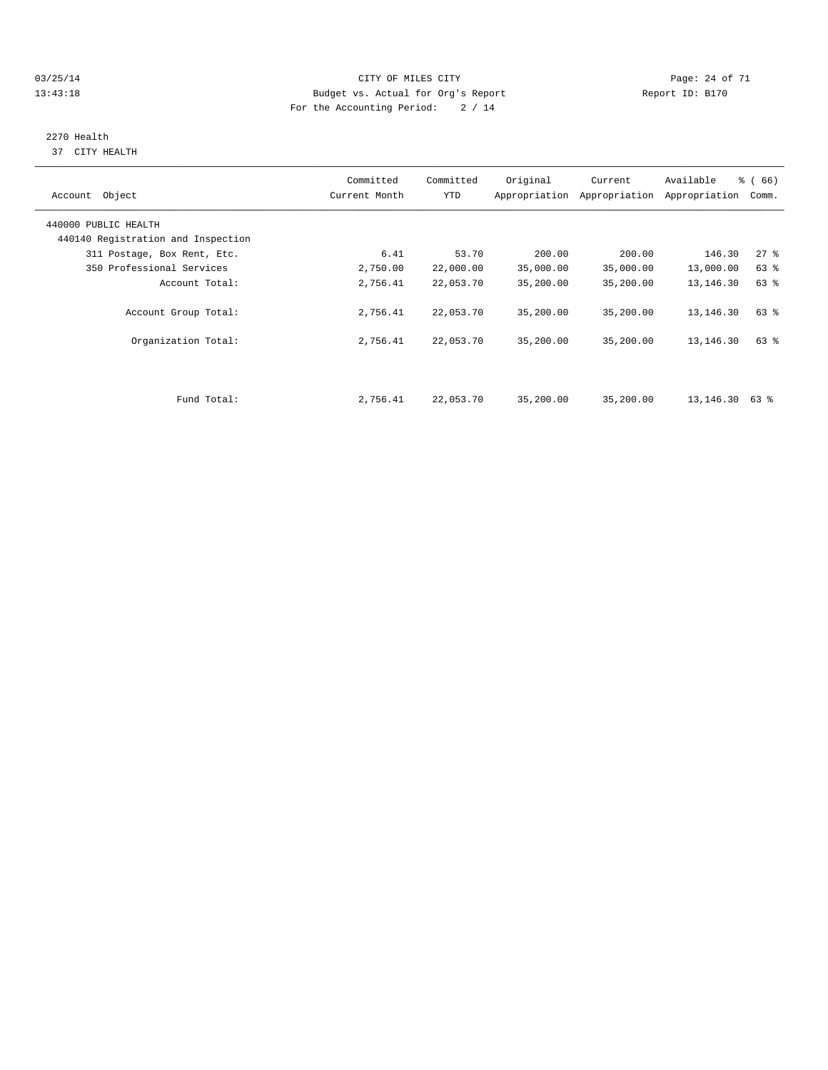03/25/14 Page: 24 of 71 13:43:18 Budget vs. Actual for Org's Report Report ID: B170 For the Accounting Period: 2 / 14

# 2270 Health

37 CITY HEALTH

| Account Object                     | Committed<br>Current Month | Committed<br><b>YTD</b> | Original  | Current<br>Appropriation Appropriation | Available<br>Appropriation | $\frac{3}{6}$ (66)<br>Comm. |
|------------------------------------|----------------------------|-------------------------|-----------|----------------------------------------|----------------------------|-----------------------------|
| 440000 PUBLIC HEALTH               |                            |                         |           |                                        |                            |                             |
| 440140 Registration and Inspection |                            |                         |           |                                        |                            |                             |
| 311 Postage, Box Rent, Etc.        | 6.41                       | 53.70                   | 200.00    | 200.00                                 | 146.30                     | $27$ %                      |
| 350 Professional Services          | 2,750.00                   | 22,000.00               | 35,000.00 | 35,000.00                              | 13,000.00                  | 63 %                        |
| Account Total:                     | 2,756.41                   | 22,053.70               | 35,200.00 | 35,200.00                              | 13,146.30                  | 63 %                        |
| Account Group Total:               | 2,756.41                   | 22,053.70               | 35,200.00 | 35,200.00                              | 13,146.30                  | 63 %                        |
| Organization Total:                | 2,756.41                   | 22,053.70               | 35,200.00 | 35,200.00                              | 13,146.30                  | 63 %                        |
|                                    |                            |                         |           |                                        |                            |                             |
| Fund Total:                        | 2,756.41                   | 22,053.70               | 35,200.00 | 35,200.00                              | 13,146.30                  | 63 %                        |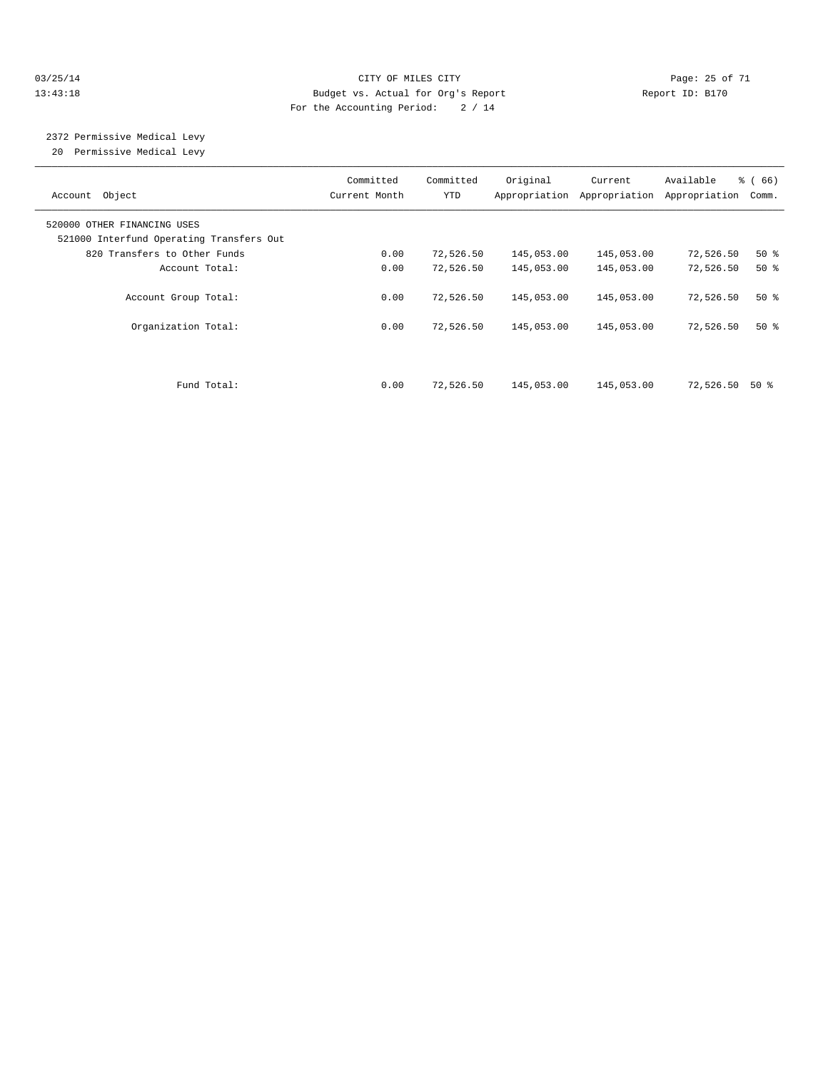#### 03/25/14 Page: 25 of 71 13:43:18 Budget vs. Actual for Org's Report Report ID: B170 For the Accounting Period: 2 / 14

 2372 Permissive Medical Levy 20 Permissive Medical Levy

| Account Object                                                          | Committed<br>Current Month | Committed<br>YTD | Original   | Current<br>Appropriation Appropriation | Available<br>Appropriation | % (66)<br>Comm. |
|-------------------------------------------------------------------------|----------------------------|------------------|------------|----------------------------------------|----------------------------|-----------------|
| 520000 OTHER FINANCING USES<br>521000 Interfund Operating Transfers Out |                            |                  |            |                                        |                            |                 |
| 820 Transfers to Other Funds                                            | 0.00                       | 72,526.50        | 145,053.00 | 145,053.00                             | 72,526.50                  | $50*$           |
| Account Total:                                                          | 0.00                       | 72,526.50        | 145,053.00 | 145,053.00                             | 72,526.50                  | $50*$           |
| Account Group Total:                                                    | 0.00                       | 72,526.50        | 145,053.00 | 145,053.00                             | 72,526.50                  | $50*$           |
| Organization Total:                                                     | 0.00                       | 72,526.50        | 145,053.00 | 145,053.00                             | 72,526.50                  | $50*$           |
|                                                                         |                            |                  |            |                                        |                            |                 |
| Fund Total:                                                             | 0.00                       | 72,526.50        | 145,053.00 | 145,053.00                             | 72,526.50                  | 50 %            |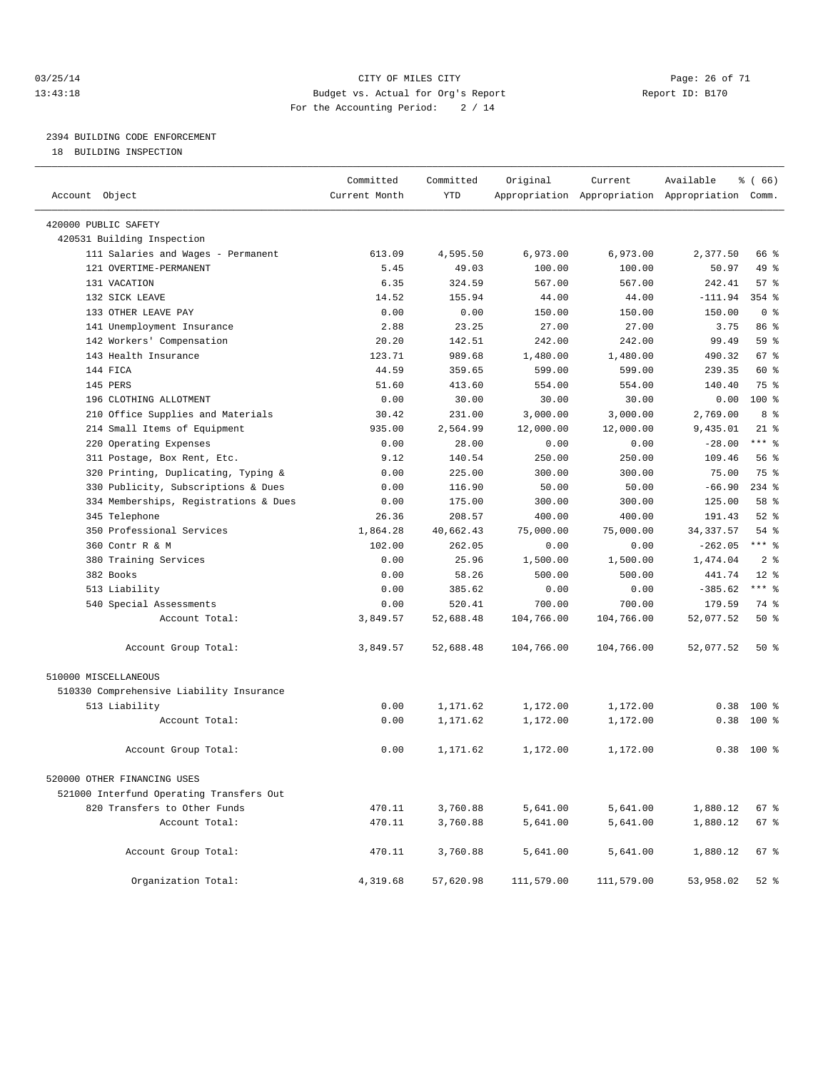#### 03/25/14 Page: 26 of 71 13:43:18 Budget vs. Actual for Org's Report Report ID: B170 For the Accounting Period: 2 / 14

————————————————————————————————————————————————————————————————————————————————————————————————————————————————————————————————————

# 2394 BUILDING CODE ENFORCEMENT

18 BUILDING INSPECTION

|                                          | Committed     | Committed  | Original   | Current    | Available                                       | % (66)         |
|------------------------------------------|---------------|------------|------------|------------|-------------------------------------------------|----------------|
| Account Object                           | Current Month | <b>YTD</b> |            |            | Appropriation Appropriation Appropriation Comm. |                |
| 420000 PUBLIC SAFETY                     |               |            |            |            |                                                 |                |
| 420531 Building Inspection               |               |            |            |            |                                                 |                |
| 111 Salaries and Wages - Permanent       | 613.09        | 4,595.50   | 6,973.00   | 6,973.00   | 2,377.50                                        | 66 %           |
| 121 OVERTIME-PERMANENT                   | 5.45          | 49.03      | 100.00     | 100.00     | 50.97                                           | 49 %           |
| 131 VACATION                             | 6.35          | 324.59     | 567.00     | 567.00     | 242.41                                          | 57%            |
| 132 SICK LEAVE                           | 14.52         | 155.94     | 44.00      | 44.00      | $-111.94$                                       | $354$ $%$      |
| 133 OTHER LEAVE PAY                      | 0.00          | 0.00       | 150.00     | 150.00     | 150.00                                          | 0 <sup>8</sup> |
| 141 Unemployment Insurance               | 2.88          | 23.25      | 27.00      | 27.00      | 3.75                                            | 86 %           |
| 142 Workers' Compensation                | 20.20         | 142.51     | 242.00     | 242.00     | 99.49                                           | 59 %           |
| 143 Health Insurance                     | 123.71        | 989.68     | 1,480.00   | 1,480.00   | 490.32                                          | 67 %           |
| 144 FICA                                 | 44.59         | 359.65     | 599.00     | 599.00     | 239.35                                          | 60 %           |
| 145 PERS                                 | 51.60         | 413.60     | 554.00     | 554.00     | 140.40                                          | 75 %           |
| 196 CLOTHING ALLOTMENT                   | 0.00          | 30.00      | 30.00      | 30.00      | 0.00                                            | 100 %          |
| 210 Office Supplies and Materials        | 30.42         | 231.00     | 3,000.00   | 3,000.00   | 2,769.00                                        | 8 %            |
| 214 Small Items of Equipment             | 935.00        | 2,564.99   | 12,000.00  | 12,000.00  | 9,435.01                                        | $21$ %         |
| 220 Operating Expenses                   | 0.00          | 28.00      | 0.00       | 0.00       | $-28.00$                                        | $***$ $-$      |
| 311 Postage, Box Rent, Etc.              | 9.12          | 140.54     | 250.00     | 250.00     | 109.46                                          | 56 %           |
| 320 Printing, Duplicating, Typing &      | 0.00          | 225.00     | 300.00     | 300.00     | 75.00                                           | 75 %           |
| 330 Publicity, Subscriptions & Dues      | 0.00          | 116.90     | 50.00      | 50.00      | $-66.90$                                        | $234$ $%$      |
| 334 Memberships, Registrations & Dues    | 0.00          | 175.00     | 300.00     | 300.00     | 125.00                                          | 58 %           |
| 345 Telephone                            | 26.36         | 208.57     | 400.00     | 400.00     | 191.43                                          | $52$ $%$       |
| 350 Professional Services                | 1,864.28      | 40,662.43  | 75,000.00  | 75,000.00  | 34, 337.57                                      | 54 %           |
| 360 Contr R & M                          | 102.00        | 262.05     | 0.00       | 0.00       | $-262.05$                                       | $***$ $-$      |
| 380 Training Services                    | 0.00          | 25.96      | 1,500.00   | 1,500.00   | 1,474.04                                        | 2 <sup>°</sup> |
| 382 Books                                | 0.00          | 58.26      | 500.00     | 500.00     | 441.74                                          | $12*$          |
| 513 Liability                            | 0.00          | 385.62     | 0.00       | 0.00       | $-385.62$                                       | $***$ $-$      |
| 540 Special Assessments                  | 0.00          | 520.41     | 700.00     | 700.00     | 179.59                                          | 74 %           |
| Account Total:                           | 3,849.57      | 52,688.48  | 104,766.00 | 104,766.00 | 52,077.52                                       | 50%            |
| Account Group Total:                     | 3,849.57      | 52,688.48  | 104,766.00 | 104,766.00 | 52,077.52                                       | 50%            |
| 510000 MISCELLANEOUS                     |               |            |            |            |                                                 |                |
| 510330 Comprehensive Liability Insurance |               |            |            |            |                                                 |                |
| 513 Liability                            | 0.00          | 1,171.62   | 1,172.00   | 1,172.00   | 0.38                                            | $100*$         |
| Account Total:                           | 0.00          | 1,171.62   | 1,172.00   | 1,172.00   | 0.38                                            | 100 %          |
| Account Group Total:                     | 0.00          | 1,171.62   | 1,172.00   | 1,172.00   |                                                 | $0.38$ 100 %   |
| 520000 OTHER FINANCING USES              |               |            |            |            |                                                 |                |
| 521000 Interfund Operating Transfers Out |               |            |            |            |                                                 |                |
| 820 Transfers to Other Funds             | 470.11        | 3,760.88   | 5,641.00   | 5,641.00   | 1,880.12                                        | 67 %           |
| Account Total:                           | 470.11        | 3,760.88   | 5,641.00   | 5,641.00   | 1,880.12                                        | 67 %           |
|                                          |               |            |            |            |                                                 |                |
| Account Group Total:                     | 470.11        | 3,760.88   | 5,641.00   | 5,641.00   | 1,880.12                                        | 67 %           |
| Organization Total:                      | 4,319.68      | 57,620.98  | 111,579.00 | 111,579.00 | 53,958.02                                       | $52$ $%$       |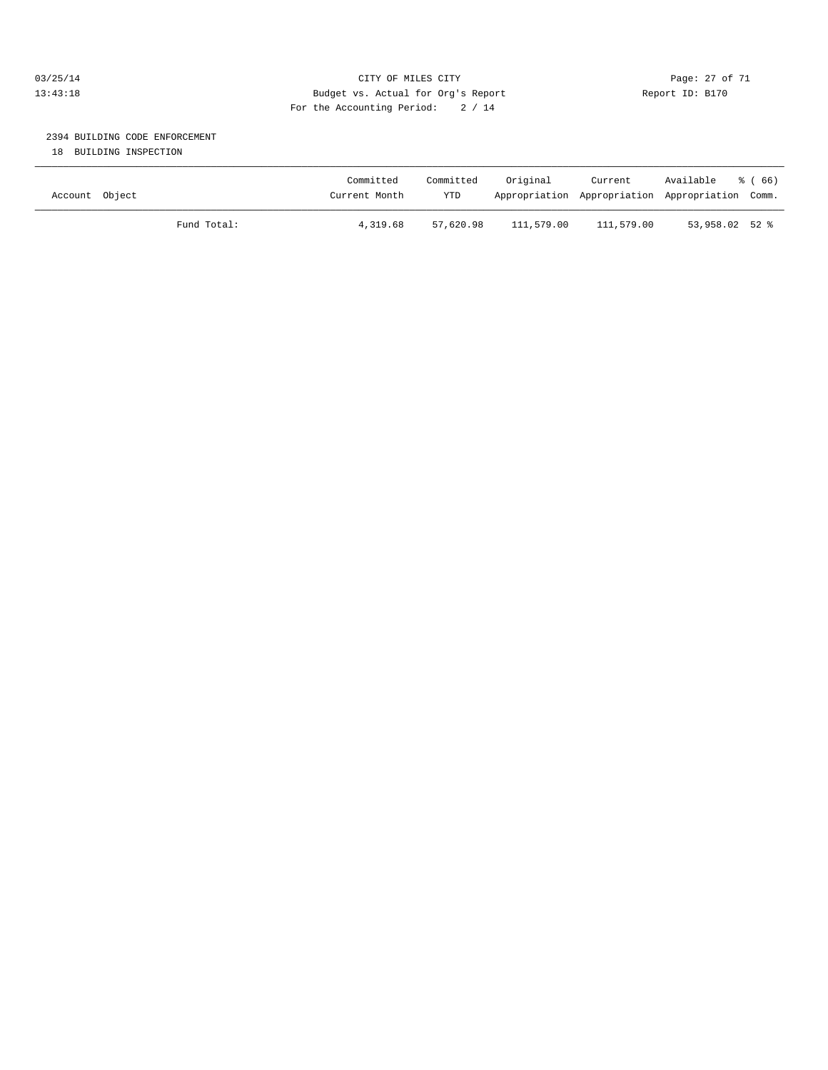#### 03/25/14 Page: 27 of 71 CITY OF MILES CITY 13:43:18 Budget vs. Actual for Org's Report Report ID: B170 For the Accounting Period: 2 / 14

# 2394 BUILDING CODE ENFORCEMENT

18 BUILDING INSPECTION

| Account Object |             | Committed<br>Current Month | Committed<br><b>YTD</b> | Original   | Current    | Available<br>Appropriation Appropriation Appropriation Comm. | ී ( 66 ) |
|----------------|-------------|----------------------------|-------------------------|------------|------------|--------------------------------------------------------------|----------|
|                | Fund Total: | 4,319.68                   | 57,620.98               | 111,579.00 | 111,579.00 | 53,958.02 52 %                                               |          |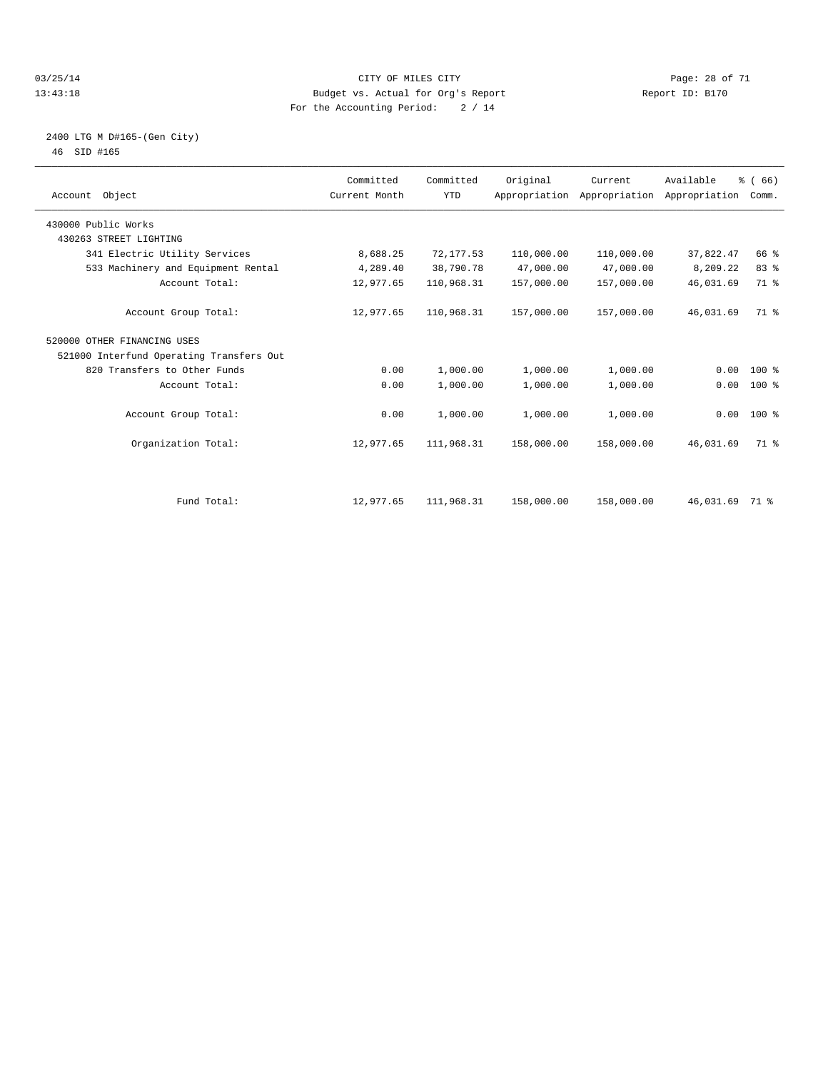#### 03/25/14 Page: 28 of 71 13:43:18 Budget vs. Actual for Org's Report Report ID: B170 For the Accounting Period: 2 / 14

#### 2400 LTG M D#165-(Gen City) 46 SID #165

| Account Object                           | Committed<br>Current Month | Committed<br><b>YTD</b> | Original   | Current<br>Appropriation Appropriation Appropriation | Available      | % (66)<br>Comm. |  |
|------------------------------------------|----------------------------|-------------------------|------------|------------------------------------------------------|----------------|-----------------|--|
| 430000 Public Works                      |                            |                         |            |                                                      |                |                 |  |
| 430263 STREET LIGHTING                   |                            |                         |            |                                                      |                |                 |  |
| 341 Electric Utility Services            | 8,688.25                   | 72,177.53               | 110,000.00 | 110,000.00                                           | 37,822.47      | 66 %            |  |
| 533 Machinery and Equipment Rental       | 4,289.40                   | 38,790.78               | 47,000.00  | 47,000.00                                            | 8,209.22       | 83 %            |  |
| Account Total:                           | 12,977.65                  | 110,968.31              | 157,000.00 | 157,000.00                                           | 46,031.69      | 71 %            |  |
| Account Group Total:                     | 12,977.65                  | 110,968.31              | 157,000.00 | 157,000.00                                           | 46,031.69      | 71.8            |  |
| 520000 OTHER FINANCING USES              |                            |                         |            |                                                      |                |                 |  |
| 521000 Interfund Operating Transfers Out |                            |                         |            |                                                      |                |                 |  |
| 820 Transfers to Other Funds             | 0.00                       | 1,000.00                | 1,000.00   | 1,000.00                                             | 0.00           | $100*$          |  |
| Account Total:                           | 0.00                       | 1,000.00                | 1,000.00   | 1,000.00                                             | 0.00           | $100*$          |  |
| Account Group Total:                     | 0.00                       | 1,000.00                | 1,000.00   | 1,000.00                                             |                | $0.00$ 100 %    |  |
| Organization Total:                      | 12,977.65                  | 111,968.31              | 158,000.00 | 158,000.00                                           | 46,031.69      | 71 %            |  |
|                                          |                            |                         |            |                                                      |                |                 |  |
| Fund Total:                              | 12,977.65                  | 111,968.31              | 158,000.00 | 158,000.00                                           | 46,031.69 71 % |                 |  |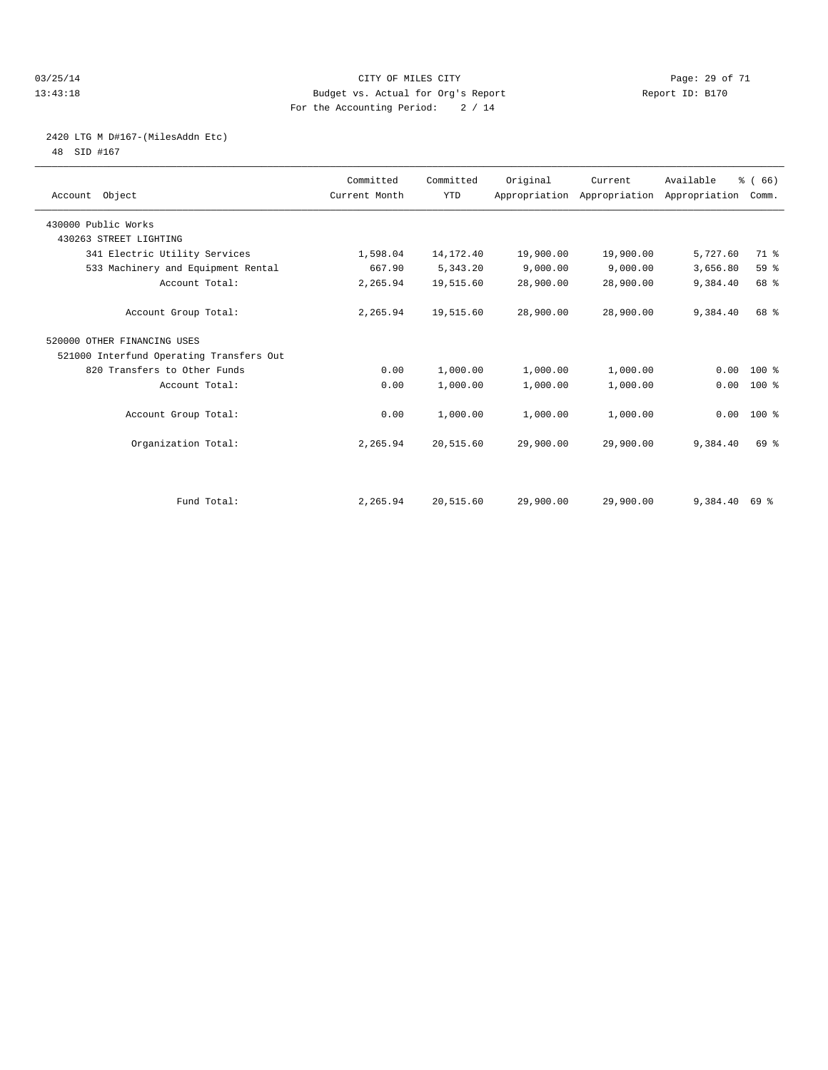#### 03/25/14 Page: 29 of 71 13:43:18 Budget vs. Actual for Org's Report Report ID: B170 For the Accounting Period: 2 / 14

# 2420 LTG M D#167-(MilesAddn Etc)

48 SID #167

| Account Object                           | Committed<br>Current Month | Committed<br><b>YTD</b> | Original  | Current<br>Appropriation Appropriation Appropriation | Available | % (66)<br>Comm. |  |
|------------------------------------------|----------------------------|-------------------------|-----------|------------------------------------------------------|-----------|-----------------|--|
| 430000 Public Works                      |                            |                         |           |                                                      |           |                 |  |
| 430263 STREET LIGHTING                   |                            |                         |           |                                                      |           |                 |  |
| 341 Electric Utility Services            | 1,598.04                   | 14, 172. 40             | 19,900.00 | 19,900.00                                            | 5,727.60  | 71 %            |  |
| 533 Machinery and Equipment Rental       | 667.90                     | 5,343.20                | 9,000.00  | 9.000.00                                             | 3,656.80  | 59 %            |  |
| Account Total:                           | 2,265.94                   | 19,515.60               | 28,900.00 | 28,900.00                                            | 9,384.40  | 68 %            |  |
| Account Group Total:                     | 2,265.94                   | 19,515.60               | 28,900.00 | 28,900.00                                            | 9,384.40  | 68 %            |  |
| 520000 OTHER FINANCING USES              |                            |                         |           |                                                      |           |                 |  |
| 521000 Interfund Operating Transfers Out |                            |                         |           |                                                      |           |                 |  |
| 820 Transfers to Other Funds             | 0.00                       | 1,000.00                | 1,000.00  | 1,000.00                                             | 0.00      | $100*$          |  |
| Account Total:                           | 0.00                       | 1,000.00                | 1,000.00  | 1,000.00                                             | 0.00      | 100 %           |  |
| Account Group Total:                     | 0.00                       | 1,000.00                | 1,000.00  | 1,000.00                                             |           | $0.00$ 100 %    |  |
| Organization Total:                      | 2,265.94                   | 20,515.60               | 29,900.00 | 29,900.00                                            | 9,384.40  | 69 %            |  |
|                                          |                            |                         |           |                                                      |           |                 |  |
| Fund Total:                              | 2,265.94                   | 20,515.60               | 29,900.00 | 29,900.00                                            | 9,384.40  | 69 %            |  |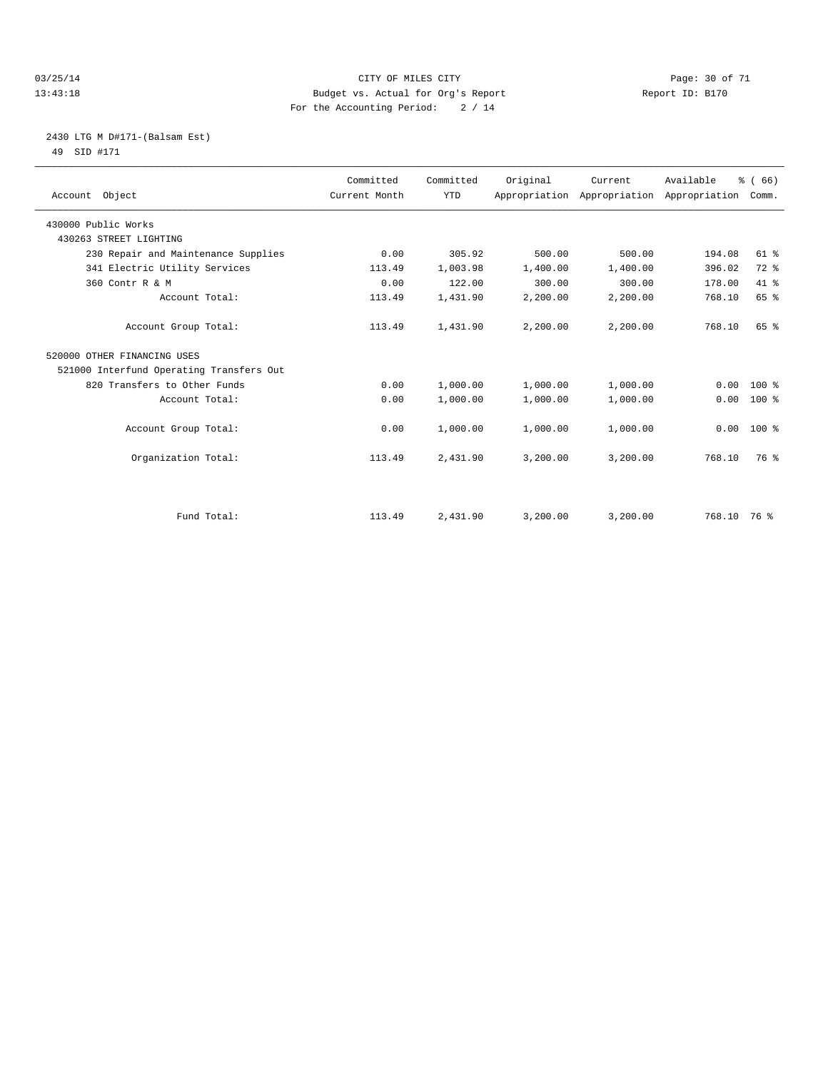#### 03/25/14 Page: 30 of 71 13:43:18 Budget vs. Actual for Org's Report Report ID: B170 For the Accounting Period: 2 / 14

### 2430 LTG M D#171-(Balsam Est) 49 SID #171

| Account Object                           | Committed<br>Current Month | Committed<br><b>YTD</b> | Original | Current<br>Appropriation Appropriation Appropriation | Available | % (66)<br>Comm. |
|------------------------------------------|----------------------------|-------------------------|----------|------------------------------------------------------|-----------|-----------------|
| 430000 Public Works                      |                            |                         |          |                                                      |           |                 |
| 430263 STREET LIGHTING                   |                            |                         |          |                                                      |           |                 |
| 230 Repair and Maintenance Supplies      | 0.00                       | 305.92                  | 500.00   | 500.00                                               | 194.08    | $61$ %          |
| 341 Electric Utility Services            | 113.49                     | 1,003.98                | 1,400.00 | 1,400.00                                             | 396.02    | 72 %            |
| 360 Contr R & M                          | 0.00                       | 122.00                  | 300.00   | 300.00                                               | 178.00    | $41*$           |
| Account Total:                           | 113.49                     | 1,431.90                | 2,200.00 | 2,200.00                                             | 768.10    | 65 %            |
| Account Group Total:                     | 113.49                     | 1,431.90                | 2,200.00 | 2,200.00                                             | 768.10    | 65%             |
| 520000 OTHER FINANCING USES              |                            |                         |          |                                                      |           |                 |
| 521000 Interfund Operating Transfers Out |                            |                         |          |                                                      |           |                 |
| 820 Transfers to Other Funds             | 0.00                       | 1,000.00                | 1,000.00 | 1,000.00                                             | 0.00      | $100*$          |
| Account Total:                           | 0.00                       | 1,000.00                | 1,000.00 | 1,000.00                                             | 0.00      | $100*$          |
| Account Group Total:                     | 0.00                       | 1,000.00                | 1,000.00 | 1,000.00                                             | 0.00      | 100 %           |
| Organization Total:                      | 113.49                     | 2,431.90                | 3,200.00 | 3,200.00                                             | 768.10    | 76 %            |
| Fund Total:                              | 113.49                     | 2,431.90                | 3,200.00 | 3,200.00                                             | 768.10    | 76 %            |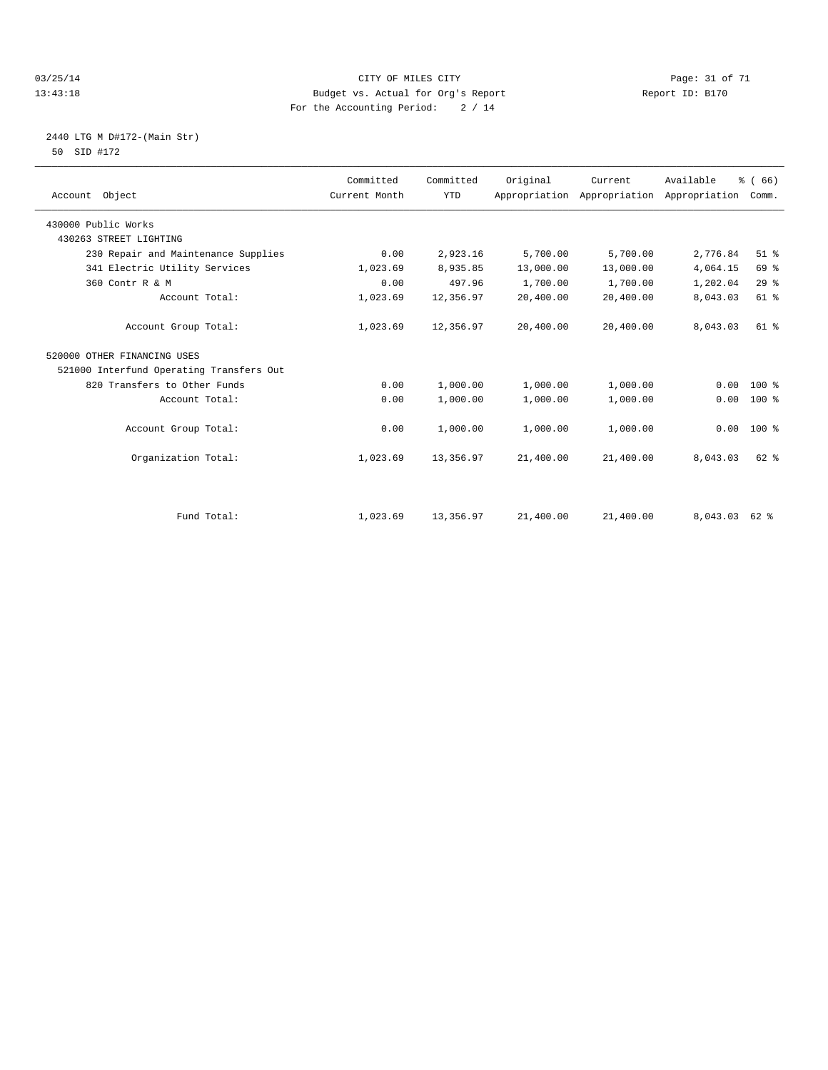#### 03/25/14 Page: 31 of 71 13:43:18 Budget vs. Actual for Org's Report Report ID: B170 For the Accounting Period: 2 / 14

### 2440 LTG M D#172-(Main Str) 50 SID #172

| Account Object                           | Committed<br>Current Month | Committed<br><b>YTD</b> | Original  | Current<br>Appropriation Appropriation | Available<br>Appropriation | % (66)<br>Comm. |
|------------------------------------------|----------------------------|-------------------------|-----------|----------------------------------------|----------------------------|-----------------|
| 430000 Public Works                      |                            |                         |           |                                        |                            |                 |
| 430263 STREET LIGHTING                   |                            |                         |           |                                        |                            |                 |
| 230 Repair and Maintenance Supplies      | 0.00                       | 2,923.16                | 5,700.00  | 5,700.00                               | 2,776.84                   | $51$ %          |
| 341 Electric Utility Services            | 1,023.69                   | 8,935.85                | 13,000.00 | 13,000.00                              | 4,064.15                   | 69 %            |
| 360 Contr R & M                          | 0.00                       | 497.96                  | 1,700.00  | 1,700.00                               | 1,202.04                   | 29%             |
| Account Total:                           | 1,023.69                   | 12,356.97               | 20,400.00 | 20,400.00                              | 8,043.03                   | 61 %            |
| Account Group Total:                     | 1,023.69                   | 12,356.97               | 20,400.00 | 20,400.00                              | 8,043.03                   | $61$ $%$        |
| 520000 OTHER FINANCING USES              |                            |                         |           |                                        |                            |                 |
| 521000 Interfund Operating Transfers Out |                            |                         |           |                                        |                            |                 |
| 820 Transfers to Other Funds             | 0.00                       | 1,000.00                | 1,000.00  | 1,000.00                               | 0.00                       | $100*$          |
| Account Total:                           | 0.00                       | 1,000.00                | 1,000.00  | 1,000.00                               | 0.00                       | $100*$          |
| Account Group Total:                     | 0.00                       | 1,000.00                | 1,000.00  | 1,000.00                               | 0.00                       | $100*$          |
| Organization Total:                      | 1,023.69                   | 13,356.97               | 21,400.00 | 21,400.00                              | 8,043.03                   | $62$ $%$        |
| Fund Total:                              | 1,023.69                   | 13,356.97               | 21,400.00 | 21,400.00                              | 8,043.03                   | 62 %            |
|                                          |                            |                         |           |                                        |                            |                 |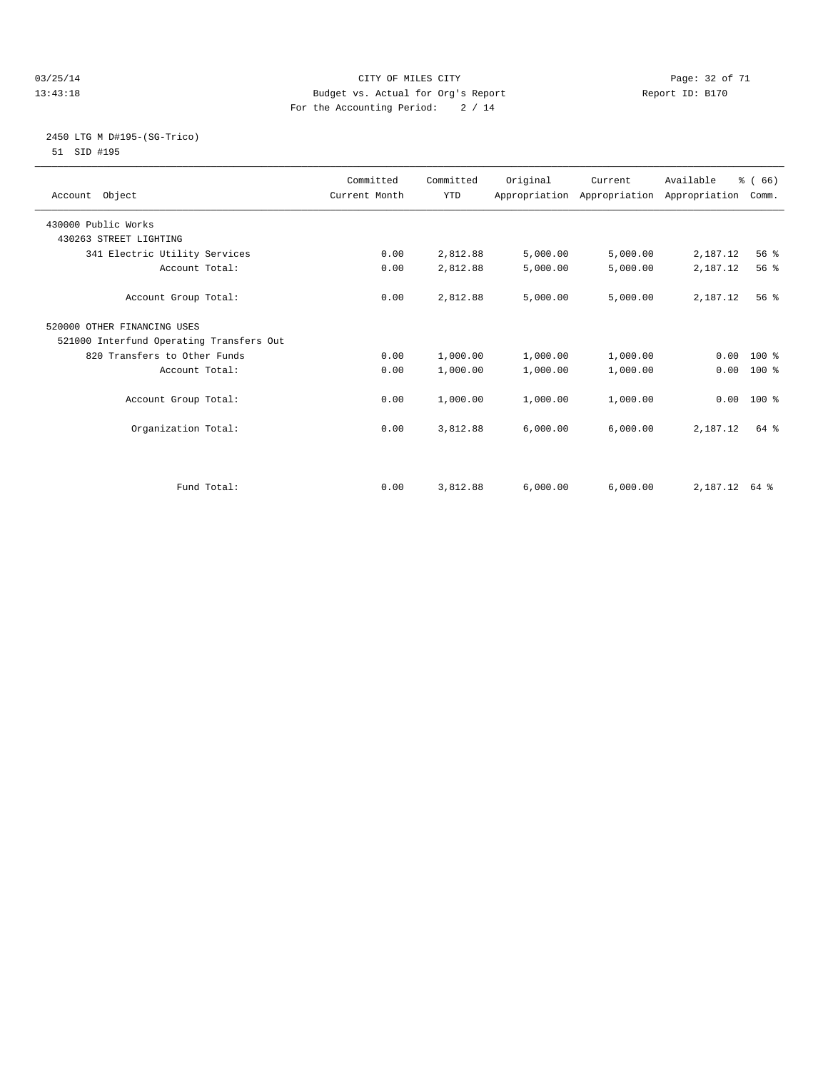#### 03/25/14 Page: 32 of 71 13:43:18 Budget vs. Actual for Org's Report Report ID: B170 For the Accounting Period: 2 / 14

#### 2450 LTG M D#195-(SG-Trico) 51 SID #195

| Account Object                           | Committed<br>Current Month | Committed<br><b>YTD</b> | Original | Current  | Available<br>Appropriation Appropriation Appropriation | % (66)<br>Comm. |  |
|------------------------------------------|----------------------------|-------------------------|----------|----------|--------------------------------------------------------|-----------------|--|
| 430000 Public Works                      |                            |                         |          |          |                                                        |                 |  |
| 430263 STREET LIGHTING                   |                            |                         |          |          |                                                        |                 |  |
| 341 Electric Utility Services            | 0.00                       | 2,812.88                | 5,000.00 | 5,000.00 | 2,187.12                                               | 56 %            |  |
| Account Total:                           | 0.00                       | 2,812.88                | 5,000.00 | 5,000.00 | 2,187.12                                               | 56 %            |  |
| Account Group Total:                     | 0.00                       | 2,812.88                | 5,000.00 | 5,000.00 | 2,187.12                                               | 56 <sup>8</sup> |  |
| 520000 OTHER FINANCING USES              |                            |                         |          |          |                                                        |                 |  |
| 521000 Interfund Operating Transfers Out |                            |                         |          |          |                                                        |                 |  |
| 820 Transfers to Other Funds             | 0.00                       | 1,000.00                | 1,000.00 | 1,000.00 |                                                        | $0.00$ 100 %    |  |
| Account Total:                           | 0.00                       | 1,000.00                | 1,000.00 | 1,000.00 | 0.00                                                   | 100 %           |  |
| Account Group Total:                     | 0.00                       | 1,000.00                | 1,000.00 | 1,000.00 | 0.00                                                   | $100*$          |  |
| Organization Total:                      | 0.00                       | 3,812.88                | 6,000.00 | 6,000.00 | 2,187.12                                               | 64 %            |  |
|                                          |                            |                         |          |          |                                                        |                 |  |
| Fund Total:                              | 0.00                       | 3,812.88                | 6.000.00 | 6,000.00 | $2.187.12$ 64 %                                        |                 |  |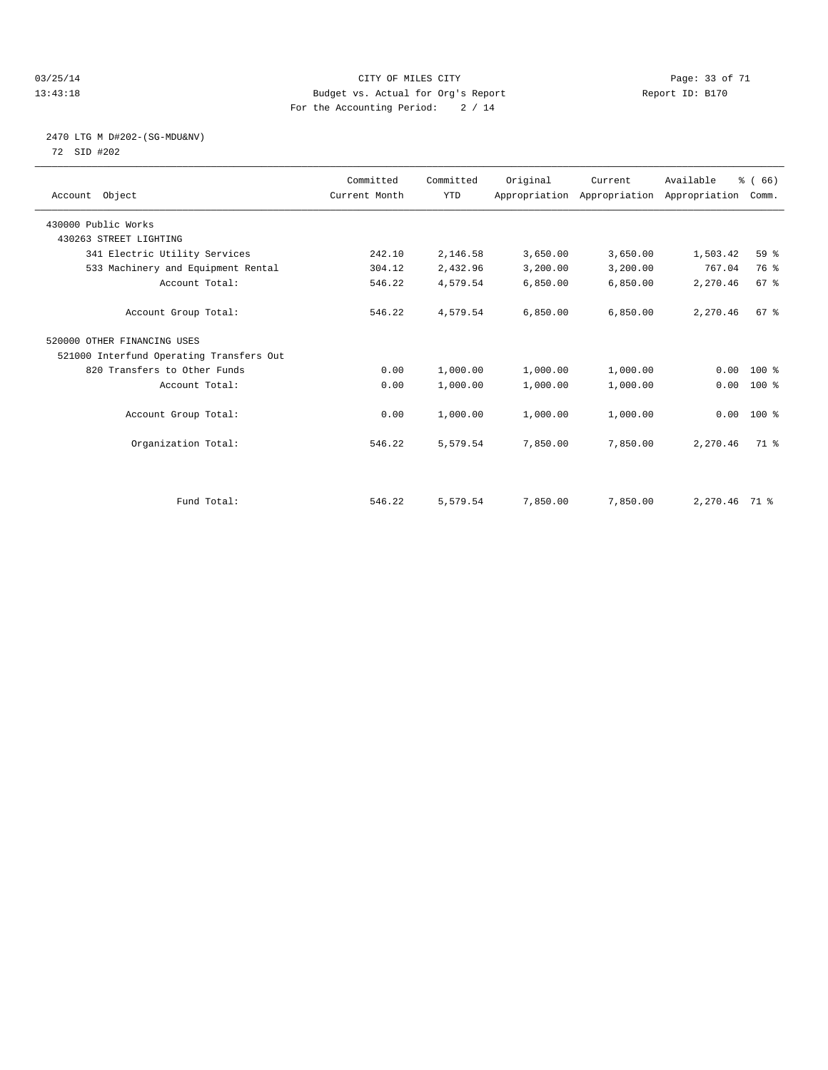#### 03/25/14 Page: 33 of 71 13:43:18 Budget vs. Actual for Org's Report Report ID: B170 For the Accounting Period: 2 / 14

### 2470 LTG M D#202-(SG-MDU&NV) 72 SID #202

| Account Object                           | Committed<br>Current Month | Committed<br><b>YTD</b> | Original | Current<br>Appropriation Appropriation Appropriation | Available     | % (66)<br>Comm. |  |
|------------------------------------------|----------------------------|-------------------------|----------|------------------------------------------------------|---------------|-----------------|--|
| 430000 Public Works                      |                            |                         |          |                                                      |               |                 |  |
| 430263 STREET LIGHTING                   |                            |                         |          |                                                      |               |                 |  |
| 341 Electric Utility Services            | 242.10                     | 2,146.58                | 3,650.00 | 3,650.00                                             | 1,503.42      | 59 %            |  |
| 533 Machinery and Equipment Rental       | 304.12                     | 2,432.96                | 3,200.00 | 3,200.00                                             | 767.04        | 76 %            |  |
| Account Total:                           | 546.22                     | 4,579.54                | 6,850.00 | 6,850.00                                             | 2,270.46      | 67 %            |  |
| Account Group Total:                     | 546.22                     | 4,579.54                | 6,850.00 | 6,850.00                                             | 2,270.46      | 67 <sup>8</sup> |  |
| 520000 OTHER FINANCING USES              |                            |                         |          |                                                      |               |                 |  |
| 521000 Interfund Operating Transfers Out |                            |                         |          |                                                      |               |                 |  |
| 820 Transfers to Other Funds             | 0.00                       | 1,000.00                | 1,000.00 | 1,000.00                                             | 0.00          | $100*$          |  |
| Account Total:                           | 0.00                       | 1,000.00                | 1,000.00 | 1,000.00                                             | 0.00          | $100*$          |  |
| Account Group Total:                     | 0.00                       | 1,000.00                | 1,000.00 | 1,000.00                                             |               | $0.00$ 100 %    |  |
| Organization Total:                      | 546.22                     | 5,579.54                | 7,850.00 | 7,850.00                                             | 2,270.46      | 71 %            |  |
|                                          |                            |                         |          |                                                      |               |                 |  |
| Fund Total:                              | 546.22                     | 5,579.54                | 7,850.00 | 7,850.00                                             | 2,270.46 71 % |                 |  |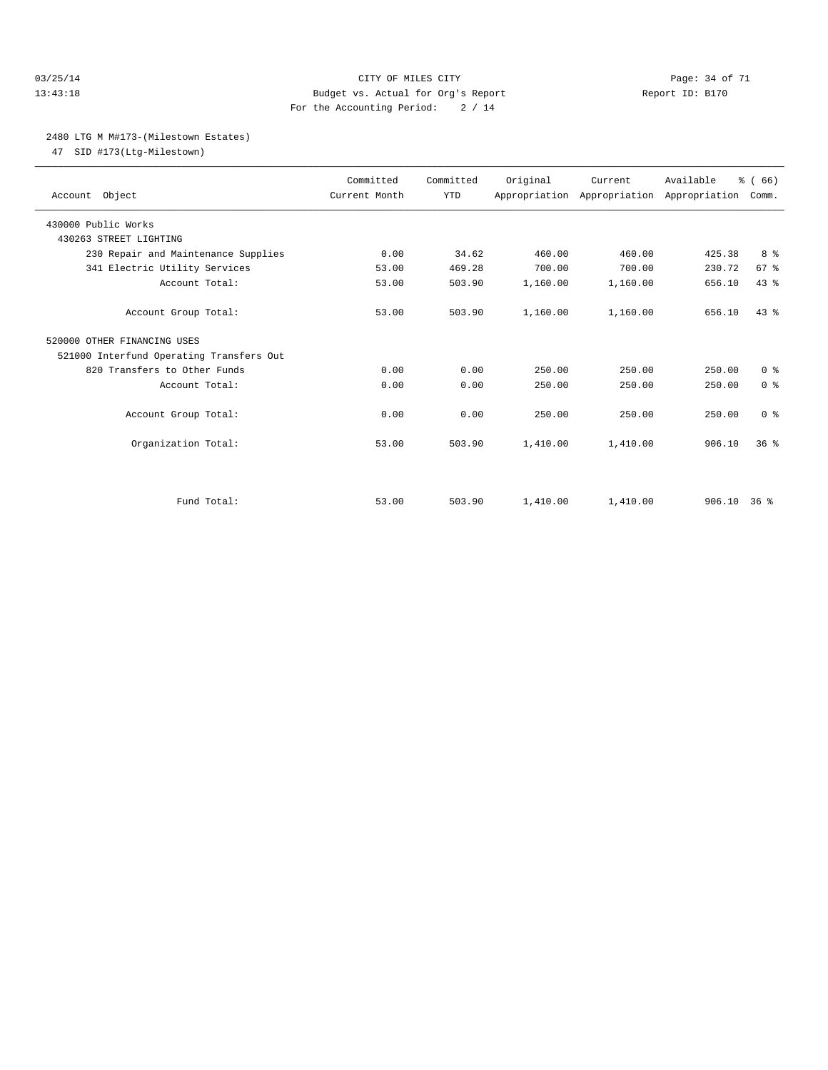#### 03/25/14 Page: 34 of 71 13:43:18 Budget vs. Actual for Org's Report Report ID: B170 For the Accounting Period: 2 / 14

#### 2480 LTG M M#173-(Milestown Estates)

47 SID #173(Ltg-Milestown)

| Account Object                           | Committed<br>Current Month | Committed<br><b>YTD</b> | Original | Current<br>Appropriation Appropriation Appropriation | Available   | % (66)<br>Comm. |  |
|------------------------------------------|----------------------------|-------------------------|----------|------------------------------------------------------|-------------|-----------------|--|
| 430000 Public Works                      |                            |                         |          |                                                      |             |                 |  |
| 430263 STREET LIGHTING                   |                            |                         |          |                                                      |             |                 |  |
| 230 Repair and Maintenance Supplies      | 0.00                       | 34.62                   | 460.00   | 460.00                                               | 425.38      | 8 %             |  |
| 341 Electric Utility Services            | 53.00                      | 469.28                  | 700.00   | 700.00                                               | 230.72      | 67 %            |  |
| Account Total:                           | 53.00                      | 503.90                  | 1,160.00 | 1,160.00                                             | 656.10      | 43.8            |  |
| Account Group Total:                     | 53.00                      | 503.90                  | 1,160.00 | 1,160.00                                             | 656.10      | 43.8            |  |
| 520000 OTHER FINANCING USES              |                            |                         |          |                                                      |             |                 |  |
| 521000 Interfund Operating Transfers Out |                            |                         |          |                                                      |             |                 |  |
| 820 Transfers to Other Funds             | 0.00                       | 0.00                    | 250.00   | 250.00                                               | 250.00      | 0 <sup>8</sup>  |  |
| Account Total:                           | 0.00                       | 0.00                    | 250.00   | 250.00                                               | 250.00      | 0 <sup>8</sup>  |  |
| Account Group Total:                     | 0.00                       | 0.00                    | 250.00   | 250.00                                               | 250.00      | 0 <sup>8</sup>  |  |
| Organization Total:                      | 53.00                      | 503.90                  | 1,410.00 | 1,410.00                                             | 906.10      | 36 <sup>8</sup> |  |
|                                          |                            |                         |          |                                                      |             |                 |  |
| Fund Total:                              | 53.00                      | 503.90                  | 1,410.00 | 1,410.00                                             | 906.10 36 % |                 |  |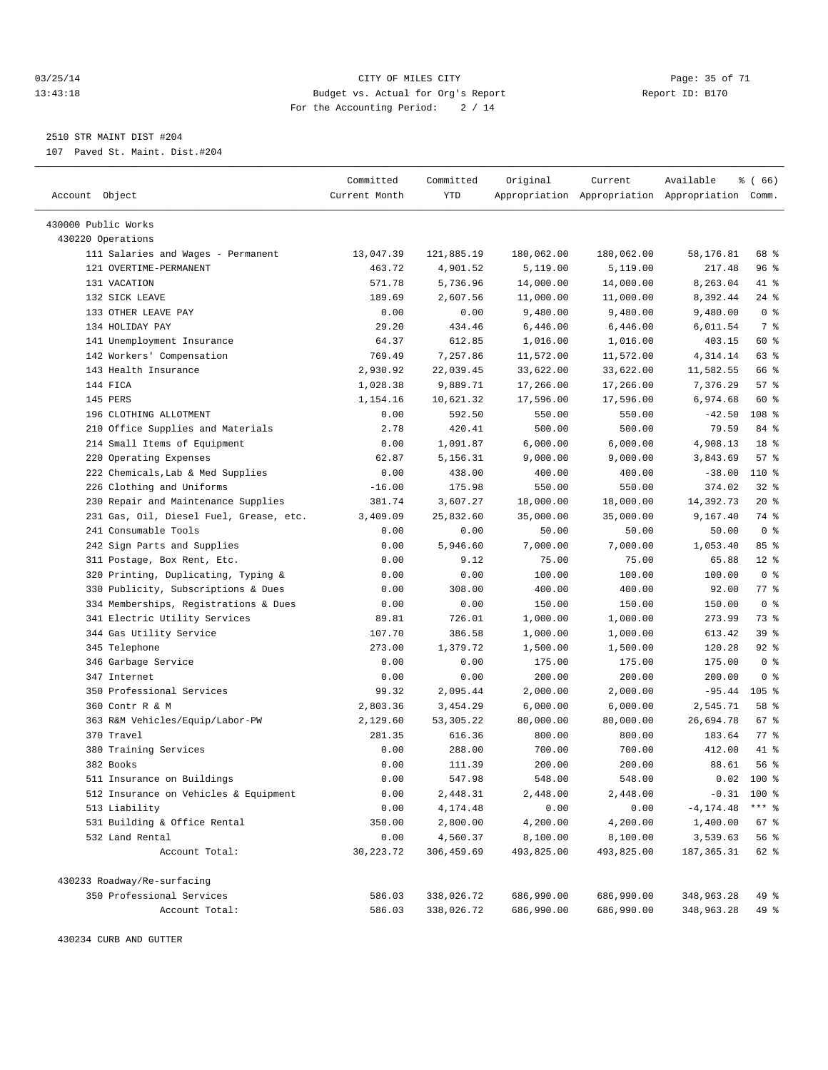#### 03/25/14 Page: 35 of 71 13:43:18 Budget vs. Actual for Org's Report Report ID: B170 For the Accounting Period: 2 / 14

————————————————————————————————————————————————————————————————————————————————————————————————————————————————————————————————————

2510 STR MAINT DIST #204

107 Paved St. Maint. Dist.#204

|                                         | Committed     | Committed  | Original   | Current                                         | Available    | ៖ ( 66)          |  |
|-----------------------------------------|---------------|------------|------------|-------------------------------------------------|--------------|------------------|--|
| Account Object                          | Current Month | YTD        |            | Appropriation Appropriation Appropriation Comm. |              |                  |  |
|                                         |               |            |            |                                                 |              |                  |  |
| 430000 Public Works                     |               |            |            |                                                 |              |                  |  |
| 430220 Operations                       |               |            |            |                                                 |              |                  |  |
| 111 Salaries and Wages - Permanent      | 13,047.39     | 121,885.19 | 180,062.00 | 180,062.00                                      | 58,176.81    | 68 %             |  |
| 121 OVERTIME-PERMANENT                  | 463.72        | 4,901.52   | 5,119.00   | 5,119.00                                        | 217.48       | 96 %             |  |
| 131 VACATION                            | 571.78        | 5,736.96   | 14,000.00  | 14,000.00                                       | 8,263.04     | 41 %             |  |
| 132 SICK LEAVE                          | 189.69        | 2,607.56   | 11,000.00  | 11,000.00                                       | 8,392.44     | $24$ %           |  |
| 133 OTHER LEAVE PAY                     | 0.00          | 0.00       | 9,480.00   | 9,480.00                                        | 9,480.00     | 0 <sup>8</sup>   |  |
| 134 HOLIDAY PAY                         | 29.20         | 434.46     | 6,446.00   | 6,446.00                                        | 6,011.54     | 7 %              |  |
| 141 Unemployment Insurance              | 64.37         | 612.85     | 1,016.00   | 1,016.00                                        | 403.15       | 60 %             |  |
| 142 Workers' Compensation               | 769.49        | 7,257.86   | 11,572.00  | 11,572.00                                       | 4,314.14     | 63 %             |  |
| 143 Health Insurance                    | 2,930.92      | 22,039.45  | 33,622.00  | 33,622.00                                       | 11,582.55    | 66 %             |  |
| 144 FICA                                | 1,028.38      | 9,889.71   | 17,266.00  | 17,266.00                                       | 7,376.29     | 57%              |  |
| 145 PERS                                | 1,154.16      | 10,621.32  | 17,596.00  | 17,596.00                                       | 6,974.68     | 60 %             |  |
| 196 CLOTHING ALLOTMENT                  | 0.00          | 592.50     | 550.00     | 550.00                                          | $-42.50$     | 108 <sup>8</sup> |  |
| 210 Office Supplies and Materials       | 2.78          | 420.41     | 500.00     | 500.00                                          | 79.59        | 84 %             |  |
| 214 Small Items of Equipment            | 0.00          | 1,091.87   | 6,000.00   | 6,000.00                                        | 4,908.13     | 18 %             |  |
| 220 Operating Expenses                  | 62.87         | 5,156.31   | 9,000.00   | 9,000.00                                        | 3,843.69     | 57%              |  |
| 222 Chemicals, Lab & Med Supplies       | 0.00          | 438.00     | 400.00     | 400.00                                          | $-38.00$     | 110 %            |  |
| 226 Clothing and Uniforms               | $-16.00$      | 175.98     | 550.00     | 550.00                                          | 374.02       | $32$ $%$         |  |
| 230 Repair and Maintenance Supplies     | 381.74        | 3,607.27   | 18,000.00  | 18,000.00                                       | 14,392.73    | $20*$            |  |
| 231 Gas, Oil, Diesel Fuel, Grease, etc. | 3,409.09      | 25,832.60  | 35,000.00  | 35,000.00                                       | 9,167.40     | 74 %             |  |
| 241 Consumable Tools                    | 0.00          | 0.00       | 50.00      | 50.00                                           | 50.00        | 0 <sup>8</sup>   |  |
| 242 Sign Parts and Supplies             | 0.00          | 5,946.60   | 7,000.00   | 7,000.00                                        | 1,053.40     | 85%              |  |
| 311 Postage, Box Rent, Etc.             | 0.00          | 9.12       | 75.00      | 75.00                                           | 65.88        | $12*$            |  |
| 320 Printing, Duplicating, Typing &     | 0.00          | 0.00       | 100.00     | 100.00                                          | 100.00       | 0 <sup>8</sup>   |  |
| 330 Publicity, Subscriptions & Dues     | 0.00          | 308.00     | 400.00     | 400.00                                          | 92.00        | 77 %             |  |
| 334 Memberships, Registrations & Dues   | 0.00          | 0.00       | 150.00     | 150.00                                          | 150.00       | 0 <sup>8</sup>   |  |
| 341 Electric Utility Services           | 89.81         | 726.01     | 1,000.00   | 1,000.00                                        | 273.99       | 73 %             |  |
| 344 Gas Utility Service                 | 107.70        | 386.58     | 1,000.00   | 1,000.00                                        | 613.42       | 39 %             |  |
| 345 Telephone                           | 273.00        | 1,379.72   | 1,500.00   | 1,500.00                                        | 120.28       | $92$ $%$         |  |
| 346 Garbage Service                     | 0.00          | 0.00       | 175.00     | 175.00                                          | 175.00       | 0 <sup>8</sup>   |  |
| 347 Internet                            | 0.00          | 0.00       | 200.00     | 200.00                                          | 200.00       | 0 <sup>8</sup>   |  |
| 350 Professional Services               | 99.32         | 2,095.44   | 2,000.00   | 2,000.00                                        | $-95.44$     | $105$ %          |  |
| 360 Contr R & M                         | 2,803.36      | 3,454.29   | 6,000.00   | 6,000.00                                        | 2,545.71     | 58 %             |  |
| 363 R&M Vehicles/Equip/Labor-PW         | 2,129.60      | 53,305.22  | 80,000.00  | 80,000.00                                       | 26,694.78    | 67 %             |  |
| 370 Travel                              | 281.35        | 616.36     | 800.00     | 800.00                                          | 183.64       | 77 %             |  |
| 380 Training Services                   | 0.00          | 288.00     | 700.00     | 700.00                                          | 412.00       | 41 %             |  |
| 382 Books                               | 0.00          | 111.39     | 200.00     | 200.00                                          | 88.61        | 56%              |  |
| 511 Insurance on Buildings              | 0.00          | 547.98     | 548.00     | 548.00                                          | 0.02         | 100 %            |  |
| 512 Insurance on Vehicles & Equipment   | 0.00          | 2,448.31   | 2,448.00   | 2,448.00                                        |              | $-0.31$ 100 %    |  |
| 513 Liability                           | 0.00          | 4,174.48   | 0.00       | 0.00                                            | $-4, 174.48$ | $***$ $_{8}$     |  |
| 531 Building & Office Rental            | 350.00        | 2,800.00   | 4,200.00   | 4,200.00                                        | 1,400.00     | 67 %             |  |
| 532 Land Rental                         | 0.00          | 4,560.37   | 8,100.00   | 8,100.00                                        | 3,539.63     | 56 %             |  |
| Account Total:                          | 30, 223. 72   | 306,459.69 | 493,825.00 | 493,825.00                                      | 187, 365.31  | 62 %             |  |
|                                         |               |            |            |                                                 |              |                  |  |
| 430233 Roadway/Re-surfacing             |               |            |            |                                                 |              |                  |  |
| 350 Professional Services               | 586.03        | 338,026.72 | 686,990.00 | 686,990.00                                      | 348,963.28   | 49 %             |  |
| Account Total:                          | 586.03        | 338,026.72 | 686,990.00 | 686,990.00                                      | 348,963.28   | 49 %             |  |

430234 CURB AND GUTTER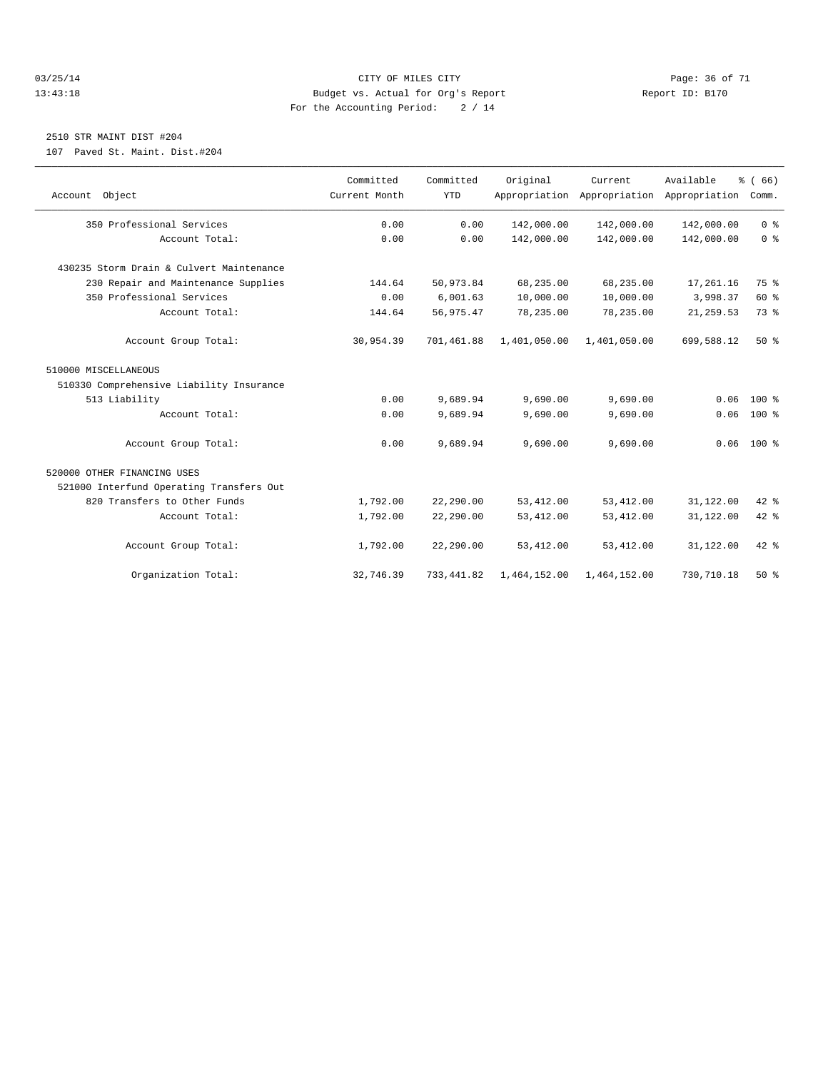#### 03/25/14 Page: 36 of 71 13:43:18 Budget vs. Actual for Org's Report Report ID: B170 For the Accounting Period: 2 / 14

# 2510 STR MAINT DIST #204

107 Paved St. Maint. Dist.#204

| Account Object                           | Committed<br>Current Month | Committed<br><b>YTD</b> | Original     | Current<br>Appropriation Appropriation Appropriation | Available  | % (66)<br>Comm. |
|------------------------------------------|----------------------------|-------------------------|--------------|------------------------------------------------------|------------|-----------------|
| 350 Professional Services                | 0.00                       | 0.00                    | 142,000.00   | 142,000.00                                           | 142,000.00 | 0 <sup>8</sup>  |
| Account Total:                           | 0.00                       | 0.00                    | 142,000.00   | 142,000.00                                           | 142,000.00 | 0 <sup>8</sup>  |
| 430235 Storm Drain & Culvert Maintenance |                            |                         |              |                                                      |            |                 |
| 230 Repair and Maintenance Supplies      | 144.64                     | 50,973.84               | 68,235.00    | 68,235.00                                            | 17,261.16  | 75 %            |
| 350 Professional Services                | 0.00                       | 6.001.63                | 10,000.00    | 10,000.00                                            | 3,998.37   | 60 %            |
| Account Total:                           | 144.64                     | 56,975.47               | 78,235.00    | 78,235.00                                            | 21, 259.53 | 73 %            |
| Account Group Total:                     | 30,954.39                  | 701,461.88              | 1,401,050.00 | 1,401,050.00                                         | 699,588.12 | $50*$           |
| 510000 MISCELLANEOUS                     |                            |                         |              |                                                      |            |                 |
| 510330 Comprehensive Liability Insurance |                            |                         |              |                                                      |            |                 |
| 513 Liability                            | 0.00                       | 9,689.94                | 9,690.00     | 9,690.00                                             | 0.06       | $100*$          |
| Account Total:                           | 0.00                       | 9,689.94                | 9,690.00     | 9,690.00                                             | 0.06       | $100*$          |
| Account Group Total:                     | 0.00                       | 9,689.94                | 9,690.00     | 9,690.00                                             |            | $0.06$ 100 %    |
| 520000 OTHER FINANCING USES              |                            |                         |              |                                                      |            |                 |
| 521000 Interfund Operating Transfers Out |                            |                         |              |                                                      |            |                 |
| 820 Transfers to Other Funds             | 1,792.00                   | 22,290.00               | 53, 412.00   | 53, 412.00                                           | 31,122.00  | 42 %            |
| Account Total:                           | 1,792.00                   | 22,290.00               | 53, 412.00   | 53, 412.00                                           | 31,122.00  | $42$ $%$        |
| Account Group Total:                     | 1,792.00                   | 22,290.00               | 53, 412.00   | 53, 412.00                                           | 31,122.00  | $42*$           |
| Organization Total:                      | 32,746.39                  | 733, 441.82             | 1,464,152.00 | 1,464,152.00                                         | 730,710.18 | $50*$           |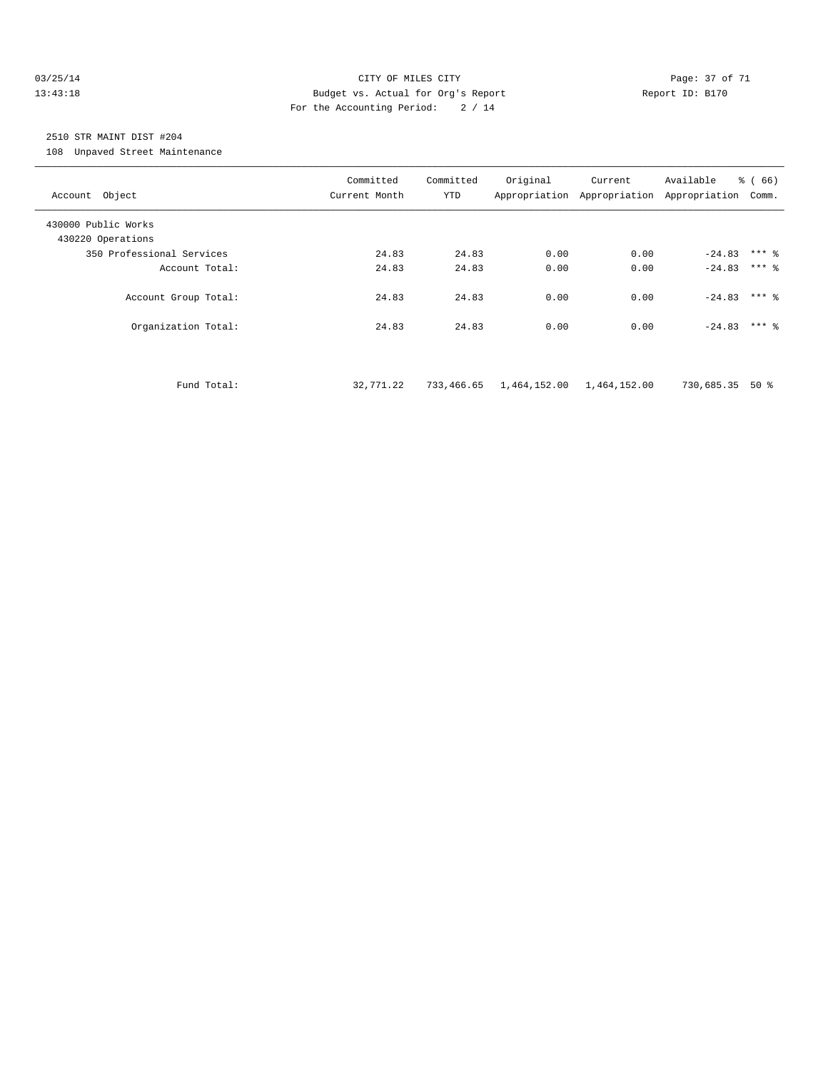#### 03/25/14 Page: 37 of 71 13:43:18 Budget vs. Actual for Org's Report Report ID: B170 For the Accounting Period: 2 / 14

# 2510 STR MAINT DIST #204

108 Unpaved Street Maintenance

| Account Object                           | Committed<br>Current Month | Committed<br>YTD | Original                  | Current | Available<br>Appropriation Appropriation Appropriation Comm. | % (66)  |
|------------------------------------------|----------------------------|------------------|---------------------------|---------|--------------------------------------------------------------|---------|
| 430000 Public Works<br>430220 Operations |                            |                  |                           |         |                                                              |         |
| 350 Professional Services                | 24.83                      | 24.83            | 0.00                      | 0.00    | $-24.83$ *** &                                               |         |
| Account Total:                           | 24.83                      | 24.83            | 0.00                      | 0.00    | $-24.83$                                                     | $***$ 2 |
| Account Group Total:                     | 24.83                      | 24.83            | 0.00                      | 0.00    | $-24.83$ *** 8                                               |         |
| Organization Total:                      | 24.83                      | 24.83            | 0.00                      | 0.00    | $-24.83$ *** &                                               |         |
|                                          |                            |                  |                           |         |                                                              |         |
| Fund Total:                              | 32,771.22                  | 733,466.65       | 1,464,152.00 1,464,152.00 |         | 730,685.35                                                   | 50 %    |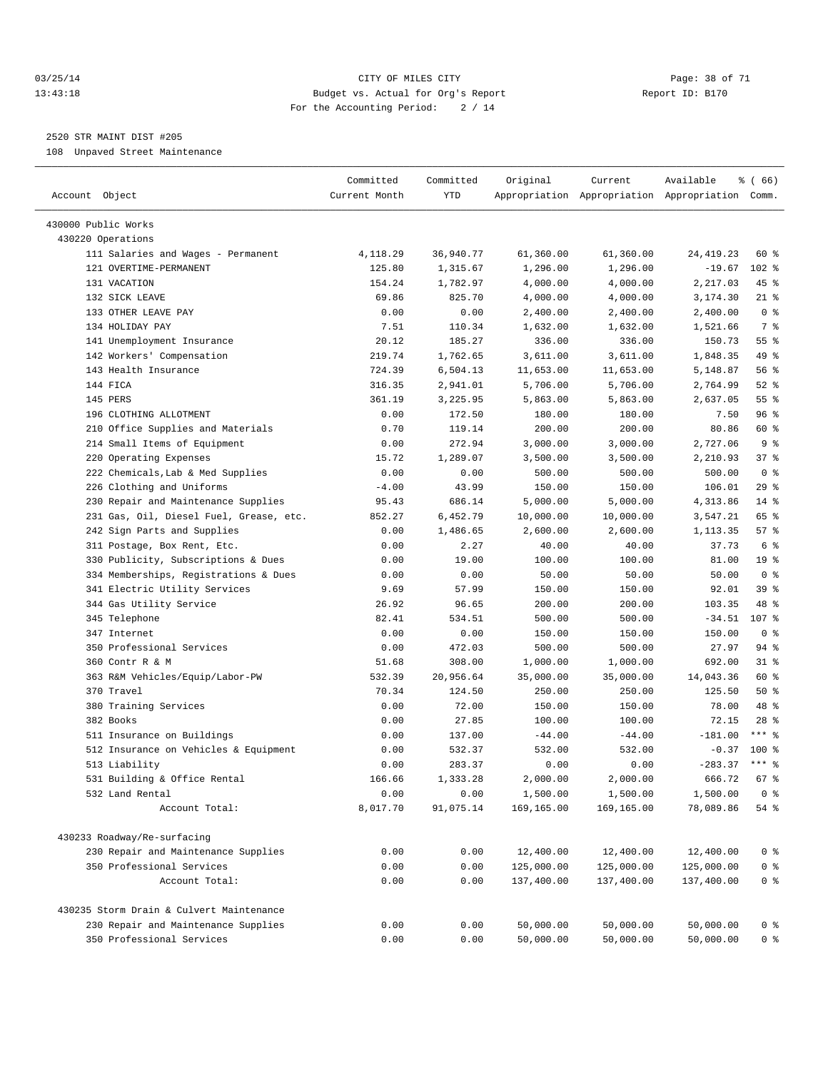#### 03/25/14 Page: 38 of 71 13:43:18 Budget vs. Actual for Org's Report Report ID: B170 For the Accounting Period: 2 / 14

————————————————————————————————————————————————————————————————————————————————————————————————————————————————————————————————————

## 2520 STR MAINT DIST #205

108 Unpaved Street Maintenance

|                                             | Committed     | Committed    | Original                 | Current                  | Available                                       | 8 ( 66 )        |
|---------------------------------------------|---------------|--------------|--------------------------|--------------------------|-------------------------------------------------|-----------------|
| Account Object                              | Current Month | YTD          |                          |                          | Appropriation Appropriation Appropriation Comm. |                 |
| 430000 Public Works                         |               |              |                          |                          |                                                 |                 |
| 430220 Operations                           |               |              |                          |                          |                                                 |                 |
| 111 Salaries and Wages - Permanent          | 4,118.29      | 36,940.77    | 61,360.00                | 61,360.00                | 24, 419. 23                                     | 60 %            |
| 121 OVERTIME-PERMANENT                      | 125.80        | 1,315.67     | 1,296.00                 | 1,296.00                 | $-19.67$                                        | 102 %           |
| 131 VACATION                                | 154.24        | 1,782.97     | 4,000.00                 | 4,000.00                 | 2,217.03                                        | 45 %            |
| 132 SICK LEAVE                              | 69.86         | 825.70       | 4,000.00                 | 4,000.00                 | 3,174.30                                        | $21$ %          |
| 133 OTHER LEAVE PAY                         | 0.00          | 0.00         | 2,400.00                 | 2,400.00                 | 2,400.00                                        | 0 <sup>8</sup>  |
| 134 HOLIDAY PAY                             | 7.51          | 110.34       | 1,632.00                 | 1,632.00                 | 1,521.66                                        | 7 %             |
| 141 Unemployment Insurance                  | 20.12         | 185.27       | 336.00                   | 336.00                   | 150.73                                          | 55%             |
| 142 Workers' Compensation                   | 219.74        | 1,762.65     | 3,611.00                 | 3,611.00                 | 1,848.35                                        | 49 %            |
| 143 Health Insurance                        | 724.39        | 6,504.13     | 11,653.00                | 11,653.00                | 5,148.87                                        | 56%             |
| 144 FICA                                    | 316.35        | 2,941.01     | 5,706.00                 | 5,706.00                 | 2,764.99                                        | $52$ $%$        |
| 145 PERS                                    | 361.19        | 3,225.95     | 5,863.00                 | 5,863.00                 | 2,637.05                                        | 55 <sup>8</sup> |
| 196 CLOTHING ALLOTMENT                      | 0.00          | 172.50       | 180.00                   | 180.00                   | 7.50                                            | 96%             |
| 210 Office Supplies and Materials           | 0.70          | 119.14       | 200.00                   | 200.00                   | 80.86                                           | 60 %            |
| 214 Small Items of Equipment                | 0.00          | 272.94       | 3,000.00                 | 3,000.00                 | 2,727.06                                        | 9 <sup>°</sup>  |
| 220 Operating Expenses                      | 15.72         | 1,289.07     | 3,500.00                 | 3,500.00                 | 2,210.93                                        | 37%             |
| 222 Chemicals, Lab & Med Supplies           | 0.00          | 0.00         | 500.00                   | 500.00                   | 500.00                                          | 0 <sup>8</sup>  |
| 226 Clothing and Uniforms                   | $-4.00$       | 43.99        | 150.00                   | 150.00                   | 106.01                                          | 29%             |
| 230 Repair and Maintenance Supplies         | 95.43         | 686.14       | 5,000.00                 | 5,000.00                 | 4,313.86                                        | $14$ %          |
| 231 Gas, Oil, Diesel Fuel, Grease, etc.     | 852.27        | 6,452.79     | 10,000.00                | 10,000.00                | 3,547.21                                        | 65 %            |
| 242 Sign Parts and Supplies                 | 0.00          | 1,486.65     | 2,600.00                 | 2,600.00                 | 1,113.35                                        | 57%             |
| 311 Postage, Box Rent, Etc.                 | 0.00          | 2.27         | 40.00                    | 40.00                    | 37.73                                           | 6 %             |
| 330 Publicity, Subscriptions & Dues         | 0.00          | 19.00        | 100.00                   | 100.00                   | 81.00                                           | 19 <sup>°</sup> |
| 334 Memberships, Registrations & Dues       | 0.00          | 0.00         | 50.00                    | 50.00                    | 50.00                                           | 0 <sup>8</sup>  |
| 341 Electric Utility Services               | 9.69          | 57.99        | 150.00                   | 150.00                   | 92.01                                           | 39 %            |
| 344 Gas Utility Service                     | 26.92         | 96.65        | 200.00                   | 200.00                   | 103.35                                          | 48 %            |
| 345 Telephone                               | 82.41         | 534.51       | 500.00                   | 500.00                   | $-34.51$                                        | 107 %           |
| 347 Internet                                | 0.00          | 0.00         | 150.00                   | 150.00                   | 150.00                                          | 0 <sup>8</sup>  |
| 350 Professional Services                   | 0.00          | 472.03       | 500.00                   | 500.00                   | 27.97                                           | 94 %            |
| 360 Contr R & M                             | 51.68         | 308.00       | 1,000.00                 | 1,000.00                 | 692.00                                          | $31$ $%$        |
| 363 R&M Vehicles/Equip/Labor-PW             | 532.39        | 20,956.64    | 35,000.00                | 35,000.00                | 14,043.36                                       | 60 %            |
| 370 Travel                                  | 70.34         | 124.50       | 250.00                   | 250.00                   | 125.50                                          | 50%             |
| 380 Training Services                       | 0.00          | 72.00        | 150.00                   | 150.00                   | 78.00                                           | 48 %            |
| 382 Books                                   | 0.00          | 27.85        | 100.00                   | 100.00                   | 72.15                                           | $28$ %          |
| 511 Insurance on Buildings                  | 0.00          | 137.00       | $-44.00$                 | $-44.00$                 | $-181.00$                                       | $***$ 8         |
| 512 Insurance on Vehicles & Equipment       | 0.00          | 532.37       | 532.00                   | 532.00                   | $-0.37$                                         | 100 %           |
| 513 Liability                               | 0.00          | 283.37       | 0.00                     | 0.00                     | $-283.37$                                       | $***$ $%$       |
| 531 Building & Office Rental                | 166.66        | 1,333.28     | 2,000.00                 | 2,000.00                 | 666.72                                          | 67%             |
| 532 Land Rental                             | 0.00          | 0.00         | 1,500.00                 | 1,500.00                 | 1,500.00                                        | 0 <sup>8</sup>  |
| Account Total:                              | 8,017.70      | 91,075.14    | 169,165.00               | 169,165.00               | 78,089.86                                       | 54 %            |
|                                             |               |              |                          |                          |                                                 |                 |
| 430233 Roadway/Re-surfacing                 |               |              |                          |                          |                                                 |                 |
| 230 Repair and Maintenance Supplies         | 0.00          | 0.00         | 12,400.00                | 12,400.00                | 12,400.00                                       | $0$ %           |
| 350 Professional Services<br>Account Total: | 0.00<br>0.00  | 0.00<br>0.00 | 125,000.00<br>137,400.00 | 125,000.00<br>137,400.00 | 125,000.00<br>137,400.00                        | $0$ %<br>$0$ %  |
|                                             |               |              |                          |                          |                                                 |                 |
| 430235 Storm Drain & Culvert Maintenance    |               |              |                          |                          |                                                 |                 |
| 230 Repair and Maintenance Supplies         | 0.00          | 0.00         | 50,000.00                | 50,000.00                | 50,000.00                                       | $0$ %           |
| 350 Professional Services                   | 0.00          | 0.00         | 50,000.00                | 50,000.00                | 50,000.00                                       | $0$ %           |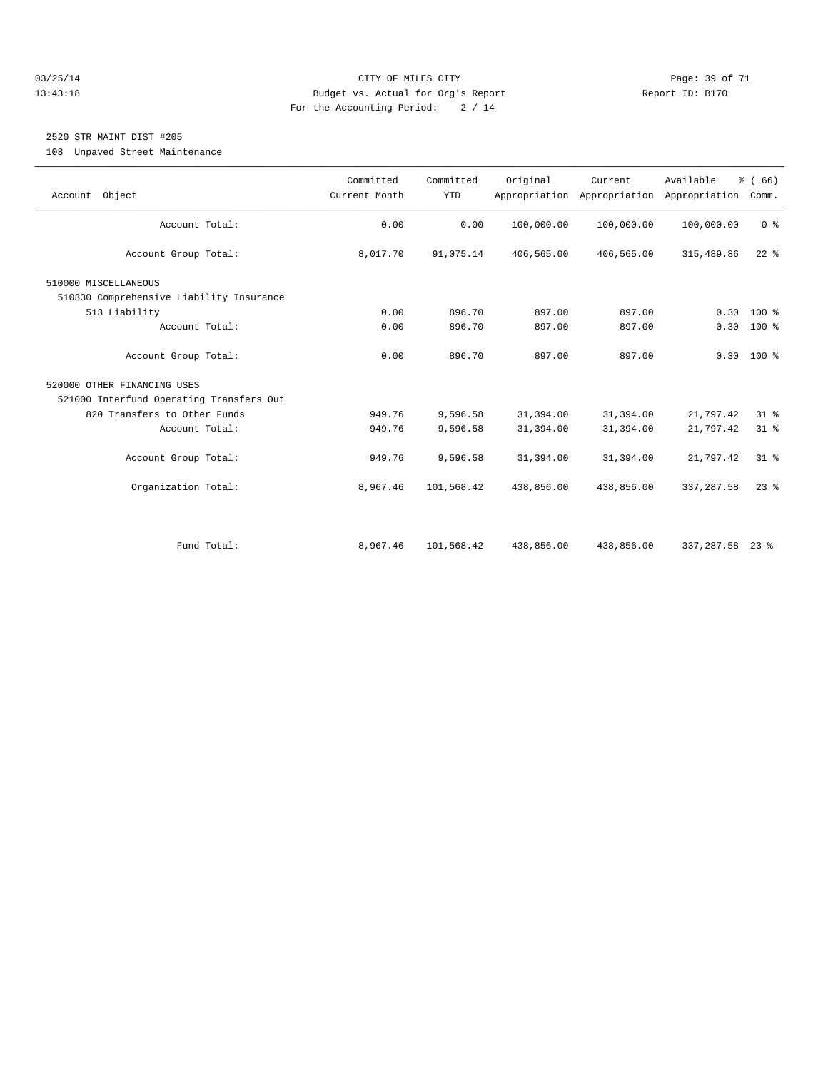#### 03/25/14 Page: 39 of 71 13:43:18 Budget vs. Actual for Org's Report Report ID: B170 For the Accounting Period: 2 / 14

# 2520 STR MAINT DIST #205

108 Unpaved Street Maintenance

| Account Object                           | Committed<br>Current Month | Committed<br><b>YTD</b> | Original   | Current<br>Appropriation Appropriation | Available<br>Appropriation | % (66)<br>Comm. |
|------------------------------------------|----------------------------|-------------------------|------------|----------------------------------------|----------------------------|-----------------|
|                                          | 0.00                       |                         |            |                                        |                            |                 |
| Account Total:                           |                            | 0.00                    | 100,000.00 | 100,000.00                             | 100,000.00                 | 0 <sup>8</sup>  |
| Account Group Total:                     | 8,017.70                   | 91,075.14               | 406,565.00 | 406,565.00                             | 315,489.86                 | $22$ $%$        |
| 510000 MISCELLANEOUS                     |                            |                         |            |                                        |                            |                 |
| 510330 Comprehensive Liability Insurance |                            |                         |            |                                        |                            |                 |
| 513 Liability                            | 0.00                       | 896.70                  | 897.00     | 897.00                                 | 0.30                       | $100*$          |
| Account Total:                           | 0.00                       | 896.70                  | 897.00     | 897.00                                 |                            | $0.30 100$ %    |
|                                          |                            |                         |            |                                        |                            |                 |
| Account Group Total:                     | 0.00                       | 896.70                  | 897.00     | 897.00                                 |                            | $0.30$ 100 %    |
| 520000 OTHER FINANCING USES              |                            |                         |            |                                        |                            |                 |
| 521000 Interfund Operating Transfers Out |                            |                         |            |                                        |                            |                 |
| 820 Transfers to Other Funds             | 949.76                     | 9,596.58                | 31,394.00  | 31,394.00                              | 21,797.42                  | $31$ $%$        |
| Account Total:                           | 949.76                     | 9,596.58                | 31,394.00  | 31,394.00                              | 21,797.42                  | $31$ $%$        |
|                                          |                            |                         |            |                                        |                            |                 |
| Account Group Total:                     | 949.76                     | 9,596.58                | 31,394.00  | 31,394.00                              | 21,797.42                  | 31.8            |
| Organization Total:                      | 8,967.46                   | 101,568.42              | 438,856.00 | 438,856.00                             | 337, 287.58                | $23$ $%$        |
|                                          |                            |                         |            |                                        |                            |                 |
|                                          |                            |                         |            |                                        |                            |                 |
|                                          |                            |                         |            |                                        |                            |                 |
| Fund Total:                              | 8,967.46                   | 101,568.42              | 438,856.00 | 438,856.00                             | 337, 287.58                | $23$ %          |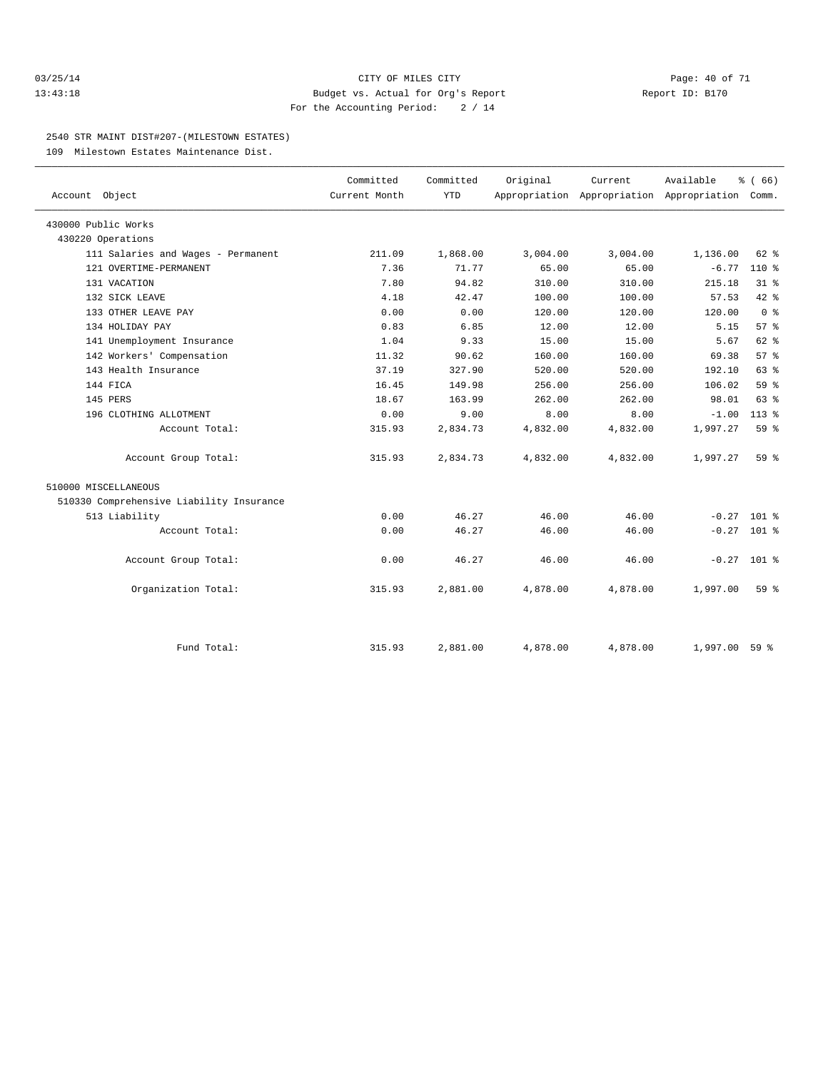#### 03/25/14 Page: 40 of 71 13:43:18 Budget vs. Actual for Org's Report Report ID: B170 For the Accounting Period: 2 / 14

#### 2540 STR MAINT DIST#207-(MILESTOWN ESTATES)

109 Milestown Estates Maintenance Dist.

| Account Object                           | Committed<br>Current Month | Committed<br><b>YTD</b> | Original | Current  | Available<br>Appropriation Appropriation Appropriation | % (66)<br>Comm. |  |
|------------------------------------------|----------------------------|-------------------------|----------|----------|--------------------------------------------------------|-----------------|--|
|                                          |                            |                         |          |          |                                                        |                 |  |
| 430000 Public Works                      |                            |                         |          |          |                                                        |                 |  |
| 430220 Operations                        |                            |                         |          |          |                                                        |                 |  |
| 111 Salaries and Wages - Permanent       | 211.09                     | 1,868.00                | 3,004.00 | 3,004.00 | 1,136.00                                               | $62$ $%$        |  |
| 121 OVERTIME-PERMANENT                   | 7.36                       | 71.77                   | 65.00    | 65.00    | $-6.77$                                                | $110*$          |  |
| 131 VACATION                             | 7.80                       | 94.82                   | 310.00   | 310.00   | 215.18                                                 | 31.8            |  |
| 132 SICK LEAVE                           | 4.18                       | 42.47                   | 100.00   | 100.00   | 57.53                                                  | 42 %            |  |
| 133 OTHER LEAVE PAY                      | 0.00                       | 0.00                    | 120.00   | 120.00   | 120.00                                                 | 0 <sup>8</sup>  |  |
| 134 HOLIDAY PAY                          | 0.83                       | 6.85                    | 12.00    | 12.00    | 5.15                                                   | 57%             |  |
| 141 Unemployment Insurance               | 1.04                       | 9.33                    | 15.00    | 15.00    | 5.67                                                   | $62$ %          |  |
| 142 Workers' Compensation                | 11.32                      | 90.62                   | 160.00   | 160.00   | 69.38                                                  | 57%             |  |
| 143 Health Insurance                     | 37.19                      | 327.90                  | 520.00   | 520.00   | 192.10                                                 | 63 %            |  |
| 144 FICA                                 | 16.45                      | 149.98                  | 256.00   | 256.00   | 106.02                                                 | 59 <sub>8</sub> |  |
| 145 PERS                                 | 18.67                      | 163.99                  | 262.00   | 262.00   | 98.01                                                  | 63 %            |  |
| 196 CLOTHING ALLOTMENT                   | 0.00                       | 9.00                    | 8.00     | 8.00     | $-1.00$                                                | $113*$          |  |
| Account Total:                           | 315.93                     | 2,834.73                | 4,832.00 | 4,832.00 | 1,997.27                                               | 59 %            |  |
| Account Group Total:                     | 315.93                     | 2,834.73                | 4,832.00 | 4,832.00 | 1,997.27                                               | 59 %            |  |
| 510000 MISCELLANEOUS                     |                            |                         |          |          |                                                        |                 |  |
| 510330 Comprehensive Liability Insurance |                            |                         |          |          |                                                        |                 |  |
| 513 Liability                            | 0.00                       | 46.27                   | 46.00    | 46.00    |                                                        | $-0.27$ 101 %   |  |
| Account Total:                           | 0.00                       | 46.27                   | 46.00    | 46.00    |                                                        | $-0.27$ 101 %   |  |
| Account Group Total:                     | 0.00                       | 46.27                   | 46.00    | 46.00    |                                                        | $-0.27$ 101 %   |  |
| Organization Total:                      | 315.93                     | 2,881.00                | 4,878.00 | 4,878.00 | 1,997.00                                               | $59*$           |  |
|                                          |                            |                         |          |          |                                                        |                 |  |
| Fund Total:                              | 315.93                     | 2,881.00                | 4,878.00 | 4,878.00 | 1,997.00                                               | 59 <sup>8</sup> |  |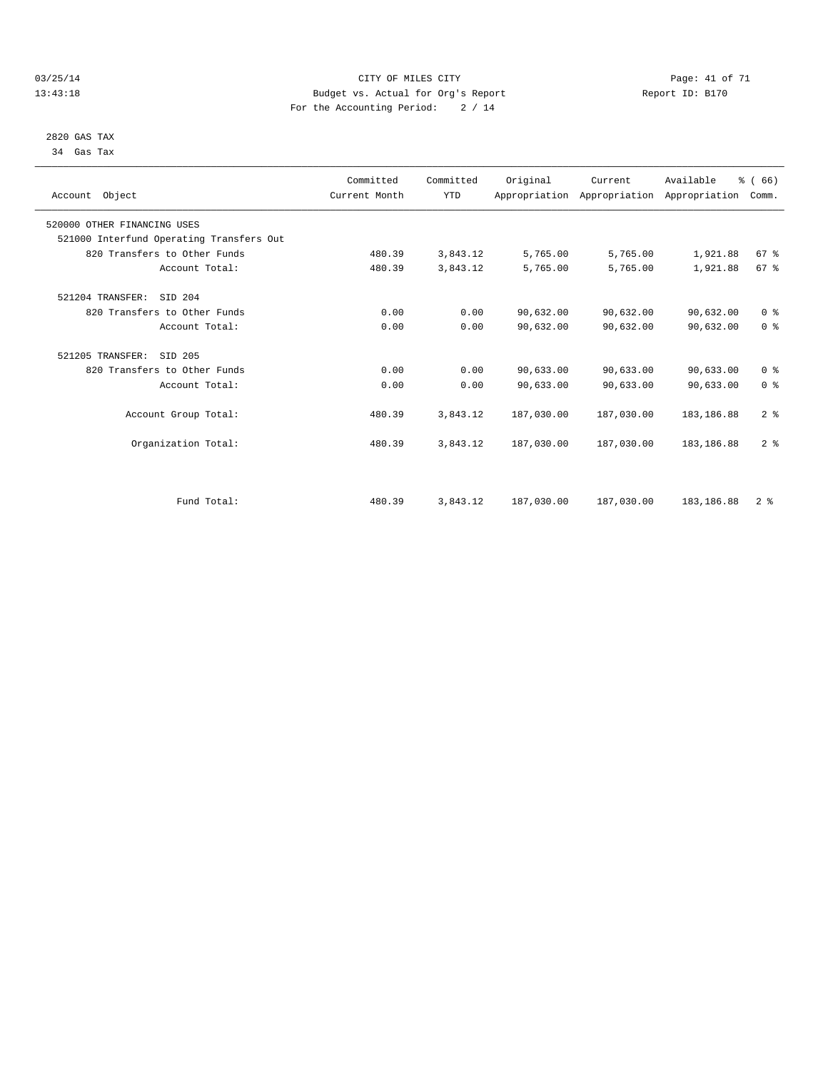#### 03/25/14 Page: 41 of 71 13:43:18 Budget vs. Actual for Org's Report Report ID: B170 For the Accounting Period: 2 / 14

 2820 GAS TAX 34 Gas Tax

| Account Object                           | Committed<br>Current Month | Committed<br><b>YTD</b> | Original   | Current<br>Appropriation Appropriation Appropriation | Available   | % (66)<br>Comm. |  |
|------------------------------------------|----------------------------|-------------------------|------------|------------------------------------------------------|-------------|-----------------|--|
| 520000 OTHER FINANCING USES              |                            |                         |            |                                                      |             |                 |  |
| 521000 Interfund Operating Transfers Out |                            |                         |            |                                                      |             |                 |  |
| 820 Transfers to Other Funds             | 480.39                     | 3,843.12                | 5,765.00   | 5,765.00                                             | 1,921.88    | 67 <sup>8</sup> |  |
| Account Total:                           | 480.39                     | 3,843.12                | 5,765.00   | 5,765.00                                             | 1,921.88    | 67 <sup>8</sup> |  |
| SID 204<br>521204 TRANSFER:              |                            |                         |            |                                                      |             |                 |  |
| 820 Transfers to Other Funds             | 0.00                       | 0.00                    | 90,632.00  | 90,632.00                                            | 90,632.00   | 0 <sup>8</sup>  |  |
| Account Total:                           | 0.00                       | 0.00                    | 90,632.00  | 90,632.00                                            | 90,632.00   | 0 <sup>8</sup>  |  |
| 521205 TRANSFER:<br>SID 205              |                            |                         |            |                                                      |             |                 |  |
| 820 Transfers to Other Funds             | 0.00                       | 0.00                    | 90,633.00  | 90,633.00                                            | 90,633.00   | 0 <sup>8</sup>  |  |
| Account Total:                           | 0.00                       | 0.00                    | 90,633.00  | 90,633.00                                            | 90,633.00   | 0 <sup>8</sup>  |  |
| Account Group Total:                     | 480.39                     | 3,843.12                | 187,030.00 | 187,030.00                                           | 183, 186.88 | 2 <sup>8</sup>  |  |
| Organization Total:                      | 480.39                     | 3,843.12                | 187,030.00 | 187,030.00                                           | 183, 186.88 | 2 <sup>8</sup>  |  |
|                                          |                            |                         |            |                                                      |             |                 |  |
| Fund Total:                              | 480.39                     | 3,843.12                | 187,030.00 | 187,030.00                                           | 183, 186.88 | 2 <sup>8</sup>  |  |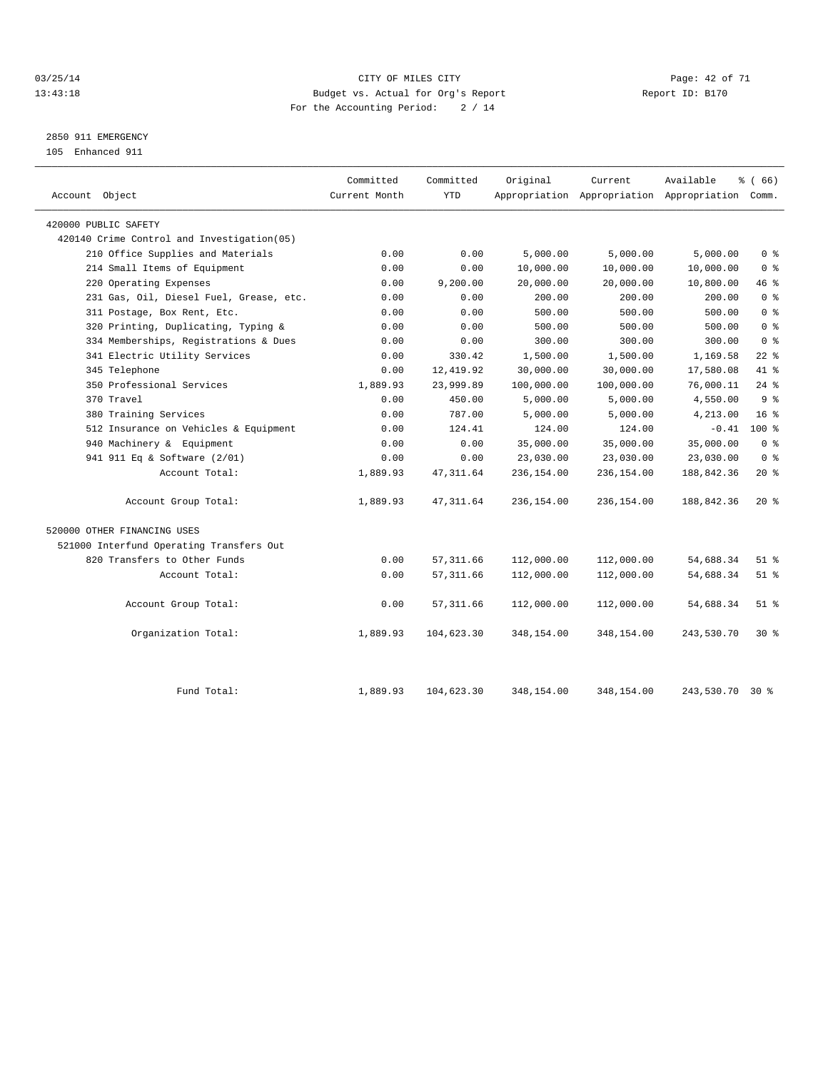#### 03/25/14 Page: 42 of 71 13:43:18 Budget vs. Actual for Org's Report Report ID: B170 For the Accounting Period: 2 / 14

# 2850 911 EMERGENCY

105 Enhanced 911

| Account Object                             | Committed<br>Current Month | Committed<br><b>YTD</b> | Original   | Current    | Available<br>Appropriation Appropriation Appropriation Comm. | % (66)         |
|--------------------------------------------|----------------------------|-------------------------|------------|------------|--------------------------------------------------------------|----------------|
| 420000 PUBLIC SAFETY                       |                            |                         |            |            |                                                              |                |
| 420140 Crime Control and Investigation(05) |                            |                         |            |            |                                                              |                |
| 210 Office Supplies and Materials          | 0.00                       | 0.00                    | 5,000.00   | 5,000.00   | 5,000.00                                                     | 0 <sup>8</sup> |
| 214 Small Items of Equipment               | 0.00                       | 0.00                    | 10,000.00  | 10,000.00  | 10,000.00                                                    | 0 <sup>8</sup> |
| 220 Operating Expenses                     | 0.00                       | 9,200.00                | 20,000.00  | 20,000.00  | 10,800.00                                                    | 46 %           |
| 231 Gas, Oil, Diesel Fuel, Grease, etc.    | 0.00                       | 0.00                    | 200.00     | 200.00     | 200.00                                                       | 0 <sup>8</sup> |
| 311 Postage, Box Rent, Etc.                | 0.00                       | 0.00                    | 500.00     | 500.00     | 500.00                                                       | 0 <sup>8</sup> |
| 320 Printing, Duplicating, Typing &        | 0.00                       | 0.00                    | 500.00     | 500.00     | 500.00                                                       | 0 <sup>8</sup> |
| 334 Memberships, Registrations & Dues      | 0.00                       | 0.00                    | 300.00     | 300.00     | 300.00                                                       | 0 <sup>8</sup> |
| 341 Electric Utility Services              | 0.00                       | 330.42                  | 1,500.00   | 1,500.00   | 1,169.58                                                     | $22$ %         |
| 345 Telephone                              | 0.00                       | 12, 419.92              | 30,000.00  | 30,000.00  | 17,580.08                                                    | 41 %           |
| 350 Professional Services                  | 1,889.93                   | 23,999.89               | 100,000.00 | 100,000.00 | 76,000.11                                                    | $24$ %         |
| 370 Travel                                 | 0.00                       | 450.00                  | 5,000.00   | 5,000.00   | 4,550.00                                                     | 9 <sup>8</sup> |
| 380 Training Services                      | 0.00                       | 787.00                  | 5,000.00   | 5,000.00   | 4,213.00                                                     | $16*$          |
| 512 Insurance on Vehicles & Equipment      | 0.00                       | 124.41                  | 124.00     | 124.00     | $-0.41$                                                      | $100*$         |
| 940 Machinery & Equipment                  | 0.00                       | 0.00                    | 35,000.00  | 35,000.00  | 35,000.00                                                    | 0 <sup>8</sup> |
| 941 911 Eq & Software (2/01)               | 0.00                       | 0.00                    | 23,030.00  | 23,030.00  | 23,030.00                                                    | 0 <sup>8</sup> |
| Account Total:                             | 1,889.93                   | 47, 311.64              | 236,154.00 | 236,154.00 | 188,842.36                                                   | $20*$          |
| Account Group Total:                       | 1,889.93                   | 47, 311.64              | 236,154.00 | 236,154.00 | 188,842.36                                                   | $20*$          |
| 520000 OTHER FINANCING USES                |                            |                         |            |            |                                                              |                |
| 521000 Interfund Operating Transfers Out   |                            |                         |            |            |                                                              |                |
| 820 Transfers to Other Funds               | 0.00                       | 57, 311.66              | 112,000.00 | 112,000.00 | 54,688.34                                                    | $51$ $%$       |
| Account Total:                             | 0.00                       | 57, 311.66              | 112,000.00 | 112,000.00 | 54,688.34                                                    | $51$ %         |
| Account Group Total:                       | 0.00                       | 57, 311.66              | 112,000.00 | 112,000.00 | 54,688.34                                                    | $51$ %         |
| Organization Total:                        | 1,889.93                   | 104,623.30              | 348,154.00 | 348,154.00 | 243,530.70                                                   | $30*$          |
| Fund Total:                                | 1,889.93                   | 104,623.30              | 348,154.00 | 348,154.00 | 243,530.70                                                   | $30*$          |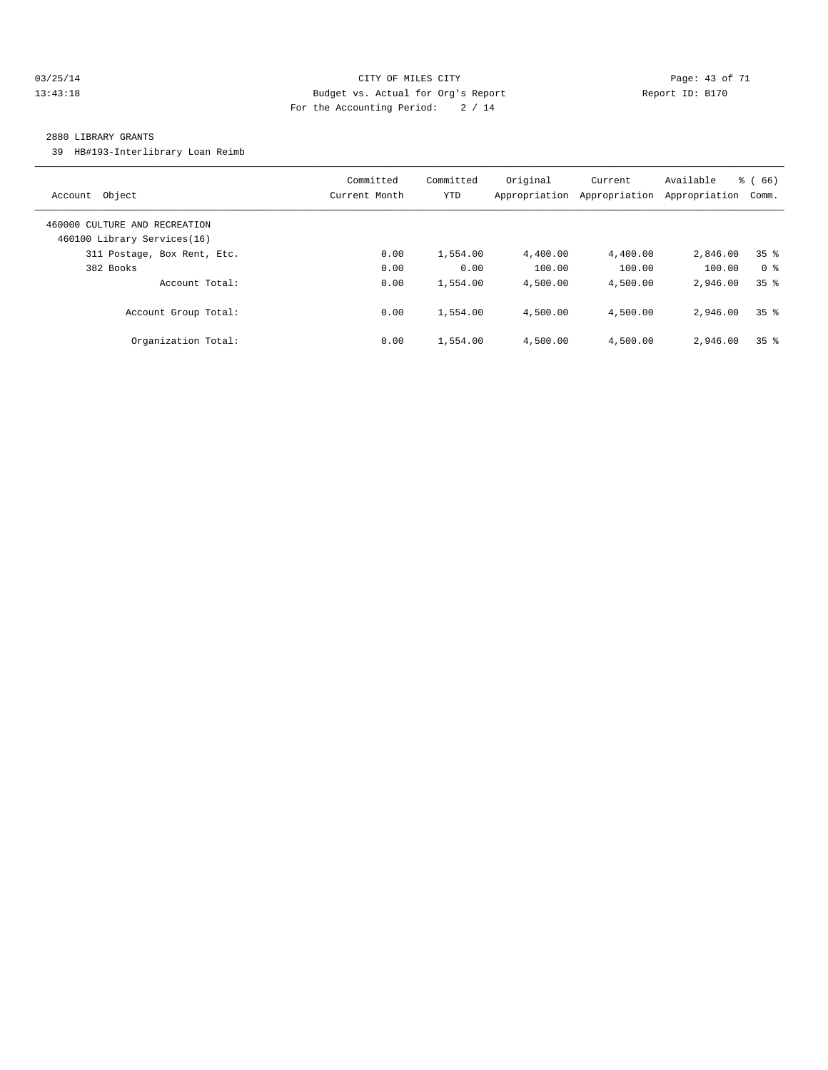#### 03/25/14 Page: 43 of 71 13:43:18 Budget vs. Actual for Org's Report Report ID: B170 For the Accounting Period: 2 / 14

#### 2880 LIBRARY GRANTS

39 HB#193-Interlibrary Loan Reimb

| Object<br>Account                                            | Committed<br>Current Month | Committed<br><b>YTD</b> | Original<br>Appropriation | Current<br>Appropriation | Available<br>Appropriation | $\frac{6}{6}$ (66)<br>Comm. |
|--------------------------------------------------------------|----------------------------|-------------------------|---------------------------|--------------------------|----------------------------|-----------------------------|
| 460000 CULTURE AND RECREATION<br>460100 Library Services(16) |                            |                         |                           |                          |                            |                             |
| 311 Postage, Box Rent, Etc.                                  | 0.00                       | 1,554.00                | 4,400.00                  | 4,400.00                 | 2,846.00                   | 35 <sup>8</sup>             |
| 382 Books                                                    | 0.00                       | 0.00                    | 100.00                    | 100.00                   | 100.00                     | 0 <sup>8</sup>              |
| Account Total:                                               | 0.00                       | 1,554.00                | 4,500.00                  | 4,500.00                 | 2,946.00                   | 35 <sup>8</sup>             |
| Account Group Total:                                         | 0.00                       | 1,554.00                | 4,500.00                  | 4,500.00                 | 2,946.00                   | 35 <sup>8</sup>             |
| Organization Total:                                          | 0.00                       | 1,554.00                | 4,500.00                  | 4,500.00                 | 2,946.00                   | 35 <sup>8</sup>             |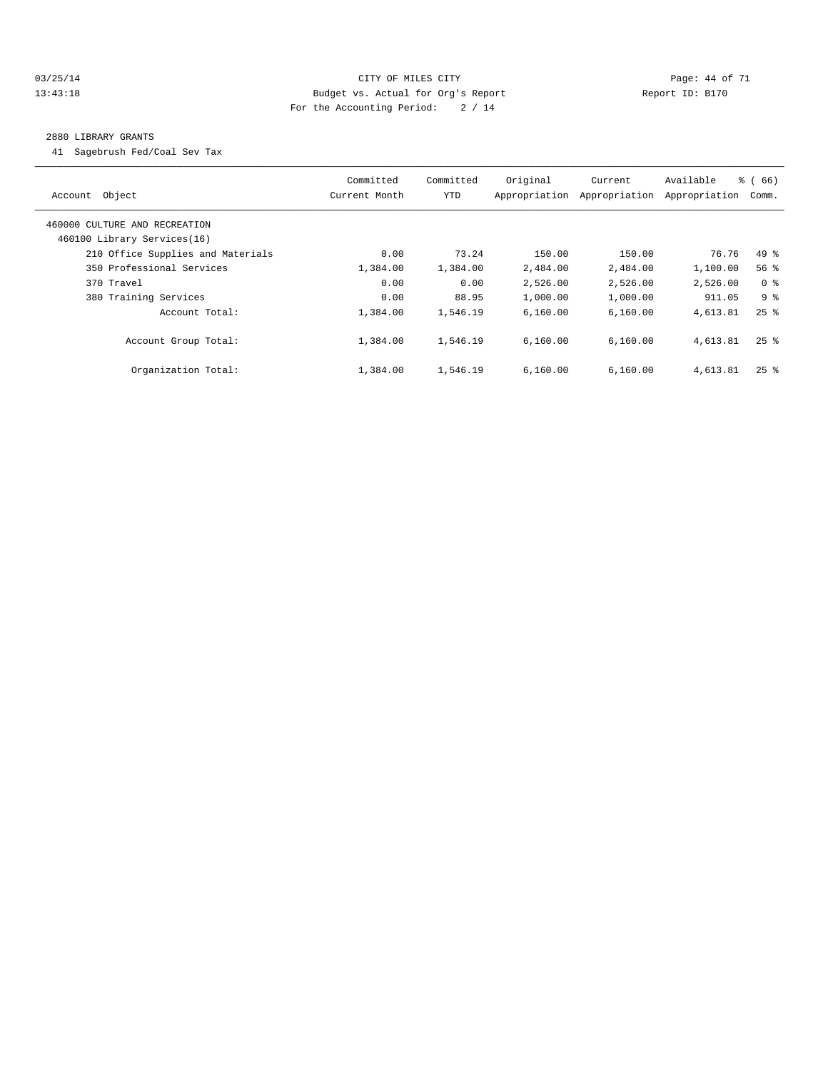#### 03/25/14 Page: 44 of 71 13:43:18 Budget vs. Actual for Org's Report Report ID: B170 For the Accounting Period: 2 / 14

#### 2880 LIBRARY GRANTS

41 Sagebrush Fed/Coal Sev Tax

| Account Object                                               | Committed<br>Current Month | Committed<br><b>YTD</b> | Original<br>Appropriation | Current<br>Appropriation | Available<br>Appropriation | % (66)<br>Comm.    |
|--------------------------------------------------------------|----------------------------|-------------------------|---------------------------|--------------------------|----------------------------|--------------------|
| 460000 CULTURE AND RECREATION<br>460100 Library Services(16) |                            |                         |                           |                          |                            |                    |
| 210 Office Supplies and Materials                            | 0.00                       | 73.24                   | 150.00                    | 150.00                   | 76.76                      | $49*$              |
| 350 Professional Services                                    | 1,384.00                   | 1,384.00                | 2,484.00                  | 2,484.00                 | 1,100.00                   | 56%                |
| 370 Travel                                                   | 0.00                       | 0.00                    | 2,526.00                  | 2,526.00                 | 2,526.00                   | 0 <sup>8</sup>     |
| 380 Training Services                                        | 0.00                       | 88.95                   | 1,000.00                  | 1,000.00                 | 911.05                     | 9 %                |
| Account Total:                                               | 1,384.00                   | 1,546.19                | 6.160.00                  | 6,160.00                 | 4,613.81                   | $25$ $\frac{6}{5}$ |
| Account Group Total:                                         | 1,384.00                   | 1,546.19                | 6.160.00                  | 6.160.00                 | 4,613.81                   | $25$ $\frac{6}{5}$ |
| Organization Total:                                          | 1,384.00                   | 1,546.19                | 6.160.00                  | 6,160.00                 | 4,613.81                   | $25$ $%$           |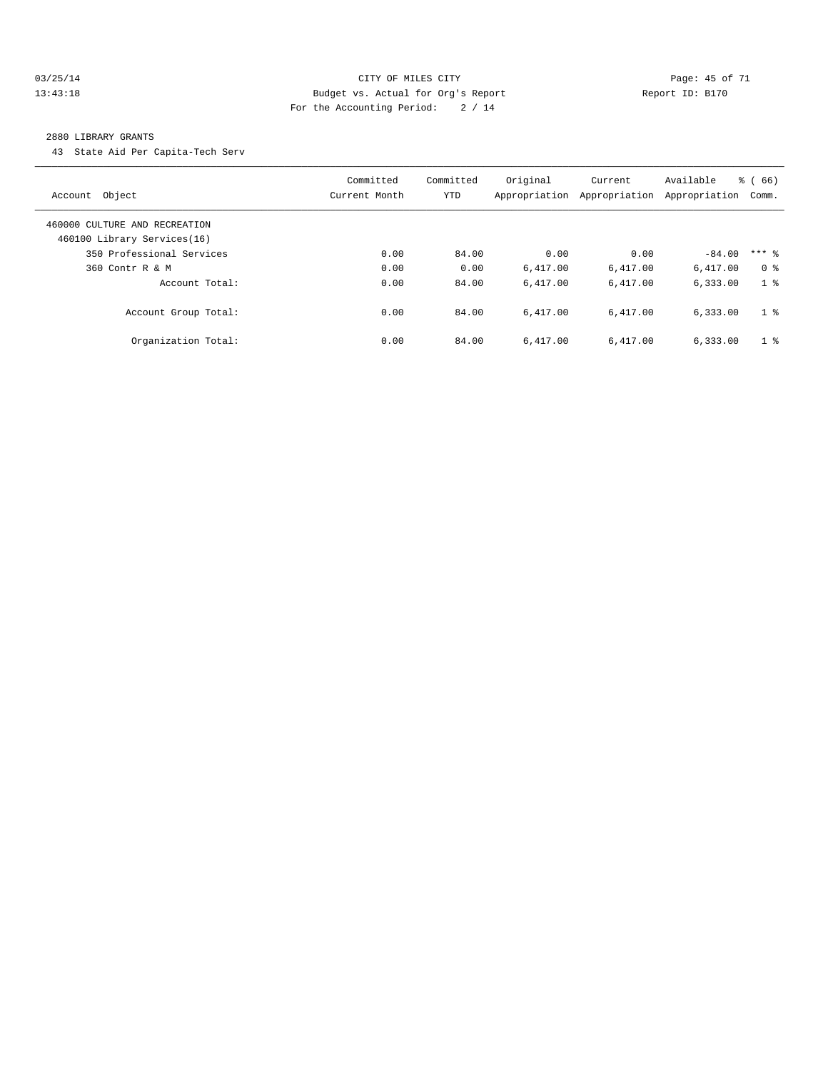#### 03/25/14 Page: 45 of 71 13:43:18 Budget vs. Actual for Org's Report Report ID: B170 For the Accounting Period: 2 / 14

#### 2880 LIBRARY GRANTS

43 State Aid Per Capita-Tech Serv

| Account Object                                               | Committed<br>Current Month | Committed<br><b>YTD</b> | Original<br>Appropriation | Current<br>Appropriation | Available<br>Appropriation | $\frac{6}{6}$ (66)<br>Comm. |
|--------------------------------------------------------------|----------------------------|-------------------------|---------------------------|--------------------------|----------------------------|-----------------------------|
| 460000 CULTURE AND RECREATION<br>460100 Library Services(16) |                            |                         |                           |                          |                            |                             |
| 350 Professional Services                                    | 0.00                       | 84.00                   | 0.00                      | 0.00                     | $-84.00$                   | $***$ 2                     |
| 360 Contr R & M                                              | 0.00                       | 0.00                    | 6.417.00                  | 6,417.00                 | 6,417.00                   | 0 <sup>8</sup>              |
| Account Total:                                               | 0.00                       | 84.00                   | 6.417.00                  | 6.417.00                 | 6.333.00                   | 1 <sup>8</sup>              |
| Account Group Total:                                         | 0.00                       | 84.00                   | 6.417.00                  | 6.417.00                 | 6,333.00                   | 1 <sup>8</sup>              |
| Organization Total:                                          | 0.00                       | 84.00                   | 6.417.00                  | 6.417.00                 | 6,333.00                   | 1 <sup>8</sup>              |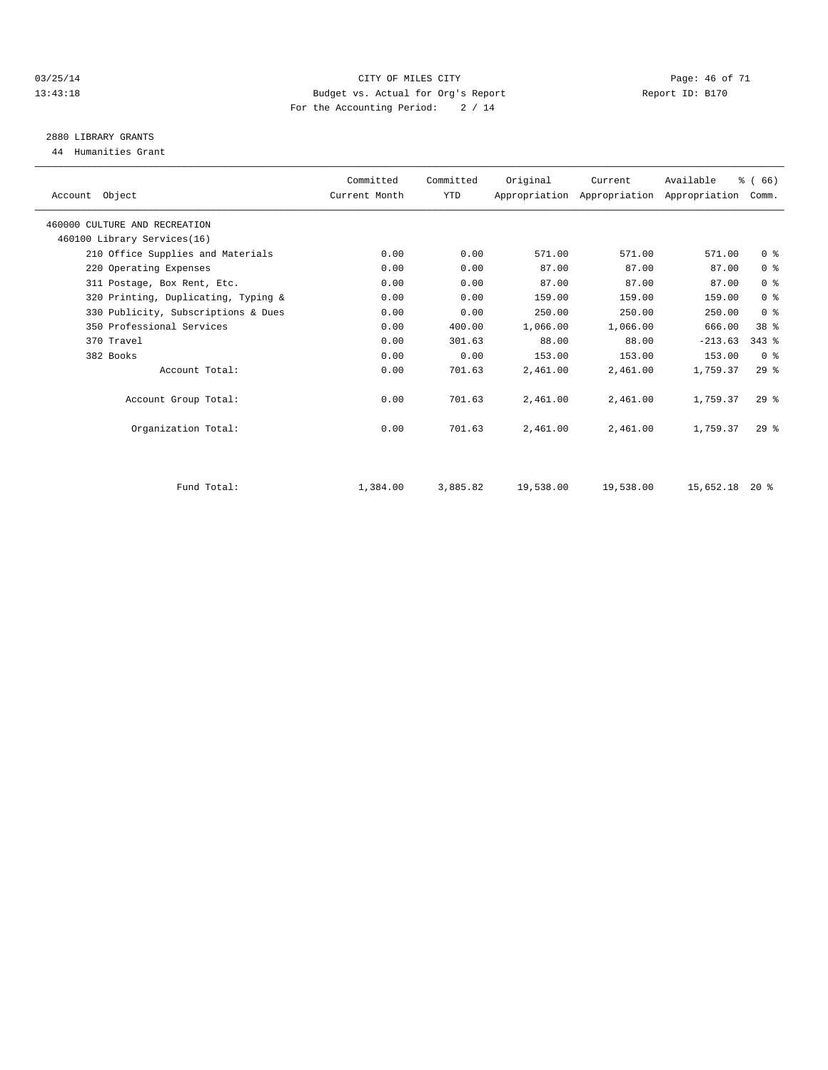#### 03/25/14 Page: 46 of 71 13:43:18 Budget vs. Actual for Org's Report Report ID: B170 For the Accounting Period: 2 / 14

# 2880 LIBRARY GRANTS

44 Humanities Grant

| Account Object                      | Committed<br>Current Month | Committed<br><b>YTD</b> | Original  | Current   | Available<br>Appropriation Appropriation Appropriation | % (66)<br>Comm. |  |
|-------------------------------------|----------------------------|-------------------------|-----------|-----------|--------------------------------------------------------|-----------------|--|
| 460000 CULTURE AND RECREATION       |                            |                         |           |           |                                                        |                 |  |
| 460100 Library Services(16)         |                            |                         |           |           |                                                        |                 |  |
| 210 Office Supplies and Materials   | 0.00                       | 0.00                    | 571.00    | 571.00    | 571.00                                                 | 0 <sup>8</sup>  |  |
| 220 Operating Expenses              | 0.00                       | 0.00                    | 87.00     | 87.00     | 87.00                                                  | 0 <sup>8</sup>  |  |
| 311 Postage, Box Rent, Etc.         | 0.00                       | 0.00                    | 87.00     | 87.00     | 87.00                                                  | 0 <sup>8</sup>  |  |
| 320 Printing, Duplicating, Typing & | 0.00                       | 0.00                    | 159.00    | 159.00    | 159.00                                                 | 0 <sup>8</sup>  |  |
| 330 Publicity, Subscriptions & Dues | 0.00                       | 0.00                    | 250.00    | 250.00    | 250.00                                                 | 0 <sup>8</sup>  |  |
| 350 Professional Services           | 0.00                       | 400.00                  | 1,066.00  | 1,066.00  | 666.00                                                 | 38 <sup>8</sup> |  |
| 370 Travel                          | 0.00                       | 301.63                  | 88.00     | 88.00     | $-213.63$                                              | $343$ $%$       |  |
| 382 Books                           | 0.00                       | 0.00                    | 153.00    | 153.00    | 153.00                                                 | 0 <sup>8</sup>  |  |
| Account Total:                      | 0.00                       | 701.63                  | 2,461.00  | 2,461.00  | 1,759.37                                               | 29%             |  |
| Account Group Total:                | 0.00                       | 701.63                  | 2,461.00  | 2,461.00  | 1,759.37                                               | $29*$           |  |
| Organization Total:                 | 0.00                       | 701.63                  | 2,461.00  | 2,461.00  | 1,759.37                                               | 29 <sup>8</sup> |  |
|                                     |                            |                         |           |           |                                                        |                 |  |
| Fund Total:                         | 1,384.00                   | 3,885.82                | 19,538.00 | 19,538.00 | 15,652.18                                              | $20*$           |  |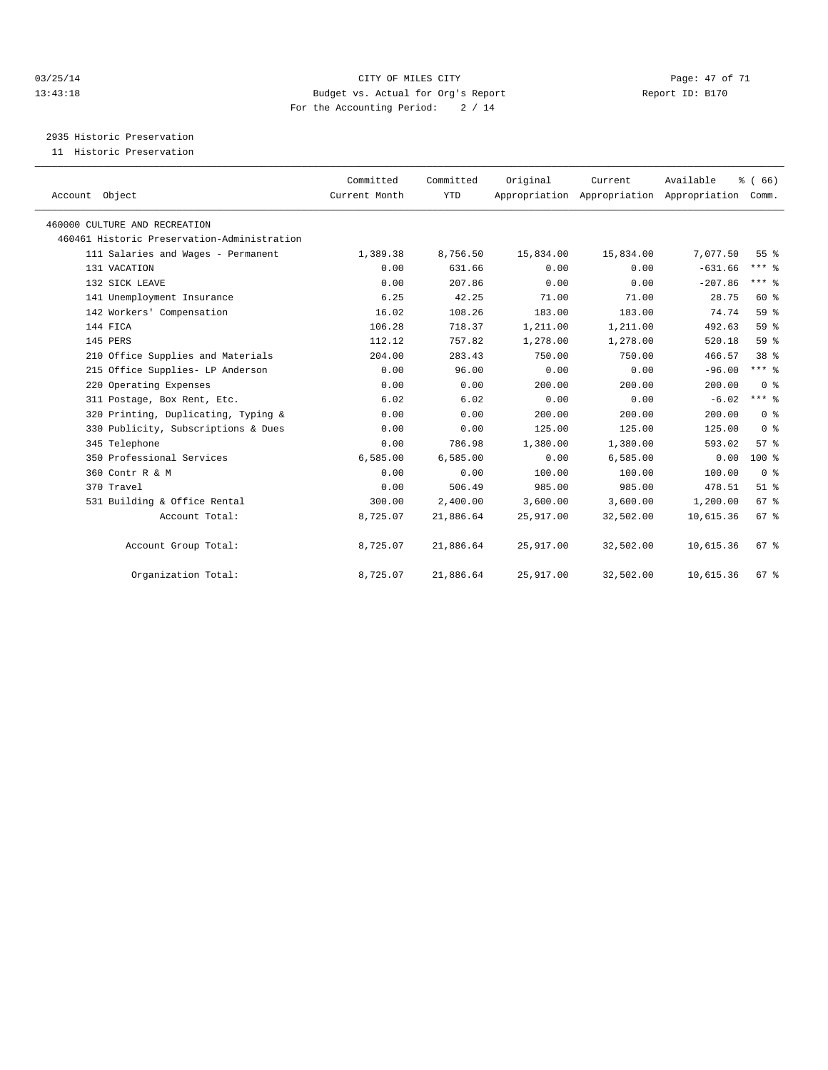#### 03/25/14 Page: 47 of 71 13:43:18 Budget vs. Actual for Org's Report Report ID: B170 For the Accounting Period: 2 / 14

2935 Historic Preservation

11 Historic Preservation

| Account Object                              | Committed<br>Current Month | Committed<br><b>YTD</b> | Original  | Current<br>Appropriation Appropriation Appropriation | Available | % (66)<br>Comm. |
|---------------------------------------------|----------------------------|-------------------------|-----------|------------------------------------------------------|-----------|-----------------|
| 460000 CULTURE AND RECREATION               |                            |                         |           |                                                      |           |                 |
| 460461 Historic Preservation-Administration |                            |                         |           |                                                      |           |                 |
| 111 Salaries and Wages - Permanent          | 1,389.38                   | 8,756.50                | 15,834.00 | 15,834.00                                            | 7,077.50  | 55 <sup>8</sup> |
| 131 VACATION                                | 0.00                       | 631.66                  | 0.00      | 0.00                                                 | $-631.66$ | $***$ $%$       |
| 132 SICK LEAVE                              | 0.00                       | 207.86                  | 0.00      | 0.00                                                 | $-207.86$ | $***$ $%$       |
| 141 Unemployment Insurance                  | 6.25                       | 42.25                   | 71.00     | 71.00                                                | 28.75     | 60 %            |
| 142 Workers' Compensation                   | 16.02                      | 108.26                  | 183.00    | 183.00                                               | 74.74     | 59%             |
| 144 FICA                                    | 106.28                     | 718.37                  | 1,211.00  | 1,211.00                                             | 492.63    | 59 %            |
| 145 PERS                                    | 112.12                     | 757.82                  | 1,278.00  | 1,278.00                                             | 520.18    | 59 <sub>8</sub> |
| 210 Office Supplies and Materials           | 204.00                     | 283.43                  | 750.00    | 750.00                                               | 466.57    | 38 <sup>8</sup> |
| 215 Office Supplies- LP Anderson            | 0.00                       | 96.00                   | 0.00      | 0.00                                                 | $-96.00$  | $***$ $%$       |
| 220 Operating Expenses                      | 0.00                       | 0.00                    | 200.00    | 200.00                                               | 200.00    | 0 <sup>8</sup>  |
| 311 Postage, Box Rent, Etc.                 | 6.02                       | 6.02                    | 0.00      | 0.00                                                 | $-6.02$   | $***$ $%$       |
| 320 Printing, Duplicating, Typing &         | 0.00                       | 0.00                    | 200.00    | 200.00                                               | 200.00    | 0 <sup>8</sup>  |
| 330 Publicity, Subscriptions & Dues         | 0.00                       | 0.00                    | 125.00    | 125.00                                               | 125.00    | 0 <sup>8</sup>  |
| 345 Telephone                               | 0.00                       | 786.98                  | 1,380.00  | 1,380.00                                             | 593.02    | 57 <sup>8</sup> |
| 350 Professional Services                   | 6,585.00                   | 6,585.00                | 0.00      | 6,585.00                                             | 0.00      | $100*$          |
| 360 Contr R & M                             | 0.00                       | 0.00                    | 100.00    | 100.00                                               | 100.00    | 0 <sup>8</sup>  |
| 370 Travel                                  | 0.00                       | 506.49                  | 985.00    | 985.00                                               | 478.51    | $51*$           |
| 531 Building & Office Rental                | 300.00                     | 2,400.00                | 3,600.00  | 3,600.00                                             | 1,200.00  | 67 %            |
| Account Total:                              | 8,725.07                   | 21,886.64               | 25,917.00 | 32,502.00                                            | 10,615.36 | $67*$           |
| Account Group Total:                        | 8,725.07                   | 21,886.64               | 25,917.00 | 32,502.00                                            | 10,615.36 | 67 %            |
| Organization Total:                         | 8,725.07                   | 21,886.64               | 25,917.00 | 32,502.00                                            | 10,615.36 | 67 <sup>8</sup> |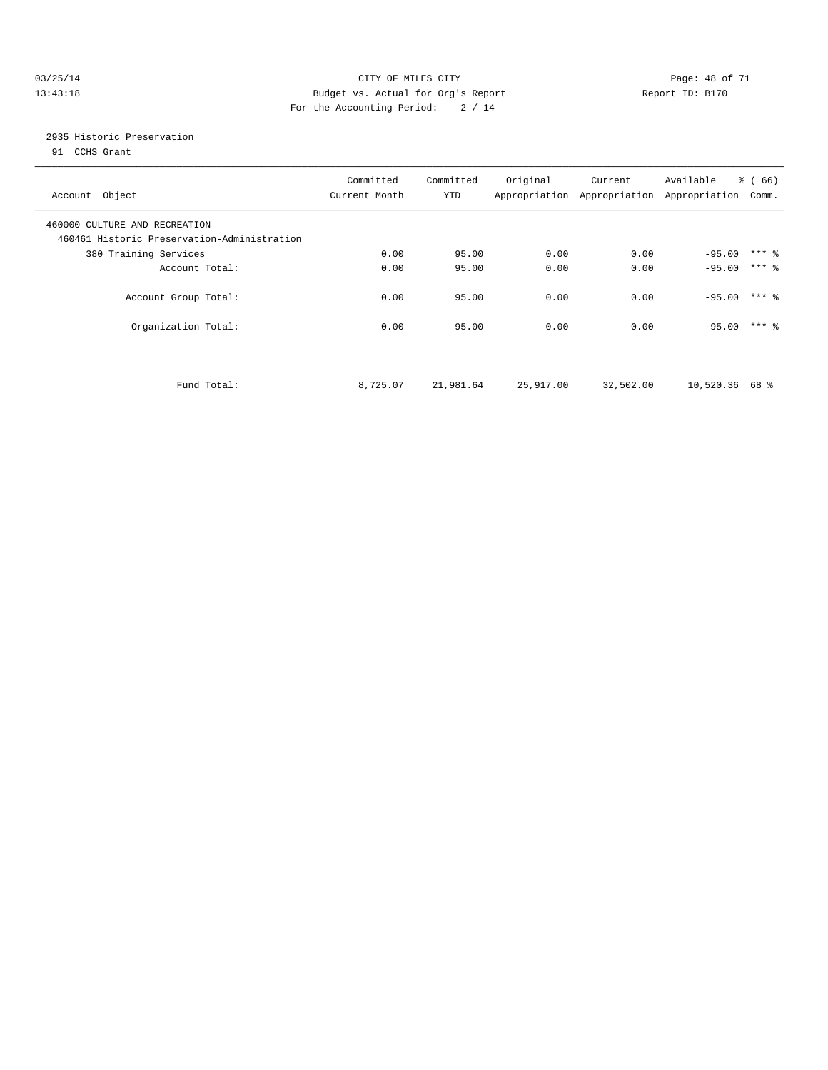#### 03/25/14 Page: 48 of 71 13:43:18 Budget vs. Actual for Org's Report Report ID: B170 For the Accounting Period: 2 / 14

## 2935 Historic Preservation

91 CCHS Grant

| Account Object                                                               | Committed<br>Current Month | Committed<br>YTD | Original  | Current   | Available<br>Appropriation Appropriation Appropriation | % (66)<br>Comm.     |  |
|------------------------------------------------------------------------------|----------------------------|------------------|-----------|-----------|--------------------------------------------------------|---------------------|--|
| 460000 CULTURE AND RECREATION<br>460461 Historic Preservation-Administration |                            |                  |           |           |                                                        |                     |  |
| 380 Training Services                                                        | 0.00                       | 95.00            | 0.00      | 0.00      | $-95.00$                                               | $***$ $\frac{6}{5}$ |  |
| Account Total:                                                               | 0.00                       | 95.00            | 0.00      | 0.00      | $-95.00$                                               | $***$ 2             |  |
| Account Group Total:                                                         | 0.00                       | 95.00            | 0.00      | 0.00      | $-95.00$                                               | $***$ 2             |  |
| Organization Total:                                                          | 0.00                       | 95.00            | 0.00      | 0.00      | $-95.00$                                               | $***$ 2             |  |
| Fund Total:                                                                  | 8,725.07                   | 21,981.64        | 25,917.00 | 32,502.00 | $10,520.36$ 68 %                                       |                     |  |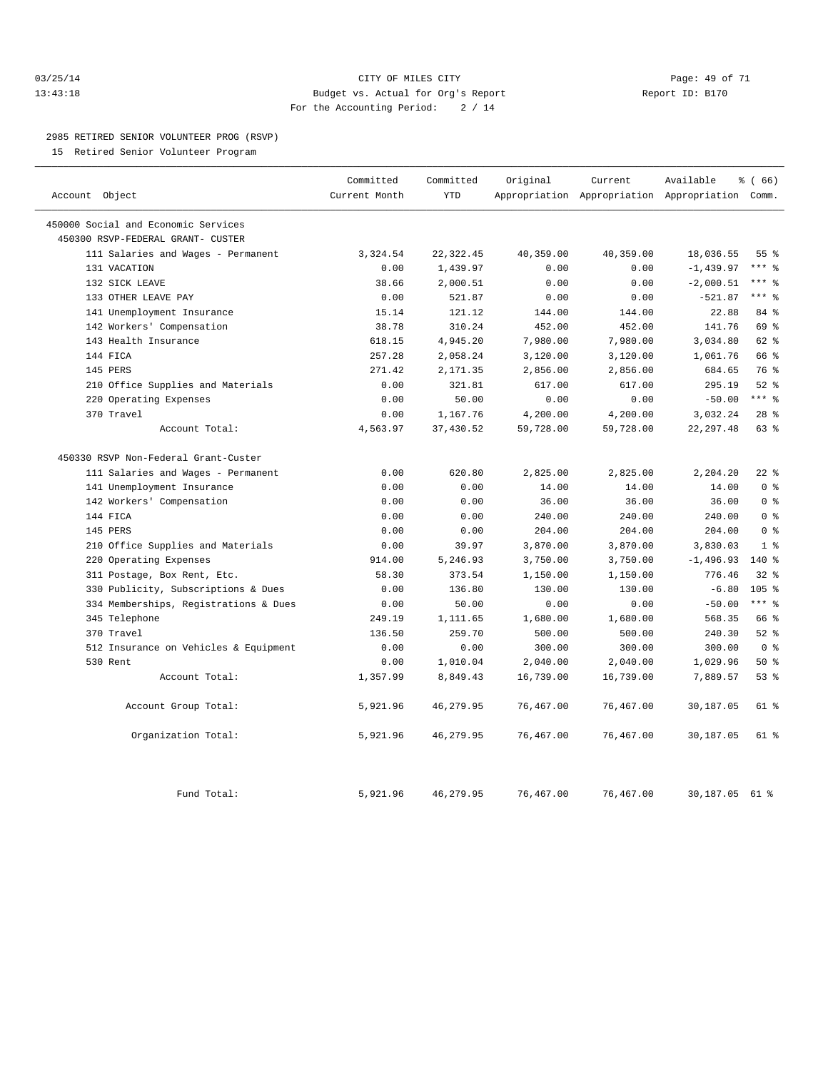#### 03/25/14 Page: 49 of 71 13:43:18 Budget vs. Actual for Org's Report Report ID: B170 For the Accounting Period: 2 / 14

#### 2985 RETIRED SENIOR VOLUNTEER PROG (RSVP)

15 Retired Senior Volunteer Program

|                |                                       | Committed     | Committed  | Original  | Current   | Available                                 | <sub>ර</sub> ි (66) |
|----------------|---------------------------------------|---------------|------------|-----------|-----------|-------------------------------------------|---------------------|
| Account Object |                                       | Current Month | <b>YTD</b> |           |           | Appropriation Appropriation Appropriation | Comm.               |
|                | 450000 Social and Economic Services   |               |            |           |           |                                           |                     |
|                | 450300 RSVP-FEDERAL GRANT- CUSTER     |               |            |           |           |                                           |                     |
|                | 111 Salaries and Wages - Permanent    | 3,324.54      | 22, 322.45 | 40,359.00 | 40,359.00 | 18,036.55                                 | 55 <sup>8</sup>     |
|                | 131 VACATION                          | 0.00          | 1,439.97   | 0.00      | 0.00      | $-1, 439.97$                              | $***$ 8             |
|                | 132 SICK LEAVE                        | 38.66         | 2,000.51   | 0.00      | 0.00      | $-2,000.51$                               | *** %               |
|                | 133 OTHER LEAVE PAY                   | 0.00          | 521.87     | 0.00      | 0.00      | $-521.87$                                 | $***$ $_{8}$        |
|                | 141 Unemployment Insurance            | 15.14         | 121.12     | 144.00    | 144.00    | 22.88                                     | 84 %                |
|                | 142 Workers' Compensation             | 38.78         | 310.24     | 452.00    | 452.00    | 141.76                                    | 69 %                |
|                | 143 Health Insurance                  | 618.15        | 4,945.20   | 7,980.00  | 7,980.00  | 3,034.80                                  | 62 %                |
|                | 144 FICA                              | 257.28        | 2,058.24   | 3,120.00  | 3,120.00  | 1,061.76                                  | 66 %                |
|                | 145 PERS                              | 271.42        | 2,171.35   | 2,856.00  | 2,856.00  | 684.65                                    | 76 %                |
|                | 210 Office Supplies and Materials     | 0.00          | 321.81     | 617.00    | 617.00    | 295.19                                    | $52$ $%$            |
|                | 220 Operating Expenses                | 0.00          | 50.00      | 0.00      | 0.00      | $-50.00$                                  | $***$ $_{8}$        |
|                | 370 Travel                            | 0.00          | 1,167.76   | 4,200.00  | 4,200.00  | 3,032.24                                  | $28$ %              |
|                | Account Total:                        | 4,563.97      | 37,430.52  | 59,728.00 | 59,728.00 | 22, 297.48                                | 63 %                |
|                | 450330 RSVP Non-Federal Grant-Custer  |               |            |           |           |                                           |                     |
|                | 111 Salaries and Wages - Permanent    | 0.00          | 620.80     | 2,825.00  | 2,825.00  | 2,204.20                                  | $22$ %              |
|                | 141 Unemployment Insurance            | 0.00          | 0.00       | 14.00     | 14.00     | 14.00                                     | 0 <sup>8</sup>      |
|                | 142 Workers' Compensation             | 0.00          | 0.00       | 36.00     | 36.00     | 36.00                                     | 0 <sup>8</sup>      |
|                | 144 FICA                              | 0.00          | 0.00       | 240.00    | 240.00    | 240.00                                    | 0 <sup>8</sup>      |
|                | 145 PERS                              | 0.00          | 0.00       | 204.00    | 204.00    | 204.00                                    | 0 <sup>8</sup>      |
|                | 210 Office Supplies and Materials     | 0.00          | 39.97      | 3,870.00  | 3,870.00  | 3,830.03                                  | 1 <sup>8</sup>      |
| 220            | Operating Expenses                    | 914.00        | 5,246.93   | 3,750.00  | 3,750.00  | $-1,496.93$                               | $140*$              |
|                | 311 Postage, Box Rent, Etc.           | 58.30         | 373.54     | 1,150.00  | 1,150.00  | 776.46                                    | 32%                 |
|                | 330 Publicity, Subscriptions & Dues   | 0.00          | 136.80     | 130.00    | 130.00    | $-6.80$                                   | 105 %               |
|                | 334 Memberships, Registrations & Dues | 0.00          | 50.00      | 0.00      | 0.00      | $-50.00$                                  | $***$ $=$           |
|                | 345 Telephone                         | 249.19        | 1,111.65   | 1,680.00  | 1,680.00  | 568.35                                    | 66 %                |
|                | 370 Travel                            | 136.50        | 259.70     | 500.00    | 500.00    | 240.30                                    | $52$ $%$            |
|                | 512 Insurance on Vehicles & Equipment | 0.00          | 0.00       | 300.00    | 300.00    | 300.00                                    | 0 <sup>8</sup>      |
|                | 530 Rent                              | 0.00          | 1,010.04   | 2,040.00  | 2,040.00  | 1,029.96                                  | 50%                 |
|                | Account Total:                        | 1,357.99      | 8,849.43   | 16,739.00 | 16,739.00 | 7,889.57                                  | 53%                 |
|                | Account Group Total:                  | 5,921.96      | 46,279.95  | 76,467.00 | 76,467.00 | 30,187.05                                 | 61 %                |
|                | Organization Total:                   | 5,921.96      | 46, 279.95 | 76,467.00 | 76,467.00 | 30,187.05                                 | 61 %                |
|                | Fund Total:                           | 5,921.96      | 46, 279.95 | 76,467.00 | 76,467.00 | 30,187.05                                 | 61 %                |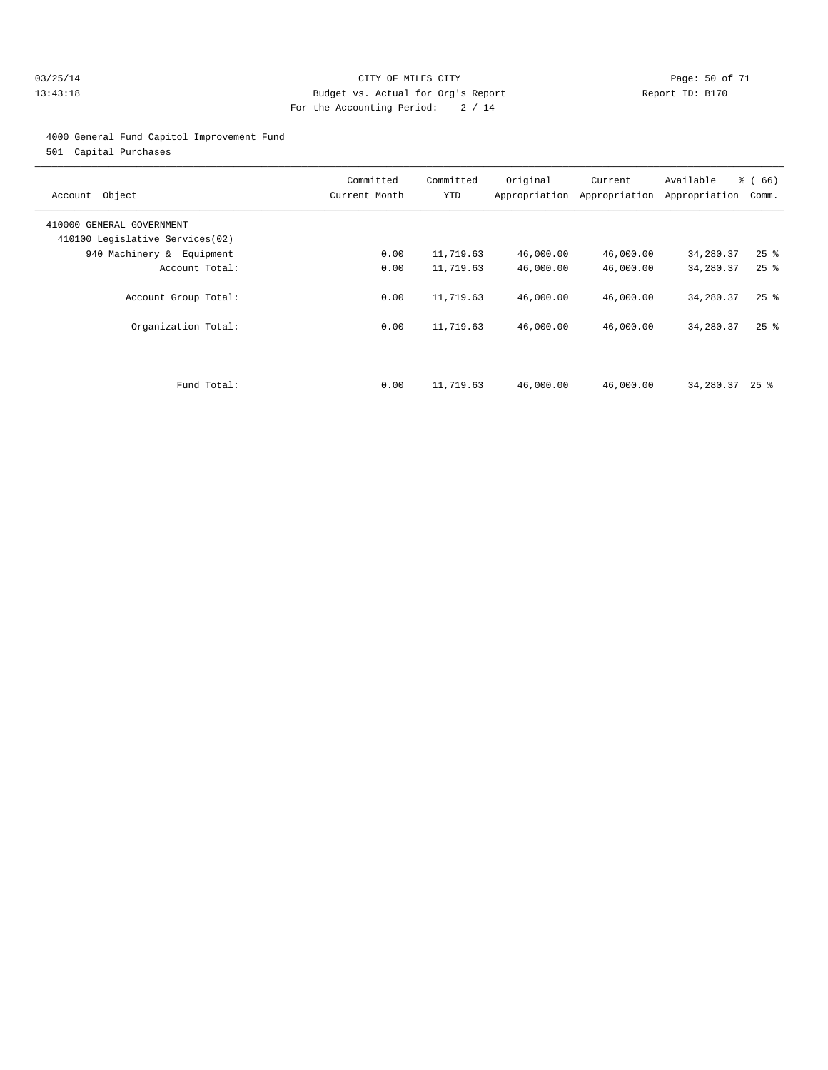#### 03/25/14 Page: 50 of 71 13:43:18 Budget vs. Actual for Org's Report Report ID: B170 For the Accounting Period: 2 / 14

#### 4000 General Fund Capitol Improvement Fund

501 Capital Purchases

| Account Object                                               | Committed<br>Current Month | Committed<br>YTD | Original  | Current<br>Appropriation Appropriation | Available<br>Appropriation | % (66)<br>Comm.    |
|--------------------------------------------------------------|----------------------------|------------------|-----------|----------------------------------------|----------------------------|--------------------|
| 410000 GENERAL GOVERNMENT<br>410100 Legislative Services(02) |                            |                  |           |                                        |                            |                    |
| 940 Machinery & Equipment                                    | 0.00                       | 11,719.63        | 46,000.00 | 46,000.00                              | 34,280.37                  | $25$ $\frac{6}{5}$ |
| Account Total:                                               | 0.00                       | 11,719.63        | 46,000.00 | 46,000.00                              | 34,280.37                  | $25$ $\frac{6}{5}$ |
| Account Group Total:                                         | 0.00                       | 11,719.63        | 46,000.00 | 46,000.00                              | 34,280.37                  | $25$ $\frac{6}{5}$ |
| Organization Total:                                          | 0.00                       | 11,719.63        | 46,000.00 | 46,000.00                              | 34,280.37                  | $25$ $%$           |
| Fund Total:                                                  | 0.00                       | 11,719.63        | 46,000.00 | 46,000.00                              | 34,280.37                  | 25 %               |
|                                                              |                            |                  |           |                                        |                            |                    |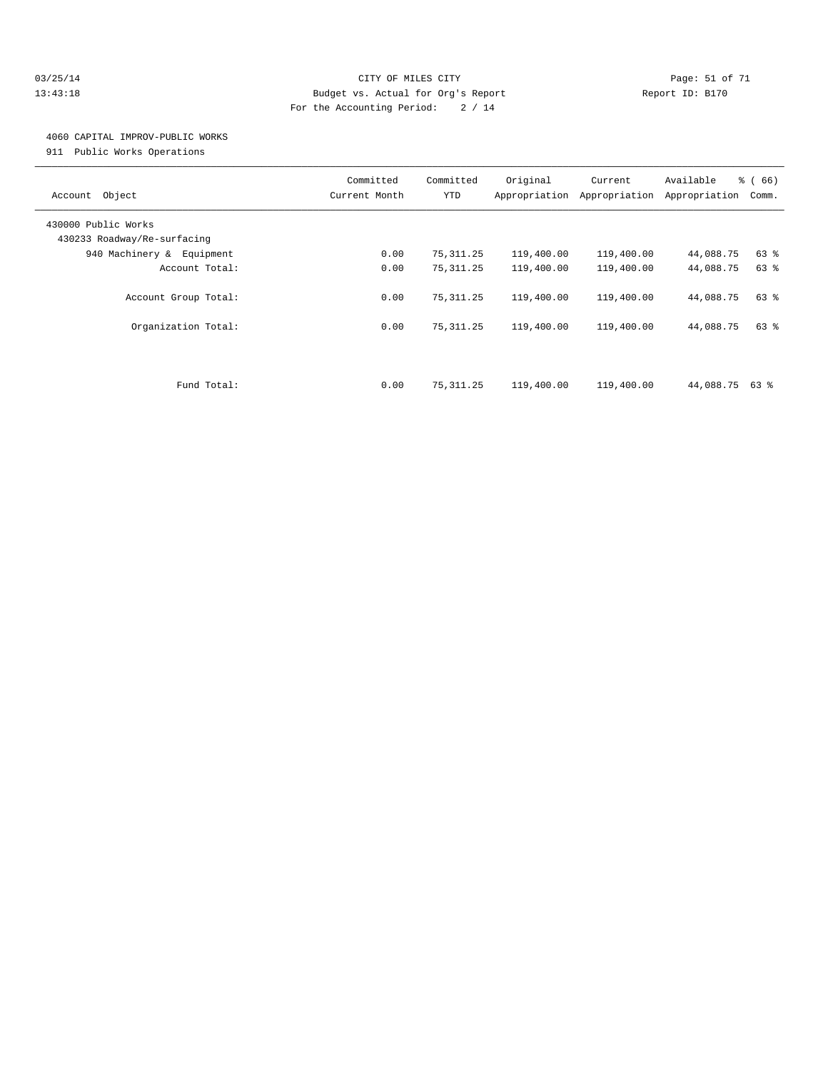#### 03/25/14 Page: 51 of 71 13:43:18 Budget vs. Actual for Org's Report Report ID: B170 For the Accounting Period: 2 / 14

## 4060 CAPITAL IMPROV-PUBLIC WORKS

911 Public Works Operations

| Object<br>Account                                  | Committed<br>Current Month | Committed<br><b>YTD</b> | Original<br>Appropriation | Current<br>Appropriation | Available<br>Appropriation | % (66)<br>Comm. |
|----------------------------------------------------|----------------------------|-------------------------|---------------------------|--------------------------|----------------------------|-----------------|
| 430000 Public Works<br>430233 Roadway/Re-surfacing |                            |                         |                           |                          |                            |                 |
| 940 Machinery & Equipment                          | 0.00                       | 75,311.25               | 119,400.00                | 119,400.00               | 44,088.75                  | 63 %            |
| Account Total:                                     | 0.00                       | 75, 311.25              | 119,400.00                | 119,400.00               | 44,088.75                  | 63%             |
| Account Group Total:                               | 0.00                       | 75, 311.25              | 119,400.00                | 119,400.00               | 44,088.75                  | 63 %            |
| Organization Total:                                | 0.00                       | 75, 311.25              | 119,400.00                | 119,400.00               | 44,088.75                  | 63 %            |
| Fund Total:                                        | 0.00                       | 75, 311.25              | 119,400.00                | 119,400.00               | 44,088.75 63 %             |                 |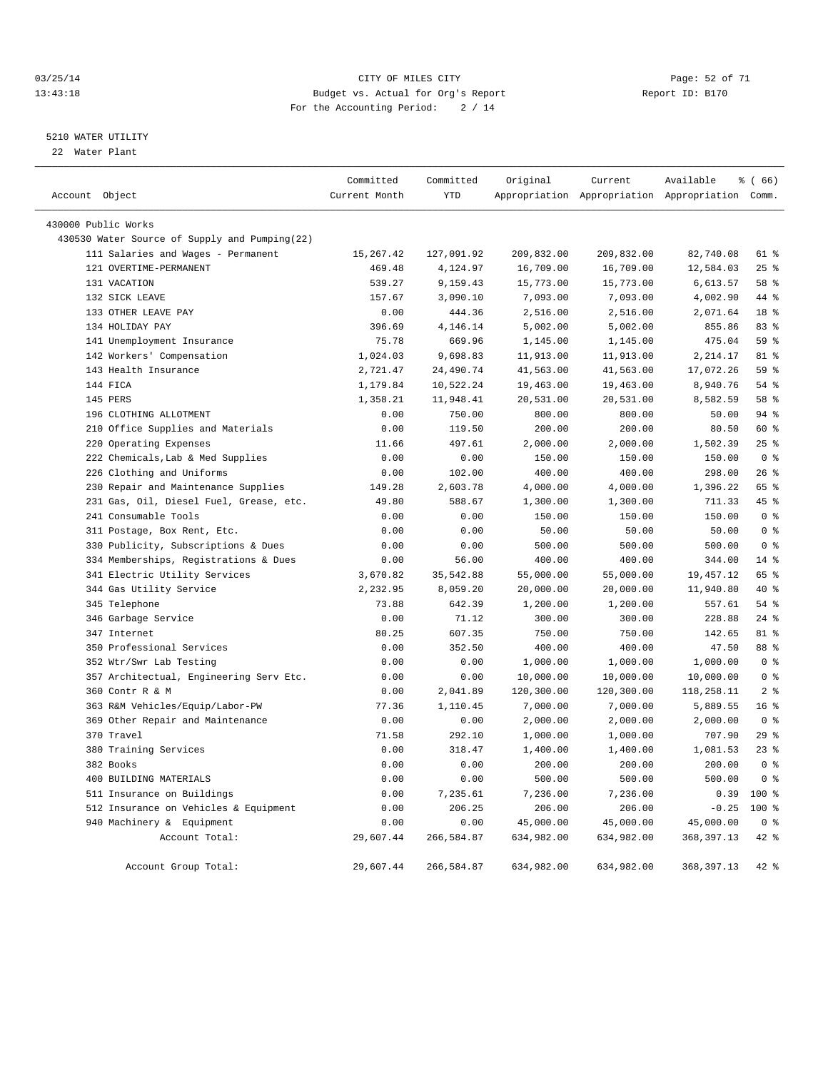#### 03/25/14 Page: 52 of 71 13:43:18 Budget vs. Actual for Org's Report Report ID: B170 For the Accounting Period: 2 / 14

#### 5210 WATER UTILITY

22 Water Plant

| Account Object |                                               | Committed<br>Current Month | Committed<br>YTD   | Original             | Current              | Available<br>Appropriation Appropriation Appropriation Comm. | % (66)           |
|----------------|-----------------------------------------------|----------------------------|--------------------|----------------------|----------------------|--------------------------------------------------------------|------------------|
|                |                                               |                            |                    |                      |                      |                                                              |                  |
|                | 430000 Public Works                           |                            |                    |                      |                      |                                                              |                  |
|                | 430530 Water Source of Supply and Pumping(22) |                            |                    |                      |                      |                                                              |                  |
|                | 111 Salaries and Wages - Permanent            | 15,267.42                  | 127,091.92         | 209,832.00           | 209,832.00           | 82,740.08                                                    | 61 %             |
|                | 121 OVERTIME-PERMANENT                        | 469.48                     | 4,124.97           | 16,709.00            | 16,709.00            | 12,584.03                                                    | $25$ $%$<br>58 % |
|                | 131 VACATION<br>132 SICK LEAVE                | 539.27                     | 9,159.43           | 15,773.00            | 15,773.00            | 6,613.57                                                     | 44 %             |
|                | 133 OTHER LEAVE PAY                           | 157.67<br>0.00             | 3,090.10<br>444.36 | 7,093.00<br>2,516.00 | 7,093.00<br>2,516.00 | 4,002.90<br>2,071.64                                         | 18 <sup>°</sup>  |
|                | 134 HOLIDAY PAY                               | 396.69                     | 4,146.14           | 5,002.00             | 5,002.00             | 855.86                                                       | 83%              |
|                | 141 Unemployment Insurance                    | 75.78                      | 669.96             | 1,145.00             | 1,145.00             | 475.04                                                       | 59 %             |
|                | 142 Workers' Compensation                     | 1,024.03                   | 9,698.83           | 11,913.00            | 11,913.00            | 2,214.17                                                     | 81 %             |
|                | 143 Health Insurance                          | 2,721.47                   | 24,490.74          | 41,563.00            | 41,563.00            | 17,072.26                                                    | 59 %             |
|                | 144 FICA                                      | 1,179.84                   | 10,522.24          | 19,463.00            | 19,463.00            | 8,940.76                                                     | 54 %             |
|                | 145 PERS                                      | 1,358.21                   | 11,948.41          | 20,531.00            | 20,531.00            | 8,582.59                                                     | 58 %             |
|                | 196 CLOTHING ALLOTMENT                        | 0.00                       | 750.00             | 800.00               | 800.00               | 50.00                                                        | 94 %             |
|                | 210 Office Supplies and Materials             | 0.00                       | 119.50             | 200.00               | 200.00               | 80.50                                                        | 60 %             |
|                | 220 Operating Expenses                        | 11.66                      | 497.61             | 2,000.00             | 2,000.00             | 1,502.39                                                     | $25$ $%$         |
|                | 222 Chemicals, Lab & Med Supplies             | 0.00                       | 0.00               | 150.00               | 150.00               | 150.00                                                       | 0 <sup>8</sup>   |
|                | 226 Clothing and Uniforms                     | 0.00                       | 102.00             | 400.00               | 400.00               | 298.00                                                       | $26$ %           |
|                | 230 Repair and Maintenance Supplies           | 149.28                     | 2,603.78           | 4,000.00             | 4,000.00             | 1,396.22                                                     | 65 %             |
|                | 231 Gas, Oil, Diesel Fuel, Grease, etc.       | 49.80                      | 588.67             | 1,300.00             | 1,300.00             | 711.33                                                       | 45 %             |
|                | 241 Consumable Tools                          | 0.00                       | 0.00               | 150.00               | 150.00               | 150.00                                                       | 0 <sup>8</sup>   |
|                | 311 Postage, Box Rent, Etc.                   | 0.00                       | 0.00               | 50.00                | 50.00                | 50.00                                                        | 0 <sup>8</sup>   |
|                | 330 Publicity, Subscriptions & Dues           | 0.00                       | 0.00               | 500.00               | 500.00               | 500.00                                                       | 0 <sup>8</sup>   |
|                | 334 Memberships, Registrations & Dues         | 0.00                       | 56.00              | 400.00               | 400.00               | 344.00                                                       | $14$ %           |
|                | 341 Electric Utility Services                 | 3,670.82                   | 35,542.88          | 55,000.00            | 55,000.00            | 19,457.12                                                    | 65 %             |
|                | 344 Gas Utility Service                       | 2,232.95                   | 8,059.20           | 20,000.00            | 20,000.00            | 11,940.80                                                    | 40 %             |
|                | 345 Telephone                                 | 73.88                      | 642.39             | 1,200.00             | 1,200.00             | 557.61                                                       | 54 %             |
|                | 346 Garbage Service                           | 0.00                       | 71.12              | 300.00               | 300.00               | 228.88                                                       | $24$ %           |
|                | 347 Internet                                  | 80.25                      | 607.35             | 750.00               | 750.00               | 142.65                                                       | 81 %             |
|                | 350 Professional Services                     | 0.00                       | 352.50             | 400.00               | 400.00               | 47.50                                                        | 88 %             |
|                | 352 Wtr/Swr Lab Testing                       | 0.00                       | 0.00               | 1,000.00             | 1,000.00             | 1,000.00                                                     | 0 <sup>8</sup>   |
|                | 357 Architectual, Engineering Serv Etc.       | 0.00                       | 0.00               | 10,000.00            | 10,000.00            | 10,000.00                                                    | 0 <sup>8</sup>   |
|                | 360 Contr R & M                               | 0.00                       | 2,041.89           | 120,300.00           | 120,300.00           | 118,258.11                                                   | 2 <sub>8</sub>   |
|                | 363 R&M Vehicles/Equip/Labor-PW               | 77.36                      | 1,110.45           | 7,000.00             | 7,000.00             | 5,889.55                                                     | $16*$            |
| 369            | Other Repair and Maintenance                  | 0.00                       | 0.00               | 2,000.00             | 2,000.00             | 2,000.00                                                     | 0 <sup>8</sup>   |
|                | 370 Travel                                    | 71.58                      | 292.10             | 1,000.00             | 1,000.00             | 707.90                                                       | 29%              |
|                | 380 Training Services                         | 0.00                       | 318.47             | 1,400.00             | 1,400.00             | 1,081.53                                                     | $23$ %           |
|                | 382 Books                                     | 0.00                       | 0.00               | 200.00               | 200.00               | 200.00                                                       | 0 <sup>8</sup>   |
|                | 400 BUILDING MATERIALS                        | 0.00                       | 0.00               | 500.00               | 500.00               | 500.00                                                       | 0 <sup>8</sup>   |
|                | 511 Insurance on Buildings                    | 0.00                       | 7,235.61           | 7,236.00             | 7,236.00             | 0.39                                                         | 100 %            |
|                | 512 Insurance on Vehicles & Equipment         | 0.00                       | 206.25             | 206.00               | 206.00               | $-0.25$                                                      | 100 %            |
|                | 940 Machinery & Equipment                     | 0.00                       | 0.00               | 45,000.00            | 45,000.00            | 45,000.00                                                    | 0 <sup>8</sup>   |
|                | Account Total:                                | 29,607.44                  | 266,584.87         | 634,982.00           | 634,982.00           | 368, 397.13                                                  | 42 %             |
|                | Account Group Total:                          | 29,607.44                  | 266,584.87         | 634,982.00           | 634,982.00           | 368, 397.13                                                  | $42*$            |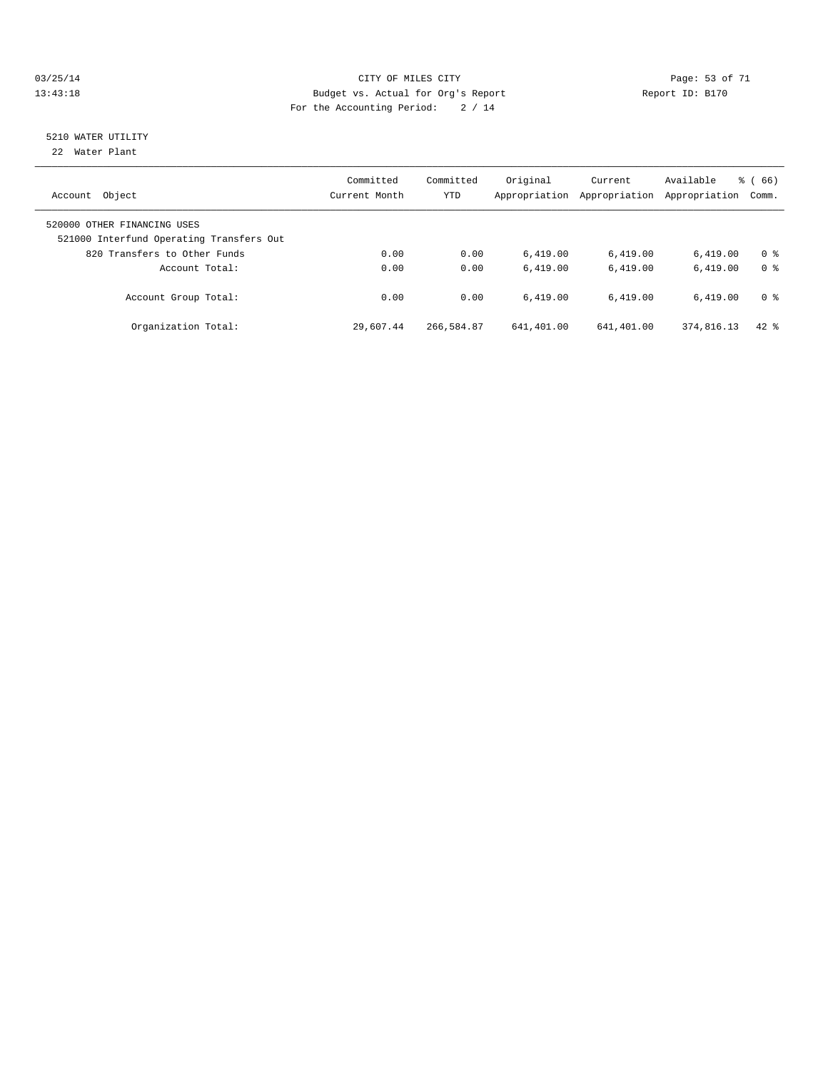#### 03/25/14 Page: 53 of 71 13:43:18 Budget vs. Actual for Org's Report Report ID: B170 For the Accounting Period: 2 / 14

# 5210 WATER UTILITY

22 Water Plant

| Object<br>Account                                                       | Committed<br>Current Month | Committed<br><b>YTD</b> | Original<br>Appropriation | Current<br>Appropriation | Available<br>Appropriation | $\frac{6}{6}$ (66)<br>Comm. |
|-------------------------------------------------------------------------|----------------------------|-------------------------|---------------------------|--------------------------|----------------------------|-----------------------------|
| 520000 OTHER FINANCING USES<br>521000 Interfund Operating Transfers Out |                            |                         |                           |                          |                            |                             |
| 820 Transfers to Other Funds                                            | 0.00                       | 0.00                    | 6.419.00                  | 6,419.00                 | 6.419.00                   | 0 <sup>8</sup>              |
| Account Total:                                                          | 0.00                       | 0.00                    | 6.419.00                  | 6.419.00                 | 6.419.00                   | 0 <sup>8</sup>              |
| Account Group Total:                                                    | 0.00                       | 0.00                    | 6.419.00                  | 6.419.00                 | 6.419.00                   | 0 <sup>8</sup>              |
| Organization Total:                                                     | 29,607.44                  | 266,584.87              | 641,401.00                | 641,401.00               | 374,816.13                 | $42$ $%$                    |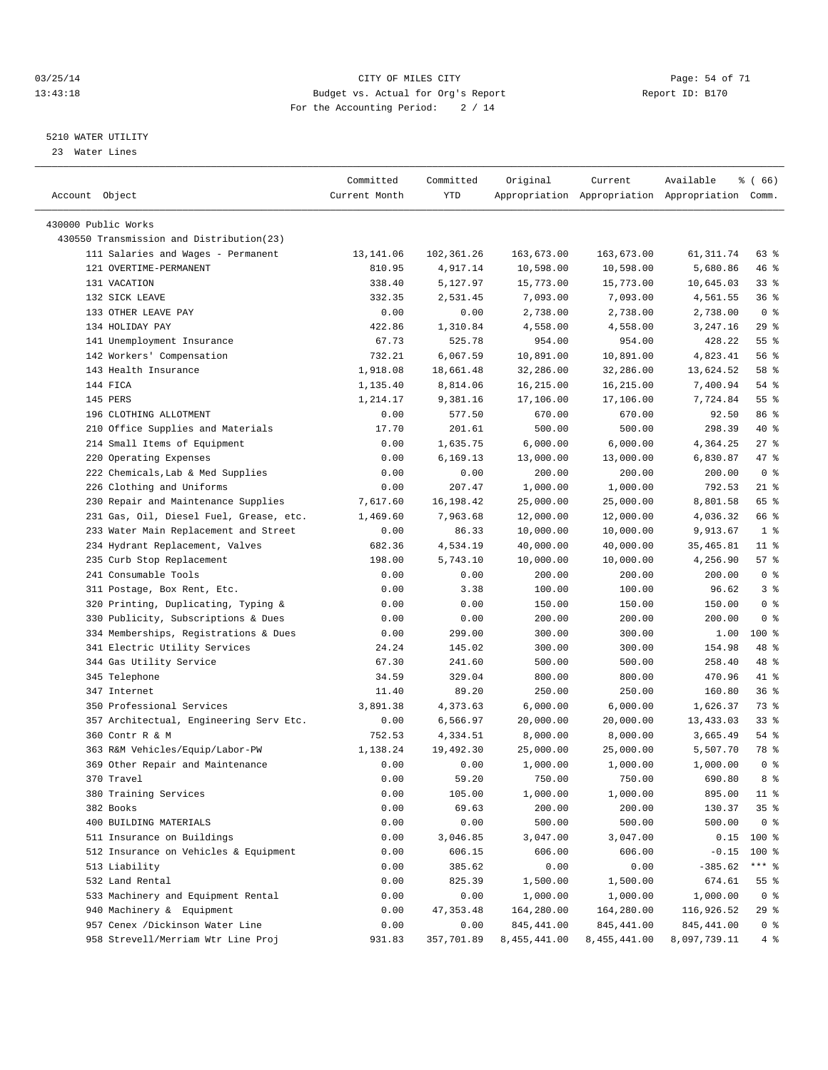#### 03/25/14 Page: 54 of 71 13:43:18 Budget vs. Actual for Org's Report Report ID: B170 For the Accounting Period: 2 / 14

————————————————————————————————————————————————————————————————————————————————————————————————————————————————————————————————————

#### 5210 WATER UTILITY

23 Water Lines

| Account Object                           | Committed<br>Current Month | Committed<br>YTD | Original     | Current      | Available<br>Appropriation Appropriation Appropriation Comm. | % ( 66)         |
|------------------------------------------|----------------------------|------------------|--------------|--------------|--------------------------------------------------------------|-----------------|
|                                          |                            |                  |              |              |                                                              |                 |
| 430000 Public Works                      |                            |                  |              |              |                                                              |                 |
| 430550 Transmission and Distribution(23) |                            |                  |              |              |                                                              |                 |
| 111 Salaries and Wages - Permanent       | 13,141.06                  | 102,361.26       | 163,673.00   | 163,673.00   | 61, 311.74                                                   | 63 %            |
| 121 OVERTIME-PERMANENT                   | 810.95                     | 4,917.14         | 10,598.00    | 10,598.00    | 5,680.86                                                     | 46 %            |
| 131 VACATION                             | 338.40                     | 5,127.97         | 15,773.00    | 15,773.00    | 10,645.03                                                    | $33$ $%$        |
| 132 SICK LEAVE                           | 332.35                     | 2,531.45         | 7,093.00     | 7,093.00     | 4,561.55                                                     | 36%             |
| 133 OTHER LEAVE PAY                      | 0.00                       | 0.00             | 2,738.00     | 2,738.00     | 2,738.00                                                     | 0 <sup>8</sup>  |
| 134 HOLIDAY PAY                          | 422.86                     | 1,310.84         | 4,558.00     | 4,558.00     | 3,247.16                                                     | 29%             |
| 141 Unemployment Insurance               | 67.73                      | 525.78           | 954.00       | 954.00       | 428.22                                                       | 55 <sup>8</sup> |
| 142 Workers' Compensation                | 732.21                     | 6,067.59         | 10,891.00    | 10,891.00    | 4,823.41                                                     | 56 %            |
| 143 Health Insurance                     | 1,918.08                   | 18,661.48        | 32,286.00    | 32,286.00    | 13,624.52                                                    | 58 %            |
| 144 FICA                                 | 1,135.40                   | 8,814.06         | 16,215.00    | 16,215.00    | 7,400.94                                                     | 54 %            |
| 145 PERS                                 | 1,214.17                   | 9,381.16         | 17,106.00    | 17,106.00    | 7,724.84                                                     | 55 <sup>8</sup> |
| 196 CLOTHING ALLOTMENT                   | 0.00                       | 577.50           | 670.00       | 670.00       | 92.50                                                        | 86 %            |
| 210 Office Supplies and Materials        | 17.70                      | 201.61           | 500.00       | 500.00       | 298.39                                                       | 40 %            |
| 214 Small Items of Equipment             | 0.00                       | 1,635.75         | 6,000.00     | 6,000.00     | 4,364.25                                                     | 27%             |
| 220 Operating Expenses                   | 0.00                       | 6,169.13         | 13,000.00    | 13,000.00    | 6,830.87                                                     | 47 %            |
| 222 Chemicals, Lab & Med Supplies        | 0.00                       | 0.00             | 200.00       | 200.00       | 200.00                                                       | 0 <sup>8</sup>  |
| 226 Clothing and Uniforms                | 0.00                       | 207.47           | 1,000.00     | 1,000.00     | 792.53                                                       | $21$ %          |
| 230 Repair and Maintenance Supplies      | 7,617.60                   | 16,198.42        | 25,000.00    | 25,000.00    | 8,801.58                                                     | 65 %            |
| 231 Gas, Oil, Diesel Fuel, Grease, etc.  | 1,469.60                   | 7,963.68         | 12,000.00    | 12,000.00    | 4,036.32                                                     | 66 %            |
| 233 Water Main Replacement and Street    | 0.00                       | 86.33            | 10,000.00    | 10,000.00    | 9,913.67                                                     | 1 <sup>8</sup>  |
| 234 Hydrant Replacement, Valves          | 682.36                     | 4,534.19         | 40,000.00    | 40,000.00    | 35,465.81                                                    | $11$ %          |
| 235 Curb Stop Replacement                | 198.00                     | 5,743.10         | 10,000.00    | 10,000.00    | 4,256.90                                                     | 57%             |
| 241 Consumable Tools                     | 0.00                       | 0.00             | 200.00       | 200.00       | 200.00                                                       | 0 <sup>8</sup>  |
| 311 Postage, Box Rent, Etc.              | 0.00                       | 3.38             | 100.00       | 100.00       | 96.62                                                        | 3%              |
| 320 Printing, Duplicating, Typing &      | 0.00                       | 0.00             | 150.00       | 150.00       | 150.00                                                       | 0 <sup>8</sup>  |
| 330 Publicity, Subscriptions & Dues      | 0.00                       | 0.00             | 200.00       | 200.00       | 200.00                                                       | 0 <sup>8</sup>  |
| 334 Memberships, Registrations & Dues    | 0.00                       | 299.00           | 300.00       | 300.00       | 1.00                                                         | $100*$          |
| 341 Electric Utility Services            | 24.24                      | 145.02           | 300.00       | 300.00       | 154.98                                                       | 48 %            |
| 344 Gas Utility Service                  | 67.30                      | 241.60           | 500.00       | 500.00       | 258.40                                                       | 48 %            |
| 345 Telephone                            | 34.59                      | 329.04           | 800.00       | 800.00       | 470.96                                                       | 41 %            |
| 347 Internet                             | 11.40                      | 89.20            | 250.00       | 250.00       | 160.80                                                       | 36%             |
| 350 Professional Services                | 3,891.38                   | 4,373.63         | 6,000.00     | 6,000.00     | 1,626.37                                                     | 73 %            |
| 357 Architectual, Engineering Serv Etc.  | 0.00                       | 6,566.97         | 20,000.00    | 20,000.00    | 13,433.03                                                    | $33$ $%$        |
| 360 Contr R & M                          | 752.53                     | 4,334.51         | 8,000.00     | 8,000.00     | 3,665.49                                                     | 54 %            |
| 363 R&M Vehicles/Equip/Labor-PW          | 1,138.24                   | 19,492.30        | 25,000.00    | 25,000.00    | 5,507.70                                                     | 78 %            |
| 369 Other Repair and Maintenance         | 0.00                       | 0.00             | 1,000.00     | 1,000.00     | 1,000.00                                                     | 0 <sup>8</sup>  |
| 370 Travel                               | 0.00                       | 59.20            | 750.00       | 750.00       | 690.80                                                       | 8 %             |
| 380 Training Services                    | 0.00                       | 105.00           | 1,000.00     | 1,000.00     | 895.00                                                       | $11$ %          |
| 382 Books                                | 0.00                       | 69.63            | 200.00       | 200.00       | 130.37                                                       | 35%             |
| 400 BUILDING MATERIALS                   | 0.00                       | 0.00             | 500.00       | 500.00       | 500.00                                                       | 0 <sup>8</sup>  |
| 511 Insurance on Buildings               | 0.00                       | 3,046.85         | 3,047.00     | 3,047.00     | 0.15                                                         | 100 %           |
| 512 Insurance on Vehicles & Equipment    | 0.00                       | 606.15           | 606.00       | 606.00       | $-0.15$                                                      | $100$ %         |
| 513 Liability                            | 0.00                       | 385.62           | 0.00         | 0.00         | $-385.62$                                                    | $***$ $_{8}$    |
| 532 Land Rental                          | 0.00                       | 825.39           | 1,500.00     | 1,500.00     | 674.61                                                       | 55 %            |
| 533 Machinery and Equipment Rental       | 0.00                       | 0.00             | 1,000.00     | 1,000.00     | 1,000.00                                                     | 0 <sup>8</sup>  |
| 940 Machinery & Equipment                | 0.00                       | 47, 353.48       | 164,280.00   | 164,280.00   | 116,926.52                                                   | 29 %            |
| 957 Cenex /Dickinson Water Line          | 0.00                       | 0.00             | 845, 441.00  | 845, 441.00  | 845, 441.00                                                  | 0 <sup>8</sup>  |
| 958 Strevell/Merriam Wtr Line Proj       | 931.83                     | 357,701.89       | 8,455,441.00 | 8,455,441.00 | 8,097,739.11                                                 | 4%              |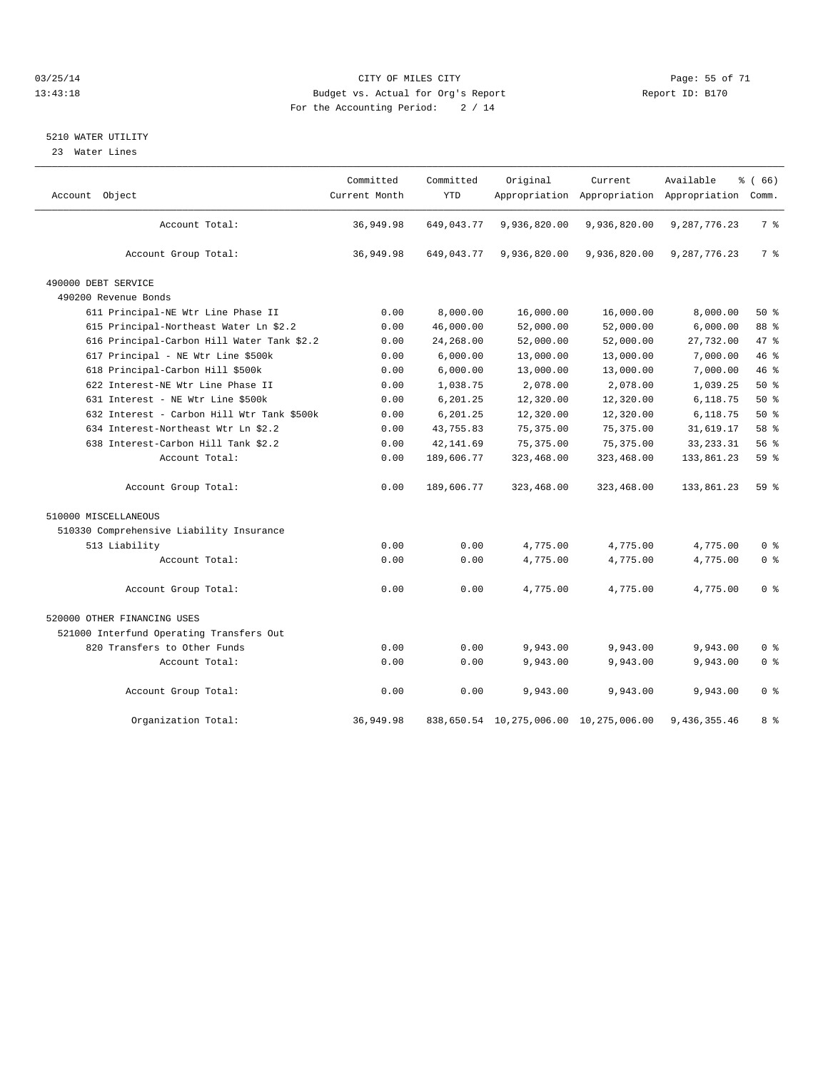#### 03/25/14 Page: 55 of 71 13:43:18 Budget vs. Actual for Org's Report Report ID: B170 For the Accounting Period: 2 / 14

#### 5210 WATER UTILITY

23 Water Lines

|                                            | Committed     | Committed  | Original                               | Current      | Available                                       | <sub>ර</sub> ි (66) |
|--------------------------------------------|---------------|------------|----------------------------------------|--------------|-------------------------------------------------|---------------------|
| Account Object                             | Current Month | <b>YTD</b> |                                        |              | Appropriation Appropriation Appropriation Comm. |                     |
| Account Total:                             | 36,949.98     | 649,043.77 | 9,936,820.00                           | 9,936,820.00 | 9,287,776.23                                    | 7 %                 |
| Account Group Total:                       | 36,949.98     | 649,043.77 | 9,936,820.00                           | 9,936,820.00 | 9,287,776.23                                    | 7 %                 |
| 490000 DEBT SERVICE                        |               |            |                                        |              |                                                 |                     |
| 490200 Revenue Bonds                       |               |            |                                        |              |                                                 |                     |
| 611 Principal-NE Wtr Line Phase II         | 0.00          | 8,000.00   | 16,000.00                              | 16,000.00    | 8,000.00                                        | $50*$               |
| 615 Principal-Northeast Water Ln \$2.2     | 0.00          | 46,000.00  | 52,000.00                              | 52,000.00    | 6,000.00                                        | 88 %                |
| 616 Principal-Carbon Hill Water Tank \$2.2 | 0.00          | 24,268.00  | 52,000.00                              | 52,000.00    | 27,732.00                                       | 47 %                |
| 617 Principal - NE Wtr Line \$500k         | 0.00          | 6,000.00   | 13,000.00                              | 13,000.00    | 7,000.00                                        | 46 %                |
| 618 Principal-Carbon Hill \$500k           | 0.00          | 6,000.00   | 13,000.00                              | 13,000.00    | 7,000.00                                        | 46 %                |
| 622 Interest-NE Wtr Line Phase II          | 0.00          | 1,038.75   | 2,078.00                               | 2,078.00     | 1,039.25                                        | $50*$               |
| 631 Interest - NE Wtr Line \$500k          | 0.00          | 6, 201.25  | 12,320.00                              | 12,320.00    | 6,118.75                                        | 50%                 |
| 632 Interest - Carbon Hill Wtr Tank \$500k | 0.00          | 6,201.25   | 12,320.00                              | 12,320.00    | 6,118.75                                        | 50%                 |
| 634 Interest-Northeast Wtr Ln \$2.2        | 0.00          | 43,755.83  | 75, 375.00                             | 75, 375.00   | 31,619.17                                       | 58 %                |
| 638 Interest-Carbon Hill Tank \$2.2        | 0.00          | 42, 141.69 | 75, 375.00                             | 75, 375.00   | 33, 233. 31                                     | 56%                 |
| Account Total:                             | 0.00          | 189,606.77 | 323,468.00                             | 323,468.00   | 133,861.23                                      | 59 %                |
| Account Group Total:                       | 0.00          | 189,606.77 | 323,468.00                             | 323,468.00   | 133,861.23                                      | 59 <sub>8</sub>     |
| 510000 MISCELLANEOUS                       |               |            |                                        |              |                                                 |                     |
| 510330 Comprehensive Liability Insurance   |               |            |                                        |              |                                                 |                     |
| 513 Liability                              | 0.00          | 0.00       | 4,775.00                               | 4,775.00     | 4,775.00                                        | 0 <sup>8</sup>      |
| Account Total:                             | 0.00          | 0.00       | 4,775.00                               | 4,775.00     | 4,775.00                                        | 0 <sup>8</sup>      |
| Account Group Total:                       | 0.00          | 0.00       | 4,775.00                               | 4,775.00     | 4,775.00                                        | 0 <sup>8</sup>      |
| 520000 OTHER FINANCING USES                |               |            |                                        |              |                                                 |                     |
| 521000 Interfund Operating Transfers Out   |               |            |                                        |              |                                                 |                     |
| 820 Transfers to Other Funds               | 0.00          | 0.00       | 9,943.00                               | 9,943.00     | 9,943.00                                        | 0 <sup>8</sup>      |
| Account Total:                             | 0.00          | 0.00       | 9,943.00                               | 9,943.00     | 9,943.00                                        | 0 <sup>8</sup>      |
| Account Group Total:                       | 0.00          | 0.00       | 9,943.00                               | 9,943.00     | 9,943.00                                        | 0 <sup>8</sup>      |
| Organization Total:                        | 36,949.98     |            | 838,650.54 10,275,006.00 10,275,006.00 |              | 9,436,355.46                                    | 8 %                 |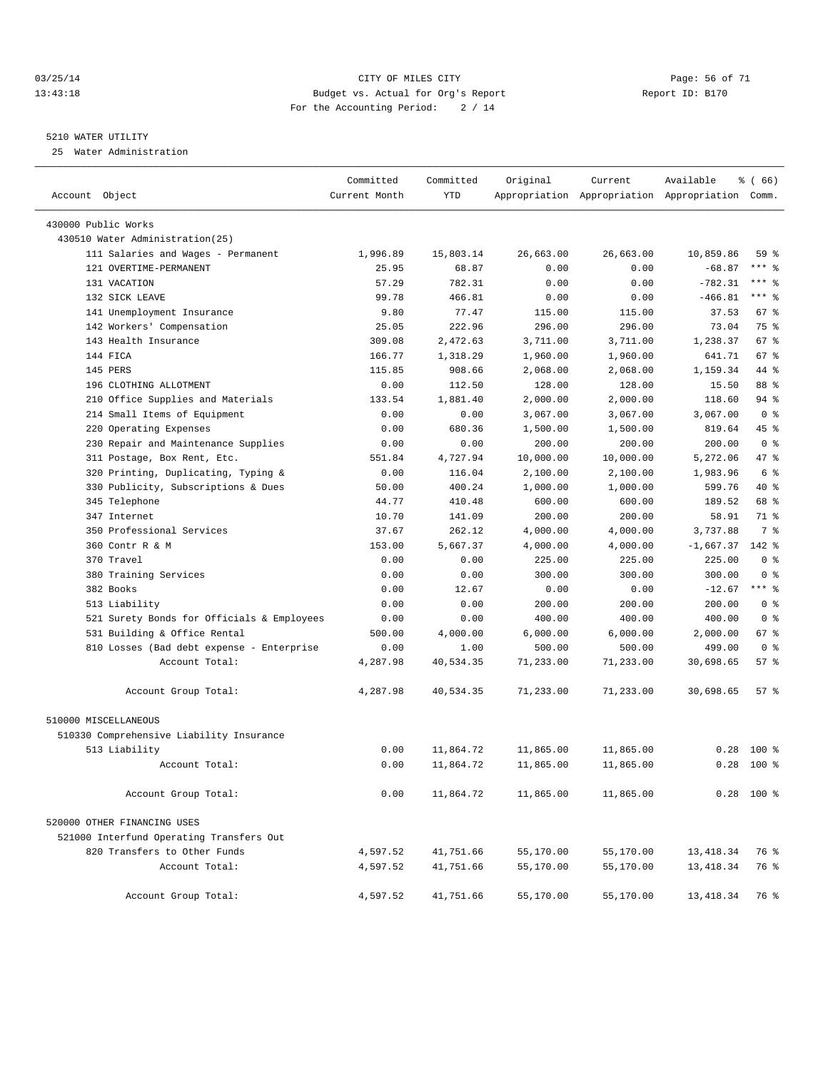#### 03/25/14 Page: 56 of 71 13:43:18 Budget vs. Actual for Org's Report Report ID: B170 For the Accounting Period: 2 / 14

————————————————————————————————————————————————————————————————————————————————————————————————————————————————————————————————————

#### 5210 WATER UTILITY

25 Water Administration

|                                            | Committed     | Committed  | Original  | Current   | Available                                       | 8 ( 66 )       |
|--------------------------------------------|---------------|------------|-----------|-----------|-------------------------------------------------|----------------|
| Account Object                             | Current Month | <b>YTD</b> |           |           | Appropriation Appropriation Appropriation Comm. |                |
| 430000 Public Works                        |               |            |           |           |                                                 |                |
| 430510 Water Administration(25)            |               |            |           |           |                                                 |                |
| 111 Salaries and Wages - Permanent         | 1,996.89      | 15,803.14  | 26,663.00 | 26,663.00 | 10,859.86                                       | 59 %           |
| 121 OVERTIME-PERMANENT                     | 25.95         | 68.87      | 0.00      | 0.00      | $-68.87$                                        | $***$ $-$      |
| 131 VACATION                               | 57.29         | 782.31     | 0.00      | 0.00      | $-782.31$                                       | $***$ $-$      |
| 132 SICK LEAVE                             | 99.78         | 466.81     | 0.00      | 0.00      | $-466.81$                                       | $***$ $-$      |
| 141 Unemployment Insurance                 | 9.80          | 77.47      | 115.00    | 115.00    | 37.53                                           | 67 %           |
| 142 Workers' Compensation                  | 25.05         | 222.96     | 296.00    | 296.00    | 73.04                                           | 75 %           |
| 143 Health Insurance                       | 309.08        | 2,472.63   | 3,711.00  | 3,711.00  | 1,238.37                                        | 67 %           |
| 144 FICA                                   | 166.77        | 1,318.29   | 1,960.00  | 1,960.00  | 641.71                                          | 67 %           |
| 145 PERS                                   | 115.85        | 908.66     | 2,068.00  | 2,068.00  | 1,159.34                                        | 44 %           |
| 196 CLOTHING ALLOTMENT                     | 0.00          | 112.50     | 128.00    | 128.00    | 15.50                                           | 88 %           |
| 210 Office Supplies and Materials          | 133.54        | 1,881.40   | 2,000.00  | 2,000.00  | 118.60                                          | 94 %           |
| 214 Small Items of Equipment               | 0.00          | 0.00       | 3,067.00  | 3,067.00  | 3,067.00                                        | 0 <sup>8</sup> |
| 220 Operating Expenses                     | 0.00          | 680.36     | 1,500.00  | 1,500.00  | 819.64                                          | 45 %           |
| 230 Repair and Maintenance Supplies        | 0.00          | 0.00       | 200.00    | 200.00    | 200.00                                          | 0 <sup>8</sup> |
| 311 Postage, Box Rent, Etc.                | 551.84        | 4,727.94   | 10,000.00 | 10,000.00 | 5,272.06                                        | 47 %           |
| 320 Printing, Duplicating, Typing &        | 0.00          | 116.04     | 2,100.00  | 2,100.00  | 1,983.96                                        | 6 %            |
| 330 Publicity, Subscriptions & Dues        | 50.00         | 400.24     | 1,000.00  | 1,000.00  | 599.76                                          | 40 %           |
| 345 Telephone                              | 44.77         | 410.48     | 600.00    | 600.00    | 189.52                                          | 68 %           |
| 347 Internet                               | 10.70         | 141.09     | 200.00    | 200.00    | 58.91                                           | 71 %           |
| 350 Professional Services                  | 37.67         | 262.12     | 4,000.00  | 4,000.00  | 3,737.88                                        | 7 %            |
| 360 Contr R & M                            | 153.00        | 5,667.37   | 4,000.00  | 4,000.00  | $-1,667.37$                                     | 142 %          |
| 370 Travel                                 | 0.00          | 0.00       | 225.00    | 225.00    | 225.00                                          | 0 <sup>8</sup> |
| 380 Training Services                      | 0.00          | 0.00       | 300.00    | 300.00    | 300.00                                          | 0 <sup>8</sup> |
| 382 Books                                  | 0.00          | 12.67      | 0.00      | 0.00      | $-12.67$                                        | $***$ $%$      |
| 513 Liability                              | 0.00          | 0.00       | 200.00    | 200.00    | 200.00                                          | 0 <sup>8</sup> |
| 521 Surety Bonds for Officials & Employees | 0.00          | 0.00       | 400.00    | 400.00    | 400.00                                          | 0 <sup>8</sup> |
| 531 Building & Office Rental               | 500.00        | 4,000.00   | 6,000.00  | 6,000.00  | 2,000.00                                        | 67 %           |
| 810 Losses (Bad debt expense - Enterprise  | 0.00          | 1.00       | 500.00    | 500.00    | 499.00                                          | 0 <sup>8</sup> |
| Account Total:                             | 4,287.98      | 40,534.35  | 71,233.00 | 71,233.00 | 30,698.65                                       | 57%            |
| Account Group Total:                       | 4,287.98      | 40,534.35  | 71,233.00 | 71,233.00 | 30,698.65                                       | 57%            |
| 510000 MISCELLANEOUS                       |               |            |           |           |                                                 |                |
| 510330 Comprehensive Liability Insurance   |               |            |           |           |                                                 |                |
| 513 Liability                              | 0.00          | 11,864.72  | 11,865.00 | 11,865.00 | 0.28                                            | $100*$         |
| Account Total:                             | 0.00          | 11,864.72  | 11,865.00 | 11,865.00 | 0.28                                            | $100*$         |
| Account Group Total:                       | 0.00          | 11,864.72  | 11,865.00 | 11,865.00 |                                                 | $0.28$ 100 %   |
| 520000 OTHER FINANCING USES                |               |            |           |           |                                                 |                |
| 521000 Interfund Operating Transfers Out   |               |            |           |           |                                                 |                |
| 820 Transfers to Other Funds               | 4,597.52      | 41,751.66  | 55,170.00 | 55,170.00 | 13, 418.34                                      | 76 %           |
| Account Total:                             | 4,597.52      | 41,751.66  | 55,170.00 | 55,170.00 | 13, 418.34                                      | 76 %           |
| Account Group Total:                       | 4,597.52      | 41,751.66  | 55,170.00 | 55,170.00 | 13, 418.34                                      | 76 %           |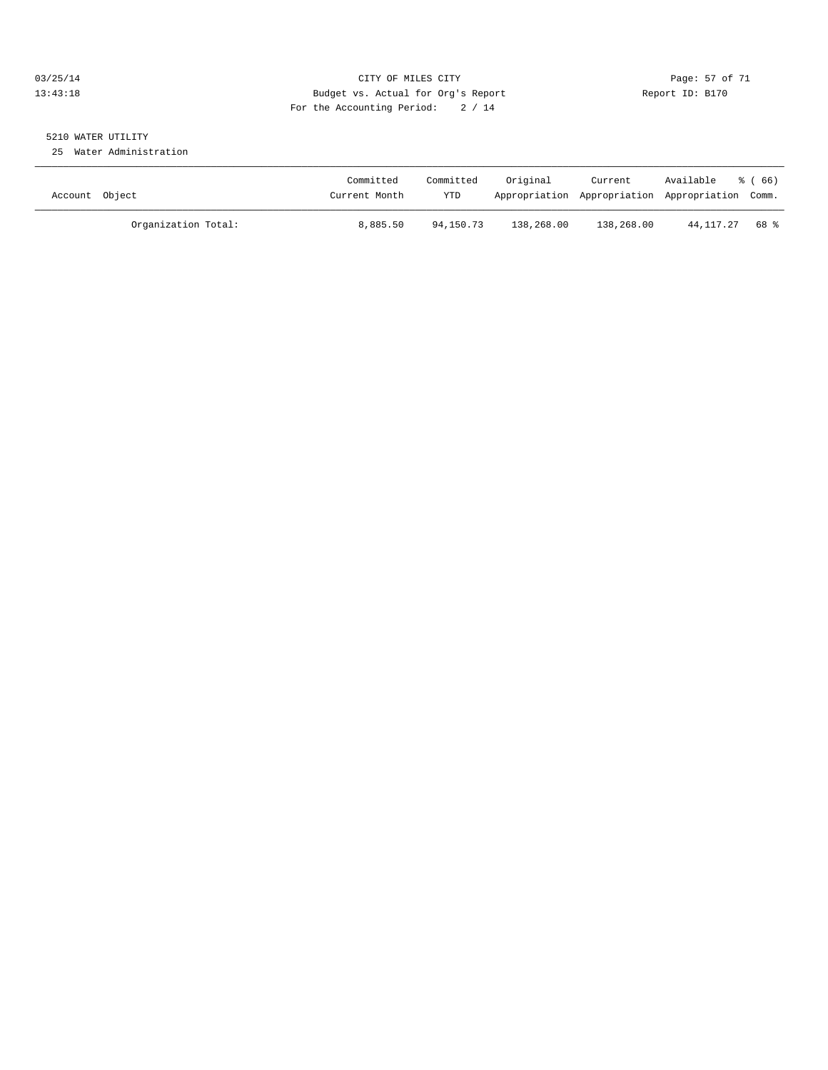#### 03/25/14 Page: 57 of 71 13:43:18 Budget vs. Actual for Org's Report Report ID: B170 For the Accounting Period: 2 / 14

# 5210 WATER UTILITY

25 Water Administration

| Account Object |                     | Committed<br>Current Month | Committed<br><b>YTD</b> | Original   | Current    | Available<br>Appropriation Appropriation Appropriation Comm. | ී (66) |
|----------------|---------------------|----------------------------|-------------------------|------------|------------|--------------------------------------------------------------|--------|
|                | Organization Total: | 8,885.50                   | 94,150.73               | 138,268.00 | 138,268.00 | 44,117.27                                                    | 68 %   |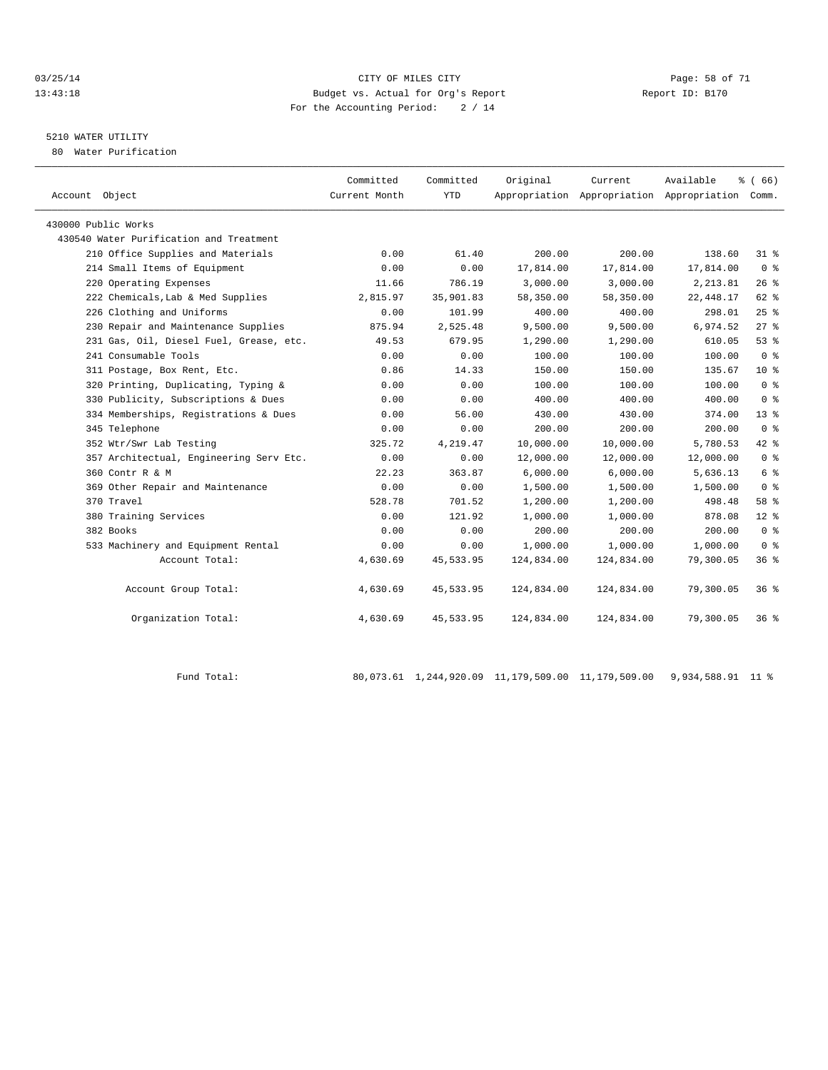#### 03/25/14 Page: 58 of 71 13:43:18 Budget vs. Actual for Org's Report Report ID: B170 For the Accounting Period: 2 / 14

## 5210 WATER UTILITY

80 Water Purification

| Account Object                          | Committed<br>Current Month | Committed<br><b>YTD</b> | Original   | Current    | Available<br>Appropriation Appropriation Appropriation Comm. | $\frac{3}{6}$ (66) |  |
|-----------------------------------------|----------------------------|-------------------------|------------|------------|--------------------------------------------------------------|--------------------|--|
| 430000 Public Works                     |                            |                         |            |            |                                                              |                    |  |
| 430540 Water Purification and Treatment |                            |                         |            |            |                                                              |                    |  |
| 210 Office Supplies and Materials       | 0.00                       | 61.40                   | 200.00     | 200.00     | 138.60                                                       | 31 %               |  |
| 214 Small Items of Equipment            | 0.00                       | 0.00                    | 17,814.00  | 17,814.00  | 17,814.00                                                    | 0 <sup>8</sup>     |  |
| 220 Operating Expenses                  | 11.66                      | 786.19                  | 3,000.00   | 3,000.00   | 2, 213.81                                                    | 26%                |  |
| 222 Chemicals, Lab & Med Supplies       | 2,815.97                   | 35,901.83               | 58,350.00  | 58,350.00  | 22, 448.17                                                   | 62 %               |  |
| 226 Clothing and Uniforms               | 0.00                       | 101.99                  | 400.00     | 400.00     | 298.01                                                       | 25%                |  |
| 230 Repair and Maintenance Supplies     | 875.94                     | 2,525.48                | 9,500.00   | 9,500.00   | 6,974.52                                                     | $27$ %             |  |
| 231 Gas, Oil, Diesel Fuel, Grease, etc. | 49.53                      | 679.95                  | 1,290.00   | 1,290.00   | 610.05                                                       | 53%                |  |
| 241 Consumable Tools                    | 0.00                       | 0.00                    | 100.00     | 100.00     | 100.00                                                       | 0 <sup>8</sup>     |  |
| 311 Postage, Box Rent, Etc.             | 0.86                       | 14.33                   | 150.00     | 150.00     | 135.67                                                       | $10*$              |  |
| 320 Printing, Duplicating, Typing &     | 0.00                       | 0.00                    | 100.00     | 100.00     | 100.00                                                       | 0 <sup>8</sup>     |  |
| 330 Publicity, Subscriptions & Dues     | 0.00                       | 0.00                    | 400.00     | 400.00     | 400.00                                                       | 0 <sup>8</sup>     |  |
| 334 Memberships, Registrations & Dues   | 0.00                       | 56.00                   | 430.00     | 430.00     | 374.00                                                       | 13 <sup>8</sup>    |  |
| 345 Telephone                           | 0.00                       | 0.00                    | 200.00     | 200.00     | 200.00                                                       | 0 <sup>8</sup>     |  |
| 352 Wtr/Swr Lab Testing                 | 325.72                     | 4,219.47                | 10,000.00  | 10,000.00  | 5,780.53                                                     | $42*$              |  |
| 357 Architectual, Engineering Serv Etc. | 0.00                       | 0.00                    | 12,000.00  | 12,000.00  | 12,000.00                                                    | 0 <sup>8</sup>     |  |
| 360 Contr R & M                         | 22.23                      | 363.87                  | 6,000.00   | 6,000.00   | 5,636.13                                                     | $6\degree$         |  |
| 369 Other Repair and Maintenance        | 0.00                       | 0.00                    | 1,500.00   | 1,500.00   | 1,500.00                                                     | 0 <sup>8</sup>     |  |
| 370 Travel                              | 528.78                     | 701.52                  | 1,200.00   | 1,200.00   | 498.48                                                       | 58 %               |  |
| 380 Training Services                   | 0.00                       | 121.92                  | 1,000.00   | 1,000.00   | 878.08                                                       | $12*$              |  |
| 382 Books                               | 0.00                       | 0.00                    | 200.00     | 200.00     | 200.00                                                       | 0 <sup>8</sup>     |  |
| 533 Machinery and Equipment Rental      | 0.00                       | 0.00                    | 1,000.00   | 1,000.00   | 1,000.00                                                     | 0 <sup>8</sup>     |  |
| Account Total:                          | 4,630.69                   | 45,533.95               | 124,834.00 | 124,834.00 | 79,300.05                                                    | 36%                |  |
| Account Group Total:                    | 4,630.69                   | 45, 533.95              | 124,834.00 | 124,834.00 | 79,300.05                                                    | 36%                |  |
| Organization Total:                     | 4,630.69                   | 45, 533.95              | 124,834.00 | 124,834.00 | 79,300.05                                                    | $36*$              |  |
|                                         |                            |                         |            |            |                                                              |                    |  |

Fund Total: 80,073.61 1,244,920.09 11,179,509.00 11,179,509.00 9,934,588.91 11 %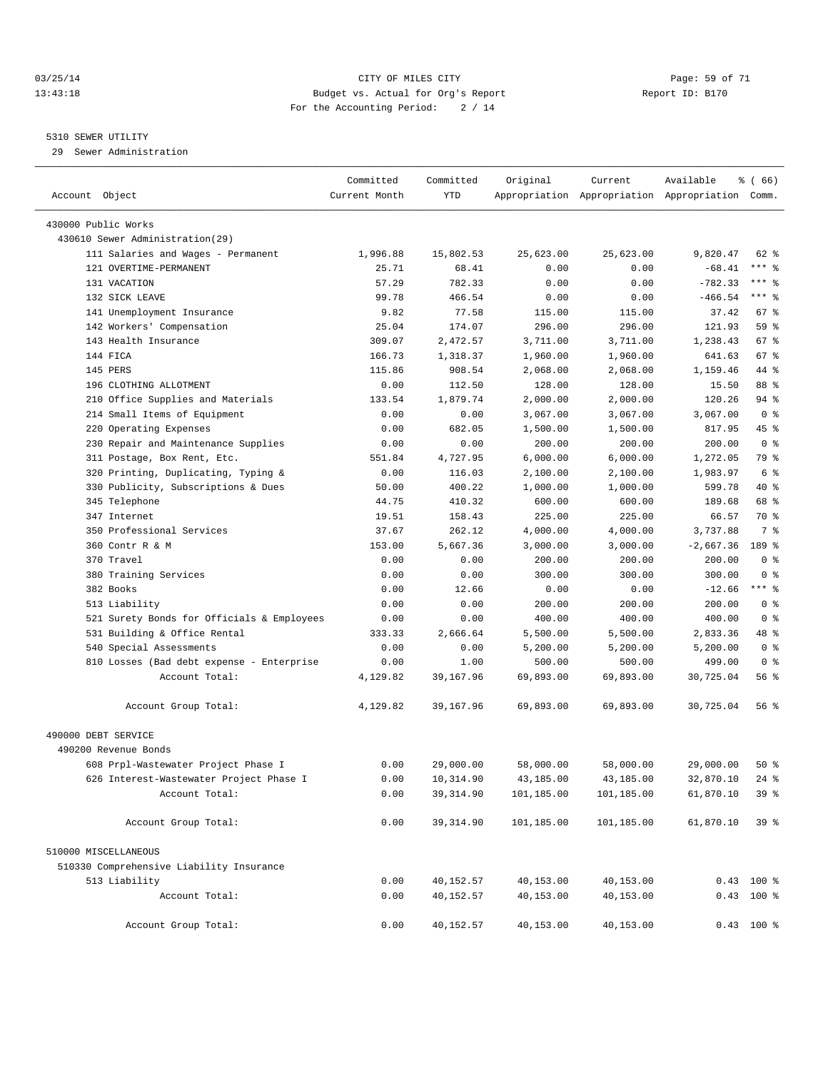#### 03/25/14 Page: 59 of 71 13:43:18 Budget vs. Actual for Org's Report Report ID: B170 For the Accounting Period: 2 / 14

————————————————————————————————————————————————————————————————————————————————————————————————————————————————————————————————————

#### 5310 SEWER UTILITY

29 Sewer Administration

|                                                             | Committed        | Committed          | Original            | Current             | Available                                       | $\frac{3}{6}$ (66) |  |
|-------------------------------------------------------------|------------------|--------------------|---------------------|---------------------|-------------------------------------------------|--------------------|--|
| Account Object                                              | Current Month    | YTD                |                     |                     | Appropriation Appropriation Appropriation Comm. |                    |  |
| 430000 Public Works                                         |                  |                    |                     |                     |                                                 |                    |  |
| 430610 Sewer Administration(29)                             |                  |                    |                     |                     |                                                 |                    |  |
| 111 Salaries and Wages - Permanent                          | 1,996.88         | 15,802.53          | 25,623.00           | 25,623.00           | 9,820.47                                        | 62 %               |  |
| 121 OVERTIME-PERMANENT                                      | 25.71            | 68.41              | 0.00                | 0.00                | $-68.41$                                        | $***$ $-$          |  |
| 131 VACATION                                                | 57.29            | 782.33             | 0.00                | 0.00                | $-782.33$                                       | *** 응              |  |
| 132 SICK LEAVE                                              | 99.78            | 466.54             | 0.00                | 0.00                | $-466.54$                                       | $***$ $-$          |  |
| 141 Unemployment Insurance                                  | 9.82             | 77.58              | 115.00              | 115.00              | 37.42                                           | 67 %               |  |
| 142 Workers' Compensation                                   | 25.04            | 174.07             | 296.00              | 296.00              | 121.93                                          | 59 %               |  |
| 143 Health Insurance                                        | 309.07           | 2,472.57           | 3,711.00            | 3,711.00            | 1,238.43                                        | 67 %               |  |
| 144 FICA                                                    | 166.73           | 1,318.37           | 1,960.00            | 1,960.00            | 641.63                                          | 67 %               |  |
| 145 PERS                                                    | 115.86           | 908.54             | 2,068.00            | 2,068.00            | 1,159.46                                        | 44 %               |  |
| 196 CLOTHING ALLOTMENT                                      | 0.00             | 112.50             | 128.00              | 128.00              | 15.50                                           | 88 %               |  |
| 210 Office Supplies and Materials                           | 133.54           | 1,879.74           | 2,000.00            | 2,000.00            | 120.26                                          | 94 %               |  |
| 214 Small Items of Equipment                                | 0.00             | 0.00               | 3,067.00            | 3,067.00            | 3,067.00                                        | 0 <sup>8</sup>     |  |
| 220 Operating Expenses                                      | 0.00             | 682.05             | 1,500.00            | 1,500.00            | 817.95                                          | 45 %               |  |
| 230 Repair and Maintenance Supplies                         | 0.00             | 0.00               | 200.00              | 200.00              | 200.00                                          | 0 <sup>8</sup>     |  |
| 311 Postage, Box Rent, Etc.                                 | 551.84           | 4,727.95           | 6,000.00            | 6,000.00            | 1,272.05                                        | 79 %               |  |
| 320 Printing, Duplicating, Typing &                         | 0.00             | 116.03             | 2,100.00            | 2,100.00            | 1,983.97                                        | 6 %                |  |
| 330 Publicity, Subscriptions & Dues                         | 50.00            | 400.22             | 1,000.00            | 1,000.00            | 599.78                                          | 40 %               |  |
| 345 Telephone                                               | 44.75            | 410.32             | 600.00              | 600.00              | 189.68                                          | 68 %               |  |
| 347 Internet                                                | 19.51            | 158.43             | 225.00              | 225.00              | 66.57                                           | 70 %               |  |
| 350 Professional Services                                   | 37.67            | 262.12             | 4,000.00            | 4,000.00            | 3,737.88                                        | 7 %                |  |
| 360 Contr R & M                                             | 153.00           | 5,667.36           | 3,000.00            | 3,000.00            | $-2,667.36$                                     | 189 %              |  |
| 370 Travel                                                  | 0.00             | 0.00               | 200.00              | 200.00              | 200.00                                          | 0 <sup>8</sup>     |  |
| 380 Training Services                                       | 0.00             | 0.00               | 300.00              | 300.00              | 300.00                                          | 0 <sup>8</sup>     |  |
| 382 Books                                                   |                  |                    |                     |                     |                                                 | $***$ $-$          |  |
| 513 Liability                                               | 0.00<br>0.00     | 12.66<br>0.00      | 0.00<br>200.00      | 0.00<br>200.00      | $-12.66$<br>200.00                              | 0 <sup>8</sup>     |  |
| 521 Surety Bonds for Officials & Employees                  | 0.00             | 0.00               | 400.00              | 400.00              | 400.00                                          | 0 <sup>8</sup>     |  |
| 531 Building & Office Rental                                | 333.33           | 2,666.64           | 5,500.00            | 5,500.00            | 2,833.36                                        | 48 %               |  |
| 540 Special Assessments                                     | 0.00             | 0.00               |                     |                     |                                                 | 0 <sup>8</sup>     |  |
|                                                             |                  |                    | 5,200.00            | 5,200.00            | 5,200.00<br>499.00                              | 0 <sup>8</sup>     |  |
| 810 Losses (Bad debt expense - Enterprise<br>Account Total: | 0.00<br>4,129.82 | 1.00<br>39, 167.96 | 500.00<br>69,893.00 | 500.00<br>69,893.00 | 30,725.04                                       | 56%                |  |
|                                                             |                  |                    |                     |                     |                                                 |                    |  |
| Account Group Total:                                        | 4,129.82         | 39,167.96          | 69,893.00           | 69,893.00           | 30,725.04                                       | 56 %               |  |
| 490000 DEBT SERVICE                                         |                  |                    |                     |                     |                                                 |                    |  |
| 490200 Revenue Bonds                                        |                  |                    |                     |                     |                                                 |                    |  |
| 608 Prpl-Wastewater Project Phase I                         | 0.00             | 29,000.00          | 58,000.00           | 58,000.00           | 29,000.00                                       | $50*$              |  |
| 626 Interest-Wastewater Project Phase I                     | 0.00             | 10,314.90          | 43,185.00           | 43,185.00           | 32,870.10                                       | $24$ %             |  |
| Account Total:                                              | 0.00             | 39, 314.90         | 101,185.00          | 101,185.00          | 61,870.10                                       | 39 %               |  |
| Account Group Total:                                        | 0.00             | 39, 314.90         | 101,185.00          | 101,185.00          | 61,870.10                                       | 39 <sup>8</sup>    |  |
| 510000 MISCELLANEOUS                                        |                  |                    |                     |                     |                                                 |                    |  |
| 510330 Comprehensive Liability Insurance                    |                  |                    |                     |                     |                                                 |                    |  |
| 513 Liability                                               | 0.00             | 40,152.57          | 40,153.00           | 40,153.00           |                                                 | $0.43$ 100 %       |  |
| Account Total:                                              | 0.00             | 40,152.57          | 40,153.00           | 40,153.00           |                                                 | $0.43$ 100 %       |  |
| Account Group Total:                                        | 0.00             | 40,152.57          | 40,153.00           | 40,153.00           |                                                 | $0.43$ 100 %       |  |
|                                                             |                  |                    |                     |                     |                                                 |                    |  |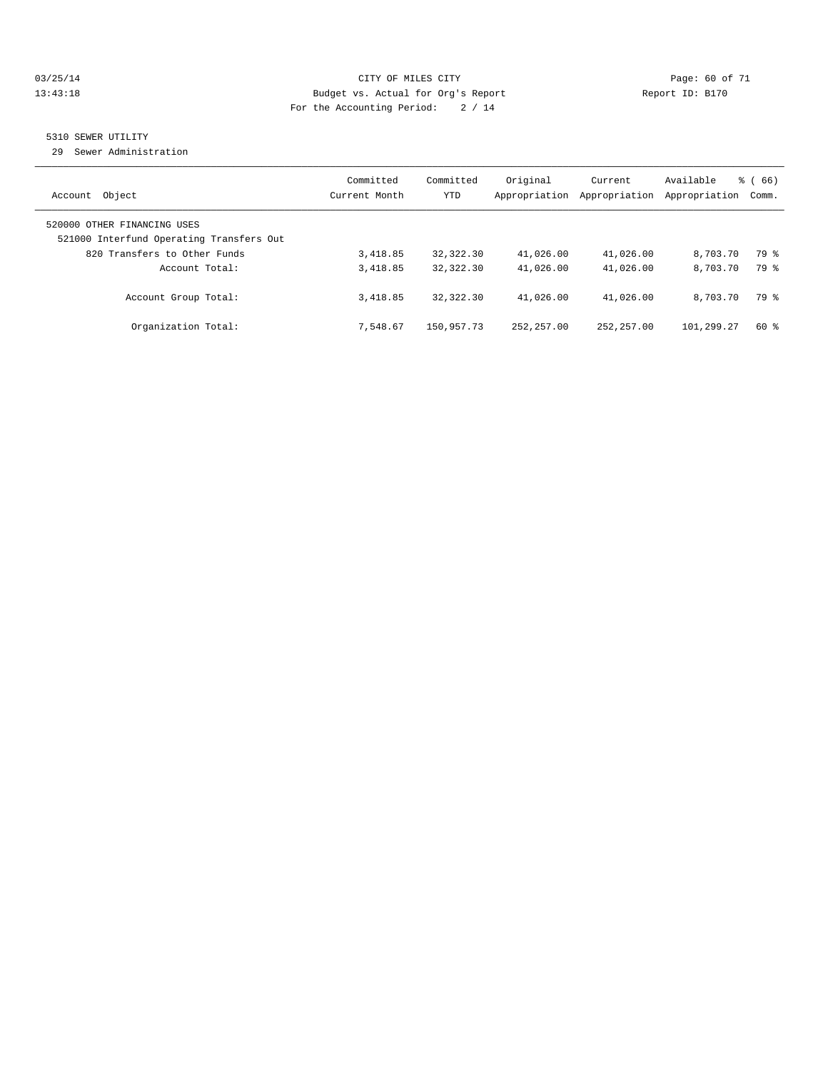#### 03/25/14 Page: 60 of 71 13:43:18 Budget vs. Actual for Org's Report Report ID: B170 For the Accounting Period: 2 / 14

## 5310 SEWER UTILITY

29 Sewer Administration

| Object<br>Account                                                                                       | Committed<br>Current Month | Committed<br><b>YTD</b> | Original<br>Appropriation | Current<br>Appropriation | Available<br>Appropriation | $\frac{3}{6}$ (66)<br>Comm. |
|---------------------------------------------------------------------------------------------------------|----------------------------|-------------------------|---------------------------|--------------------------|----------------------------|-----------------------------|
| 520000 OTHER FINANCING USES<br>521000 Interfund Operating Transfers Out<br>820 Transfers to Other Funds | 3,418.85                   | 32,322.30               | 41,026.00                 | 41,026.00                | 8,703.70                   | 79 %                        |
| Account Total:                                                                                          | 3,418.85                   | 32, 322, 30             | 41,026.00                 | 41,026.00                | 8,703.70                   | 79 %                        |
| Account Group Total:                                                                                    | 3,418.85                   | 32, 322, 30             | 41,026.00                 | 41,026.00                | 8,703.70                   | 79 %                        |
| Organization Total:                                                                                     | 7.548.67                   | 150,957.73              | 252, 257, 00              | 252, 257, 00             | 101,299.27                 | $60*$                       |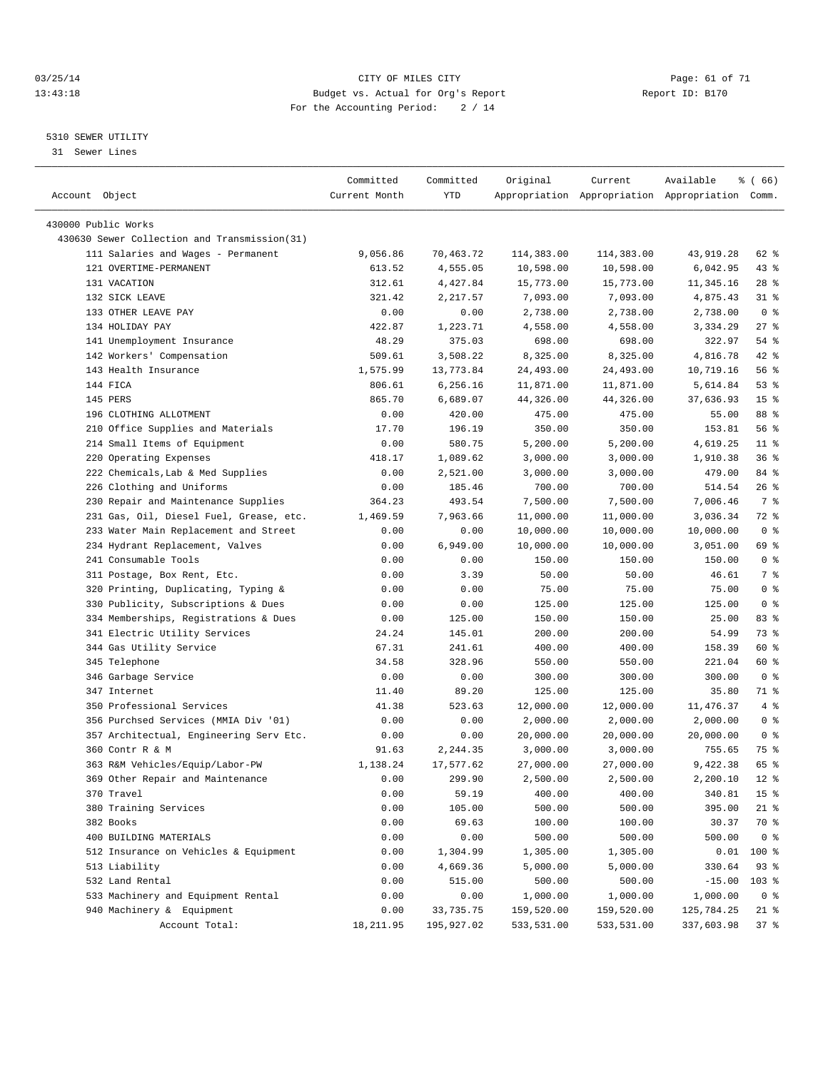#### 03/25/14 Page: 61 of 71 13:43:18 Budget vs. Actual for Org's Report Report ID: B170 For the Accounting Period: 2 / 14

————————————————————————————————————————————————————————————————————————————————————————————————————————————————————————————————————

#### 5310 SEWER UTILITY

31 Sewer Lines

|                                              | Committed     | Committed  | Original   | Current    | Available                                       | % ( 66)         |
|----------------------------------------------|---------------|------------|------------|------------|-------------------------------------------------|-----------------|
| Account Object                               | Current Month | YTD        |            |            | Appropriation Appropriation Appropriation Comm. |                 |
|                                              |               |            |            |            |                                                 |                 |
| 430000 Public Works                          |               |            |            |            |                                                 |                 |
| 430630 Sewer Collection and Transmission(31) |               |            |            |            |                                                 |                 |
| 111 Salaries and Wages - Permanent           | 9,056.86      | 70,463.72  | 114,383.00 | 114,383.00 | 43,919.28                                       | 62 %            |
| 121 OVERTIME-PERMANENT                       | 613.52        | 4,555.05   | 10,598.00  | 10,598.00  | 6,042.95                                        | $43$ %          |
| 131 VACATION                                 | 312.61        | 4,427.84   | 15,773.00  | 15,773.00  | 11,345.16                                       | $28$ %          |
| 132 SICK LEAVE                               | 321.42        | 2,217.57   | 7,093.00   | 7,093.00   | 4,875.43                                        | $31$ %          |
| 133 OTHER LEAVE PAY                          | 0.00          | 0.00       | 2,738.00   | 2,738.00   | 2,738.00                                        | 0 <sup>8</sup>  |
| 134 HOLIDAY PAY                              | 422.87        | 1,223.71   | 4,558.00   | 4,558.00   | 3,334.29                                        | $27$ %          |
| 141 Unemployment Insurance                   | 48.29         | 375.03     | 698.00     | 698.00     | 322.97                                          | 54 %            |
| 142 Workers' Compensation                    | 509.61        | 3,508.22   | 8,325.00   | 8,325.00   | 4,816.78                                        | 42 %            |
| 143 Health Insurance                         | 1,575.99      | 13,773.84  | 24,493.00  | 24,493.00  | 10,719.16                                       | 56%             |
| 144 FICA                                     | 806.61        | 6,256.16   | 11,871.00  | 11,871.00  | 5,614.84                                        | $53$ $%$        |
| 145 PERS                                     | 865.70        | 6,689.07   | 44,326.00  | 44,326.00  | 37,636.93                                       | 15 <sup>8</sup> |
| 196 CLOTHING ALLOTMENT                       | 0.00          | 420.00     | 475.00     | 475.00     | 55.00                                           | 88 %            |
| 210 Office Supplies and Materials            | 17.70         | 196.19     | 350.00     | 350.00     | 153.81                                          | 56%             |
| 214 Small Items of Equipment                 | 0.00          | 580.75     | 5,200.00   | 5,200.00   | 4,619.25                                        | $11*$           |
| 220 Operating Expenses                       | 418.17        | 1,089.62   | 3,000.00   | 3,000.00   | 1,910.38                                        | 36%             |
| 222 Chemicals, Lab & Med Supplies            | 0.00          | 2,521.00   | 3,000.00   | 3,000.00   | 479.00                                          | 84 %            |
| 226 Clothing and Uniforms                    | 0.00          | 185.46     | 700.00     | 700.00     | 514.54                                          | $26$ %          |
| 230 Repair and Maintenance Supplies          | 364.23        | 493.54     | 7,500.00   | 7,500.00   | 7,006.46                                        | 7 %             |
| 231 Gas, Oil, Diesel Fuel, Grease, etc.      | 1,469.59      | 7,963.66   | 11,000.00  | 11,000.00  | 3,036.34                                        | 72 %            |
| 233 Water Main Replacement and Street        | 0.00          | 0.00       | 10,000.00  | 10,000.00  | 10,000.00                                       | 0 <sup>8</sup>  |
| 234 Hydrant Replacement, Valves              | 0.00          | 6,949.00   | 10,000.00  | 10,000.00  | 3,051.00                                        | 69 %            |
| 241 Consumable Tools                         | 0.00          | 0.00       | 150.00     | 150.00     | 150.00                                          | 0 <sup>8</sup>  |
| 311 Postage, Box Rent, Etc.                  | 0.00          | 3.39       | 50.00      | 50.00      | 46.61                                           | 7 %             |
| 320 Printing, Duplicating, Typing &          | 0.00          | 0.00       | 75.00      | 75.00      | 75.00                                           | 0 <sup>8</sup>  |
| 330 Publicity, Subscriptions & Dues          | 0.00          | 0.00       | 125.00     | 125.00     | 125.00                                          | 0 <sup>8</sup>  |
| 334 Memberships, Registrations & Dues        | 0.00          | 125.00     | 150.00     | 150.00     | 25.00                                           | 83 %            |
| 341 Electric Utility Services                | 24.24         | 145.01     | 200.00     | 200.00     | 54.99                                           | 73 %            |
| 344 Gas Utility Service                      | 67.31         | 241.61     | 400.00     | 400.00     | 158.39                                          | 60 %            |
| 345 Telephone                                | 34.58         | 328.96     | 550.00     | 550.00     | 221.04                                          | 60 %            |
| 346 Garbage Service                          | 0.00          | 0.00       | 300.00     | 300.00     | 300.00                                          | 0 <sup>8</sup>  |
| 347 Internet                                 | 11.40         | 89.20      | 125.00     | 125.00     | 35.80                                           | 71 %            |
| 350 Professional Services                    | 41.38         | 523.63     | 12,000.00  | 12,000.00  | 11,476.37                                       | 4%              |
| 356 Purchsed Services (MMIA Div '01)         | 0.00          | 0.00       | 2,000.00   | 2,000.00   | 2,000.00                                        | 0 <sup>8</sup>  |
| 357 Architectual, Engineering Serv Etc.      | 0.00          | 0.00       | 20,000.00  | 20,000.00  | 20,000.00                                       | 0 <sup>8</sup>  |
| 360 Contr R & M                              | 91.63         | 2,244.35   | 3,000.00   | 3,000.00   | 755.65                                          | 75 %            |
| 363 R&M Vehicles/Equip/Labor-PW              | 1,138.24      | 17,577.62  | 27,000.00  | 27,000.00  | 9,422.38                                        | 65 %            |
| 369 Other Repair and Maintenance             | 0.00          | 299.90     | 2,500.00   | 2,500.00   | 2,200.10                                        | $12*$           |
| 370 Travel                                   | 0.00          | 59.19      | 400.00     | 400.00     | 340.81                                          | 15 <sup>°</sup> |
| 380 Training Services                        | 0.00          | 105.00     | 500.00     | 500.00     | 395.00                                          | $21$ %          |
| 382 Books                                    | 0.00          | 69.63      | 100.00     | 100.00     | 30.37                                           | 70 %            |
| 400 BUILDING MATERIALS                       | 0.00          | 0.00       | 500.00     | 500.00     | 500.00                                          | 0 <sup>8</sup>  |
| 512 Insurance on Vehicles & Equipment        | 0.00          | 1,304.99   | 1,305.00   | 1,305.00   | 0.01                                            | $100*$          |
| 513 Liability                                | 0.00          | 4,669.36   | 5,000.00   | 5,000.00   | 330.64                                          | $93$ $%$        |
| 532 Land Rental                              | 0.00          | 515.00     | 500.00     | 500.00     | $-15.00$                                        | $103$ %         |
| 533 Machinery and Equipment Rental           | 0.00          | 0.00       | 1,000.00   | 1,000.00   | 1,000.00                                        | 0 <sup>8</sup>  |
| 940 Machinery & Equipment                    | 0.00          | 33,735.75  | 159,520.00 | 159,520.00 | 125,784.25                                      | 21 %            |
| Account Total:                               | 18, 211.95    | 195,927.02 | 533,531.00 | 533,531.00 | 337,603.98                                      | 37%             |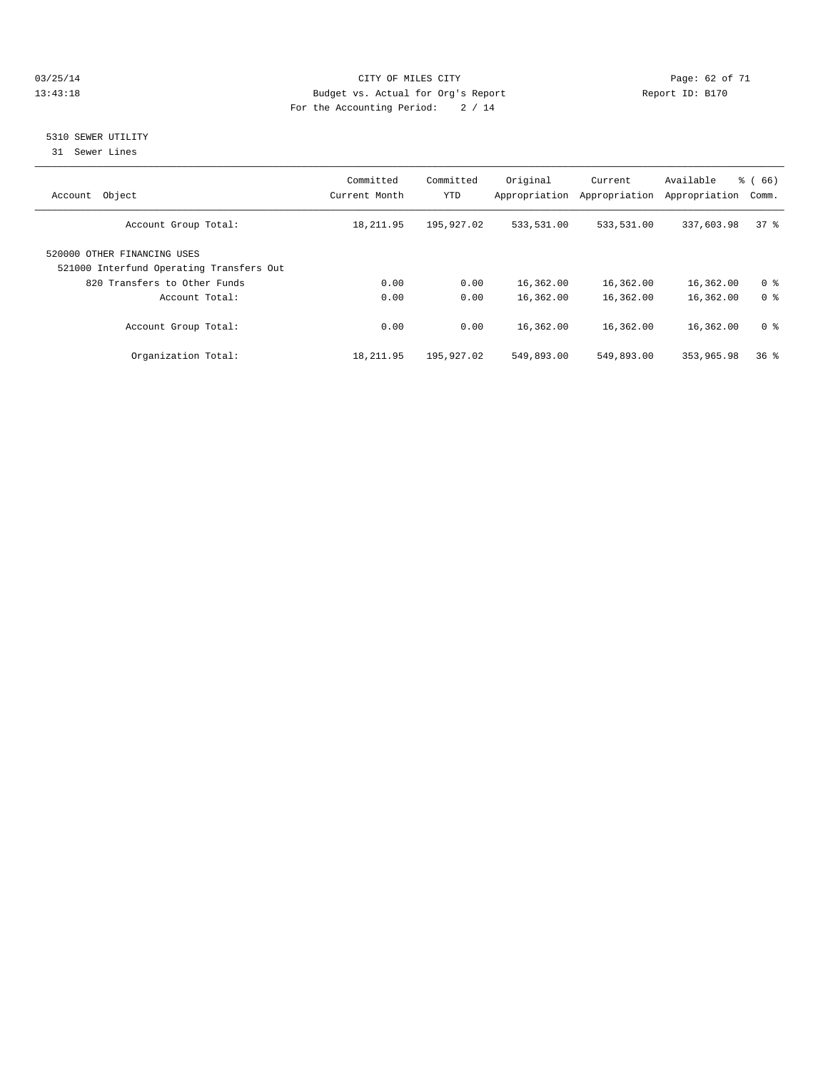#### 03/25/14 Page: 62 of 71 13:43:18 Budget vs. Actual for Org's Report Report ID: B170 For the Accounting Period: 2 / 14

### 5310 SEWER UTILITY

31 Sewer Lines

| Object<br>Account                                                       | Committed<br>Current Month | Committed<br><b>YTD</b> | Original<br>Appropriation | Current<br>Appropriation | Available<br>Appropriation | % (66)<br>Comm. |
|-------------------------------------------------------------------------|----------------------------|-------------------------|---------------------------|--------------------------|----------------------------|-----------------|
| Account Group Total:                                                    | 18,211.95                  | 195,927.02              | 533,531.00                | 533,531.00               | 337,603.98                 | 37.8            |
| 520000 OTHER FINANCING USES<br>521000 Interfund Operating Transfers Out |                            |                         |                           |                          |                            |                 |
| 820 Transfers to Other Funds                                            | 0.00                       | 0.00                    | 16,362.00                 | 16,362.00                | 16,362.00                  | 0 <sup>8</sup>  |
| Account Total:                                                          | 0.00                       | 0.00                    | 16,362.00                 | 16,362.00                | 16,362.00                  | 0 <sup>8</sup>  |
| Account Group Total:                                                    | 0.00                       | 0.00                    | 16,362.00                 | 16,362.00                | 16,362.00                  | 0 <sup>8</sup>  |
| Organization Total:                                                     | 18,211.95                  | 195,927.02              | 549,893.00                | 549,893.00               | 353,965.98                 | 36 <sup>8</sup> |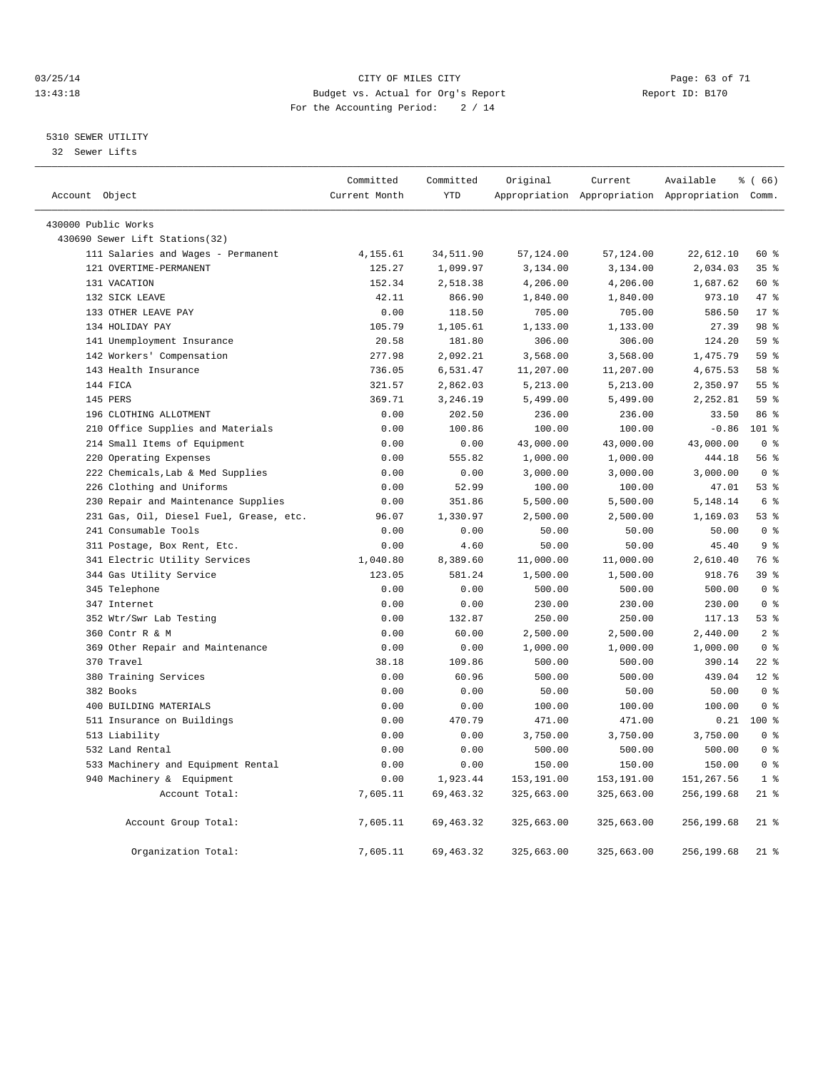#### 03/25/14 Page: 63 of 71 13:43:18 Budget vs. Actual for Org's Report Report ID: B170 For the Accounting Period: 2 / 14

#### 5310 SEWER UTILITY

32 Sewer Lifts

|                                         | Committed     | Committed   | Original   | Current    | Available                                       | % (66)          |
|-----------------------------------------|---------------|-------------|------------|------------|-------------------------------------------------|-----------------|
| Account Object                          | Current Month | <b>YTD</b>  |            |            | Appropriation Appropriation Appropriation Comm. |                 |
| 430000 Public Works                     |               |             |            |            |                                                 |                 |
| 430690 Sewer Lift Stations(32)          |               |             |            |            |                                                 |                 |
| 111 Salaries and Wages - Permanent      | 4,155.61      | 34,511.90   | 57,124.00  | 57,124.00  | 22,612.10                                       | 60 %            |
| 121 OVERTIME-PERMANENT                  | 125.27        | 1,099.97    | 3,134.00   | 3,134.00   | 2,034.03                                        | 35%             |
| 131 VACATION                            | 152.34        | 2,518.38    | 4,206.00   | 4,206.00   | 1,687.62                                        | 60 %            |
| 132 SICK LEAVE                          | 42.11         | 866.90      | 1,840.00   | 1,840.00   | 973.10                                          | 47 %            |
| 133 OTHER LEAVE PAY                     | 0.00          | 118.50      | 705.00     | 705.00     | 586.50                                          | $17*$           |
| 134 HOLIDAY PAY                         | 105.79        | 1,105.61    | 1,133.00   | 1,133.00   | 27.39                                           | 98 %            |
| 141 Unemployment Insurance              | 20.58         | 181.80      | 306.00     | 306.00     | 124.20                                          | 59 %            |
| 142 Workers' Compensation               | 277.98        | 2,092.21    | 3,568.00   | 3,568.00   | 1,475.79                                        | 59 %            |
| 143 Health Insurance                    | 736.05        | 6,531.47    | 11,207.00  | 11,207.00  | 4,675.53                                        | 58 %            |
| 144 FICA                                | 321.57        | 2,862.03    | 5,213.00   | 5,213.00   | 2,350.97                                        | 55 <sup>8</sup> |
| 145 PERS                                | 369.71        | 3,246.19    | 5,499.00   | 5,499.00   | 2,252.81                                        | 59 %            |
| 196 CLOTHING ALLOTMENT                  | 0.00          | 202.50      | 236.00     | 236.00     | 33.50                                           | 86 %            |
| 210 Office Supplies and Materials       | 0.00          | 100.86      | 100.00     | 100.00     | $-0.86$                                         | $101$ %         |
| 214 Small Items of Equipment            | 0.00          | 0.00        | 43,000.00  | 43,000.00  | 43,000.00                                       | 0 <sup>8</sup>  |
| 220 Operating Expenses                  | 0.00          | 555.82      | 1,000.00   | 1,000.00   | 444.18                                          | 56 %            |
| 222 Chemicals, Lab & Med Supplies       | 0.00          | 0.00        | 3,000.00   | 3,000.00   | 3,000.00                                        | 0 <sup>8</sup>  |
| 226 Clothing and Uniforms               | 0.00          | 52.99       | 100.00     | 100.00     | 47.01                                           | 53%             |
| 230 Repair and Maintenance Supplies     | 0.00          | 351.86      | 5,500.00   | 5,500.00   | 5,148.14                                        | 6 <sup>8</sup>  |
| 231 Gas, Oil, Diesel Fuel, Grease, etc. | 96.07         | 1,330.97    | 2,500.00   | 2,500.00   | 1,169.03                                        | 53%             |
| 241 Consumable Tools                    | 0.00          | 0.00        | 50.00      | 50.00      | 50.00                                           | 0 <sup>8</sup>  |
| 311 Postage, Box Rent, Etc.             | 0.00          | 4.60        | 50.00      | 50.00      | 45.40                                           | 9 <sup>8</sup>  |
| 341 Electric Utility Services           | 1,040.80      | 8,389.60    | 11,000.00  | 11,000.00  | 2,610.40                                        | 76 %            |
| 344 Gas Utility Service                 | 123.05        | 581.24      | 1,500.00   | 1,500.00   | 918.76                                          | 39 <sup>8</sup> |
| 345 Telephone                           | 0.00          | 0.00        | 500.00     | 500.00     | 500.00                                          | 0 <sup>8</sup>  |
| 347 Internet                            | 0.00          | 0.00        | 230.00     | 230.00     | 230.00                                          | 0 <sup>8</sup>  |
| 352 Wtr/Swr Lab Testing                 | 0.00          | 132.87      | 250.00     | 250.00     | 117.13                                          | 53%             |
| 360 Contr R & M                         | 0.00          | 60.00       | 2,500.00   | 2,500.00   | 2,440.00                                        | 2 <sup>°</sup>  |
| 369 Other Repair and Maintenance        | 0.00          | 0.00        | 1,000.00   | 1,000.00   | 1,000.00                                        | 0 <sup>8</sup>  |
| 370 Travel                              | 38.18         | 109.86      | 500.00     | 500.00     | 390.14                                          | $22$ $%$        |
| 380 Training Services                   | 0.00          | 60.96       | 500.00     | 500.00     | 439.04                                          | $12*$           |
| 382 Books                               | 0.00          | 0.00        | 50.00      | 50.00      | 50.00                                           | 0 <sup>8</sup>  |
| 400 BUILDING MATERIALS                  | 0.00          | 0.00        | 100.00     | 100.00     | 100.00                                          | 0 <sup>8</sup>  |
| 511 Insurance on Buildings              | 0.00          | 470.79      | 471.00     | 471.00     | 0.21                                            | 100 %           |
| 513 Liability                           | 0.00          | 0.00        | 3,750.00   | 3,750.00   | 3,750.00                                        | 0 <sup>8</sup>  |
| 532 Land Rental                         | 0.00          | 0.00        | 500.00     | 500.00     | 500.00                                          | 0 <sup>8</sup>  |
| 533 Machinery and Equipment Rental      | 0.00          | 0.00        | 150.00     | 150.00     | 150.00                                          | 0 <sup>8</sup>  |
| 940 Machinery & Equipment               | 0.00          | 1,923.44    | 153,191.00 | 153,191.00 | 151,267.56                                      | 1 <sup>8</sup>  |
| Account Total:                          | 7,605.11      | 69, 463.32  | 325,663.00 | 325,663.00 | 256,199.68                                      | $21$ %          |
| Account Group Total:                    | 7,605.11      | 69, 463. 32 | 325,663.00 | 325,663.00 | 256,199.68                                      | $21$ %          |
| Organization Total:                     | 7,605.11      | 69, 463.32  | 325,663.00 | 325,663.00 | 256,199.68                                      | $21$ %          |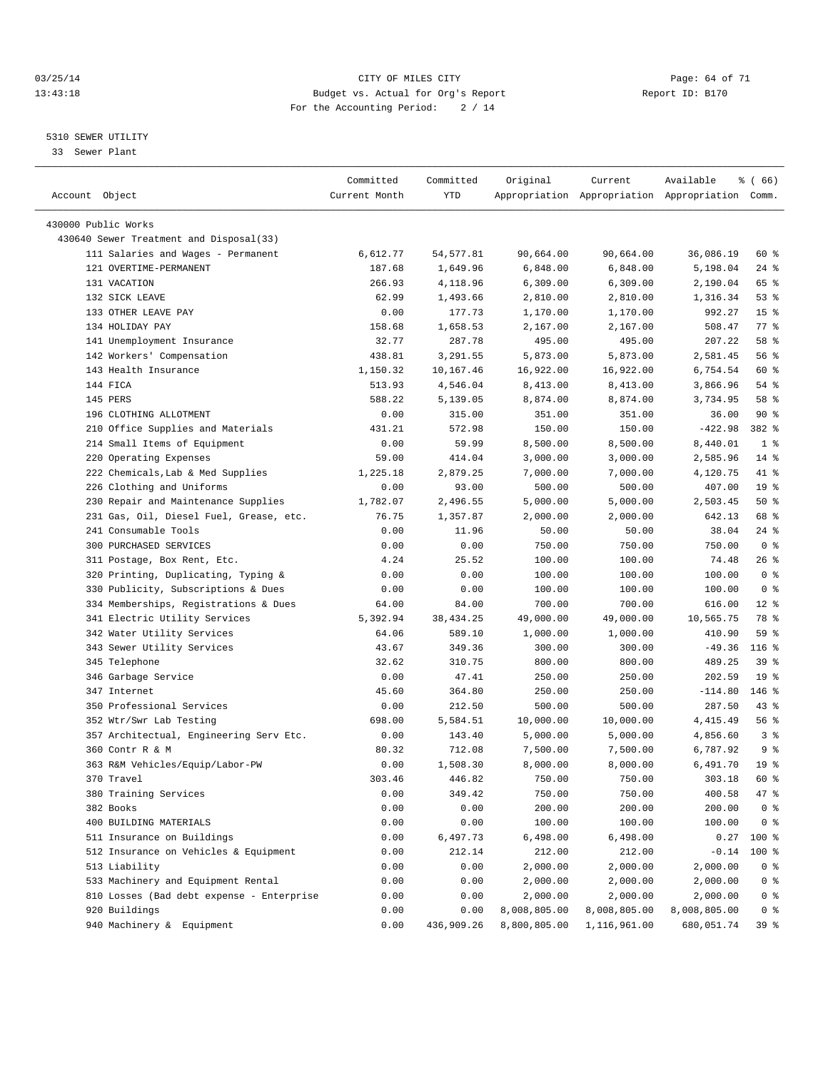#### 03/25/14 Page: 64 of 71 13:43:18 Budget vs. Actual for Org's Report Report ID: B170 For the Accounting Period: 2 / 14

————————————————————————————————————————————————————————————————————————————————————————————————————————————————————————————————————

#### 5310 SEWER UTILITY

33 Sewer Plant

|                                           | Committed     | Committed  | Original     | Current                                         | Available    | $\frac{6}{6}$ (66) |
|-------------------------------------------|---------------|------------|--------------|-------------------------------------------------|--------------|--------------------|
| Account Object                            | Current Month | YTD        |              | Appropriation Appropriation Appropriation Comm. |              |                    |
|                                           |               |            |              |                                                 |              |                    |
| 430000 Public Works                       |               |            |              |                                                 |              |                    |
| 430640 Sewer Treatment and Disposal(33)   |               |            |              |                                                 |              |                    |
| 111 Salaries and Wages - Permanent        | 6,612.77      | 54,577.81  | 90,664.00    | 90,664.00                                       | 36,086.19    | 60 %               |
| 121 OVERTIME-PERMANENT                    | 187.68        | 1,649.96   | 6,848.00     | 6,848.00                                        | 5,198.04     | $24$ %             |
| 131 VACATION                              | 266.93        | 4,118.96   | 6,309.00     | 6,309.00                                        | 2,190.04     | 65 %               |
| 132 SICK LEAVE                            | 62.99         | 1,493.66   | 2,810.00     | 2,810.00                                        | 1,316.34     | 53%                |
| 133 OTHER LEAVE PAY                       | 0.00          | 177.73     | 1,170.00     | 1,170.00                                        | 992.27       | 15 <sup>°</sup>    |
| 134 HOLIDAY PAY                           | 158.68        | 1,658.53   | 2,167.00     | 2,167.00                                        | 508.47       | 77.8               |
| 141 Unemployment Insurance                | 32.77         | 287.78     | 495.00       | 495.00                                          | 207.22       | 58 %               |
| 142 Workers' Compensation                 | 438.81        | 3,291.55   | 5,873.00     | 5,873.00                                        | 2,581.45     | 56 %               |
| 143 Health Insurance                      | 1,150.32      | 10,167.46  | 16,922.00    | 16,922.00                                       | 6,754.54     | 60 %               |
| 144 FICA                                  | 513.93        | 4,546.04   | 8,413.00     | 8,413.00                                        | 3,866.96     | 54 %               |
| 145 PERS                                  | 588.22        | 5,139.05   | 8,874.00     | 8,874.00                                        | 3,734.95     | 58 %               |
| 196 CLOTHING ALLOTMENT                    | 0.00          | 315.00     | 351.00       | 351.00                                          | 36.00        | 90%                |
| 210 Office Supplies and Materials         | 431.21        | 572.98     | 150.00       | 150.00                                          | $-422.98$    | 382 %              |
| 214 Small Items of Equipment              | 0.00          | 59.99      | 8,500.00     | 8,500.00                                        | 8,440.01     | 1 <sup>8</sup>     |
| 220 Operating Expenses                    | 59.00         | 414.04     | 3,000.00     | 3,000.00                                        | 2,585.96     | $14*$              |
| 222 Chemicals, Lab & Med Supplies         | 1,225.18      | 2,879.25   | 7,000.00     | 7,000.00                                        | 4,120.75     | 41 %               |
| 226 Clothing and Uniforms                 | 0.00          | 93.00      | 500.00       | 500.00                                          | 407.00       | 19 <sup>°</sup>    |
| 230 Repair and Maintenance Supplies       | 1,782.07      | 2,496.55   | 5,000.00     | 5,000.00                                        | 2,503.45     | 50%                |
| 231 Gas, Oil, Diesel Fuel, Grease, etc.   | 76.75         | 1,357.87   | 2,000.00     | 2,000.00                                        | 642.13       | 68 %               |
| 241 Consumable Tools                      | 0.00          | 11.96      | 50.00        | 50.00                                           | 38.04        | $24$ %             |
| 300 PURCHASED SERVICES                    | 0.00          | 0.00       | 750.00       | 750.00                                          | 750.00       | 0 <sup>8</sup>     |
| 311 Postage, Box Rent, Etc.               | 4.24          | 25.52      | 100.00       | 100.00                                          | 74.48        | 26%                |
| 320 Printing, Duplicating, Typing &       | 0.00          | 0.00       | 100.00       | 100.00                                          | 100.00       | 0 <sup>8</sup>     |
| 330 Publicity, Subscriptions & Dues       | 0.00          | 0.00       | 100.00       | 100.00                                          | 100.00       | 0 <sup>8</sup>     |
| 334 Memberships, Registrations & Dues     | 64.00         | 84.00      | 700.00       | 700.00                                          | 616.00       | $12*$              |
| 341 Electric Utility Services             | 5,392.94      | 38, 434.25 | 49,000.00    | 49,000.00                                       | 10,565.75    | 78 %               |
| 342 Water Utility Services                | 64.06         | 589.10     | 1,000.00     | 1,000.00                                        | 410.90       | 59 %               |
| 343 Sewer Utility Services                | 43.67         | 349.36     | 300.00       | 300.00                                          | $-49.36$     | $116$ %            |
| 345 Telephone                             | 32.62         | 310.75     | 800.00       | 800.00                                          | 489.25       | 39 %               |
| 346 Garbage Service                       | 0.00          | 47.41      | 250.00       | 250.00                                          | 202.59       | 19 <sup>°</sup>    |
| 347 Internet                              | 45.60         | 364.80     | 250.00       | 250.00                                          | $-114.80$    | 146 %              |
| 350 Professional Services                 | 0.00          | 212.50     | 500.00       | 500.00                                          | 287.50       | $43$ %             |
| 352 Wtr/Swr Lab Testing                   | 698.00        | 5,584.51   | 10,000.00    | 10,000.00                                       | 4, 415.49    | 56%                |
| 357 Architectual, Engineering Serv Etc.   | 0.00          | 143.40     | 5,000.00     | 5,000.00                                        | 4,856.60     | 3 <sup>8</sup>     |
| 360 Contr R & M                           | 80.32         | 712.08     | 7,500.00     | 7,500.00                                        | 6,787.92     | 9%                 |
| 363 R&M Vehicles/Equip/Labor-PW           | 0.00          | 1,508.30   | 8,000.00     | 8,000.00                                        | 6,491.70     | 19 <sup>°</sup>    |
| 370 Travel                                | 303.46        | 446.82     | 750.00       | 750.00                                          | 303.18       | 60 %               |
| 380 Training Services                     | 0.00          | 349.42     | 750.00       | 750.00                                          | 400.58       | 47 %               |
| 382 Books                                 | 0.00          | 0.00       | 200.00       | 200.00                                          | 200.00       | 0 <sup>8</sup>     |
| 400 BUILDING MATERIALS                    | 0.00          | 0.00       | 100.00       | 100.00                                          | 100.00       | 0 <sup>8</sup>     |
| 511 Insurance on Buildings                | 0.00          | 6,497.73   | 6,498.00     | 6,498.00                                        | 0.27         | 100 %              |
| 512 Insurance on Vehicles & Equipment     | 0.00          | 212.14     | 212.00       | 212.00                                          | $-0.14$      | $100*$             |
| 513 Liability                             | 0.00          | 0.00       | 2,000.00     | 2,000.00                                        | 2,000.00     | 0 <sup>8</sup>     |
| 533 Machinery and Equipment Rental        | 0.00          | 0.00       | 2,000.00     | 2,000.00                                        | 2,000.00     | 0 <sup>8</sup>     |
| 810 Losses (Bad debt expense - Enterprise | 0.00          | 0.00       | 2,000.00     | 2,000.00                                        | 2,000.00     | 0 <sup>8</sup>     |
| 920 Buildings                             | 0.00          | 0.00       | 8,008,805.00 | 8,008,805.00                                    | 8,008,805.00 | 0 <sup>8</sup>     |
| 940 Machinery & Equipment                 | 0.00          | 436,909.26 | 8,800,805.00 | 1,116,961.00                                    | 680,051.74   | 39%                |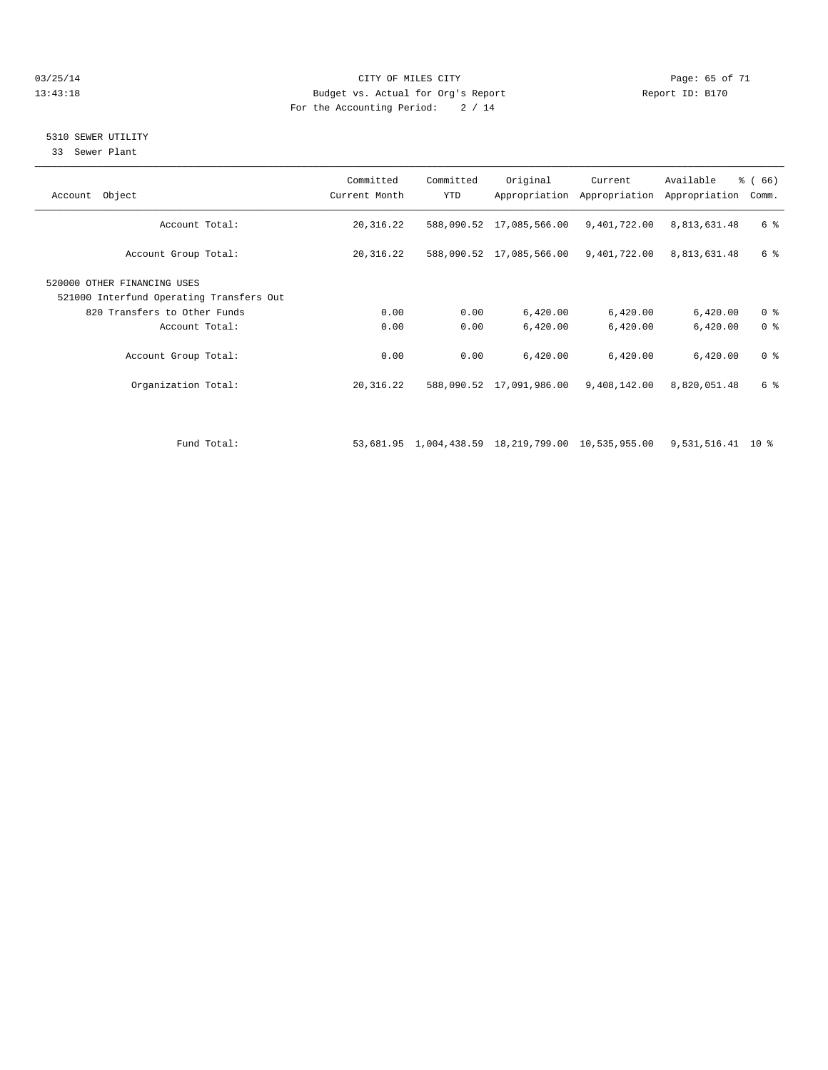#### 03/25/14 Page: 65 of 71 13:43:18 Budget vs. Actual for Org's Report Report ID: B170 For the Accounting Period: 2 / 14

#### 5310 SEWER UTILITY

33 Sewer Plant

| Account Object                                                          | Committed<br>Current Month | Committed<br><b>YTD</b> | Original                                           | Current<br>Appropriation Appropriation | Available<br>Appropriation | $\frac{3}{6}$ (66)<br>Comm. |
|-------------------------------------------------------------------------|----------------------------|-------------------------|----------------------------------------------------|----------------------------------------|----------------------------|-----------------------------|
| Account Total:                                                          | 20, 316.22                 |                         | 588,090.52 17,085,566.00                           | 9,401,722.00                           | 8,813,631.48               | 6 %                         |
| Account Group Total:                                                    | 20,316.22                  |                         | 588,090.52 17,085,566.00                           | 9,401,722.00                           | 8,813,631.48               | 6 %                         |
| 520000 OTHER FINANCING USES<br>521000 Interfund Operating Transfers Out |                            |                         |                                                    |                                        |                            |                             |
| 820 Transfers to Other Funds                                            | 0.00                       | 0.00                    | 6,420.00                                           | 6,420.00                               | 6,420.00                   | 0 <sup>8</sup>              |
| Account Total:                                                          | 0.00                       | 0.00                    | 6,420.00                                           | 6,420.00                               | 6,420.00                   | 0 <sup>8</sup>              |
| Account Group Total:                                                    | 0.00                       | 0.00                    | 6,420.00                                           | 6,420.00                               | 6,420.00                   | 0 <sup>8</sup>              |
| Organization Total:                                                     | 20,316.22                  |                         | 588,090.52 17,091,986.00                           | 9,408,142.00                           | 8,820,051.48               | 6 %                         |
|                                                                         |                            |                         |                                                    |                                        |                            |                             |
| Fund Total:                                                             |                            |                         | 53,681.95 1,004,438.59 18,219,799.00 10,535,955.00 |                                        | 9,531,516.41 10 %          |                             |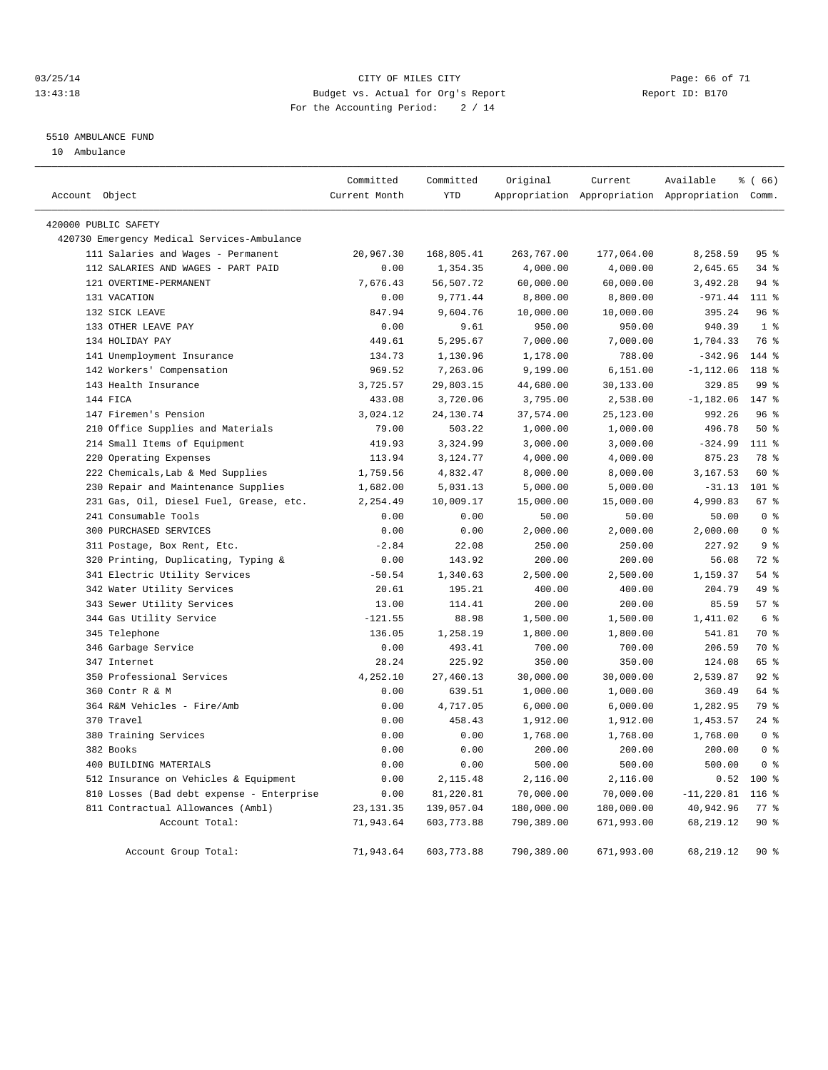#### 03/25/14 Page: 66 of 71 13:43:18 Budget vs. Actual for Org's Report Report ID: B170 For the Accounting Period: 2 / 14

#### 5510 AMBULANCE FUND

10 Ambulance

|                                             | Committed     | Committed   | Original   | Current    | Available                                       | % (66)           |
|---------------------------------------------|---------------|-------------|------------|------------|-------------------------------------------------|------------------|
| Account Object                              | Current Month | <b>YTD</b>  |            |            | Appropriation Appropriation Appropriation Comm. |                  |
| 420000 PUBLIC SAFETY                        |               |             |            |            |                                                 |                  |
| 420730 Emergency Medical Services-Ambulance |               |             |            |            |                                                 |                  |
| 111 Salaries and Wages - Permanent          | 20,967.30     | 168,805.41  | 263,767.00 | 177,064.00 | 8,258.59                                        | 95%              |
| 112 SALARIES AND WAGES - PART PAID          | 0.00          | 1,354.35    | 4,000.00   | 4,000.00   | 2,645.65                                        | 34%              |
| 121 OVERTIME-PERMANENT                      | 7,676.43      | 56,507.72   | 60,000.00  | 60,000.00  | 3,492.28                                        | $94$ $%$         |
| 131 VACATION                                | 0.00          | 9,771.44    | 8,800.00   | 8,800.00   | $-971.44$                                       | 111 %            |
| 132 SICK LEAVE                              | 847.94        | 9,604.76    | 10,000.00  | 10,000.00  | 395.24                                          | 96%              |
| 133 OTHER LEAVE PAY                         | 0.00          | 9.61        | 950.00     | 950.00     | 940.39                                          | 1 <sup>°</sup>   |
| 134 HOLIDAY PAY                             | 449.61        | 5,295.67    | 7,000.00   | 7,000.00   | 1,704.33                                        | 76 %             |
| 141 Unemployment Insurance                  | 134.73        | 1,130.96    | 1,178.00   | 788.00     | $-342.96$                                       | 144 %            |
| 142 Workers' Compensation                   | 969.52        | 7,263.06    | 9,199.00   | 6,151.00   | $-1, 112.06$                                    | 118 <sup>8</sup> |
| 143 Health Insurance                        | 3,725.57      | 29,803.15   | 44,680.00  | 30,133.00  | 329.85                                          | 99 <sub>8</sub>  |
| 144 FICA                                    | 433.08        | 3,720.06    | 3,795.00   | 2,538.00   | $-1,182.06$                                     | 147 %            |
| 147 Firemen's Pension                       | 3,024.12      | 24,130.74   | 37,574.00  | 25,123.00  | 992.26                                          | 96%              |
| 210 Office Supplies and Materials           | 79.00         | 503.22      | 1,000.00   | 1,000.00   | 496.78                                          | $50*$            |
| 214 Small Items of Equipment                | 419.93        | 3,324.99    | 3,000.00   | 3,000.00   | $-324.99$                                       | 111 %            |
| 220 Operating Expenses                      | 113.94        | 3,124.77    | 4,000.00   | 4,000.00   | 875.23                                          | 78 %             |
| 222 Chemicals, Lab & Med Supplies           | 1,759.56      | 4,832.47    | 8,000.00   | 8,000.00   | 3,167.53                                        | 60 %             |
| 230 Repair and Maintenance Supplies         | 1,682.00      | 5,031.13    | 5,000.00   | 5,000.00   | $-31.13$                                        | $101$ %          |
| 231 Gas, Oil, Diesel Fuel, Grease, etc.     | 2,254.49      | 10,009.17   | 15,000.00  | 15,000.00  | 4,990.83                                        | 67%              |
| 241 Consumable Tools                        | 0.00          | 0.00        | 50.00      | 50.00      | 50.00                                           | 0 <sup>8</sup>   |
| 300 PURCHASED SERVICES                      | 0.00          | 0.00        | 2,000.00   | 2,000.00   | 2,000.00                                        | 0 <sup>8</sup>   |
| 311 Postage, Box Rent, Etc.                 | $-2.84$       | 22.08       | 250.00     | 250.00     | 227.92                                          | 9 <sub>8</sub>   |
| 320 Printing, Duplicating, Typing &         | 0.00          | 143.92      | 200.00     | 200.00     | 56.08                                           | $72$ $%$         |
| 341 Electric Utility Services               | $-50.54$      | 1,340.63    | 2,500.00   | 2,500.00   | 1,159.37                                        | 54%              |
| 342 Water Utility Services                  | 20.61         | 195.21      | 400.00     | 400.00     | 204.79                                          | 49 %             |
| 343 Sewer Utility Services                  | 13.00         | 114.41      | 200.00     | 200.00     | 85.59                                           | 57%              |
| 344 Gas Utility Service                     | $-121.55$     | 88.98       | 1,500.00   | 1,500.00   | 1,411.02                                        | 6 %              |
| 345 Telephone                               | 136.05        | 1,258.19    | 1,800.00   | 1,800.00   | 541.81                                          | 70 %             |
| 346 Garbage Service                         | 0.00          | 493.41      | 700.00     | 700.00     | 206.59                                          | 70 %             |
| 347 Internet                                | 28.24         | 225.92      | 350.00     | 350.00     | 124.08                                          | 65 %             |
| 350 Professional Services                   | 4,252.10      | 27,460.13   | 30,000.00  | 30,000.00  | 2,539.87                                        | $92$ $%$         |
| 360 Contr R & M                             | 0.00          | 639.51      | 1,000.00   | 1,000.00   | 360.49                                          | 64 %             |
| 364 R&M Vehicles - Fire/Amb                 | 0.00          | 4,717.05    | 6,000.00   | 6,000.00   | 1,282.95                                        | 79 %             |
| 370 Travel                                  | 0.00          | 458.43      | 1,912.00   | 1,912.00   | 1,453.57                                        | $24$ %           |
| 380 Training Services                       | 0.00          | 0.00        | 1,768.00   | 1,768.00   | 1,768.00                                        | 0 <sup>8</sup>   |
| 382 Books                                   | 0.00          | 0.00        | 200.00     | 200.00     | 200.00                                          | 0 <sup>8</sup>   |
| 400 BUILDING MATERIALS                      | 0.00          | 0.00        | 500.00     | 500.00     | 500.00                                          | 0 <sup>8</sup>   |
| 512 Insurance on Vehicles & Equipment       | 0.00          | 2,115.48    | 2,116.00   | 2,116.00   | 0.52                                            | $100*$           |
| 810 Losses (Bad debt expense - Enterprise   | 0.00          | 81,220.81   | 70,000.00  | 70,000.00  | $-11, 220.81$                                   | $116$ %          |
| 811 Contractual Allowances (Ambl)           | 23, 131.35    | 139,057.04  | 180,000.00 | 180,000.00 | 40,942.96                                       | 77.8             |
| Account Total:                              | 71,943.64     | 603,773.88  | 790,389.00 | 671,993.00 | 68,219.12                                       | 90%              |
| Account Group Total:                        | 71,943.64     | 603, 773.88 | 790,389.00 | 671,993.00 | 68, 219.12                                      | $90*$            |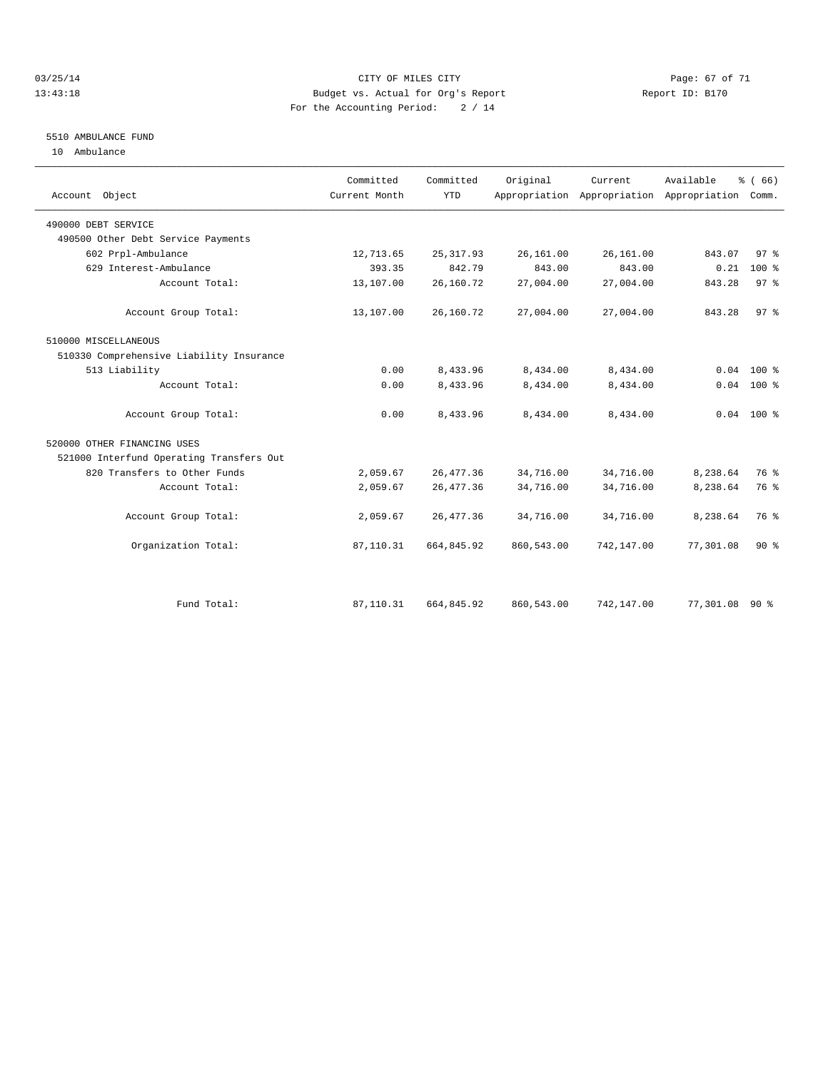#### 03/25/14 Page: 67 of 71 13:43:18 Budget vs. Actual for Org's Report Report ID: B170 For the Accounting Period: 2 / 14

### 5510 AMBULANCE FUND

10 Ambulance

| Account Object                           | Committed<br>Current Month | Committed<br><b>YTD</b> | Original   | Current.   | Available<br>Appropriation Appropriation Appropriation | % (66)<br>Comm. |
|------------------------------------------|----------------------------|-------------------------|------------|------------|--------------------------------------------------------|-----------------|
| 490000 DEBT SERVICE                      |                            |                         |            |            |                                                        |                 |
| 490500 Other Debt Service Payments       |                            |                         |            |            |                                                        |                 |
| 602 Prpl-Ambulance                       | 12,713.65                  | 25, 317.93              | 26,161.00  | 26,161.00  | 843.07                                                 | 97%             |
| 629 Interest-Ambulance                   | 393.35                     | 842.79                  | 843.00     | 843.00     | 0.21                                                   | $100*$          |
| Account Total:                           | 13,107.00                  | 26,160.72               | 27,004.00  | 27,004.00  | 843.28                                                 | 97 <sup>8</sup> |
| Account Group Total:                     | 13,107.00                  | 26,160.72               | 27,004.00  | 27,004.00  | 843.28                                                 | 97%             |
| 510000 MISCELLANEOUS                     |                            |                         |            |            |                                                        |                 |
| 510330 Comprehensive Liability Insurance |                            |                         |            |            |                                                        |                 |
| 513 Liability                            | 0.00                       | 8,433.96                | 8,434.00   | 8,434.00   | 0.04                                                   | $100*$          |
| Account Total:                           | 0.00                       | 8,433.96                | 8,434.00   | 8,434.00   |                                                        | $0.04$ 100 %    |
| Account Group Total:                     | 0.00                       | 8,433.96                | 8,434.00   | 8,434.00   |                                                        | $0.04$ 100 %    |
| 520000 OTHER FINANCING USES              |                            |                         |            |            |                                                        |                 |
| 521000 Interfund Operating Transfers Out |                            |                         |            |            |                                                        |                 |
| 820 Transfers to Other Funds             | 2,059.67                   | 26, 477.36              | 34,716.00  | 34,716.00  | 8,238.64                                               | 76 %            |
| Account Total:                           | 2,059.67                   | 26, 477.36              | 34,716.00  | 34,716.00  | 8,238.64                                               | 76 %            |
| Account Group Total:                     | 2,059.67                   | 26, 477.36              | 34,716.00  | 34,716.00  | 8,238.64                                               | 76 %            |
| Organization Total:                      | 87,110.31                  | 664,845.92              | 860,543.00 | 742,147.00 | 77,301.08                                              | $90*$           |
|                                          |                            |                         |            |            |                                                        |                 |
| Fund Total:                              | 87,110.31                  | 664,845.92              | 860,543.00 | 742,147.00 | 77,301.08                                              | 90%             |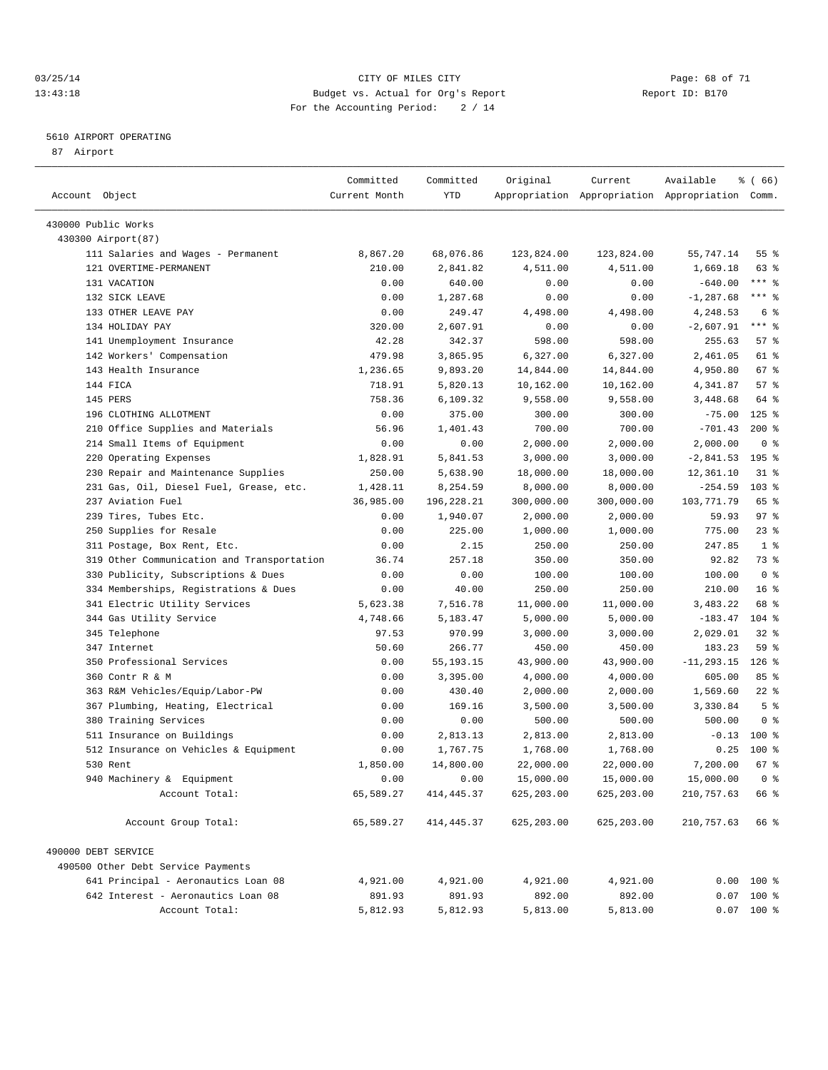#### 03/25/14 Page: 68 of 71 13:43:18 Budget vs. Actual for Org's Report Report ID: B170 For the Accounting Period: 2 / 14

————————————————————————————————————————————————————————————————————————————————————————————————————————————————————————————————————

#### 5610 AIRPORT OPERATING

87 Airport

|                                            | Committed     | Committed   | Original         | Current                                         | Available     | % (66)            |
|--------------------------------------------|---------------|-------------|------------------|-------------------------------------------------|---------------|-------------------|
| Account Object                             | Current Month | YTD         |                  | Appropriation Appropriation Appropriation Comm. |               |                   |
|                                            |               |             |                  |                                                 |               |                   |
| 430000 Public Works                        |               |             |                  |                                                 |               |                   |
| 430300 Airport (87)                        |               |             |                  |                                                 | 55,747.14     | 55 %              |
| 111 Salaries and Wages - Permanent         | 8,867.20      | 68,076.86   | 123,824.00       | 123,824.00                                      | 1,669.18      |                   |
| 121 OVERTIME-PERMANENT<br>131 VACATION     | 210.00        | 2,841.82    | 4,511.00         | 4,511.00                                        |               | 63 %<br>$***$ $-$ |
|                                            | 0.00          | 640.00      | 0.00             | 0.00                                            | $-640.00$     | $***$ $-$         |
| 132 SICK LEAVE<br>133 OTHER LEAVE PAY      | 0.00          | 1,287.68    | 0.00<br>4,498.00 | 0.00                                            | $-1, 287.68$  | 6 <sup>°</sup>    |
|                                            | 0.00          | 249.47      |                  | 4,498.00                                        | 4,248.53      | $***$ $-$         |
| 134 HOLIDAY PAY                            | 320.00        | 2,607.91    | 0.00             | 0.00                                            | $-2,607.91$   |                   |
| 141 Unemployment Insurance                 | 42.28         | 342.37      | 598.00           | 598.00                                          | 255.63        | 57%               |
| 142 Workers' Compensation                  | 479.98        | 3,865.95    | 6,327.00         | 6,327.00                                        | 2,461.05      | 61 %              |
| 143 Health Insurance                       | 1,236.65      | 9,893.20    | 14,844.00        | 14,844.00                                       | 4,950.80      | 67 %              |
| 144 FICA                                   | 718.91        | 5,820.13    | 10,162.00        | 10,162.00                                       | 4,341.87      | 57%               |
| 145 PERS                                   | 758.36        | 6,109.32    | 9,558.00         | 9,558.00                                        | 3,448.68      | 64 %              |
| 196 CLOTHING ALLOTMENT                     | 0.00          | 375.00      | 300.00           | 300.00                                          | $-75.00$      | $125$ %           |
| 210 Office Supplies and Materials          | 56.96         | 1,401.43    | 700.00           | 700.00                                          | $-701.43$     | $200*$            |
| 214 Small Items of Equipment               | 0.00          | 0.00        | 2,000.00         | 2,000.00                                        | 2,000.00      | 0 <sup>8</sup>    |
| 220 Operating Expenses                     | 1,828.91      | 5,841.53    | 3,000.00         | 3,000.00                                        | $-2,841.53$   | 195 %             |
| 230 Repair and Maintenance Supplies        | 250.00        | 5,638.90    | 18,000.00        | 18,000.00                                       | 12,361.10     | 31 %              |
| 231 Gas, Oil, Diesel Fuel, Grease, etc.    | 1,428.11      | 8,254.59    | 8,000.00         | 8,000.00                                        | $-254.59$     | 103 %             |
| 237 Aviation Fuel                          | 36,985.00     | 196,228.21  | 300,000.00       | 300,000.00                                      | 103,771.79    | 65 %              |
| 239 Tires, Tubes Etc.                      | 0.00          | 1,940.07    | 2,000.00         | 2,000.00                                        | 59.93         | 97%               |
| 250 Supplies for Resale                    | 0.00          | 225.00      | 1,000.00         | 1,000.00                                        | 775.00        | $23$ $%$          |
| 311 Postage, Box Rent, Etc.                | 0.00          | 2.15        | 250.00           | 250.00                                          | 247.85        | 1 <sup>8</sup>    |
| 319 Other Communication and Transportation | 36.74         | 257.18      | 350.00           | 350.00                                          | 92.82         | 73 %              |
| 330 Publicity, Subscriptions & Dues        | 0.00          | 0.00        | 100.00           | 100.00                                          | 100.00        | 0 <sup>8</sup>    |
| 334 Memberships, Registrations & Dues      | 0.00          | 40.00       | 250.00           | 250.00                                          | 210.00        | 16 <sup>8</sup>   |
| 341 Electric Utility Services              | 5,623.38      | 7,516.78    | 11,000.00        | 11,000.00                                       | 3,483.22      | 68 %              |
| 344 Gas Utility Service                    | 4,748.66      | 5,183.47    | 5,000.00         | 5,000.00                                        | $-183.47$     | $104$ %           |
| 345 Telephone                              | 97.53         | 970.99      | 3,000.00         | 3,000.00                                        | 2,029.01      | $32$ $%$          |
| 347 Internet                               | 50.60         | 266.77      | 450.00           | 450.00                                          | 183.23        | 59 %              |
| 350 Professional Services                  | 0.00          | 55, 193. 15 | 43,900.00        | 43,900.00                                       | $-11, 293.15$ | $126$ %           |
| 360 Contr R & M                            | 0.00          | 3,395.00    | 4,000.00         | 4,000.00                                        | 605.00        | 85%               |
| 363 R&M Vehicles/Equip/Labor-PW            | 0.00          | 430.40      | 2,000.00         | 2,000.00                                        | 1,569.60      | $22$ %            |
| 367 Plumbing, Heating, Electrical          | 0.00          | 169.16      | 3,500.00         | 3,500.00                                        | 3,330.84      | 5 <sup>°</sup>    |
| 380 Training Services                      | 0.00          | 0.00        | 500.00           | 500.00                                          | 500.00        | 0 <sup>8</sup>    |
| 511 Insurance on Buildings                 | 0.00          | 2,813.13    | 2,813.00         | 2,813.00                                        | $-0.13$       | $100$ %           |
| 512 Insurance on Vehicles & Equipment      | 0.00          | 1,767.75    | 1,768.00         | 1,768.00                                        | 0.25          | $100$ %           |
| 530 Rent                                   | 1,850.00      | 14,800.00   | 22,000.00        | 22,000.00                                       | 7,200.00      | 67 %              |
| 940 Machinery & Equipment                  | 0.00          | 0.00        | 15,000.00        | 15,000.00                                       | 15,000.00 0 % |                   |
| Account Total:                             | 65,589.27     | 414, 445.37 | 625, 203.00      | 625,203.00                                      | 210,757.63    | 66 %              |
| Account Group Total:                       | 65,589.27     | 414, 445.37 | 625, 203.00      | 625,203.00                                      | 210,757.63    | 66 %              |
| 490000 DEBT SERVICE                        |               |             |                  |                                                 |               |                   |
| 490500 Other Debt Service Payments         |               |             |                  |                                                 |               |                   |
| 641 Principal - Aeronautics Loan 08        | 4,921.00      | 4,921.00    | 4,921.00         | 4,921.00                                        |               | $0.00$ 100 %      |
| 642 Interest - Aeronautics Loan 08         | 891.93        | 891.93      | 892.00           | 892.00                                          |               | $0.07$ 100 %      |
| Account Total:                             | 5,812.93      | 5,812.93    | 5,813.00         | 5,813.00                                        |               | $0.07$ 100 %      |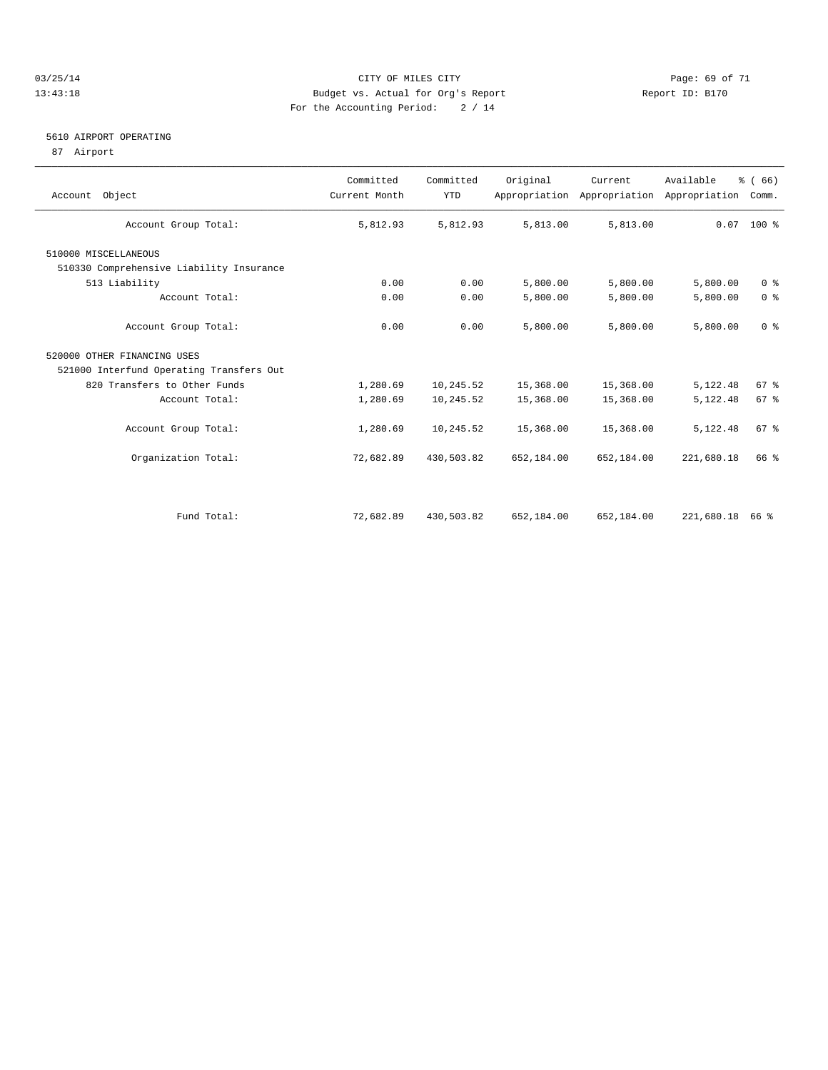#### 03/25/14 Page: 69 of 71 13:43:18 Budget vs. Actual for Org's Report Report ID: B170 For the Accounting Period: 2 / 14

#### 5610 AIRPORT OPERATING

87 Airport

| Account Object                           | Committed<br>Current Month | Committed<br><b>YTD</b> | Original   | Current<br>Appropriation Appropriation | Available<br>Appropriation | % (66)<br>Comm. |
|------------------------------------------|----------------------------|-------------------------|------------|----------------------------------------|----------------------------|-----------------|
| Account Group Total:                     | 5,812.93                   | 5,812.93                | 5,813.00   | 5,813.00                               |                            | $0.07$ 100 %    |
| 510000 MISCELLANEOUS                     |                            |                         |            |                                        |                            |                 |
| 510330 Comprehensive Liability Insurance |                            |                         |            |                                        |                            |                 |
| 513 Liability                            | 0.00                       | 0.00                    | 5,800.00   | 5,800.00                               | 5,800.00                   | 0 <sup>8</sup>  |
| Account Total:                           | 0.00                       | 0.00                    | 5,800.00   | 5,800.00                               | 5,800.00                   | 0 <sup>8</sup>  |
| Account Group Total:                     | 0.00                       | 0.00                    | 5,800.00   | 5,800.00                               | 5,800.00                   | 0 <sup>8</sup>  |
| 520000 OTHER FINANCING USES              |                            |                         |            |                                        |                            |                 |
| 521000 Interfund Operating Transfers Out |                            |                         |            |                                        |                            |                 |
| 820 Transfers to Other Funds             | 1,280.69                   | 10,245.52               | 15,368.00  | 15,368.00                              | 5,122.48                   | 67%             |
| Account Total:                           | 1,280.69                   | 10,245.52               | 15,368.00  | 15,368.00                              | 5,122.48                   | 67 %            |
| Account Group Total:                     | 1,280.69                   | 10,245.52               | 15,368.00  | 15,368.00                              | 5,122.48                   | 67 %            |
| Organization Total:                      | 72,682.89                  | 430,503.82              | 652,184.00 | 652,184.00                             | 221,680.18                 | 66 %            |
|                                          |                            |                         |            |                                        |                            |                 |
| Fund Total:                              | 72,682.89                  | 430,503.82              | 652,184.00 | 652,184.00                             | 221,680.18                 | 66 %            |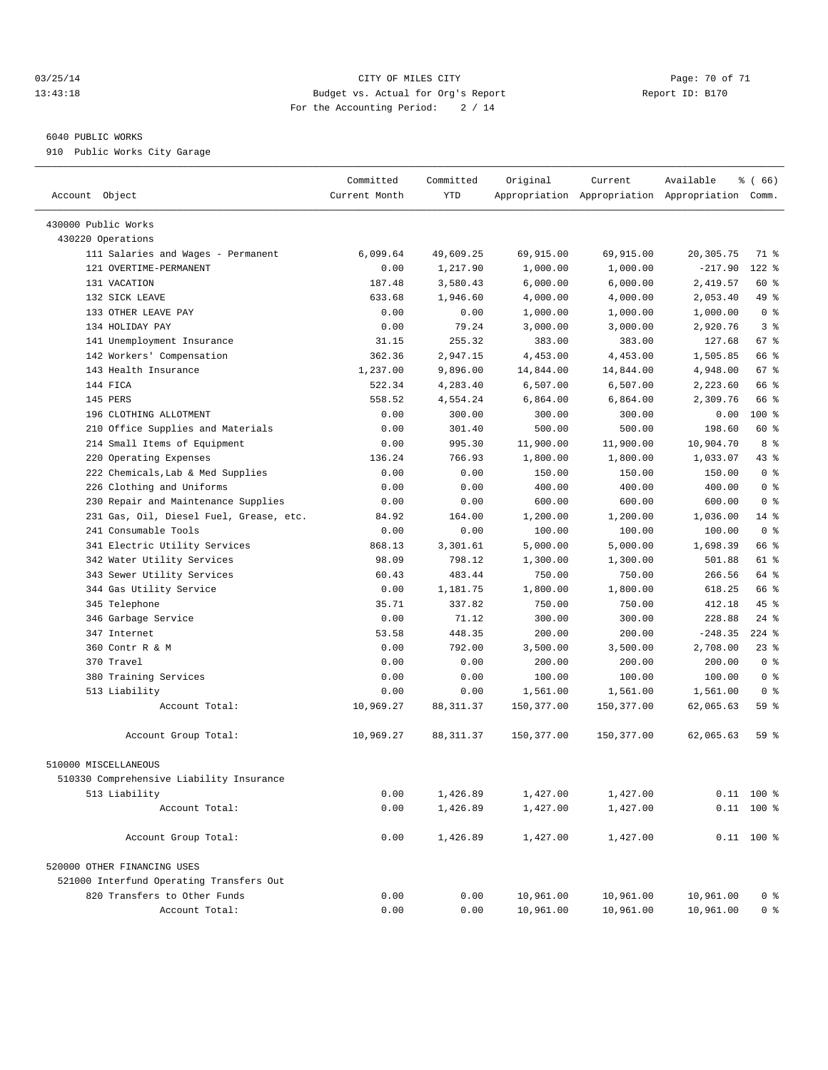#### 03/25/14 Page: 70 of 71 13:43:18 Budget vs. Actual for Org's Report Report ID: B170 For the Accounting Period: 2 / 14

————————————————————————————————————————————————————————————————————————————————————————————————————————————————————————————————————

#### 6040 PUBLIC WORKS

910 Public Works City Garage

|                                                                | Committed          | Committed             | Original   | Current    | Available                                       | % (66)                 |
|----------------------------------------------------------------|--------------------|-----------------------|------------|------------|-------------------------------------------------|------------------------|
| Account Object                                                 | Current Month      | YTD                   |            |            | Appropriation Appropriation Appropriation Comm. |                        |
| 430000 Public Works                                            |                    |                       |            |            |                                                 |                        |
|                                                                |                    |                       |            |            |                                                 |                        |
| 430220 Operations                                              | 6,099.64           |                       | 69,915.00  | 69,915.00  | 20, 305.75                                      | 71 %                   |
| 111 Salaries and Wages - Permanent<br>121 OVERTIME-PERMANENT   |                    | 49,609.25<br>1,217.90 |            | 1,000.00   | $-217.90$                                       | $122$ $%$              |
| 131 VACATION                                                   | 0.00               |                       | 1,000.00   |            |                                                 | 60 %                   |
|                                                                | 187.48             | 3,580.43              | 6,000.00   | 6,000.00   | 2,419.57                                        |                        |
| 132 SICK LEAVE<br>133 OTHER LEAVE PAY                          | 633.68<br>0.00     | 1,946.60              | 4,000.00   | 4,000.00   | 2,053.40                                        | 49 %<br>0 <sup>8</sup> |
|                                                                |                    | 0.00                  | 1,000.00   | 1,000.00   | 1,000.00                                        | 3 <sup>8</sup>         |
| 134 HOLIDAY PAY                                                | 0.00               | 79.24<br>255.32       | 3,000.00   | 3,000.00   | 2,920.76                                        | 67 %                   |
| 141 Unemployment Insurance                                     | 31.15              | 2,947.15              | 383.00     | 383.00     | 127.68                                          | 66 %                   |
| 142 Workers' Compensation                                      | 362.36             | 9,896.00              | 4,453.00   | 4,453.00   | 1,505.85                                        |                        |
| 143 Health Insurance<br>144 FICA                               | 1,237.00<br>522.34 |                       | 14,844.00  | 14,844.00  | 4,948.00                                        | 67 %<br>66 %           |
|                                                                |                    | 4,283.40              | 6,507.00   | 6,507.00   | 2,223.60                                        | 66 %                   |
| 145 PERS                                                       | 558.52             | 4,554.24              | 6,864.00   | 6,864.00   | 2,309.76                                        | 100 %                  |
| 196 CLOTHING ALLOTMENT                                         | 0.00               | 300.00                | 300.00     | 300.00     | 0.00                                            | 60 %                   |
| 210 Office Supplies and Materials                              | 0.00               | 301.40                | 500.00     | 500.00     | 198.60                                          |                        |
| 214 Small Items of Equipment                                   | 0.00               | 995.30                | 11,900.00  | 11,900.00  | 10,904.70                                       | 8 %                    |
| 220 Operating Expenses                                         | 136.24             | 766.93                | 1,800.00   | 1,800.00   | 1,033.07                                        | 43 %                   |
| 222 Chemicals, Lab & Med Supplies<br>226 Clothing and Uniforms | 0.00               | 0.00                  | 150.00     | 150.00     | 150.00                                          | 0 <sup>8</sup>         |
|                                                                | 0.00               | 0.00                  | 400.00     | 400.00     | 400.00                                          | 0 <sup>8</sup>         |
| 230 Repair and Maintenance Supplies                            | 0.00               | 0.00                  | 600.00     | 600.00     | 600.00                                          | 0 <sup>8</sup>         |
| 231 Gas, Oil, Diesel Fuel, Grease, etc.                        | 84.92              | 164.00                | 1,200.00   | 1,200.00   | 1,036.00                                        | $14$ %                 |
| 241 Consumable Tools                                           | 0.00               | 0.00                  | 100.00     | 100.00     | 100.00                                          | 0 <sup>8</sup>         |
| 341 Electric Utility Services                                  | 868.13             | 3,301.61              | 5,000.00   | 5,000.00   | 1,698.39                                        | 66 %                   |
| 342 Water Utility Services                                     | 98.09              | 798.12                | 1,300.00   | 1,300.00   | 501.88                                          | 61 %                   |
| 343 Sewer Utility Services                                     | 60.43              | 483.44                | 750.00     | 750.00     | 266.56                                          | 64 %                   |
| 344 Gas Utility Service                                        | 0.00               | 1,181.75              | 1,800.00   | 1,800.00   | 618.25                                          | 66 %                   |
| 345 Telephone                                                  | 35.71              | 337.82                | 750.00     | 750.00     | 412.18                                          | 45 %                   |
| 346 Garbage Service                                            | 0.00               | 71.12                 | 300.00     | 300.00     | 228.88                                          | $24$ %                 |
| 347 Internet                                                   | 53.58              | 448.35                | 200.00     | 200.00     | $-248.35$                                       | $224$ %                |
| 360 Contr R & M                                                | 0.00               | 792.00                | 3,500.00   | 3,500.00   | 2,708.00                                        | 23%                    |
| 370 Travel                                                     | 0.00               | 0.00                  | 200.00     | 200.00     | 200.00                                          | 0 <sup>8</sup>         |
| 380 Training Services                                          | 0.00               | 0.00                  | 100.00     | 100.00     | 100.00                                          | 0 <sup>8</sup>         |
| 513 Liability                                                  | 0.00               | 0.00                  | 1,561.00   | 1,561.00   | 1,561.00                                        | 0 <sup>8</sup>         |
| Account Total:                                                 | 10,969.27          | 88, 311.37            | 150,377.00 | 150,377.00 | 62,065.63                                       | 59 %                   |
| Account Group Total:                                           | 10,969.27          | 88, 311.37            | 150,377.00 | 150,377.00 | 62,065.63                                       | 59 %                   |
| 510000 MISCELLANEOUS                                           |                    |                       |            |            |                                                 |                        |
| 510330 Comprehensive Liability Insurance                       |                    |                       |            |            |                                                 |                        |
| 513 Liability                                                  | 0.00               | 1,426.89              | 1,427.00   | 1,427.00   |                                                 | $0.11$ 100 %           |
| Account Total:                                                 | 0.00               | 1,426.89              | 1,427.00   | 1,427.00   |                                                 | $0.11$ 100 %           |
|                                                                |                    |                       |            |            |                                                 |                        |
| Account Group Total:                                           | 0.00               | 1,426.89              | 1,427.00   | 1,427.00   |                                                 | $0.11$ 100 %           |
| 520000 OTHER FINANCING USES                                    |                    |                       |            |            |                                                 |                        |
| 521000 Interfund Operating Transfers Out                       |                    |                       |            |            |                                                 |                        |
| 820 Transfers to Other Funds                                   | 0.00               | 0.00                  | 10,961.00  | 10,961.00  | 10,961.00                                       | 0 <sup>8</sup>         |
| Account Total:                                                 | 0.00               | 0.00                  | 10,961.00  | 10,961.00  | 10,961.00                                       | 0 <sup>8</sup>         |